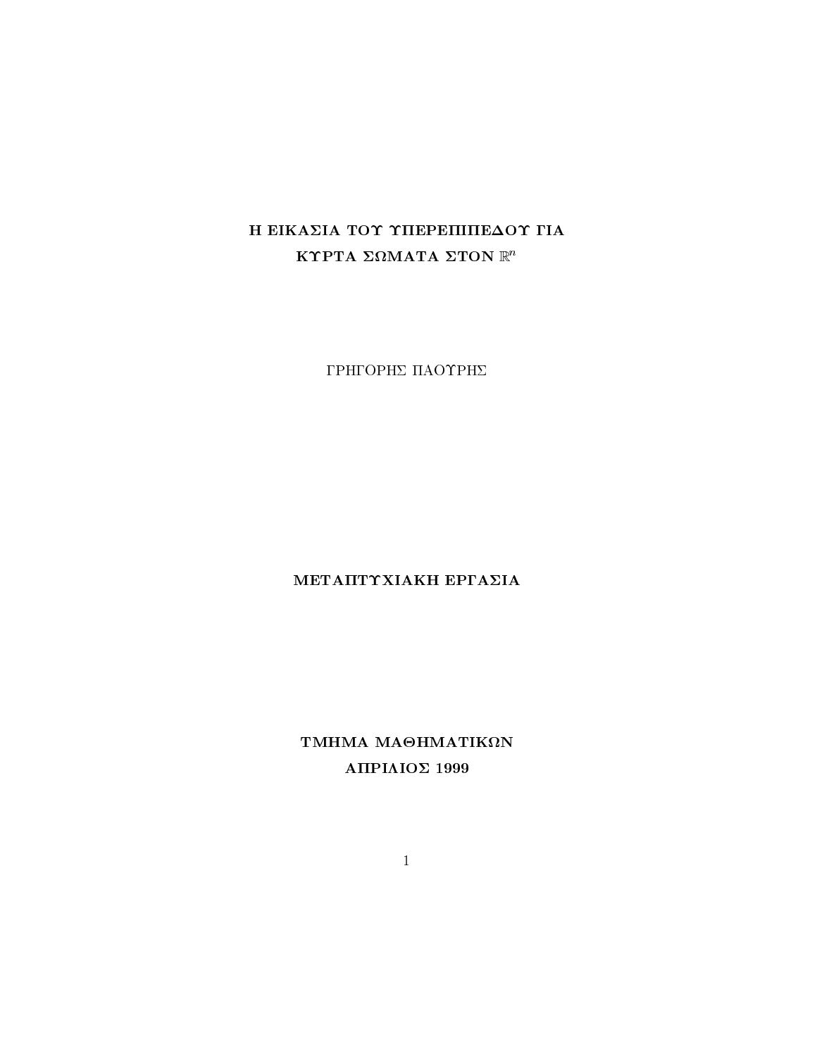# Η ΕΙΚΑΣΙΑ ΤΟΥ ΥΠΕΡΕΠΙΠΕΔΟΥ ΓΙΑ ΚΥΡΤΑ ΣΩΜΑΤΑ ΣΤΟΝ  $\mathbb{R}^n$

ΓΡΗΓΟΡΗΣ ΠΑΟΥΡΗΣ

## ΜΕΤΑΠΤΥΧΙΑΚΗ ΕΡΓΑΣΙΑ

ΤΜΗΜΑ ΜΑΘΗΜΑΤΙΚΩΝ ΑΠΡΙΛΙΟΣ 1999

 $\overline{1}$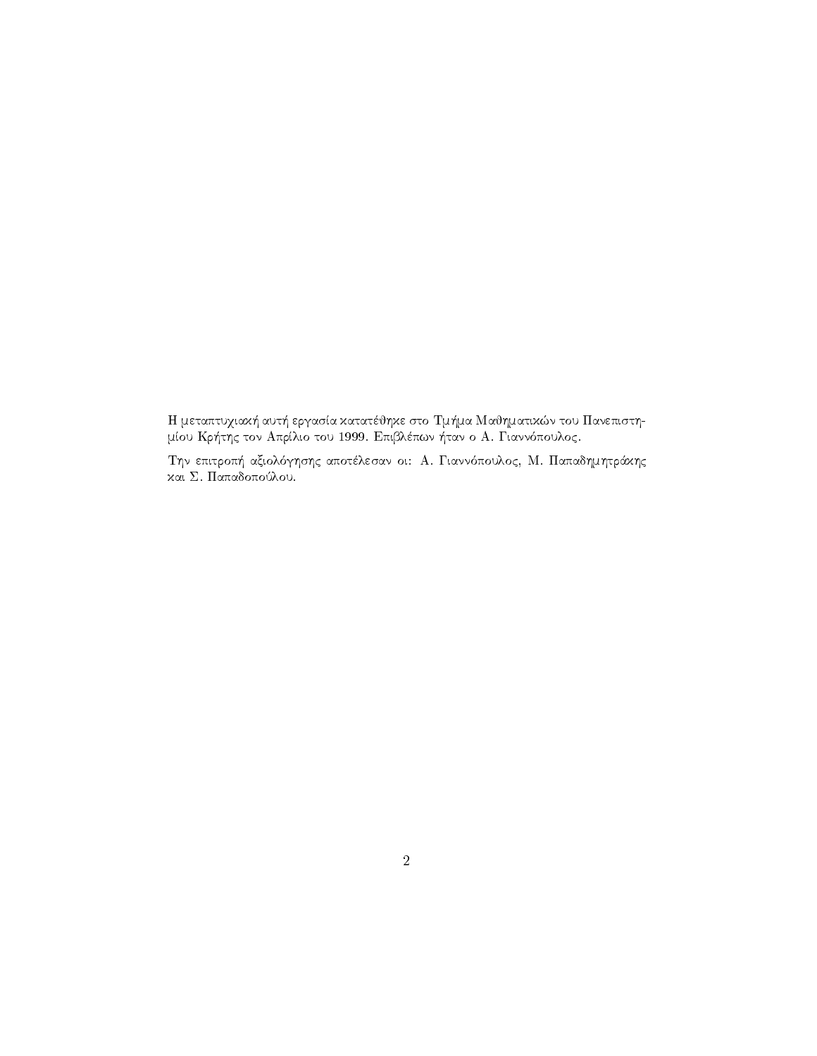Η μεταπτυχιακή αυτή εργασία κατατέθηκε στο Τμήμα Μαθηματικών του Πανεπιστημίου Κρήτης τον Απρίλιο του 1999. Επιβλέπων ήταν ο Α. Γιαννόπουλος.

Την επιτροπή αξιολόγησης αποτέλεσαν οι: Α. Γιαννόπουλος, Μ. Παπαδημητράκης και Σ. Παπαδοπούλου.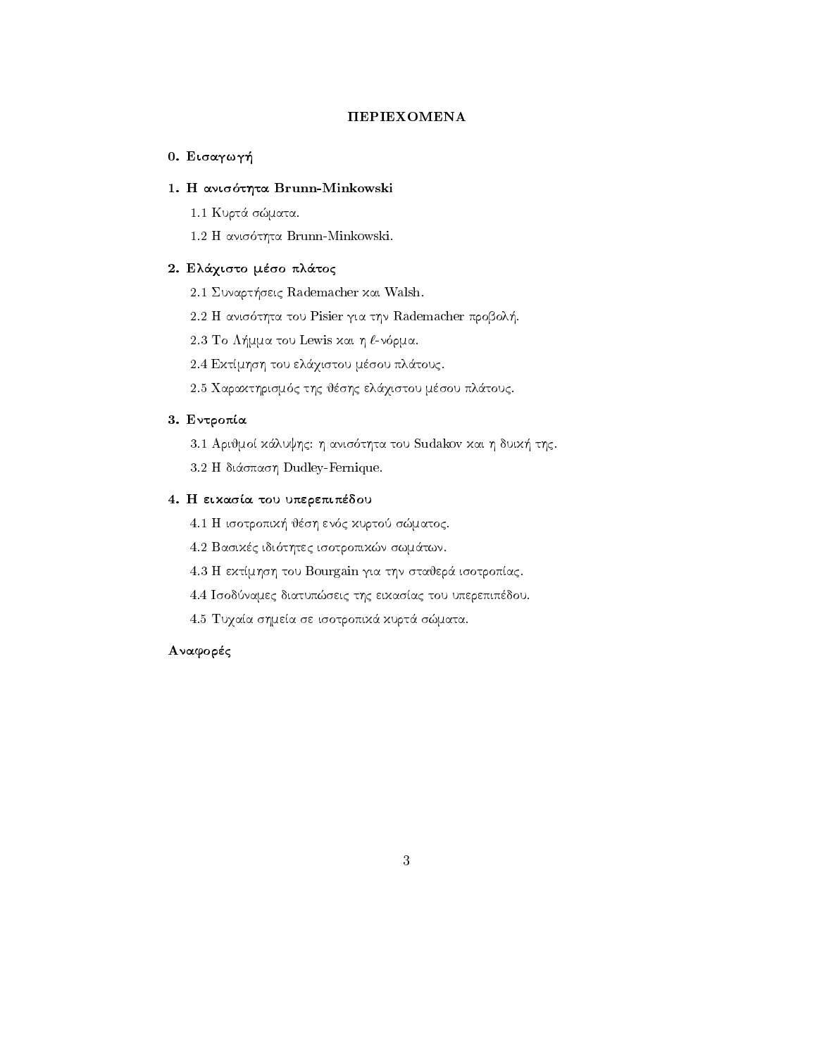## **ΠΕΡΙΕΧΟΜΕΝΑ**

## - Eisagway - Eisagway - Eisagway - Eisagway - Eisagway - Eisagway - Eisagway - Eisagway - Eisagway - Eisagway

## H anisthta Brunn-Minkowski

1.1 Κυρτά σώματα.

 H anis thta Brunn-Minkowski 

## 2. Ελάχιστο μέσο πλάτος

Sunart-Sunart-Barbara and Sunart-Barbara and Sunart-Barbara and Sunart-Barbara and Sunart-Barbara and Sunart-B

that the tour tour that the second problem and the company of the second problem of the second problem of the s

 To L-mma tou Lewis kai h n rma 

2.4 Εκτίμηση του ελάχιστου μέσου πλάτους.

n en die gebruik van die gebruik van die gebruik van die gebruik van die gebruik van die gebruik van die gebrui

#### Entre 1980 et al. 2000 et al. 2000 et al. 2000 et al. 2000 et al. 2000 et al. 2000 et al. 2000 et al. 2000 et

arij anistoti kan tou stad tij street tij tot toe tou were dele tou tou tou tou tou stad tij de stad te verken

 H di
spash Dudley-Fernique 

## 4. Η εικασία του υπερεπιπέδου

 H isotropik- jsh en c kurto smatoc 

basikc idiother in the swamp of the swamp of the swamp of the swamp of the swamp of the swamp of the swamp of t

4.3 Η εκτίμηση του Bourgain για την σταθερά ισοτροπίας.

1.4 Ισοδύναμες διατυπώσεις της εικασίας του υπερεπιπέδου.

4.5 Τυχαία σημεία σε ισοτροπικά κυρτά σώματα.

## Αναφορές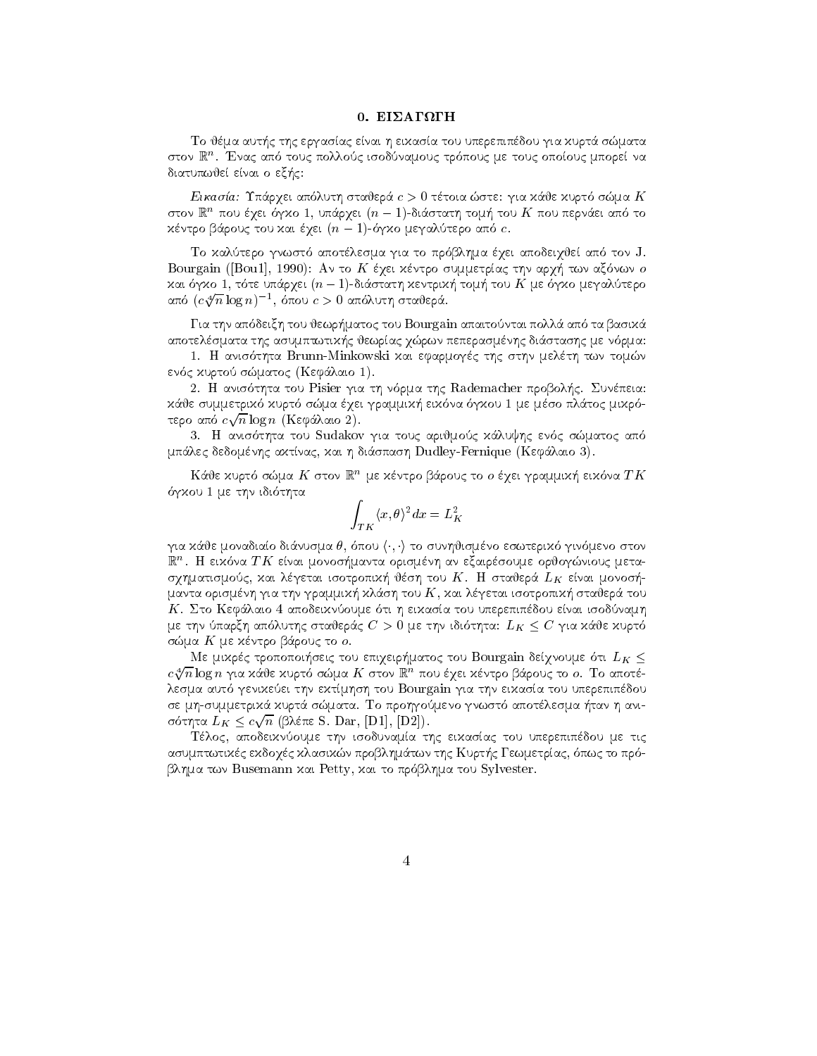## 0. ΕΙΣΑΓΩΓΗ

To jma aut-c thc ergasac enai h eikasa tou uperepipdou gia kurt
 smata στον ια . Ενας απο τους πολλους ισοουναμούς τροπούς με τους οποιούς μπορεί να diature enamely enable the control of the control of the control of the control of the control of the control of the control of the control of the control of the control of the control of the control of the control of the

eikaster van die Stadte van die 19de eeu n.C. Die eerste gewone van die 19de eeu n.C. Ste gia kan die 19de eeu στον ικη που εχει ογχο 1, υπαρχει ( $n=$  1)-οιαστατη τομη του  $\boldsymbol{\Lambda}$  που περναει απο το  $\alpha$ evipo papod $\zeta$  tou xat eyet ( $n = 1$ )-o $\gamma \chi_0$  de $\gamma \chi_0$ tepo ano c.

To kaltero gnwst apotlesma gia to pr blhma qei apodeiqje ap ton J an an to Bourgain Bourgain Bourgain Bourgain Bourgain Bourgain and the summer and the summer are two summer and  $\lambda$ ut 0)  $\lambda$ 0 1, tota okapyat ( $n = 1$ )-otao tuti)  $\lambda$ a vipi $\lambda$ i) topi) too IV jaal oli  $\lambda$ 0 jaaliapo από  $(c\sqrt[4]{n}\log n)^{-1}$ , όπου  $c>0$  απόλυτη σταθερά.

apaitontai tou jewr-tail tou bourgain apaitontai tou tou <del>gan apaitontai bourgain apaitontai pollo</del>ment apaitonta apotelsmath the asumption of the contract of the contract of the contract of the contract of the contract of the

 H anis thta Brunn-Minkowski kai efarmogc thc sthn melth twn tomn en en die kurto sowie waard wat die koninnen wat die koninnen van die koninnen van die koninnen van die koninnen

tha tou Pisier gia tha tha that needs the Rademacher probol-toucher probol-toucher probol-toucher probol-touch k
je summetrik kurt sma qei grammik- eik na gkou me mso pl
toc mikr τερο από  $c\sqrt{n}\log n$  (Κεφάλαιο 2).

the tour touch that community in the shape when the small of the continuous contracts of the continuous continuous mperies de domnique et passer de la construction de la construction de la construction de la construction de l

καυε χυρτο σωμα Α΄ στον ικ¨ με χεντρο ραρους το ο εχει γραμμιχη ειχονα 1 Α΄ a gas was a me that is a contract of the contract of the second second terms of the second second second second

$$
\int_{TK} \langle x,\theta \rangle^2 dx = L_K^2
$$

 $\mu$ a xabe govadiao diavodaa b, oliob $f(f)$  to obvillighe lo solitepixo. Tridite lo otov m . Η ειχονα T N ειναι μονοσημαντα ορισμενη αν εςαιρεσουμε ορυσγωνισυς μεταsquare the square isotropic isotropic isotropic isotropic isotropic isotropic isotropic isotropic isotropic is manta orismni gia tha gia tha ann an tou Karakatan ann an tou an tou Karakatan an tou Karakatan an tou Karakat ti h eikasa tou uperepipedou enai isodnamh and ti h eikasa tou uperepipedou enamh and ti h eikasa tou uperepip  $\mu$ e the onapyn anoxothy otavepay  $C > 0$   $\mu$ e the tolothic.  $E_K \leq C$  fra xave xopto σώμα  $K$  με κέντρο βάρους το ο.

the final chonomorped too emperiments too point and act so the  $K \geq$  $c\sqrt[4]{n}\log n$  για κάθε κυρτό σώμα  $K$  στον  $\mathbb{R}^n$  που έγει κέντρο βάρους το ο. Το αποτέlesma autoris the electronic statement to the extra three tours to the electronic statement of the control of se mhsummetrik
 kurt
 smata To prohgomeno gnwst apotlesma -tan h ani σότητα  $L_K \leq c \sqrt{n}$  (βλέπε S. Dar, [D1], [D2]).

Τέλος, αποδειχνύουμε την ισοδυναμία της ειχασίας του υπερεπιπέδου με τις asumptwtikc ekonomista problem problem problem problem problem problem problem problem problem problem problem ble twn Busenstein ble twn Busenstein and to provide the property of the property of the property of the property of the property of the property of the property of the property of the property of the property of the prope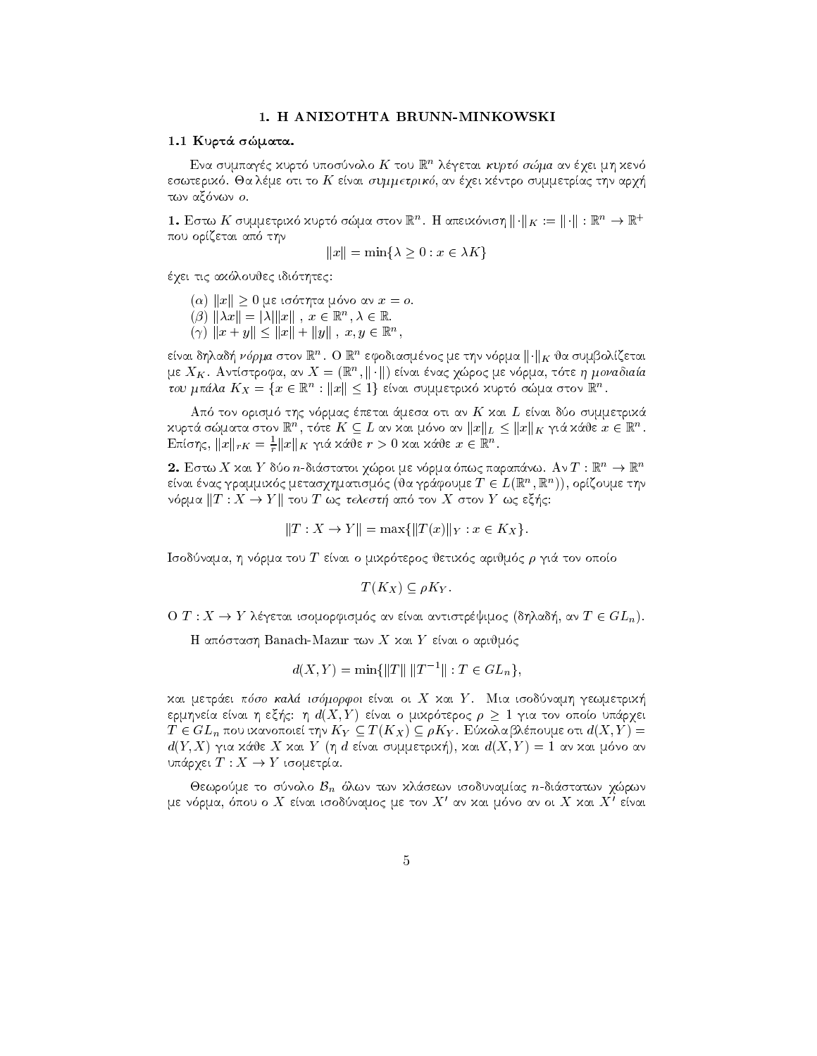## 1. H ANIZOTHTA BRUNN-MINKOWSKI

#### 1.1 Κυρτά σώματα.

Ενα συμπαγές χυρτό υποσύνολο Κ του  $\mathbb{R}^n$  λέγεται κυρτό σώμα αν έγει μη χενό εσωτερικό. Θα λέμε οτι το  $K$  είναι συμμετρικό, αν έχει κέντρο συμμετρίας την αρχή των αξόνων ο.

1. Εστω Κ συμμετρικό κυρτό σώμα στον  $\mathbb{R}^n$ . Η απεικόνιση  $\|\cdot\|_K:=\|\cdot\|:\mathbb{R}^n\to\mathbb{R}^+$ που ορίζεται από την

$$
||x|| = \min\{\lambda \ge 0 : x \in \lambda K\}
$$

έχει τις ακόλουθες ιδιότητες:

(α)  $||x|| \ge 0$  με ισότητα μόνο αν  $x = 0$ .

- $(\beta)$   $\|\lambda x\| = \|\lambda\| \|x\|$ ,  $x \in \mathbb{R}^n, \lambda \in \mathbb{R}$ .
- $(\gamma)$   $||x + y|| < ||x|| + ||y||$ ,  $x, y \in \mathbb{R}^n$ ,

είναι δηλαδή νόρμα στον  $\mathbb{R}^n$ . Ο  $\mathbb{R}^n$  εφοδιασμένος με την νόρμα  $||\cdot||_K$  θα συμβολίζεται με  $X_K$ . Αντίστροφα, αν  $X = (\mathbb{R}^n, ||\cdot||)$  είναι ένας χώρος με νόρμα, τότε η μοναδιαία του μπάλα  $K_X = \{x \in \mathbb{R}^n : ||x|| \leq 1\}$  είναι συμμετρικό χυρτό σώμα στον  $\mathbb{R}^n$ .

Από τον ορισμό της νόρμας έπεται άμεσα οτι αν Κ και L είναι δύο συμμετρικά χυρτά σώματα στον  $\mathbb{R}^n,$ τότε $K\subseteq L$ αν και μόνο αν $\|x\|_L\leq \|x\|_K$ γιά κάθε $x\in \mathbb{R}^n.$ Eπίσης,  $||x||_{rK} = \frac{1}{r} ||x||_K$  γιά κάθε  $r > 0$  και κάθε  $x \in \mathbb{R}^n$ .

2. Εστω Χ και Υ δύο n-διάστατοι χώροι με νόρμα όπως παραπάνω. Αν  $T: \mathbb{R}^n \to \mathbb{R}^n$ είναι ένας γραμμικός μετασχηματισμός (θα γράφουμε  $T \in L(\mathbb{R}^n, \mathbb{R}^n)$ ), ορίζουμε την νόρμα  $||T: X \to Y||$  του T ως τελεστή από τον X στον Y ως εξής:

$$
||T : X \to Y|| = \max{||T(x)||_Y : x \in K_X}.
$$

Ισοδύναμα, η νόρμα του T είναι ο μικρότερος θετικός αριθμός  $\rho$  γιά τον οποίο

$$
T(K_X) \subseteq \rho K_Y
$$

 $O(T: X \to Y$  λέγεται ισομορφισμός αν είναι αντιστρέψιμος (δηλαδή, αν  $T \in GL_n$ ).

Η απόσταση Banach-Mazur των Χ και Υ είναι ο αριθμός

$$
d(X, Y) = \min\{\|T\| \|T^{-1}\| : T \in GL_n\},\
$$

χαι μετράει πόσο καλά ισόμορφοι είναι οι Χ χαι Υ. Μια ισοδύναμη γεωμετριχή ερμηνεία είναι η εξής: η  $d(X, Y)$  είναι ο μιχρότερος  $\rho \geq 1$  για τον οποίο υπάρχει  $T \in GL_n$  που ικανοποιεί την  $K_Y \subseteq T(K_X) \subseteq \rho K_Y$ . Εύκολα βλέπουμε οτι  $d(X, Y) =$  $d(Y, X)$  για κάθε X και Y (η d είναι συμμετρική), και  $d(X, Y) = 1$  αν και μόνο αν υπάρχει  $T: X \to Y$  ισομετρία.

Θεωρούμε το σύνολο  $\mathcal{B}_n$  όλων των κλάσεων ισοδυναμίας *η*-διάστατων χώρων με νόρμα, όπου ο X είναι ισοδύναμος με τον X' αν και μόνο αν οι X και X' είναι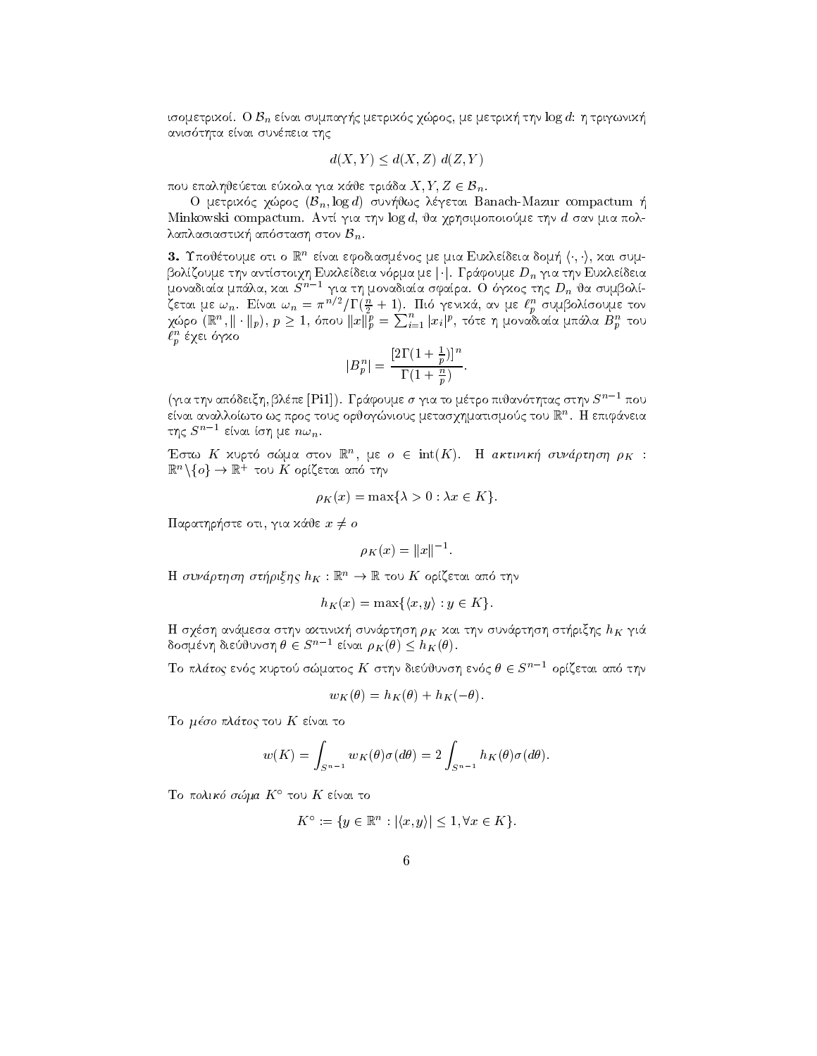to ope tpixot. O  $\nu_n$  etvat objekt ply the tpixos  $\chi$  apos, pe petpixif the fogal  $\eta$  the pavixif anished and the control of the control of the control of the control of the control of the control of the control of the control of the control of the control of the control of the control of the control of the control of

$$
d(X, Y) \le d(X, Z) d(Z, Y)
$$

που επαληθεύεται εύχολα για χάθε τριάδα  $X, Y, Z \in \mathcal{B}_n$ .

 $\Omega$  hetheros lapos ( $p_n$ , log a) covilians veletar **Banach-Mazur** compactum  $\eta$ Minkowski compactum. Αντί για την log d, θα χρησιμοποιούμε την d σαν μια πολ- $\alpha$ annao $\alpha$ u $\alpha$ i anoo $\alpha$ orij o $\alpha$ v  $D_n$ .

 $\mathsf{D}.\;$  I πουετουμε οτι ο la - ειναι εφοσιασμενος με μια Ευχλεισεια σομη ( , , ), χαι συμbolaczonie rijs astroidist Euxustosia sobita de  $|\cdot|$ . I basonie  $D_n$  fra rijs Euxustosia μοναδιαία μπάλα, και  $S^{n-1}$  για τη μοναδιαία σφαίρα. Ο όγκος της  $D_n$  θα συμβολί- $\zeta$ εται με  $\omega_n$ . Ειναι  $\omega_n = \pi^{n/2}/1$  ( $\frac{n}{2} + 1$ ). Tho γενιχα, αν με  $\iota_p^{\infty}$  συμρολισουμε τον χώρο  $(\mathbb{R}^n, \|\cdot\|_p),\ p\geq 1,$  όπου  $\|x\|_p^p=\sum_{i=1}^n|x_i|^p,$  τότε η μοναδιαία μπάλα  $B_p^n$  του  $\ell_p^-$  εχει σγχο

$$
|B_p^n| = \frac{[2\Gamma(1+\frac{1}{p})]^n}{\Gamma(1+\frac{n}{p})}.
$$

p

(για την απόδειξη, βλέπε [Pi1]). Τράφουμε σ για το μέτρο πιθανότητας στην  $S^{n-1}$  που ειναι αναλλοιωτο ως προς τους ορυογωνιους μετασχηματισμους του ℝ΄΄. Η επιφανεια της  $S^{n-1}$  είναι ίση με  $n\omega_n$ .

Eστω A χυριο σωμα στον  $\mathbb R$ , με  $o \in \text{Int}(A)$ . Η ακτινική συναρτήση  $\rho_K$ : Έστω  $K$  χυρτό σώμα στο<br> $\mathbb{R}^n\backslash\{o\}\to\mathbb{R}^+$  του  $K$  ορίζε to the contract and the contract of the contract of the contract of the contract of the contract of the contract of the contract of the contract of the contract of the contract of the contract of the contract of the contra

$$
\rho_K(x) = \max\{\lambda > 0 : \lambda x \in K\}.
$$

 $\arg \alpha$  is given by  $\alpha$  and  $\alpha$  and  $\alpha$  is  $\alpha$  is  $\alpha$  is  $\alpha$  is  $\alpha$  is  $\alpha$  is  $\alpha$  is  $\alpha$  is  $\alpha$  is  $\alpha$  is  $\alpha$  is  $\alpha$  is  $\alpha$  is  $\alpha$  is  $\alpha$  is  $\alpha$  is  $\alpha$  is  $\alpha$  is  $\alpha$  is  $\alpha$  is  $\alpha$  is  $\alpha$  is  $\alpha$  is

$$
\rho_K(x) = ||x||^{-1}.
$$

 $H$  *συναρτηση στηριςης*  $n_K : \mathbb{R}^n \to \mathbb{R}$  *του Λ* οριςεται απο την

$$
h_K(x) = \max\{\langle x, y \rangle : y \in K\}.
$$

rthsh and message are rixhibited to the control of the control of the sun sun which is a function of the control of the sun of the control of the control of the control of the control of the control of the control of the c δοσμένη διεύθυνση  $\theta \in S^{n-1}$  είναι  $\rho_K(\theta) \leq h_K(\theta).$ 

Το πλάτος ενός χυρτού σώματος  $K$  στην διεύθυνση ενός  $\theta \in S^{n-1}$  opi(εται από την

$$
w_K(\theta) = h_K(\theta) + h_K(-\theta).
$$

To μέσο πλάτος του  $K$  είναι το

$$
w(K) = \int_{S^{n-1}} w_K(\theta) \sigma(d\theta) = 2 \int_{S^{n-1}} h_K(\theta) \sigma(d\theta).
$$

To πολικό σώμα  $K^{\circ}$  του K είναι το

$$
K^{\circ} := \{ y \in \mathbb{R}^n : |\langle x, y \rangle| \leq 1, \forall x \in K \}.
$$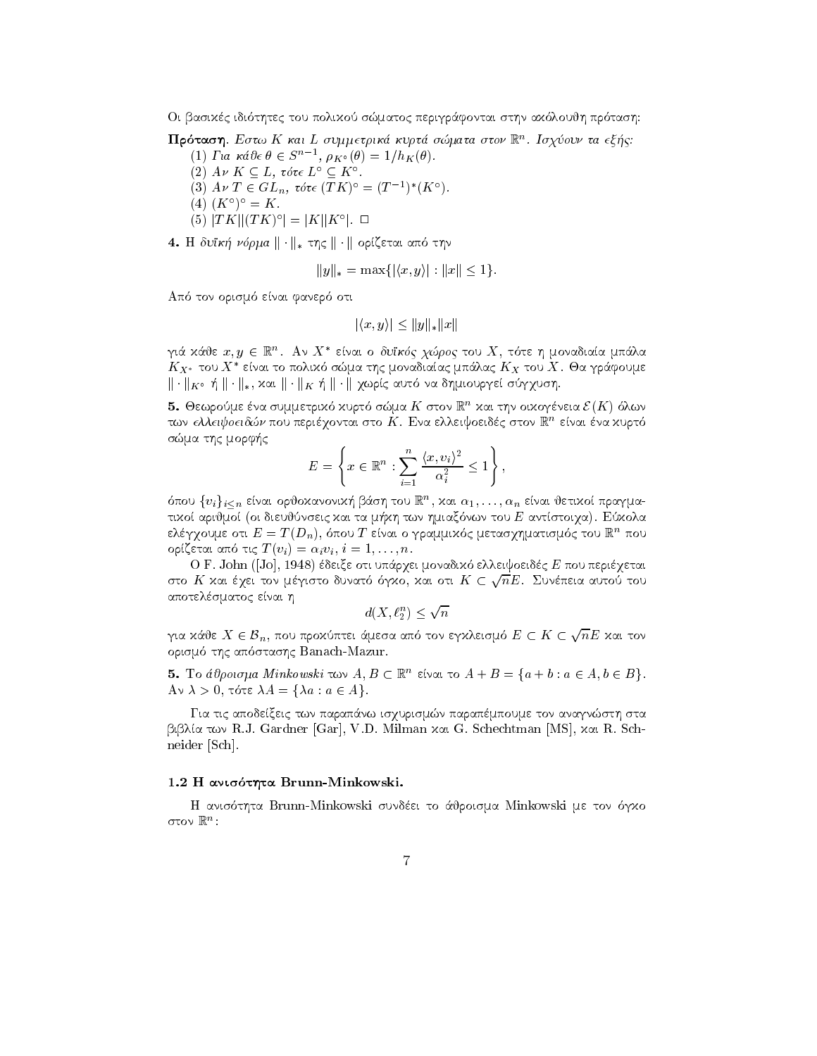Oi basikc idi thtec tou poliko smatoc perigr
fontai sthn ak loujh pr tash

**Προταση**. Εστω Κ και L συμμετρικα κυρια σωματα στον K. Το χυσυν τα εξης:

- (1) Fia  $\kappa \acute{a} \partial \epsilon \theta \in S^{n-1}$ ,  $\rho_{K^{\circ}}(\theta) = 1/h_K(\theta)$ . (2)  $A \nu K \subseteq L$ , τότε  $L^{\circ} \subseteq K^{\circ}$ . (3)  $A \nu T \in GL_n$ ,  $\tau \delta \tau \in (TK)^{\circ} = (T^{-1})^* (K^{\circ})$ .  $(A)$   $(K^{\circ})^{\circ} = K$ .
- $(5)$   $|TK||(TK)^{\circ}| = |K||K^{\circ}|$ .

 $\textbf{H}$ . It contrig for  $\mu$  and  $\|\cdot\|_*$  the  $\|\cdot\|_*$  opics to the control through

$$
||y||_* = \max\{|\langle x, y \rangle| : ||x|| \le 1\}.
$$

aparte de la constitución de la constitución de la constitución de la constitución de la constitución de la co

$$
|\langle x, y \rangle| \le ||y||_*||x||
$$

γιά χάθε  $x,y\,\in\,\mathbb{R}^n$ . Αν  $X^*$  είναι ο δυϊκός χώρος του  $X$ , τότε η μοναδιαία μπάλα  $K_{X^*}$  του  $X^*$  είναι το πολιχό σώμα της μοναδιαίας μπάλας  $K_X$  του  $X.$  Θα γράφουμε  $\|\cdot\|_K$  -  $\|\cdot\|_*$ , xut  $\|\cdot\|_K$  +  $\|\cdot\|$  xupit, about by organization presents to  $\gamma$  xubit.

**J.** Θεωρουμε ενα συμμετρικό κυριο σώμα Α΄ στον in Γκαι την οικογενεία  $\mathcal{L}(\mathbf{A})$  σλών των ελλειφυεισων που περιεχονται στο Λ. Ενα ελλειφοεισες στον ικ. Ειναι ενα χυρισ s as provided a the more company of the contract of the contract of the contract of the contract of the contract of

$$
E = \left\{ x \in \mathbb{R}^n : \sum_{i=1}^n \frac{\langle x, v_i \rangle^2}{\alpha_i^2} \le 1 \right\},\
$$

 $\sigma$ που  $\{v_i\}_{i\leq n}$  ειναι ορυσχανονική ρασή του  $\mathbb{R}^n,$  χαι  $\alpha_1,\ldots,\alpha_n$  ειναι υετικοι πραγμαtiko arijanistiko aritmo oi dieujnseic kai ta m-antstoimo oi kommunistiko kai ta m-antstoimo on kuningas kai t ελεγχουμε στι  $E \equiv I(D_n)$ , σπου T ειναι ο γραμμιχος μετασχηματισμος του  $\mathbb{R}$  που orzetai ap tic T vi ivi  <sup>i</sup> n 

e aletti deixemente oti upperintente oti upperintente elle pour upperituelle deixemente de la constantia del c στο  $K$  χαι έγει τον μέγιστο δυνατό όγχο, χαι οτι  $K\subset \sqrt{n}E$ . Συνέπεια αυτού του αποτελέσματος είναι η

$$
d(X, \ell_2^n) \le \sqrt{n}
$$

 $a(X, \ell_2^\infty) \leq \sqrt{n}$ για κάθε  $X \in \mathcal{B}_n$ , που προκύπτει άμεσα από τον εγκλεισμό  $E \subset K \subset \sqrt{n}E$  και τον orism and application and application to the state of the state of the state of the state of the state of the s

**5.** To appoint a minkowski to  $A, D \subseteq \mathbb{R}$  strated  $A + D = \{a + b : a \in A, b \in D\}$ .  $\Lambda v \wedge v$ , to the  $\Lambda u - \Lambda u$  ,  $u \in \Lambda f$ 

Για τις αποδείξεις των παραπάνω ισχυρισμών παραπέμπουμε τον αναγνώστη στα  $\beta$ ιβλία των R.J. Gardner [Gar], V.D. Milman και G. Schechtman [MS], και R. Schneider [Sch].

#### h and whose virtue Brunning managements.

the Brunn-Brunn-Brunn-Brunn-Brunn-Brunn-Brunn-Brunn-Brunn-Brunn-Brunn-Brunn-Brunn-Brunn-Brunn-Brunn-Brunn-Brun  $\sigma$ tov In $\Gamma$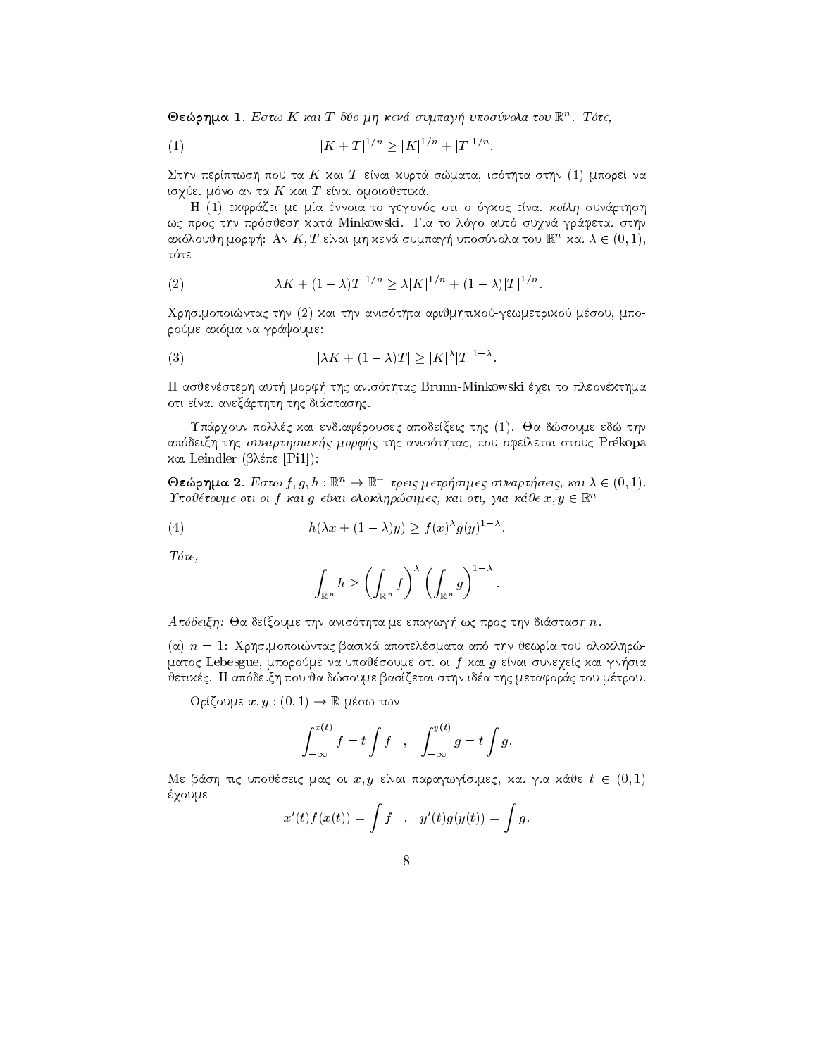$\sigma$ εωρημα Ι. Εστω Κ και Γουσ μη κενα συμπαγη υποσυνολα του Κ. Τστε,

(1) 
$$
|K + T|^{1/n} \ge |K|^{1/n} + |T|^{1/n}.
$$

 $\sim$  statistical is the statistic order than the statistic contract of the statistic statistic problem is the statistic order of the statistic order of the statistic order of the statistic order of the statistic order of is a ta K kai T en ta K kai ta K kai ta K kai T en ta K kai T en ta K kai T en ta K kai T en ta K kai T en ta

e de la controva to general de la controvera de la controvera de la controvera de la controveración de la cont was procedured to late the procedure of the procedure of the state of the state of the state of the state of th αχολούθη μορφή: Αν Κ, Γ είναι μη χενά συμπαγή υποσυνολά του !!! " χαι  $\lambda \in (0,1),$ 

(2) 
$$
|\lambda K + (1 - \lambda)T|^{1/n} \ge \lambda |K|^{1/n} + (1 - \lambda)|T|^{1/n}.
$$

Qrhsimopointac thn kai thn anis thta arijmhtikogewmetriko msou mpo rome aka ma na grande aka ma na grande aka ma na grande aka ma na grande aka ma na grande aka ma na grande aka ma na grande aka ma na grande aka ma na grande aka ma na grande aka ma na grande aka ma na grande aka ma na gra

(3) 
$$
|\lambda K + (1 - \lambda)T| \ge |K|^{\lambda} |T|^{1 - \lambda}.
$$

\-><br>Η ασθενέστερη αυτή μορφή της ανισότητας Brunn-Minkowski έγει το πλεονέχτημα οτι είναι ανεξάρτητη της διάστασης.

Υπάρχουν πολλές και ενδιαφέρουσες αποδείξεις της (1). Θα δώσουμε εδώ την approximation that the sunday prekopality is the control of the store that the store pour control to the store και Leindler (βλέπε [Pi1]):

**Θεώρημα 2**. Εστω  $f, g, h : \mathbb{R}^n \to \mathbb{R}^+$  τρεις μετρήσιμες συναρτήσεις, και  $\lambda \in (0, 1)$ .  $\sigma$ εωρημα 2. Εστώ f, g, n .  $\mathbb{R} \to \mathbb{R}$  τρεις μετρηστήες συναρτήσεις, και  $\lambda \in (0,1)$ .<br>Τποθέτουμε οτι οι f και g είναι ολοκληρώσιμες, και οτι, για κάθε x, y  $\in \mathbb{R}^n$ 

(4) 
$$
h(\lambda x + (1 - \lambda)y) \ge f(x)^{\lambda} g(y)^{1 - \lambda}.
$$

 $T\acute{o}\tau\epsilon$ ,

$$
\int_{\mathbb{R}^n} h \ge \left( \int_{\mathbb{R}^n} f \right)^{\lambda} \left( \int_{\mathbb{R}^n} g \right)^{1-\lambda}.
$$

aparte me epagwa-tha me epagwa-thra me epagwa-thra me epagwa-thra me epagwa-thra me epagwa-thra me epagwa-thra

, and the component basic basic basic basic basic basic basic basic basic basic basic basic basic basic basic matoc Lebes – na upoj mnogo velme na upove vez velme viri oi fikant gregoriani oi oi fikant prijvaat. ietikczy – material, wie sto dan tou metaformie w pous stronger and the metaformed the metaformed the metaform

 $O$ ρίζουμε  $x, y : (0, 1) \rightarrow \mathbb{R}$  μέσω των

$$
\int_{-\infty}^{x(t)} f = t \int f , \quad \int_{-\infty}^{y(t)} g = t \int g.
$$

Με βάση τις υποθέσεις μας οι  $x, y$  είναι παραγωγίσιμες, και για κάθε  $t \in (0,1)$ έχουμε

$$
x'(t)f(x(t)) = \int f , y'(t)g(y(t)) = \int g.
$$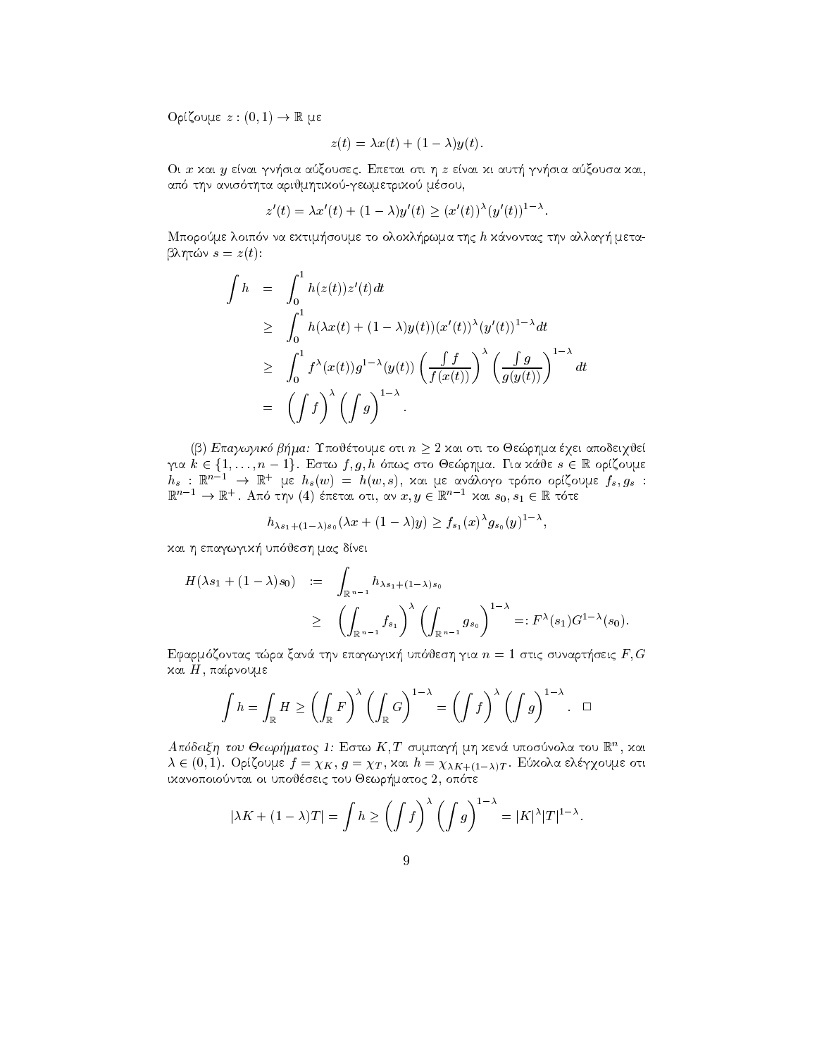$O$ ρίζουμε  $z:(0,1)\to\mathbb{R}$  με

$$
z(t) = \lambda x(t) + (1 - \lambda)y(t).
$$

Oi x kai y enai gn-sia axousec Epetai oti h z enai ki aut- gn-sia axousa kai aparitet arijmhtikogewmetrikogewmetriko msou kaj kanton kaj kanton kaj kanton kaj kanton kaj kanton kaj kanton

$$
z'(t) = \lambda x'(t) + (1 - \lambda) y'(t) \ge (x'(t))^{\lambda} (y'(t))^{1 - \lambda}.
$$

n na ektim-borome loip na ektim-borome to olokl-kanonisme to olokl-kanonisme to olokl-kanonisme to olokl-kanon blir s and s a structure of the structure of the structure of the structure of the structure of the structure

$$
\int h = \int_0^1 h(z(t))z'(t)dt
$$
\n
$$
\geq \int_0^1 h(\lambda x(t) + (1 - \lambda)y(t))(x'(t))^{\lambda}(y'(t))^{1-\lambda}dt
$$
\n
$$
\geq \int_0^1 f^{\lambda}(x(t))g^{1-\lambda}(y(t)) \left(\frac{\int f}{f(x(t))}\right)^{\lambda} \left(\frac{\int g}{g(y(t))}\right)^{1-\lambda}dt
$$
\n
$$
= \left(\int f\right)^{\lambda} \left(\int g\right)^{1-\lambda}.
$$

(β) Επαγωγικό βήμα: Υποθέτουμε οτι  $n \geq 2$  και οτι το Θεώρημα έχει αποδειχθεί (β) Επαγωγικό βήμα: Υποθέτουμε οτι  $n \geq 2$  και οτι το Θεώρημα έχει αποδειχθεί<br>για  $k \in \{1, \ldots, n-1\}$ . Εστω  $f, g, h$  όπως στο Θεώρημα. Για κάθε  $s \in \mathbb{R}$  ορίζουμε  $h_s$  :  $\mathbb{K}^{n-1}$   $\to$   $\mathbb{K}^+$  με  $h_s(w)$  =  $h(w, s)$ , χαι με ανάλογο τρόπο ορίζουμε  $f_s, g_s$  :  $\mathbb{R}^{n-1} \to \mathbb{R}^+$ . Από την (4) έπεται οτι, αν  $x,y \in \mathbb{R}^{n-1}$  χαι  $s_0,s_1 \in \mathbb{R}$  τότε

$$
h_{\lambda s_1+(1-\lambda)s_0}(\lambda x+(1-\lambda)y)\geq f_{s_1}(x)^{\lambda}g_{s_0}(y)^{1-\lambda},
$$

rees i witwij wojere jiwe o worj prosection i with the contract of the contract of the contract of the contract of the contract of the contract of the contract of the contract of the contract of the contract of the contrac

$$
H(\lambda s_1 + (1 - \lambda) s_0) := \int_{\mathbb{R}^{n-1}} h_{\lambda s_1 + (1 - \lambda) s_0}
$$
  
 
$$
\geq \left( \int_{\mathbb{R}^{n-1}} f_{s_1} \right)^{\lambda} \left( \int_{\mathbb{R}^{n-1}} g_{s_0} \right)^{1 - \lambda} =: F^{\lambda}(s_1) G^{1 - \lambda}(s_0).
$$

efarmizontac transportación de la contratoria de la contratoria de la contratoria de la contratoria de la contra και  $H$ , παίρνουμε

$$
\int h = \int_{\mathbb{R}} H \ge \left( \int_{\mathbb{R}} F \right)^{\lambda} \left( \int_{\mathbb{R}} G \right)^{1-\lambda} = \left( \int f \right)^{\lambda} \left( \int g \right)^{1-\lambda}.
$$

 $A$ ποσεις η του Θεωρηματος Τ: Εστω  $K, I$  συμπαγή μη χενα υποσυνολα του  $K^*,$  χαι  $\lambda \in (0,1)$ . Opigoupe  $f = \chi K$ ,  $g = \chi T$ ,  $\chi x u = \chi \chi K + (1-\chi)T$ . Euxona ene $\chi$ oupe oti ikanopoiontai oi upojseic tou Jewr-matoc  op te

$$
|\lambda K + (1 - \lambda)T| = \int h \ge \left(\int f\right)^{\lambda} \left(\int g\right)^{1 - \lambda} = |K|^{\lambda} |T|^{1 - \lambda}.
$$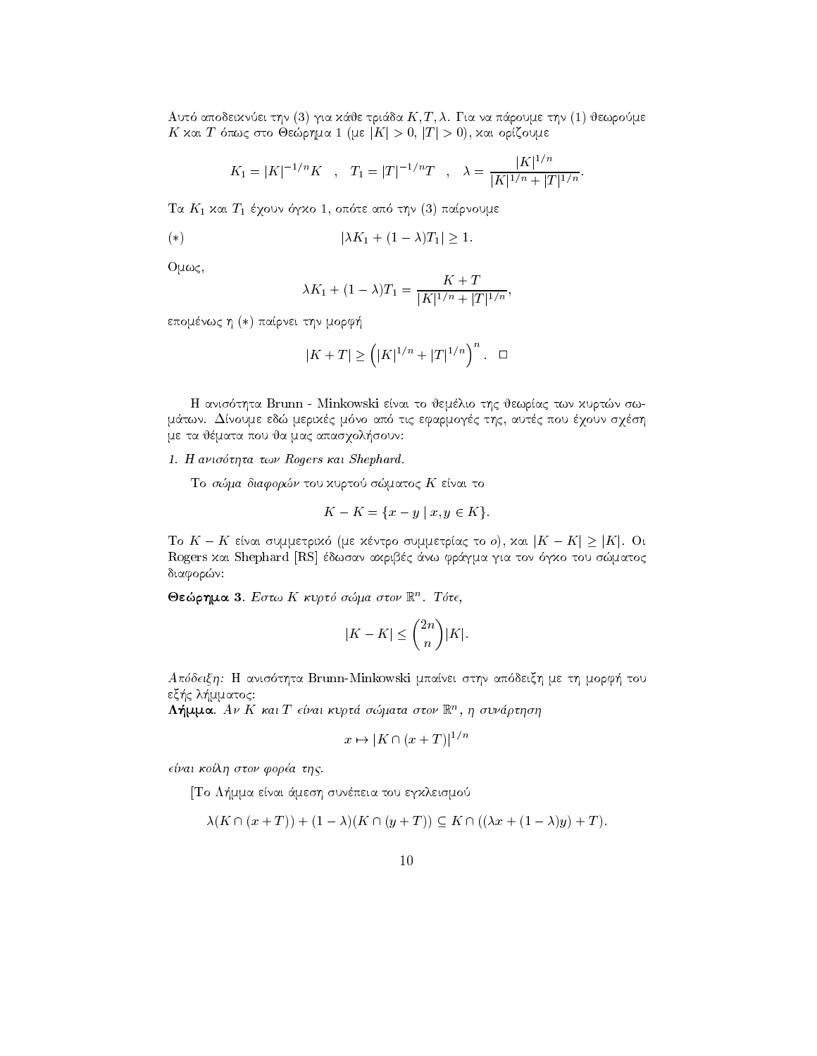apodeiknei the triangle that the state of the state of the state of the state of the state of the state of the In Add T once old Occupined I (see In  $\geq 0$ ,  $\mu$   $\geq 0$ ), Add opiciouse

$$
K_1 = |K|^{-1/n} K
$$
,  $T_1 = |T|^{-1/n} T$ ,  $\lambda = \frac{|K|^{1/n}}{|K|^{1/n} + |T|^{1/n}}$ .

the contract the part of the state of the contract of the state of the contract of the contract of the contract of the contract of the contract of the contract of the contract of the contract of the contract of the contrac

$$
(*)\qquad \qquad |\lambda K_1 + (1 - \lambda)T_1| \ge 1.
$$

 $O\mu\omega\varsigma$ ,

$$
\lambda K_1 + (1 - \lambda) T_1 = \frac{K + T}{|K|^{1/n} + |T|^{1/n}},
$$

επομένως η (\*) παίρνει την μορφή

$$
|K+T|\geq \left(|K|^{1/n}+|T|^{1/n}\right)^n. \quad \Box
$$

the Brunn and the Minkowski enails that the second state the state of the state of the state of the state of t m twns data tic effects and the meritia meritia method of the state of the state of the state of the state of t me ta jmata pou ja mac apasqol-soun

1. Η ανισότητα των Rogers και Shephard.

Το σώμα διαφορών του κυρτού σώματος  $K$  είναι το

$$
K - K = \{x - y \mid x, y \in K\}.
$$

 $T_0$   $V = V$  end on the theory of the section of the summer  $T_0$  or  $T_1$  and  $T_2$  in  $V_1$  or  $T_2$ rogers kai Shephard Rogers and Angles and the property of the state of the state of the state of the state of t διαφορών:

 $\sigma$ εωρημα s. Εστω A κυρτο σωμα στον K . 1οτ $\epsilon$ ,

$$
|K - K| \le \binom{2n}{n} |K|.
$$

Apdeixh H anis thta Brunn-Minkowski mpanei sthn ap deixh me th morf- tou example and contract the contract of the contract of the contract of the contract of the contract of the contract of the contract of the contract of the contract of the contract of the contract of the contract of the contr

 $\Lambda$ ημμα. Αν  $\Lambda$  και 1 ειναι κυρια σωματα στον  $\mathbb R$ , η συναρτηση

$$
x \mapsto |K \cap (x+T)|^{1/n}
$$

e-nai ko-lh ston fora thc 

To L-mma enai 
mesh sunpeia tou egkleismo

$$
\lambda(K \cap (x+T)) + (1-\lambda)(K \cap (y+T)) \subseteq K \cap ((\lambda x + (1-\lambda)y) + T).
$$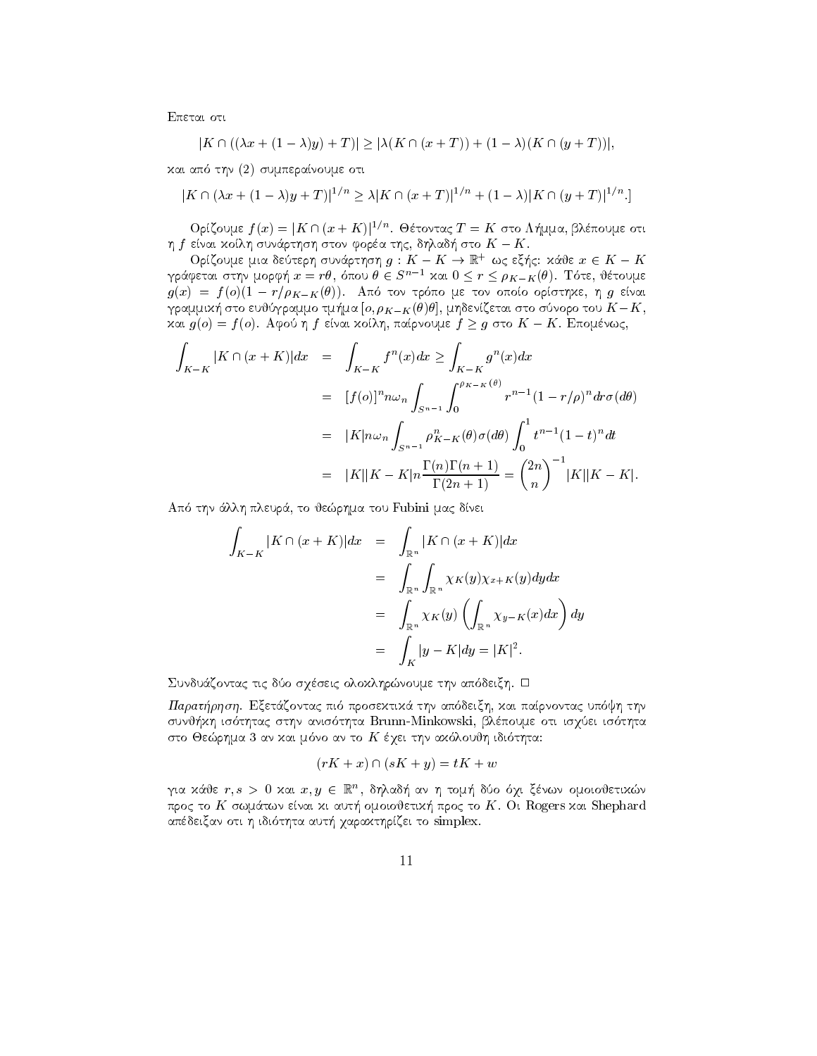Επεται οτι

$$
|K \cap ((\lambda x + (1 - \lambda)y) + T)| \ge |\lambda(K \cap (x + T)) + (1 - \lambda)(K \cap (y + T))|
$$

και από την (2) συμπεραίνουμε οτι

$$
|K \cap (\lambda x + (1 - \lambda)y + T)|^{1/n} \ge \lambda |K \cap (x + T)|^{1/n} + (1 - \lambda)|K \cap (y + T)|^{1/n}.
$$

Ορίζουμε  $f(x) = |K \cap (x + K)|^{1/n}$ . Θέτοντας  $T = K$  στο Λήμμα, βλέπουμε οτι η  $f$  είναι χοίλη συνάρτηση στον φορέα της, δηλαδή στο  $K - K$ .

 Ορίζουμε μια δεύτερη συνάρτηση $g: K - K \to \mathbb{R}^+$ ως εξής: κάθε $x \in K - K$ γράφεται στην μορφή  $x = r\theta$ , όπου  $\theta \in S^{n-1}$  και  $0 \le r \le \rho_{K-K}(\theta)$ . Τότε, θέτουμε  $g(x) = f(o)(1 - r/\rho_{K-K}(\theta))$ . Από τον τρόπο με τον οποίο ορίστηχε, η g είναι γραμμική στο ευθύγραμμο τμήμα  $[o, \rho_{K-K}(\theta)\theta]$ , μηδενίζεται στο σύνορο του  $K-K$ , και  $g(o) = f(o)$ . Αφού η f είναι κοίλη, παίρνουμε  $f \geq g$  στο  $K - K$ . Επομένως,

$$
\int_{K-K} |K \cap (x+K)| dx = \int_{K-K} f^{n}(x) dx \ge \int_{K-K} g^{n}(x) dx
$$
  
\n
$$
= [f(o)]^{n} n \omega_{n} \int_{S^{n-1}} \int_{0}^{\rho_{K-K}(\theta)} r^{n-1} (1-r/\rho)^{n} dr \sigma (d\theta)
$$
  
\n
$$
= |K| n \omega_{n} \int_{S^{n-1}} \rho_{K-K}^{n}(\theta) \sigma (d\theta) \int_{0}^{1} t^{n-1} (1-t)^{n} dt
$$
  
\n
$$
= |K||K-K| n \frac{\Gamma(n)\Gamma(n+1)}{\Gamma(2n+1)} = {\binom{2n}{n}}^{-1} |K||K-K|.
$$

Από την άλλη πλευρά, το θεώρημα του Fubini μας δίνει

$$
\int_{K-K} |K \cap (x+K)| dx = \int_{\mathbb{R}^n} |K \cap (x+K)| dx
$$
  

$$
= \int_{\mathbb{R}^n} \int_{\mathbb{R}^n} \chi_K(y) \chi_{x+K}(y) dy dx
$$
  

$$
= \int_{\mathbb{R}^n} \chi_K(y) \left( \int_{\mathbb{R}^n} \chi_{y-K}(x) dx \right) dy
$$
  

$$
= \int_K |y - K| dy = |K|^2.
$$

Συνδυάζοντας τις δύο σχέσεις ολοκληρώνουμε την απόδειξη. Ο

Παρατήρηση. Εξετάζοντας πιό προσεκτικά την απόδειξη, και παίρνοντας υπόψη την συνθήκη ισότητας στην ανισότητα Brunn-Minkowski, βλέπουμε οτι ισχύει ισότητα στο Θεώρημα 3 αν και μόνο αν το  $K$  έχει την ακόλουθη ιδιότητα:

$$
(rK + x) \cap (sK + y) = tK + u
$$

για κάθε  $r, s > 0$  και  $x, y \in \mathbb{R}^n$ , δηλαδή αν η τομή δύο όχι ξένων ομοιοθετικών προς το  $K$  σωμάτων είναι χι αυτή ομοιοθετική προς το  $K$ . Oι Rogers και Shephard απέδειξαν οτι η ιδιότητα αυτή χαρακτηρίζει το simplex.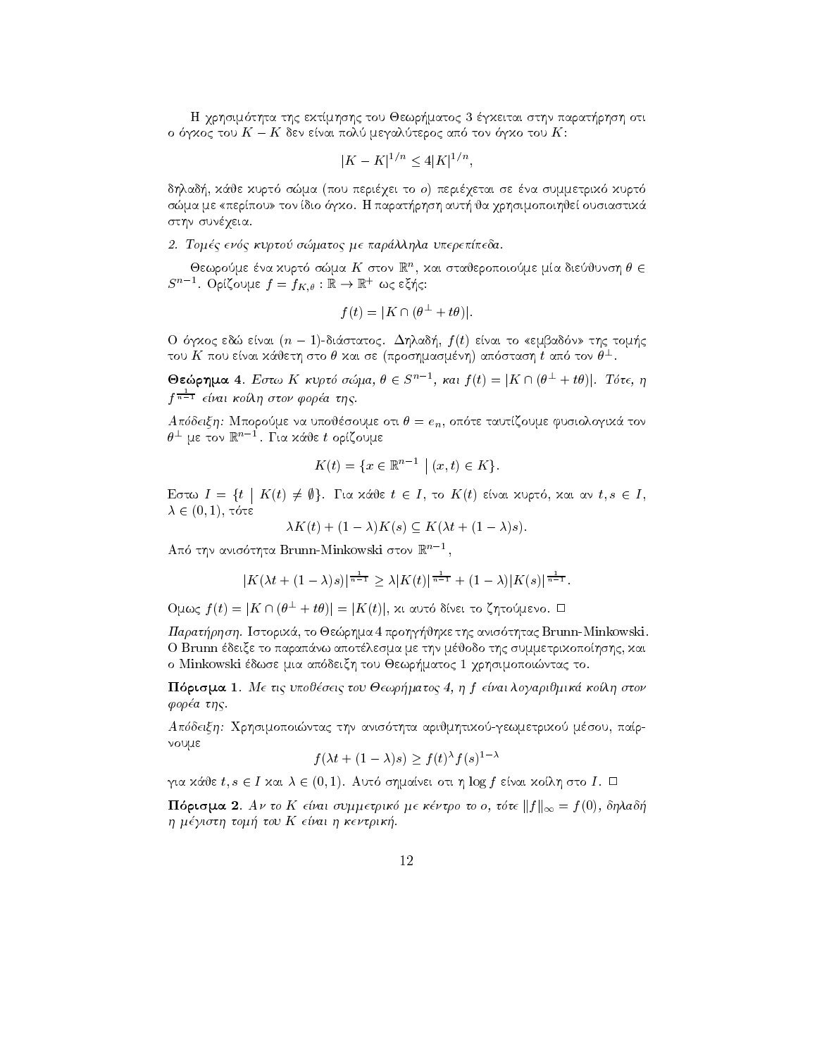H qrhsim thta thc ektmhshc tou Jewr-matoc gkeitai sthn parat-rhsh oti  $\sigma$  or  $\kappa$  to  $\alpha$   $\kappa$  and to  $\kappa$  and to  $\kappa$  to  $\kappa$  to  $\kappa$  to  $\kappa$ .

$$
|K - K|^{1/n} \le 4|K|^{1/n},
$$

ada-kurt i sma pou perigei to o perigetal se na summetrik al perigetat a summer a perigeta se summer a summer sma me perusta dio dio dio parat-personal parat-personal dio dio parat-personal di statutto di statutto di sta στην συνέγεια.

tomatoc me parlla upere pedagog encore per parlla upere per parlla upere per parlla upere per parlla upere per

Oεωρούμε ενα χυριο σωμα  $K$  στον  $\mathbb{R}^n$ , χαι στανεροποιούμε μια σιευνύνση  $\sigma \in$  $S^{n-1}$ . Ορίζουμε  $f = f_{K,\theta}:\mathbb{R} \to \mathbb{R}^+$  ως εζής:

$$
f(t) = |K \cap (\theta^{\perp} + t\theta)|.
$$

O  $\sigma_1$ *koc* edw etvat ( $n = 1$ )-otao tatoc.  $\Delta\eta$ xao $\eta$ ,  $\eta$ ( $\eta$ ) etvat to «expadov» t $\eta$ c toxi $\eta$ c του  $K$  που είναι χάθετη στο  $\theta$  χαι σε (προσημασμένη) απόσταση  $t$  από τον  $\theta^\perp$ .

Θεώρημα 4. Εστω Κ κυρτό σώμα,  $\theta \in S^{n-1}$ , και  $f(t) = |K \cap (\theta^{\perp} + t\theta)|$ . Τότε, η f <del>n-1</del> είναι κοίλη στον φορέα της.

 $\mathcal{M}$  , and the set of the set of the set of the set of the set of the set of the set of the set of the set of the set of the set of the set of the set of the set of the set of the set of the set of the set of the set  $\theta^\perp$  με τον  $\mathbb{R}^{n-1}$ . Για χάθε  $t$  ορίζουμε

$$
K(t) = \{ x \in \mathbb{R}^{n-1} \mid (x, t) \in K \}.
$$

Εστω  $I = \{ t \mid K(t) \neq \emptyset \}$ . Για χάθε  $t \in I$ , το  $K(t)$  είναι χυρτό, χαι αν  $t, s \in I$ ,  $\Lambda \subset \{0,1\}$ , to to the set of  $\Lambda$ 

$$
\lambda K(t) + (1 - \lambda)K(s) \subseteq K(\lambda t + (1 - \lambda)s).
$$

Από την ανισότητα Brunn-Minkowski στον  $\mathbb{R}^{n-1}$ , που

$$
|K(\lambda t + (1 - \lambda)s)|^{\frac{1}{n-1}} \ge \lambda |K(t)|^{\frac{1}{n-1}} + (1 - \lambda)|K(s)|^{\frac{1}{n-1}}.
$$

 $\mathrm{O}$ μως  $f(t) = |K \cap (\theta^\perp + t \theta)| = |K(t)|$ , χι αυτό δίνει το ζητούμενο.  $\Box$ 

paratrhshi istorik to Jerhman in the the theory and the third in the third problem and the problem in the second O Brunn έδειξε το παραπάνω αποτέλεσμα με την μέθοδο της συμμετρικοποίησης, και o Minkowski dwse mia ap deixh tou Jewr-matoc qrhsimopointac to 

ran prisma vezi to prisma kontra tou Jewro Jewro de la prisma de la prisma de la prisma de la prisma de la pri φορέα της.

Apdeixh Qrhsimopointac thn anis thta arijmhtikogewmetriko msou par noume

$$
f(\lambda t + (1 - \lambda)s) \ge f(t)^{\lambda} f(s)^{1 - \lambda}
$$

 $\alpha$  and  $i, \delta \in I$  and  $\delta \in (0,1)$ . And only also the integral strate and  $\delta$  in  $I$ .

**Hoptopia** 2. Ar to K etral oupperplace here to be to be to the  $||f||_{\infty} = f(0)$ , of placif h mgisth tom tou K e-nai h kentrik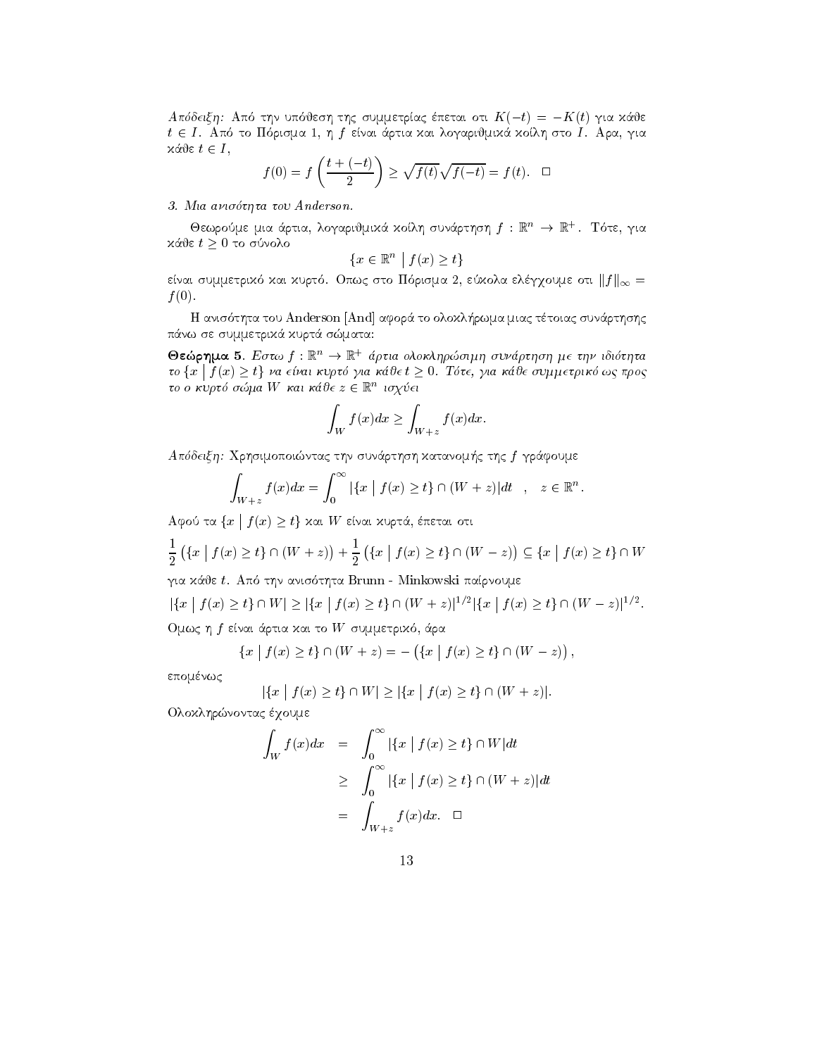Απόδειξη: Από την υπόθεση της συμμετρίας έπεται οτι  $K(-t) = -K(t)$  για κάθε  $t \in I$ . Από το Πόρισμα 1, η f είναι άρτια και λογαριθμικά κοίλη στο I. Αρα, για  $x$ άθε  $t \in I$ ,

$$
f(0) = f\left(\frac{t + (-t)}{2}\right) \ge \sqrt{f(t)}\sqrt{f(-t)} = f(t). \quad \Box
$$

## 3. Μια ανισότητα του Anderson.

Θεωρούμε μια άρτια, λογαριθμικά κοίλη συνάρτηση  $f: \mathbb{R}^n \to \mathbb{R}^+$ . Τότε, για κάθε $t\geq 0$ το σύνολο

$$
\{x \in \mathbb{R}^n \mid f(x) \ge t\}
$$

είναι συμμετρικό και κυρτό. Οπως στο Πόρισμα 2, εύκολα ελέγχουμε οτι  $||f||_{\infty} =$  $f(0)$ .

Η ανισότητα του Anderson [And] αφορά το ολοκλήρωμα μιας τέτοιας συνάρτησης πάνω σε συμμετρικά κυρτά σώματα:

Θεώρημα 5. Εστω  $f : \mathbb{R}^n \to \mathbb{R}^+$  άρτια ολοκληρώσιμη συνάρτηση με την ιδιότητα το  $\{x \mid f(x) \geq t\}$  να είναι κυρτό για κάθε  $t \geq 0$ . Τότε, για κάθε συμμετρικό ως προς το ο κυρτό σώμα W και κάθε  $z \in \mathbb{R}^n$  ισχύει

$$
\int_W f(x)dx \ge \int_{W+z} f(x)dx.
$$

Απόδειξη: Χρησιμοποιώντας την συνάρτηση κατανομής της f γράφουμε

$$
\int_{W+z} f(x)dx = \int_0^\infty |\{x \mid f(x) \ge t\} \cap (W+z)|dt \quad , \quad z \in \mathbb{R}^n
$$

Αφού τα  $\{x \mid f(x) \geq t\}$  και W είναι κυρτά, έπεται οτι

$$
\frac{1}{2}\left(\left\{x \mid f(x) \ge t\right\} \cap (W + z)\right) + \frac{1}{2}\left(\left\{x \mid f(x) \ge t\right\} \cap (W - z)\right) \subseteq \left\{x \mid f(x) \ge t\right\} \cap W
$$

για κάθε t. Από την ανισότητα Brunn - Minkowski παίρνουμε

$$
|\{x \mid f(x) \ge t\} \cap W| \ge |\{x \mid f(x) \ge t\} \cap (W + z)|^{1/2} |\{x \mid f(x) \ge t\} \cap (W - z)|^{1/2}.
$$
Ομως η *f* είναι άρτια χαι το *W* συμμετριχό, άρα

$$
\{x \mid f(x) \ge t\} \cap (W + z) = - (\{x \mid f(x) \ge t\} \cap (W - z)),
$$

επομένως

$$
|\{x \mid f(x) \ge t\} \cap W| \ge |\{x \mid f(x) \ge t\} \cap (W + z)|.
$$

Ολοκληρώνοντας έχουμε

$$
\int_{W} f(x)dx = \int_{0}^{\infty} |\{x \mid f(x) \ge t\} \cap W|dt
$$
\n
$$
\ge \int_{0}^{\infty} |\{x \mid f(x) \ge t\} \cap (W + z)|dt
$$
\n
$$
= \int_{W+z}^{x} f(x)dx. \quad \Box
$$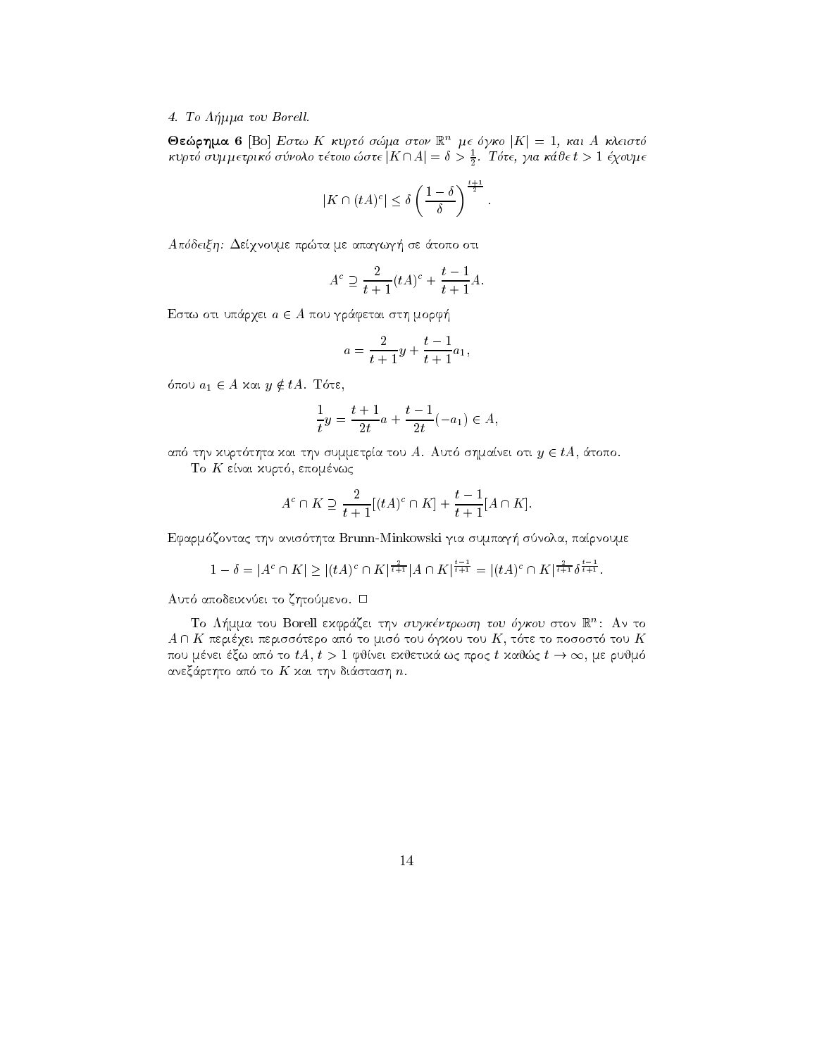## 4. Το Λήμμα του Borell.

**Θεώρημα 6** [Bo] Εστω Κ κυρτό σώμα στον  $\mathbb{R}^n$  με όγκο  $|K| = 1$ , και Α κλειστό κυρτό συμμετρικό σύνολο τέτοιο ώστε  $|K \cap A| = \delta > \frac{1}{2}$ . Τότε, για κάθε  $t > 1$  έχουμε

$$
|K \cap (tA)^c| \leq \delta \left(\frac{1-\delta}{\delta}\right)^{\frac{t+1}{2}}.
$$

Απόδειξη: Δείχνουμε πρώτα με απαγωγή σε άτοπο οτι

$$
A^c \supseteq \frac{2}{t+1}(tA)^c + \frac{t-1}{t+1}A.
$$

Εστω οτι υπάρχει  $a \in A$  που γράφεται στη μορφή

$$
a = \frac{2}{t+1}y + \frac{t-1}{t+1}a_1,
$$

όπου  $a_1 \in A$  και  $y \notin tA$ . Τότε,

$$
\frac{1}{t}y = \frac{t+1}{2t}a + \frac{t-1}{2t}(-a_1) \in A,
$$

από την κυρτότητα και την συμμετρία του A. Αυτό σημαίνει οτι  $y \in tA$ , άτοπο.

Το Κ είναι κυρτό, επομένως

$$
A^c \cap K \supseteq \frac{2}{t+1}[(tA)^c \cap K] + \frac{t-1}{t+1}[A \cap K].
$$

Εφαρμόζοντας την ανισότητα Brunn-Minkowski για συμπαγή σύνολα, παίρνουμε

$$
1 - \delta = |A^c \cap K| \ge |(tA)^c \cap K|^{\frac{2}{t+1}} |A \cap K|^{\frac{t-1}{t+1}} = |(tA)^c \cap K|^{\frac{2}{t+1}} \delta^{\frac{t-1}{t+1}}.
$$

Αυτό αποδεικνύει το ζητούμενο. □

Το Λήμμα του Borell εκφράζει την συγκέντρωση του όγκου στον R<sup>n</sup>: Αν το  $A \cap K$  περιέχει περισσότερο από το μισό του όγχου του  $K$ , τότε το ποσοστό του  $K$ που μένει έξω από το  $tA, t > 1$  φθίνει εχθετικά ως προς  $t$  χαθώς  $t \to \infty$ , με ρυθμό ανεξάρτητο από το  $K$  και την διάσταση  $n$ .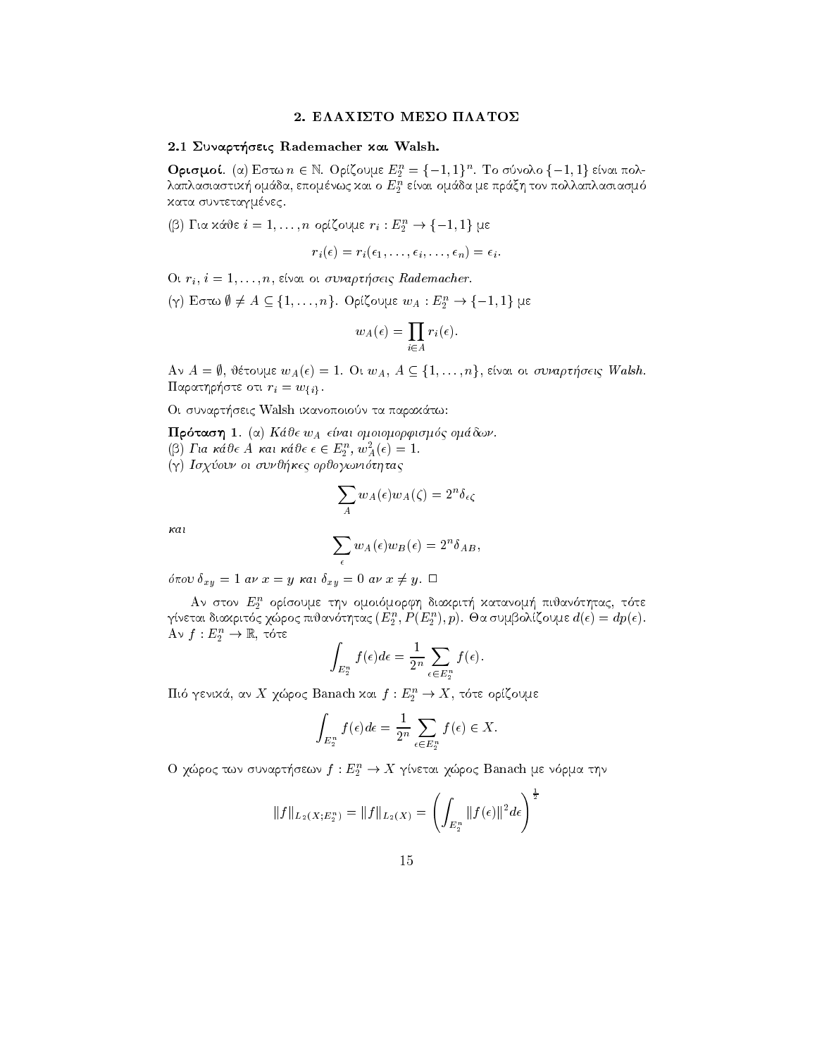## 2. ΕΛΑΧΙΣΤΟ ΜΕΣΟ ΠΛΑΤΟΣ

## 2.1 Συναρτήσεις Rademacher και Walsh.

**Oprofine**. (a) Botto  $n \in \mathbb{N}$ . Opicoupe  $E_2 = \{-1, 1\}^n$ . To ouvoko  $\{-1, 1\}$  ervat nokλαπλασίαστική ομάσα, επομενώς και ο  $E_2$  ειναι ομάσα με πραςή τον πολλαπλασίασμο κατα συντεταγμένες.

κατα συντεταγμενες.<br>(β) Για κάθε  $i=1,\ldots,n$  ορίζουμε  $r_i:E_2^n \to \{-1,1\}$  με

rio este al contra contra contra contra contra contra contra contra contra contra contra contra contra contra

er bij die deur de verwys in de verwys de verwys van de verwys van de verwys van de verwys van de verwys van d

Ut  $r_i$ ,  $i = 1, ..., n$ , ειναι οι συναρτησεις *Kaaemacher.*<br>(γ) Εστω  $\emptyset \neq A \subseteq \{1, ..., n\}$ . Ορίζουμε  $w_A : E_2^n \to \{-1, 1\}$  με

$$
w_A(\epsilon) = \prod_{i \in A} r_i(\epsilon).
$$

 $A \lor A = \emptyset,$  θέτουμε  $w_A(\epsilon) = 1$ . Οι  $w_A, \, A \subseteq \{1, \ldots, n\},$  είναι οι συναρτήσεις Walsh. παρατηρηστε στι  $r_i = w_{\{i\}}$ .

Oi sunart-seic Walsh ikanopoion ta parak
tw

Prtash a Kje wA e-nai omoiomorfismc omdwn (p) Lui kave A kai kave  $\epsilon \in E_2^-, w_A^-(\epsilon) = 1$ . g is great of our organisation of the construction of the construction of the construction of the construction o

$$
\sum_A w_A(\epsilon) w_A(\zeta) = 2^n \delta_{\epsilon \zeta}
$$

kai

$$
\sum_{\epsilon} w_A(\epsilon) w_B(\epsilon) = 2^n \delta_{AB},
$$

 $\sigma u \sigma v = \sigma u \sigma u - g \sigma u \sigma v$   $\sigma u \sigma u + g \sigma u$ 

 $A$ ν στον  $E_2$  ορισουμε την ομοιομορφη σιαχριτη χατανομη πισανοτητας, τοτε γινεται σιακριτος χωρος πισανοτητας ( $E_2$  ,  $F$  ( $E_2$  ),  $p$ ). Θα συμρολιςουμε  $a(\epsilon) \equiv ap(\epsilon)$ .  $A$ v  $f: E_2 \to \mathbb{R}$ , tots

$$
\int_{E_2^n} f(\epsilon) d\epsilon = \frac{1}{2^n} \sum_{\epsilon \in E_2^n} f(\epsilon).
$$

 $\int_{E_2^n}$  ,  $\int_{E_2^n}$  ,  $\int_{E_2^n}$  ,  $\int_{E_2^n}$  ,  $\int_{E_2^n}$  ,  $\int_{E_2^n}$  ,  $\int_{E_2^n}$  , πότε ορίζουμε  $f: E_2^n \to X$ , τότε ορίζουμε

$$
\int_{E_2^n} f(\epsilon) d\epsilon = \frac{1}{2^n} \sum_{\epsilon \in E_2^n} f(\epsilon) \in X.
$$

Ο χώρος των συναρτήσεων  $J: E_2 \to X$  γινεται χώρος Banach με νορμα την

$$
||f||_{L_2(X;E_2^n)} = ||f||_{L_2(X)} = \left(\int_{E_2^n} ||f(\epsilon)||^2 d\epsilon\right)^{\frac{1}{2}}
$$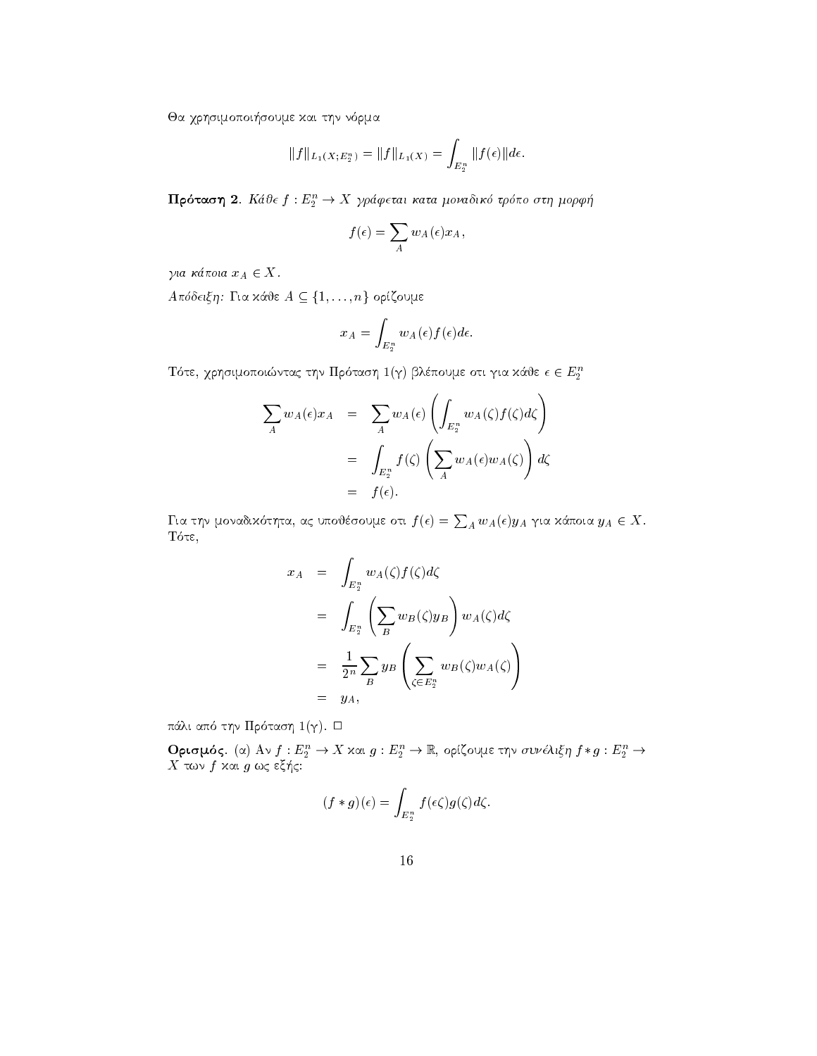Θα χρησιμοποιήσουμε και την νόρμα

$$
||f||_{L_1(X;E_2^n)} = ||f||_{L_1(X)} = \int_{E_2^n} ||f(\epsilon)||d\epsilon.
$$

**Πρόταση 2**. Κάθε  $f: E_2^n \to X$  γράφεται κατα μοναδικό τρόπο στη μορφή

$$
f(\epsilon) = \sum_{A} w_A(\epsilon) x_A,
$$

για κάποια  $x_A \in X$ .

 $A\pi$ όδειξη: Για κάθε  $A \subseteq \{1, \ldots, n\}$  ορίζουμε

$$
x_A = \int_{E_2^n} w_A(\epsilon) f(\epsilon) d\epsilon
$$

Τότε, χρησιμοποιώντας την Πρόταση $1(\gamma)$ βλέπουμε οτι για κάθε $\epsilon \in E_2^n$ 

$$
\sum_{A} w_{A}(\epsilon) x_{A} = \sum_{A} w_{A}(\epsilon) \left( \int_{E_{2}^{n}} w_{A}(\zeta) f(\zeta) d\zeta \right)
$$
  

$$
= \int_{E_{2}^{n}} f(\zeta) \left( \sum_{A} w_{A}(\epsilon) w_{A}(\zeta) \right) d\zeta
$$
  

$$
= f(\epsilon).
$$

Για την μοναδικότητα, ας υποθέσουμε οτι $f(\epsilon)=\sum_{A} w_A(\epsilon)y_A$ για κάποια  $y_A\in X.$ Τότε,

$$
x_A = \int_{E_2^n} w_A(\zeta) f(\zeta) d\zeta
$$
  
= 
$$
\int_{E_2^n} \left( \sum_B w_B(\zeta) y_B \right) w_A(\zeta) d\zeta
$$
  
= 
$$
\frac{1}{2^n} \sum_B y_B \left( \sum_{\zeta \in E_2^n} w_B(\zeta) w_A(\zeta) \right)
$$
  
= 
$$
y_A,
$$

πάλι από την Πρόταση 1 (γ). Ο

 ${\bf O}$ ρισμός. (α) Αν $f:E_2^n\to X$  και  $g:E_2^n\to \mathbb{R}$ ορίζουμε την συνέλιξη $f*g:E_2^n\to X$ των $f$ και  $g$ ως εξής:

$$
(f * g)(\epsilon) = \int_{E_2^n} f(\epsilon \zeta) g(\zeta) d\zeta.
$$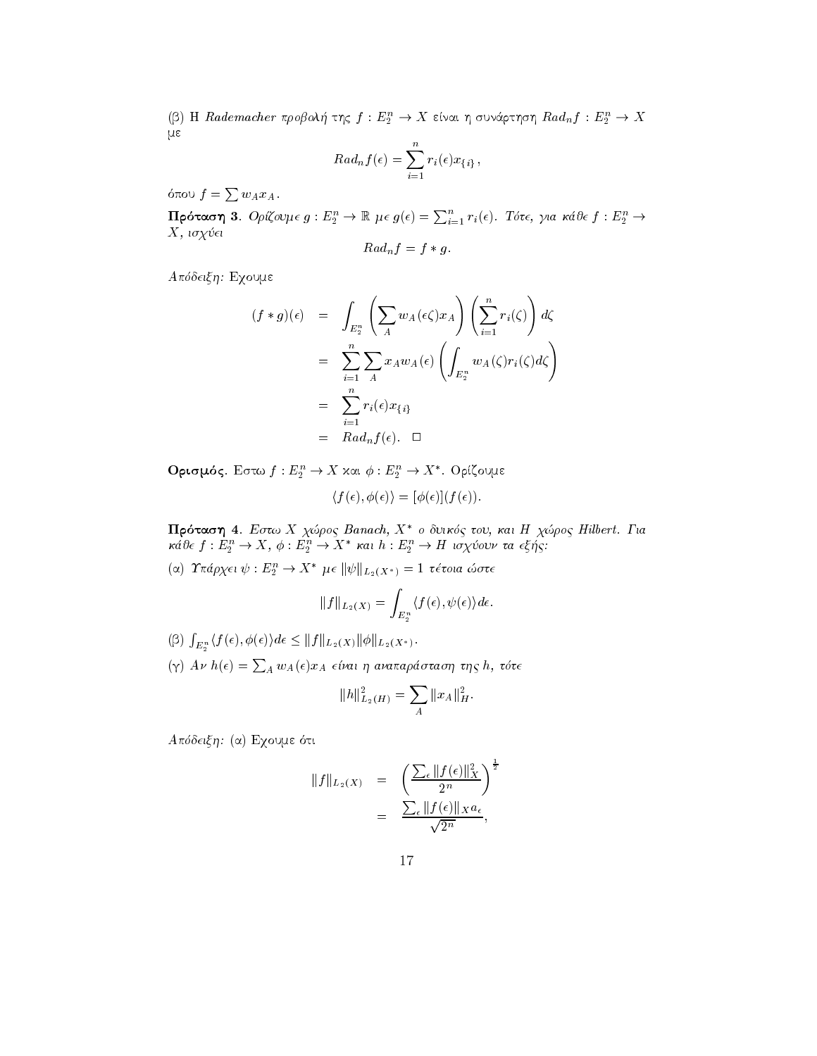(β) Η Rademacher προβολή της  $f: E_2^n \to X$  είναι η συνάρτηση  $Rad_n f: E_2^n \to X$  $\mu \varepsilon$ 

$$
Rad_n f(\epsilon) = \sum_{i=1}^n r_i(\epsilon) x_{\{i\}},
$$

όπου  $f = \sum w_A x_A$ .

 $\Pi$ ρόταση 3. Ορίζουμε  $g: E_2^n \to \mathbb{R}$  με  $g(\epsilon) = \sum_{i=1}^n r_i(\epsilon)$ . Τότε, για κάθε  $f: E_2^n \to$  $X$ , ισχύ $ε$ ι

$$
Rad_n f = f * g.
$$

Απόδειξη: Εχουμε

$$
(f * g)(\epsilon) = \int_{E_2^n} \left( \sum_A w_A(\epsilon \zeta) x_A \right) \left( \sum_{i=1}^n r_i(\zeta) \right) d\zeta
$$
  

$$
= \sum_{i=1}^n \sum_A x_A w_A(\epsilon) \left( \int_{E_2^n} w_A(\zeta) r_i(\zeta) d\zeta \right)
$$
  

$$
= \sum_{i=1}^n r_i(\epsilon) x_{\{i\}}
$$
  

$$
= Rad_n f(\epsilon). \quad \Box
$$

**Ορισμός**. Εστω  $f: E_2^n \to X$  και  $\phi: E_2^n \to X^*$ . Ορίζουμε

$$
\langle f(\epsilon), \phi(\epsilon) \rangle = [\phi(\epsilon)](f(\epsilon)).
$$

Πρόταση 4. Εστω Χ χώρος Banach, Χ<sup>\*</sup> ο δυικός του, και Η χώρος Hilbert. Για κάθε  $f: E_2^n \to X$ ,  $\phi: E_2^n \to X^*$  και  $h: E_2^n \to H$  ισχύουν τα εξής: (α) Τπάρχει $\psi: E_2^n \to X^*$ με  $||\psi||_{L_2(X^*)} = 1$ τέτοια ώστε

$$
||f||_{L_2(X)} = \int_{E_2^n} \langle f(\epsilon), \psi(\epsilon) \rangle d\epsilon.
$$

 $(\beta)\,\,\textstyle{\int_{E_2^n} \langle f(\epsilon),\phi(\epsilon)\rangle}d\epsilon \leq \|f\|_{L_2(X)}\|\phi\|_{L_2(X^*)}.$ 

 $(\gamma)$  Aν h(ε) =  $\sum_{A} w_A(\epsilon) x_A$  είναι η αναπαράσταση της h, τότε

$$
||h||_{L_2(H)}^2 = \sum_A ||x_A||_H^2.
$$

Απόδειξη: (α) Εχουμε ότι

$$
||f||_{L_2(X)} = \left(\frac{\sum_{\epsilon} ||f(\epsilon)||_X^2}{2^n}\right)^{\frac{1}{2}}
$$
  
= 
$$
\frac{\sum_{\epsilon} ||f(\epsilon)||_X a_{\epsilon}}{\sqrt{2^n}},
$$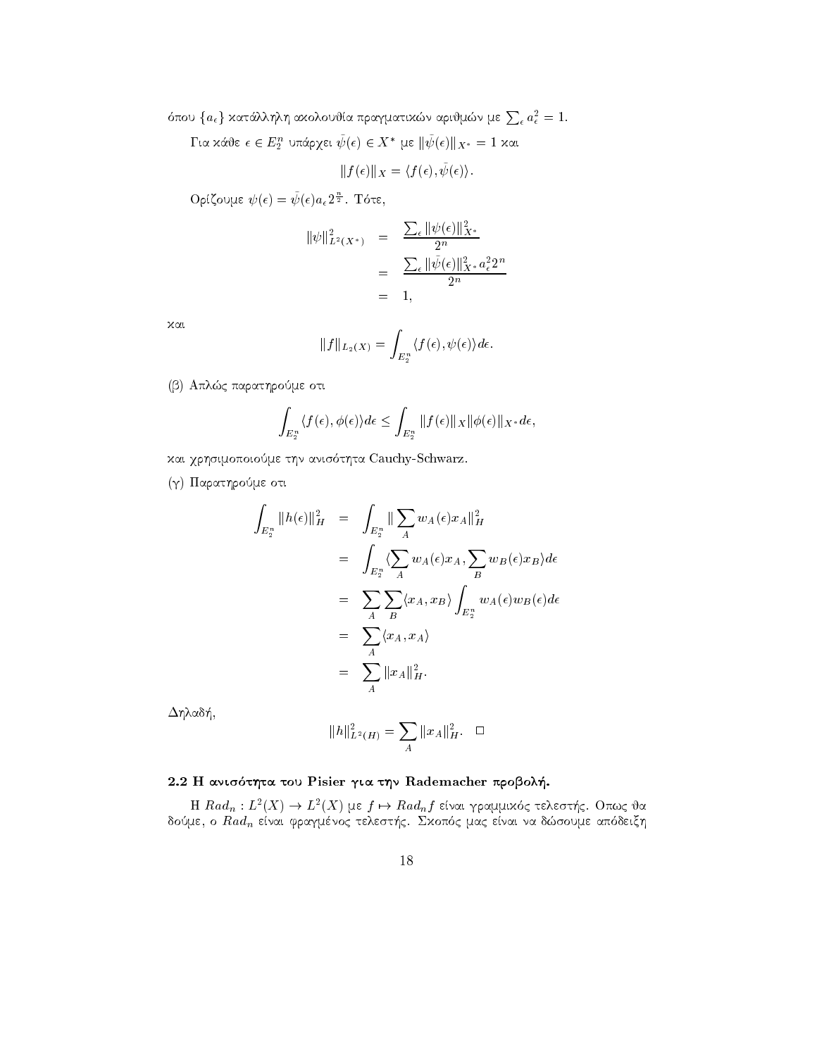όπου $\{a_\epsilon\}$  κατάλληλη ακολουθία πραγματικών αριθμών με $\sum_\epsilon a_\epsilon^2=1.$ 

 $\Gamma$ ια κάθε $\epsilon\in E_2^n$ υπάρχει $\tilde{\psi}(\epsilon)\in X^*$ με $\|\tilde{\psi}(\epsilon)\|_{X^*}=1$ και

$$
||f(\epsilon)||_X = \langle f(\epsilon), \tilde{\psi}(\epsilon) \rangle.
$$

 $O$ ρίζουμε  $\psi(\epsilon) = \tilde{\psi}(\epsilon) a_{\epsilon} 2^{\frac{n}{2}}$ . Τότε,

$$
\|\psi\|_{L^2(X^*)}^2 = \frac{\sum_{\epsilon} \|\psi(\epsilon)\|_{X^*}^2}{2^n}
$$
  
= 
$$
\frac{\sum_{\epsilon} \|\tilde{\psi}(\epsilon)\|_{X^*}^2 a_{\epsilon}^2 2^n}{2^n}
$$
  
= 1,

χαι

$$
||f||_{L_2(X)} = \int_{E_2^n} \langle f(\epsilon), \psi(\epsilon) \rangle d\epsilon.
$$

(β) Απλώς παρατηρούμε οτι

$$
\int_{E_2^n} \langle f(\epsilon), \phi(\epsilon) \rangle d\epsilon \le \int_{E_2^n} ||f(\epsilon)||_X ||\phi(\epsilon)||_{X^*} d\epsilon,
$$

και χρησιμοποιούμε την ανισότητα Cauchy-Schwarz.

(γ) Παρατηρούμε οτι

$$
\int_{E_2^n} ||h(\epsilon)||_H^2 = \int_{E_2^n} ||\sum_A w_A(\epsilon)x_A||_H^2
$$
  
\n
$$
= \int_{E_2^n} \langle \sum_A w_A(\epsilon)x_A, \sum_B w_B(\epsilon)x_B \rangle d\epsilon
$$
  
\n
$$
= \sum_A \sum_B \langle x_A, x_B \rangle \int_{E_2^n} w_A(\epsilon)w_B(\epsilon) d\epsilon
$$
  
\n
$$
= \sum_A \langle x_A, x_A \rangle
$$
  
\n
$$
= \sum_A ||x_A||_H^2.
$$

 $\Delta$ ηλαδή,

$$
||h||^2_{L^2(H)} = \sum_A ||x_A||^2_H. \quad \Box
$$

## 2.2 Η ανισότητα του Pisier για την Rademacher προβολή.

H  $Rad_n: L^2(X)$  →  $L^2(X)$  με  $f$  →  $Rad_n f$  είναι γραμμικός τελεστής. Οπως θα δούμε, ο  $Rad_n$  είναι φραγμένος τελεστής. Σκοπός μας είναι να δώσουμε απόδειξη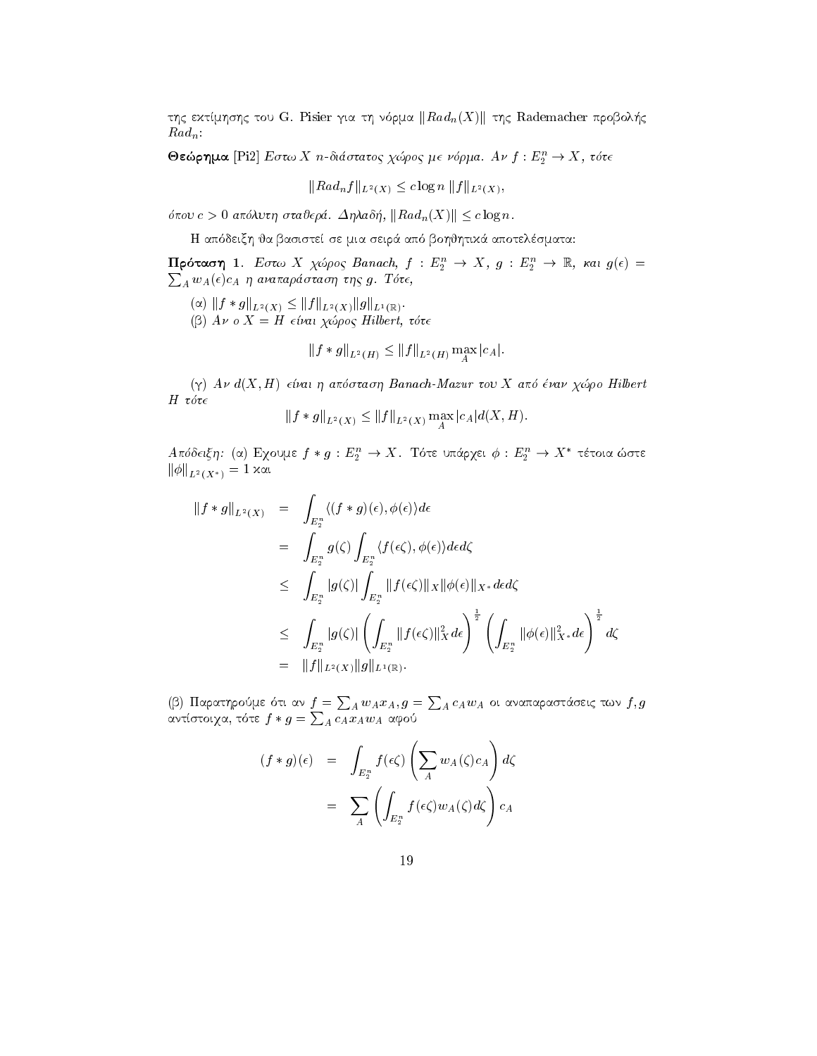της εκτίμησης του G. Pisier για τη νόρμα  $\|Rad_n(X)\|$  της Rademacher προβολής  $Rad_n$ 

**Θεώρημα** [Pi2] Εστω Χ η-διάστατος χώρος με νόρμα. Αν  $f: E_2^n \to X$ , τότε

$$
||Rad_n f||_{L^2(X)} \le c \log n ||f||_{L^2(X)},
$$

όπου  $c > 0$  απόλυτη σταθερά. Δηλαδή,  $|| Rad_n(X)|| \leq c \log n$ .

Η απόδειξη θα βασιστεί σε μια σειρά από βοηθητικά αποτελέσματα:

Πρόταση 1. Εστω Χ χώρος Banach,  $f: E_2^n \to X$ ,  $g: E_2^n \to \mathbb{R}$ , και  $g(\epsilon)$  =  $\sum_{A} w_A(\epsilon) c_A$  η αναπαράσταση της g. Τότε,

 $(\alpha)\ \||f*g\|_{L^2(X)}\leq \|f\|_{L^2(X)}\, \|g\|_{L^1(\mathbb{R})}.$ 

(β)  $Aν$  ο  $X = H$  είναι χώρος Hilbert, τότε

$$
||f * g||_{L^2(H)} \leq ||f||_{L^2(H)} \max_{A} |c_A|
$$

 $(γ)$  Αν  $d(X, H)$  είναι η απόσταση Banach-Mazur του Χ από έναν χώρο Hilbert  $H$  τότε

$$
||f * g||_{L^2(X)} \le ||f||_{L^2(X)} \max_{A} |c_A| d(X, H).
$$

 $A$ πόδειξη: (α) Εχουμε  $f * g : E_2^n \to X$ . Τότε υπάρχει  $\phi : E_2^n \to X^*$  τέτοια ώστε  $||\phi||_{L^2(X^*)} = 1$  xαι

$$
\begin{array}{rcl} \|f*g\|_{L^2(X)} & = & \displaystyle\int_{E_2^n} \langle (f*g)(\epsilon), \phi(\epsilon) \rangle d\epsilon \\ \\ & = & \displaystyle\int_{E_2^n} g(\zeta) \int_{E_2^n} \langle f(\epsilon\zeta), \phi(\epsilon) \rangle d\epsilon d\zeta \\ \\ & \leq & \displaystyle\int_{E_2^n} |g(\zeta)| \int_{E_2^n} \|f(\epsilon\zeta)\|_X \|\phi(\epsilon)\|_{X^*} d\epsilon d\zeta \\ \\ & \leq & \displaystyle\int_{E_2^n} |g(\zeta)| \left(\int_{E_2^n} \|f(\epsilon\zeta)\|_X^2 d\epsilon\right)^{\frac{1}{2}} \left(\int_{E_2^n} \|\phi(\epsilon)\|_{X^*}^2 d\epsilon\right)^{\frac{1}{2}} d\zeta \\ \\ & = & \displaystyle\|f\|_{L^2(X)} \|g\|_{L^1(\mathbb{R})}. \end{array}
$$

(β) Παρατηρούμε ότι αν $f=\sum_A w_A x_A, g=\sum_A c_A w_A$ οι αναπαραστάσεις των $f,g$ αντίστοιχα, τότε $f*g=\sum_A c_A x_A w_A$ αφού

$$
(f * g)(\epsilon) = \int_{E_2^n} f(\epsilon \zeta) \left( \sum_A w_A(\zeta) c_A \right) d\zeta
$$

$$
= \sum_A \left( \int_{E_2^n} f(\epsilon \zeta) w_A(\zeta) d\zeta \right) c_A
$$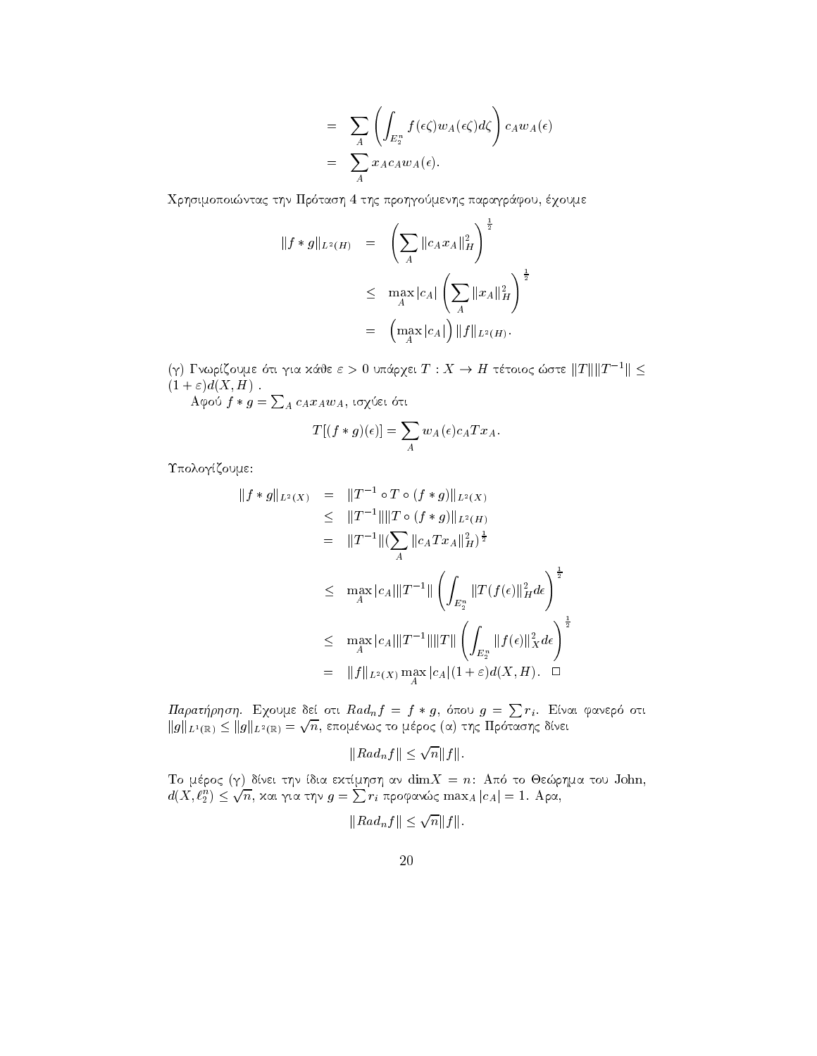$$
= \sum_{A} \left( \int_{E_2^n} f(\epsilon \zeta) w_A(\epsilon \zeta) d\zeta \right) c_A w_A(\epsilon)
$$
  
= 
$$
\sum_{A} x_A c_A w_A(\epsilon).
$$

Χρησιμοποιώντας την Πρόταση 4 της προηγούμενης παραγράφου, έχουμε

$$
||f * g||_{L^{2}(H)} = \left(\sum_{A} ||c_{A}x_{A}||_{H}^{2}\right)^{\frac{1}{2}}
$$
  
\n
$$
\leq \max_{A} |c_{A}| \left(\sum_{A} ||x_{A}||_{H}^{2}\right)^{\frac{1}{2}}
$$
  
\n
$$
= \left(\max_{A} |c_{A}|\right) ||f||_{L^{2}(H)}.
$$

(γ) Γνωρίζουμε ότι για κάθε  $\varepsilon > 0$  υπάρχει  $T : X \to H$  τέτοιος ώστε  $||T|| ||T^{-1}|| \le$  $(1+\varepsilon)d(X,H)$ .

Αφού  $f * g = \sum_{A} c_A x_A w_A$ , ισχύει ότι

$$
T[(f * g)(\epsilon)] = \sum_{A} w_A(\epsilon) c_A T x_A.
$$

Υπολογίζουμε:

$$
\|f * g\|_{L^{2}(X)} = \|T^{-1} \circ T \circ (f * g)\|_{L^{2}(X)}
$$
  
\n
$$
\leq \|T^{-1}\| \|T \circ (f * g)\|_{L^{2}(H)}
$$
  
\n
$$
= \|T^{-1}\| (\sum_{A} \|c_{A} Tx_{A}\|_{H}^{2})^{\frac{1}{2}}
$$
  
\n
$$
\leq \max_{A} |c_{A}|\|T^{-1}\| \left(\int_{E_{2}^{n}} \|T(f(\epsilon)\|_{H}^{2} d\epsilon\right)^{\frac{1}{2}}
$$
  
\n
$$
\leq \max_{A} |c_{A}|\|T^{-1}\| \|T\| \left(\int_{E_{2}^{n}} \|f(\epsilon)\|_{X}^{2} d\epsilon\right)^{\frac{1}{2}}
$$
  
\n
$$
= \|f\|_{L^{2}(X)} \max_{A} |c_{A}| (1 + \varepsilon) d(X, H). \square
$$

 $\Pi$ αρατήρηση. Εχουμε δεί οτι $Rad_n f = f * g$ , όπου  $g = \sum r_i$ . Είναι φανερό οτι $\|g\|_{L^1(\mathbb{R})} \le \|g\|_{L^2(\mathbb{R})} = \sqrt{n}$ , επομένως το μέρος (α) της Πρότασης δίνει

$$
||Rad_nf|| \le \sqrt{n}||f||.
$$

Το μέρος (γ) δίνει την ίδια εκτίμηση αν $\dim X=n$ : Από το Θεώρημα του John, $d(X,\ell_2^n)\leq \sqrt{n},$ και για την  $g=\sum r_i$ προφανώς  $\max_A|c_A|=1.$ Αρα,

$$
||Rad_nf|| \le \sqrt{n||f||}.
$$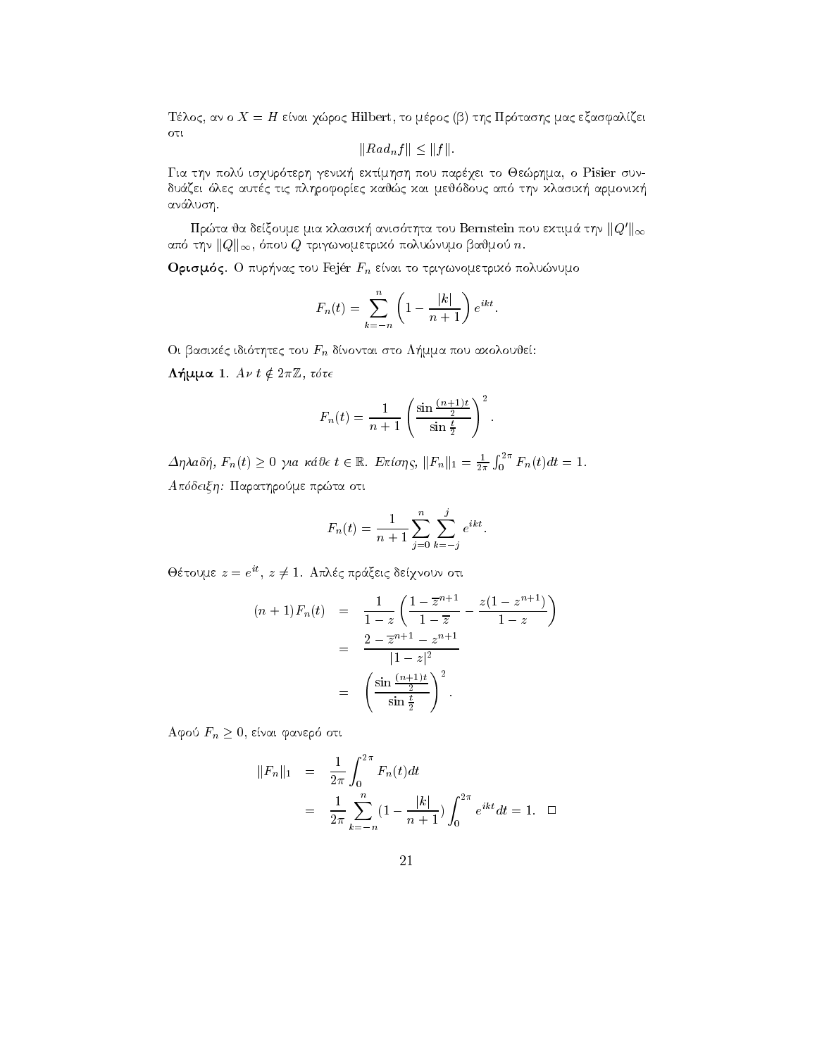Τέλος, αν ο  $X = H$  είναι χώρος Hilbert, το μέρος (β) της Πρότασης μας εξασφαλίζει  $\sigma$ 

$$
||Rad_{n}f|| \leq ||f||.
$$

Για την πολύ ισχυρότερη γενική εκτίμηση που παρέχει το Θεώρημα, ο Pisier συνδυάζει όλες αυτές τις πληροφορίες καθώς και μεθόδους από την κλασική αρμονική ανάλυση.

Πρώτα θα δείξουμε μια κλασική ανισότητα του Bernstein που εκτιμά την $\|Q'\|_\infty$ από την  $||Q||_{\infty}$ , όπου  $Q$  τριγωνομετρικό πολυώνυμο βαθμού n.

**Ορισμός**. Ο πυρήνας του Fejér  $F_n$  είναι το τριγωνομετρικό πολυώνυμο

$$
F_n(t) = \sum_{k=-n}^{n} \left(1 - \frac{|k|}{n+1}\right) e^{ikt}.
$$

Οι βασιχές ιδιότητες του  $F_n$  δίνονται στο Λήμμα που αχολουθεί:

Λήμμα 1.  $A v t \notin 2\pi \mathbb{Z}$ , τότε

$$
F_n(t) = \frac{1}{n+1} \left( \frac{\sin \frac{(n+1)t}{2}}{\sin \frac{t}{2}} \right)^2.
$$

 $\Delta \eta \lambda a \delta \eta$ ,  $F_n(t) \geq 0$  για κάθε  $t \in \mathbb{R}$ . Επίσης,  $||F_n||_1 = \frac{1}{2\pi} \int_0^{2\pi} F_n(t) dt = 1$ . Απόδειξη: Παρατηρούμε πρώτα οτι

$$
F_n(t) = \frac{1}{n+1} \sum_{j=0}^n \sum_{k=-j}^j e^{ikt}.
$$

Θέτουμε  $z = e^{it}$ ,  $z \neq 1$ . Απλές πράξεις δείχνουν οτι

$$
(n+1)F_n(t) = \frac{1}{1-z} \left( \frac{1-\overline{z}^{n+1}}{1-\overline{z}} - \frac{z(1-z^{n+1})}{1-z} \right)
$$
  
= 
$$
\frac{2-\overline{z}^{n+1} - z^{n+1}}{|1-z|^2}
$$
  
= 
$$
\left( \frac{\sin \frac{(n+1)t}{2}}{\sin \frac{t}{2}} \right)^2.
$$

Αφού  $F_n \geq 0$ , είναι φανερό οτι

$$
||F_n||_1 = \frac{1}{2\pi} \int_0^{2\pi} F_n(t) dt
$$
  
= 
$$
\frac{1}{2\pi} \sum_{k=-n}^n (1 - \frac{|k|}{n+1}) \int_0^{2\pi} e^{ikt} dt = 1. \quad \Box
$$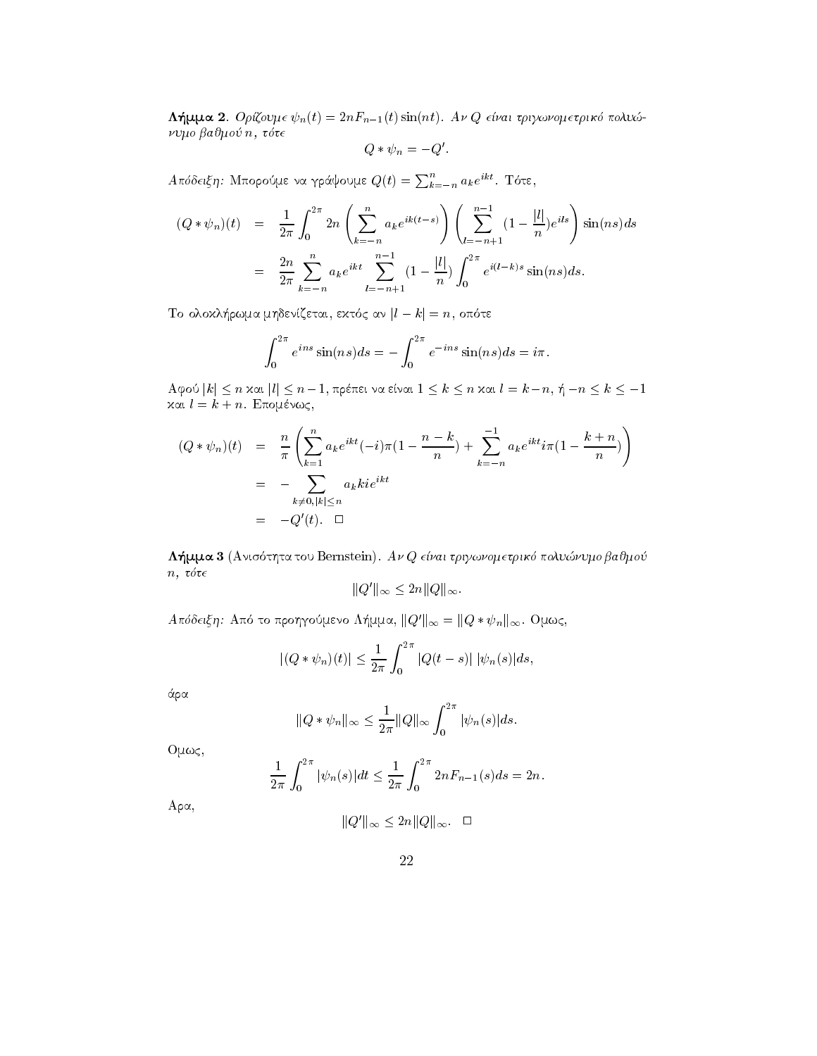**Λήμμα 2**. *Ορίζουμε*  $\psi_n(t) = 2nF_{n-1}(t)\sin(nt)$ . *Αν Q είναι τριγωνομετρικό πολυώ*νυμο βαθμού η, τότε

$$
Q * \psi_n = -Q'.
$$

 $A\pi\acute{o}$ δειξη: Μπορούμε να γράψουμε $Q\left( t\right) =\sum_{k=-n}^{n}a_{k}e^{ikt}.$  Τότε,

$$
(Q * \psi_n)(t) = \frac{1}{2\pi} \int_0^{2\pi} 2n \left( \sum_{k=-n}^n a_k e^{ik(t-s)} \right) \left( \sum_{l=-n+1}^{n-1} (1 - \frac{|l|}{n}) e^{ils} \right) \sin(ns) ds
$$
  

$$
= \frac{2n}{2\pi} \sum_{k=-n}^n a_k e^{ikt} \sum_{l=-n+1}^{n-1} (1 - \frac{|l|}{n}) \int_0^{2\pi} e^{i(l-k)s} \sin(ns) ds.
$$

Το ολοκλήρωμα μηδενίζεται, εκτός αν $|l - k| = n$ , οπότε

$$
\int_0^{2\pi} e^{ins} \sin(ns) ds = -\int_0^{2\pi} e^{-ins} \sin(ns) ds = i\pi.
$$

Αφού  $|k|$  ≤ *n* και  $|l|$  ≤ *n* −1, πρέπει να είναι  $1 \le k \le n$  και  $l = k - n$ , ή  $-n \le k \le -1$ και  $l = k + n$ . Επομένως,

$$
(Q * \psi_n)(t) = \frac{n}{\pi} \left( \sum_{k=1}^n a_k e^{ikt} (-i) \pi (1 - \frac{n-k}{n}) + \sum_{k=-n}^{-1} a_k e^{ikt} i \pi (1 - \frac{k+n}{n}) \right)
$$
  
= 
$$
- \sum_{k \neq 0, |k| \le n} a_k k i e^{ikt}
$$
  
= 
$$
-Q'(t). \quad \Box
$$

Λήμμα 3 (Ανισότητα του Bernstein). Αν Q είναι τριγωνομετρικό πολυώνυμο βαθμού  $n, \tau \acute{o} \tau \epsilon$ 

$$
||Q'||_{\infty} \leq 2n||Q||_{\infty}.
$$

 $A\pi\delta\delta\epsilon\iota\xi\eta$ : Από το προηγούμενο Λήμμα,  $||Q'||_{\infty} = ||Q * \psi_n||_{\infty}$ . Ομως,

$$
|(Q * \psi_n)(t)| \le \frac{1}{2\pi} \int_0^{2\pi} |Q(t-s)| |\psi_n(s)| ds,
$$

άρα

$$
||Q * \psi_n||_{\infty} \le \frac{1}{2\pi} ||Q||_{\infty} \int_0^{2\pi} |\psi_n(s)| ds.
$$

 $Oμως,$ 

$$
\frac{1}{2\pi} \int_0^{2\pi} |\psi_n(s)| dt \le \frac{1}{2\pi} \int_0^{2\pi} 2n F_{n-1}(s) ds = 2n.
$$

 $Aρα,$ 

$$
||Q'||_{\infty} \le 2n||Q||_{\infty}.\quad \Box
$$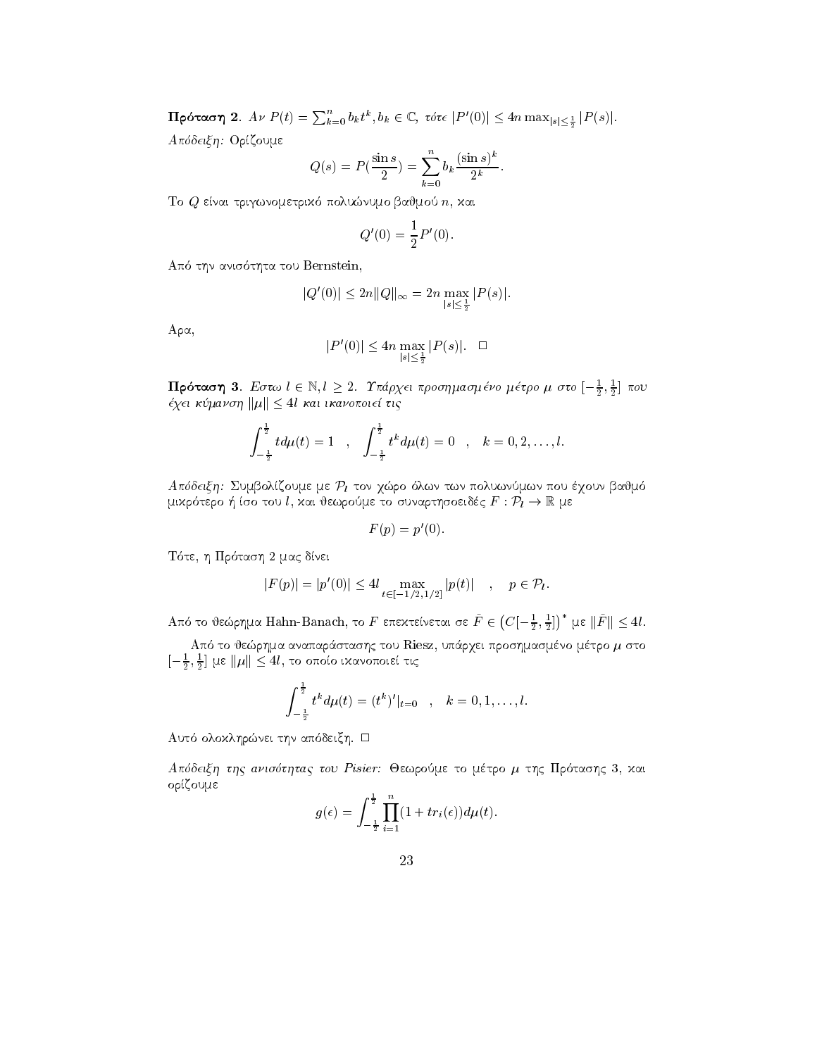$\textbf{Πρόταση 2.  $A$ ν  $P(t) = \sum_{k=0}^{n} b_k t^k, b_k \in \mathbb{C}$ , τότε  $|P'(0)| \leq 4n \max_{|s| \leq \frac{1}{2}} |P(s)|.$$ Απόδειξη: Ορίζουμε

$$
Q(s) = P(\frac{\sin s}{2}) = \sum_{k=0}^{n} b_k \frac{(\sin s)^k}{2^k}.
$$

To Q enai trigwnometrik polunumo bajmo n kai

$$
Q'(0) = \frac{1}{2}P'(0).
$$

the tour and a substitute the second company

$$
|Q'(0)| \le 2n||Q||_{\infty} = 2n \max_{|s| \le \frac{1}{2}} |P(s)|.
$$

 $Aρα,$ 

$$
|P'(0)| \le 4n \max_{|s| \le \frac{1}{2}} |P(s)|. \quad \Box
$$

**Προταση 3**. Εστω  $\iota \in \mathbb{N}, \iota \geq 2$ . Γπαρχει προσημασμενο μετρο μ στο  $[-\frac{1}{2}, \frac{1}{2}]$  που quarter that the contract of the contract of the contract of the contract of the contract of the contract of the contract of the contract of the contract of the contract of the contract of the contract of the contract of t <mark>ιση 3</mark>. Εστω  $l \in \mathbb{N}, l \geq 2$ . Υπ<br>μανση  $||\mu|| < 4l$  και ικανοποιεί

$$
\int_{-\frac{1}{2}}^{\frac{1}{2}} t d\mu(t) = 1 \quad , \quad \int_{-\frac{1}{2}}^{\frac{1}{2}} t^k d\mu(t) = 0 \quad , \quad k = 0, 2, \ldots, l.
$$

 $A$  rooticit). Supposityoine he  $PI$  ton  $\chi$ wpo over two rovownmon roo e $\chi$ oov panno  $\mu$ ( $\mu$ )  $\mu$  (see to  $\mu$ ),  $\mu$  is to supposite to supposite  $\mu$  and  $\mu$   $\mu$   $\mu$   $\mu$   $\mu$ 

$$
F(p) = p'(0).
$$

T te h Pr tash mac dnei

$$
|F(p)| = |p'(0)| \le 4l \max_{t \in [-1/2, 1/2]} |p(t)| \quad , \quad p \in \mathcal{P}_l.
$$

 $\Lambda$ πό το θεώρημα Hahn-Banach, το  $F$  επεχτείνεται σε  $\tilde{F}\in \left(C[-\frac{1}{2},\frac{1}{2}]\right)^{*}$  με  $\|\tilde{F}\|\leq 4l.$ 

aparte to to to tou Riesza up and the tou Riesza and the tou Riesza and the tou Riesza and the tou Riesza and t  $[-\frac{1}{2},\frac{1}{2}]$   $\mu$ ε  $\mu$ :ό το θεώρημα αναπαράστασης του Riesz, υπά<br>] με ||μ|| < 4l, το οποίο ιχανοποιεί τις

$$
\int_{-\frac{1}{2}}^{\frac{1}{2}} t^k d\mu(t) = (t^k)'|_{t=0} , \quad k = 0, 1, \ldots, l.
$$

autor and an only the control of the control of the control of the control of the control of the control of th

Apdeixh thc anisthtac tou Pisier Jewrome to mtro thc Pr tashc kai ορίζουμε

$$
g(\epsilon) = \int_{-\frac{1}{2}}^{\frac{1}{2}} \prod_{i=1}^{n} (1 + tr_i(\epsilon)) d\mu(t).
$$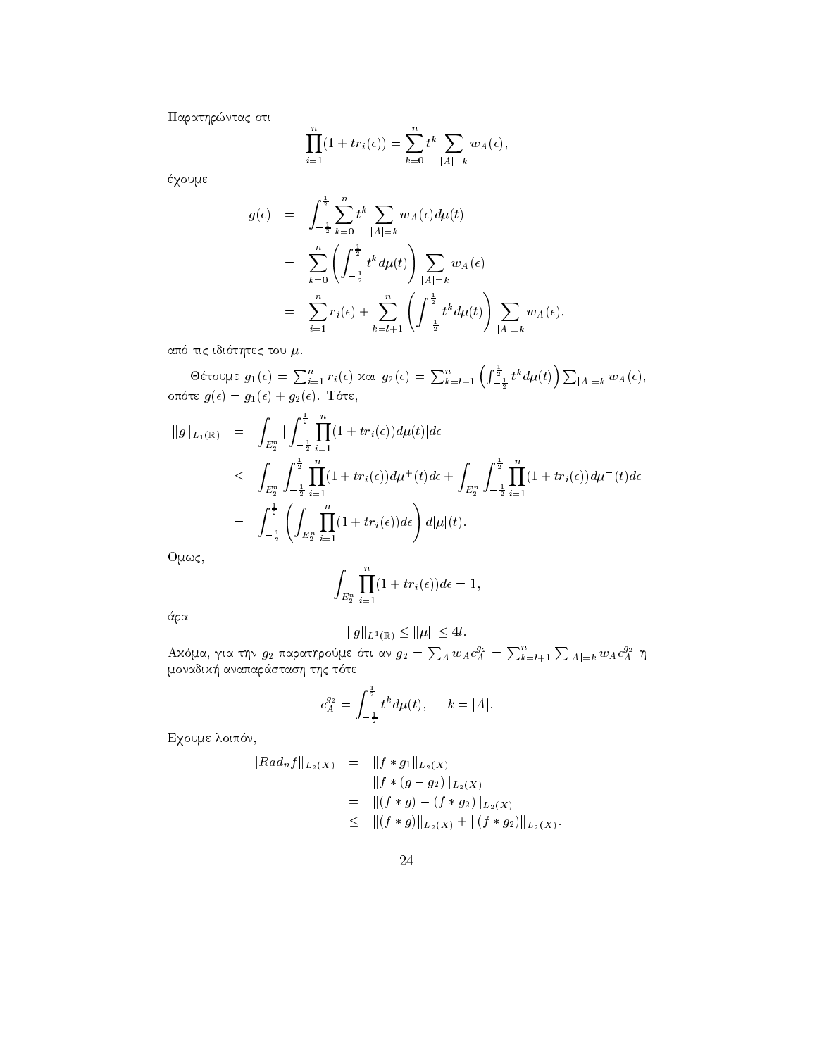Παρατηρώντας οτι

$$
\prod_{i=1}^{n} (1 + tr_i(\epsilon)) = \sum_{k=0}^{n} t^k \sum_{|A|=k} w_A(\epsilon),
$$

έχουμε

$$
g(\epsilon) = \int_{-\frac{1}{2}}^{\frac{1}{2}} \sum_{k=0}^{n} t^{k} \sum_{|A|=k} w_{A}(\epsilon) d\mu(t)
$$
  
\n
$$
= \sum_{k=0}^{n} \left( \int_{-\frac{1}{2}}^{\frac{1}{2}} t^{k} d\mu(t) \right) \sum_{|A|=k} w_{A}(\epsilon)
$$
  
\n
$$
= \sum_{i=1}^{n} r_{i}(\epsilon) + \sum_{k=l+1}^{n} \left( \int_{-\frac{1}{2}}^{\frac{1}{2}} t^{k} d\mu(t) \right) \sum_{|A|=k} w_{A}(\epsilon),
$$

από τις ιδιότητες του  $\mu$ .

θέτουμε  $g_1(\epsilon) = \sum_{i=1}^n r_i(\epsilon)$  και  $g_2(\epsilon) = \sum_{k=l+1}^n \left( \int_{-\frac{1}{2}}^{\frac{1}{2}} t^k d\mu(t) \right) \sum_{|A|=k} w_A(\epsilon)$ , οπότε  $g(\epsilon) = g_1(\epsilon) + g_2(\epsilon)$ . Τότε,

$$
\begin{array}{rcl}\n\|g\|_{L_1(\mathbb{R})} &=& \displaystyle\int_{E_2^n} \left| \int_{-\frac{1}{2}}^{\frac{1}{2}} \prod_{i=1}^n (1+tr_i(\epsilon)) d\mu(t) \right| d\epsilon \\
& & \leqslant \displaystyle\int_{E_2^n} \int_{-\frac{1}{2}}^{\frac{1}{2}} \prod_{i=1}^n (1+tr_i(\epsilon)) d\mu^+(t) d\epsilon + \int_{E_2^n} \int_{-\frac{1}{2}}^{\frac{1}{2}} \prod_{i=1}^n (1+tr_i(\epsilon)) d\mu^-(t) d\epsilon \\
&=& \displaystyle\int_{-\frac{1}{2}}^{\frac{1}{2}} \left( \int_{E_2^n} \prod_{i=1}^n (1+tr_i(\epsilon)) d\epsilon \right) d|\mu|(t).\n\end{array}
$$

 $Oμως,$ 

$$
\int_{E_2^n} \prod_{i=1}^n (1 + tr_i(\epsilon)) d\epsilon = 1,
$$

άρα

$$
||g||_{L^1(\mathbb{R})} \le ||\mu|| \le 4l
$$

 $\begin{array}{c} \|\boldsymbol g\|_{L^1(\mathbb{R})}\leq \|\boldsymbol \mu\|\leq 4l.\\ \text{A}x{\mathfrak{d}}\mu{\mathfrak{a}},\ \gamma\text{\scriptsize i\alpha} \text{\scriptsize\tau}\eta{\mathfrak{v}}\ \text{\scriptsize\it g_2} \text{\scriptsize\it $\pi$} \text{\scriptsize\it \alpha} \text{\scriptsize\it \alpha} \text{\scriptsize\it \gamma}\text{\scriptsize\it \beta} \text{\scriptsize\it \alpha} \text{\scriptsize\it \gamma} \text{\scriptsize\it g_2}=\sum_A w_A c_A^{g_2}=\sum_{k=l+1}^n\sum_{|A|=k}w_A c_A$ 

$$
c_A^{g_2} = \int_{-\frac{1}{2}}^{\frac{1}{2}} t^k d\mu(t), \quad k = |A|.
$$

Εχουμε λοιπόν,

$$
||Rad_{n}f||_{L_{2}(X)} = ||f * g_{1}||_{L_{2}(X)}
$$
  
=  $||f * (g - g_{2})||_{L_{2}(X)}$   
=  $||(f * g) - (f * g_{2})||_{L_{2}(X)}$   
 $\leq ||(f * g)||_{L_{2}(X)} + ||(f * g_{2})||_{L_{2}(X)}$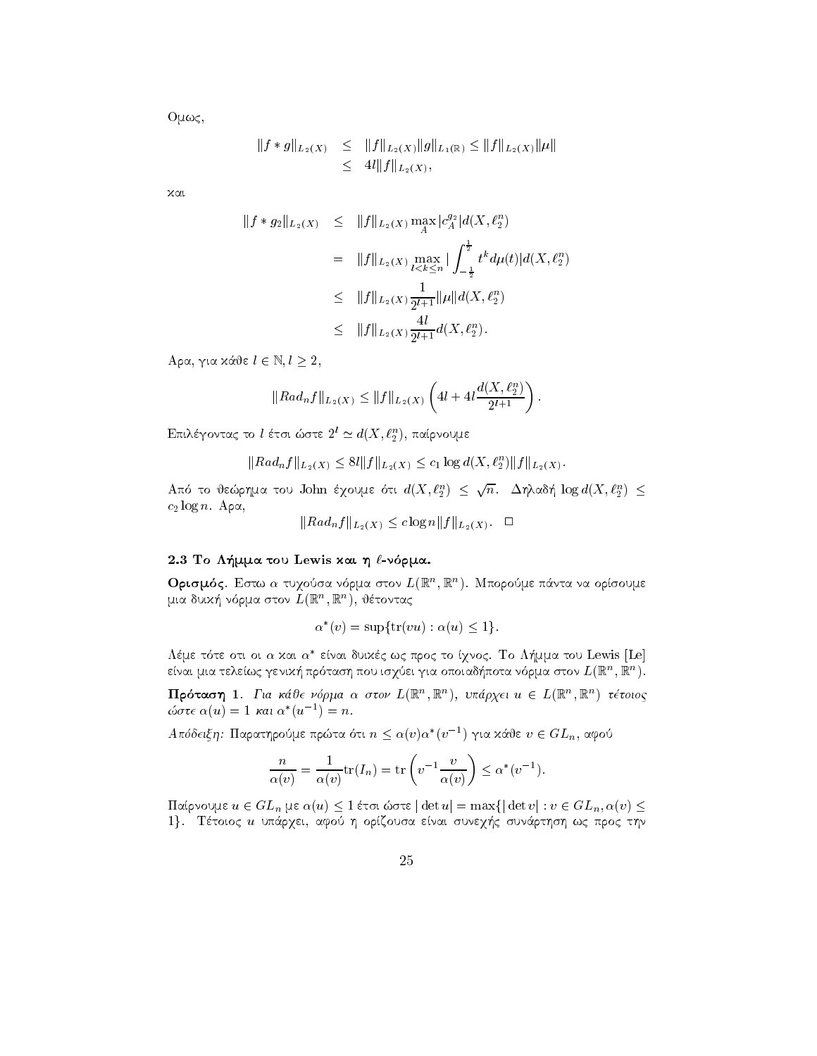$O<sub>μως</sub>$ 

$$
||f * g||_{L_2(X)} \leq ||f||_{L_2(X)} ||g||_{L_1(\mathbb{R})} \leq ||f||_{L_2(X)} ||\mu||
$$
  

$$
\leq 4l||f||_{L_2(X)},
$$

χαι

$$
\begin{array}{rcl} \|f*g_2\|_{L_2(X)} & \leq & \|f\|_{L_2(X)} \max_A |c_A^{g_2}| d(X, \ell_2^n) \\ \\ & = & \|f\|_{L_2(X)} \max_{l < k \leq n} \left| \int_{-\frac{1}{2}}^{\frac{1}{2}} t^k d\mu(t) | d(X, \ell_2^n) \right| \\ \\ & \leq & \|f\|_{L_2(X)} \frac{1}{2^{l+1}} \|\mu\| d(X, \ell_2^n) \\ & \leq & \|f\|_{L_2(X)} \frac{4l}{2^{l+1}} d(X, \ell_2^n). \end{array}
$$

Aρα, για κάθε  $l \in \mathbb{N}, l \geq 2$ ,

$$
||Rad_{n}f||_{L_{2}(X)} \leq ||f||_{L_{2}(X)} \left( 4l + 4l \frac{d(X, \ell_{2}^{n})}{2^{l+1}} \right).
$$

Επιλέγοντας το l έτσι ώστε  $2^l \simeq d(X, \ell_2^n)$ , παίρνουμε

$$
||Rad_n f||_{L_2(X)} \leq 8l||f||_{L_2(X)} \leq c_1 \log d(X, \ell_2^n) ||f||_{L_2(X)}
$$

Από το θεώρημα του John έχουμε ότι  $d(X, \ell_2^n) \leq \sqrt{n}$ . Δηλαδή  $\log d(X, \ell_2^n) \leq$  $c_2 \log n$ . Apa,

$$
||Rad_{n}f||_{L_{2}(X)} \leq c \log n ||f||_{L_{2}(X)}.
$$

## 2.3 Το Λήμμα του Lewis και η  $\ell$ -νόρμα.

**Ορισμός**. Εστω α τυχούσα νόρμα στον  $L(\mathbb{R}^n, \mathbb{R}^n)$ . Μπορούμε πάντα να ορίσουμε μια δυική νόρμα στον  $L(\mathbb{R}^n, \mathbb{R}^n)$ , θέτοντας

$$
\alpha^*(v) = \sup\{\text{tr}(vu) : \alpha(u) \le 1\}.
$$

Λέμε τότε οτι οι α και α\* είναι δυικές ως προς το ίχνος. Το Λήμμα του Lewis [Le] είναι μια τελείως γενική πρόταση που ισχύει για οποιαδήποτα νόρμα στον  $L(\mathbb{R}^n, \mathbb{R}^n)$ .

**Πρόταση 1**. Για κάθε νόρμα α στον  $L(\mathbb{R}^n, \mathbb{R}^n)$ , υπάρχει  $u \in L(\mathbb{R}^n, \mathbb{R}^n)$  τέτοιος ώστε  $\alpha(u) = 1$  και  $\alpha^*(u^{-1}) = n$ .

 $A\pi\delta\delta\epsilon$ ιξη: Παρατηρούμε πρώτα ότι  $n \leq \alpha(v)\alpha^*(v^{-1})$  για κάθε  $v \in GL_n$ , αφού

$$
\frac{n}{\alpha(v)} = \frac{1}{\alpha(v)} \text{tr}(I_n) = \text{tr}\left(v^{-1} \frac{v}{\alpha(v)}\right) \le \alpha^*(v^{-1}).
$$

Παίρνουμε  $u \in GL_n$  με  $\alpha(u) \leq 1$  έτσι ώστε  $|\det u| = \max\{|\det v| : v \in GL_n, \alpha(v) \leq 1\}$ 1}. Τέτοιος *u* υπάρχει, αφού η ορίζουσα είναι συνεχής συνάρτηση ως προς την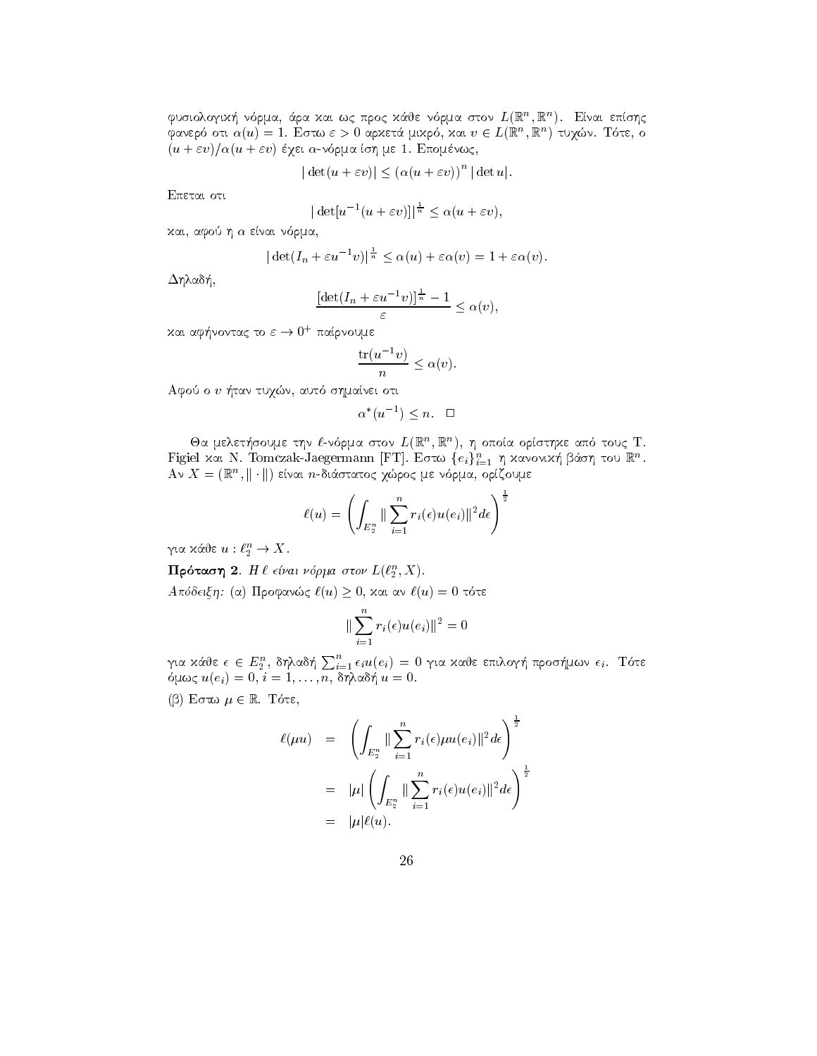φυσιολογική νόρμα, άρα και ως προς κάθε νόρμα στον  $L(\mathbb{R}^n, \mathbb{R}^n)$ . Είναι επίσης φανερό οτι  $\alpha(u) = 1$ . Εστω  $\varepsilon > 0$  αρχετά μιχρό, χαι  $v \in L(\mathbb{R}^n, \mathbb{R}^n)$  τυχών. Τότε, ο  $(u + \varepsilon v)/\alpha(u + \varepsilon v)$  έχει α-νόρμα ίση με 1. Επομένως,

$$
|\det(u+\varepsilon v)| \le (\alpha(u+\varepsilon v))^n |\det u|
$$

Επεται οτι

$$
|\det[u^{-1}(u+\varepsilon v)]|^{\frac{1}{n}} \leq \alpha(u+\varepsilon v),
$$

χαι, αφού η α είναι νόρμα,

$$
|\det(I_n + \varepsilon u^{-1}v)|^{\frac{1}{n}} \le \alpha(u) + \varepsilon \alpha(v) = 1 + \varepsilon \alpha(v).
$$

Δηλαδή,

$$
\frac{\left[\det(I_n + \varepsilon u^{-1}v)\right]^{\frac{1}{n}} - 1}{\varepsilon} \le \alpha(v),
$$

και αφήνοντας το  $\varepsilon\to 0^+$  παίρνουμε

$$
\frac{\operatorname{tr}(u^{-1}v)}{n} \le \alpha(v).
$$

Αφού ο υ ήταν τυχών, αυτό σημαίνει οτι

$$
\alpha^*(u^{-1}) \le n. \quad \Box
$$

Θα μελετήσουμε την  $\ell$ -νόρμα στον  $L(\mathbb{R}^n, \mathbb{R}^n)$ , η οποία ορίστηχε από τους Τ. Figiel και Ν. Tomczak-Jaegermann [FT]. Εστω  $\{e_i\}_{i=1}^n$  η κανονική βάση του  $\mathbb{R}^n$ . Αν  $X = (\mathbb{R}^n, \|\cdot\|)$  είναι *η*-διάστατος χώρος με νόρμα, ορίζουμε

$$
\ell(u) = \left(\int_{E_2^n} \|\sum_{i=1}^n r_i(\epsilon)u(e_i)\|^2 d\epsilon\right)^{\frac{1}{2}}
$$

για κάθε $u:\ell_2^n\to X.$ 

Πρόταση 2. Η  $\ell$  είναι νόρμα στον  $L(\ell_2^n, X)$ .

 $A \pi \omega \delta \epsilon \epsilon$ ξη: (α) Προφανώς  $\ell(u) \geq 0$ , και αν  $\ell(u) = 0$  τότε

$$
\|\sum_{i=1}^{n} r_i(\epsilon)u(e_i)\|^2 = 0
$$

για κάθε  $\epsilon \in E_2^n$ , δηλαδή  $\sum_{i=1}^n \epsilon_i u(e_i) = 0$  για καθε επιλογή προσήμων  $\epsilon_i$ . Τότε όμως  $u(e_i) = 0, i = 1, ..., n, \overline{\delta\eta}$ λαδή  $u = 0$ .

 $(β)$  Εστω  $μ ∈ ℝ$ . Τότε,

$$
\ell(\mu u) = \left( \int_{E_2^n} \|\sum_{i=1}^n r_i(\epsilon) \mu u(e_i)\|^2 d\epsilon \right)^{\frac{1}{2}}
$$
  

$$
= |\mu| \left( \int_{E_2^n} \|\sum_{i=1}^n r_i(\epsilon) u(e_i)\|^2 d\epsilon \right)^{\frac{1}{2}}
$$
  

$$
= |\mu| \ell(u).
$$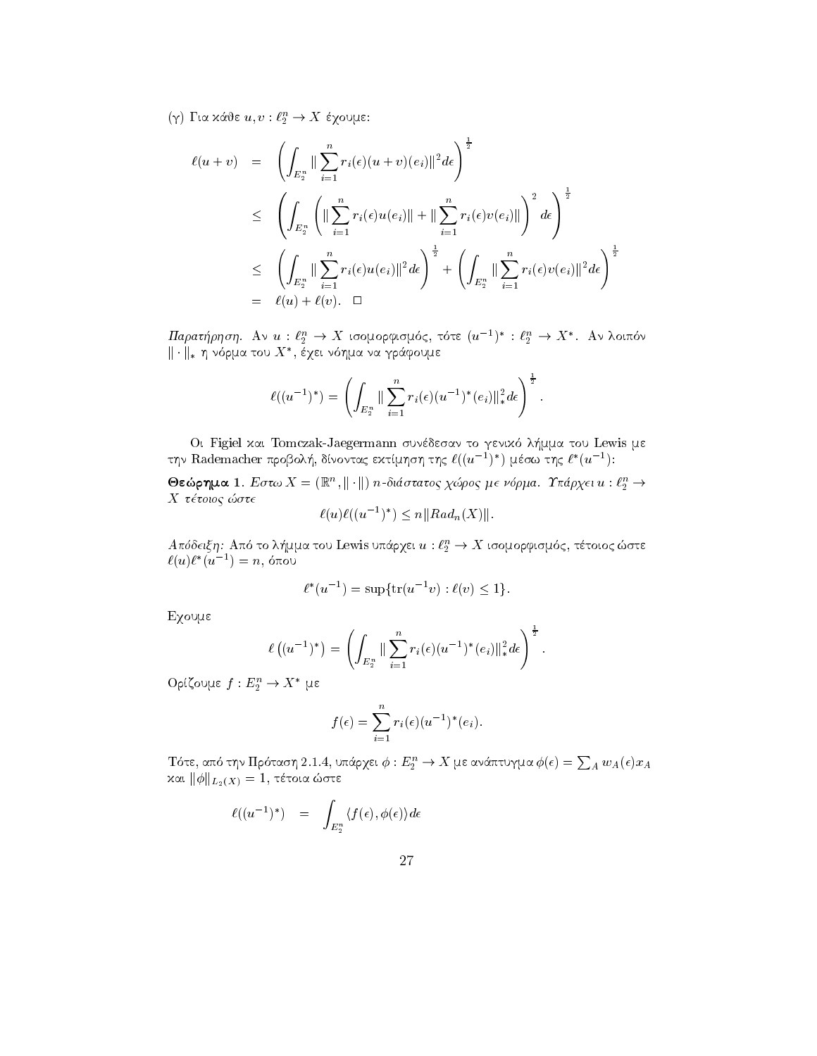$(γ)$  Για κάθε  $u, v : \ell_2^n \to X$  έχουμε:

$$
\ell(u + v) = \left( \int_{E_2^n} || \sum_{i=1}^n r_i(\epsilon)(u + v)(e_i) ||^2 d\epsilon \right)^{\frac{1}{2}}
$$
  
\n
$$
\leq \left( \int_{E_2^n} \left( || \sum_{i=1}^n r_i(\epsilon)u(e_i) || + || \sum_{i=1}^n r_i(\epsilon)v(e_i) || \right)^2 d\epsilon \right)^{\frac{1}{2}}
$$
  
\n
$$
\leq \left( \int_{E_2^n} || \sum_{i=1}^n r_i(\epsilon)u(e_i) ||^2 d\epsilon \right)^{\frac{1}{2}} + \left( \int_{E_2^n} || \sum_{i=1}^n r_i(\epsilon)v(e_i) ||^2 d\epsilon \right)^{\frac{1}{2}}
$$
  
\n
$$
= \ell(u) + \ell(v). \quad \Box
$$

 $\varPi$ αρατήρηση. Αν  $u: \ell_2^n \to X$  ισομορφισμός, τότε  $(u^{-1})^* : \ell_2^n \to X^*$ . Αν λοιπόν  $||\cdot||_*$  η νόρμα του  $X^*$ , έχει νόημα να γράφουμε

$$
\ell((u^{-1})^*) = \left(\int_{E_2^n} \|\sum_{i=1}^n r_i(\epsilon)(u^{-1})^*(e_i)\|_*^2 d\epsilon\right)^{\frac{1}{2}}.
$$

Οι Figiel και Tomczak-Jaegermann συνέδεσαν το γενικό λήμμα του Lewis με την Rademacher προβολή, δίνοντας εκτίμηση της  $\ell((u^{-1})^*)$  μέσω της  $\ell^*(u^{-1})$ :

**Θεώρημα 1**. Εστω  $X = (\mathbb{R}^n, ||\cdot||)$  *n*-διάστατος χώρος με νόρμα. Υπάρχει  $u : \ell_2^n \to$  $X$  τέτοιος ώστε  $-1$ 

$$
\ell(u)\ell((u^{-1})^*) \le n||Rad_n(X)||.
$$

 $A\pi\acute{o}$ δειξη: Από το λήμμα του Lewis υπάρχει $u:\ell_2^n\to X$ ισομορφισμός, τέτοιος ώστε $\ell(u)\ell^*(u^{-1})=n,$ όπου

$$
\ell^*(u^{-1}) = \sup \{ \text{tr}(u^{-1}v) : \ell(v) \le 1 \}.
$$

Εχουμε

$$
\ell\left((u^{-1})^*\right) = \left(\int_{E_2^n} \|\sum_{i=1}^n r_i(\epsilon)(u^{-1})^*(e_i)\|_{*}^2 d\epsilon\right)^{\frac{1}{2}}.
$$

 $O$ ρίζουμε  $f: E_2^n \to X^*$  με

$$
f(\epsilon) = \sum_{i=1}^n r_i(\epsilon) (u^{-1})^*(e_i).
$$

Τότε, από την Πρόταση 2.1.4, υπάρχει $\phi:E_2^n\to X$ με ανάπτυγμα $\phi(\epsilon)=\sum_A w_A(\epsilon)x_A$ και $\|\phi\|_{L_2(X)}=1,$ τέτοια ώστε

$$
\ell((u^{-1})^*) \quad = \quad \int_{E_2^n} \langle f(\epsilon), \phi(\epsilon) \rangle d\epsilon
$$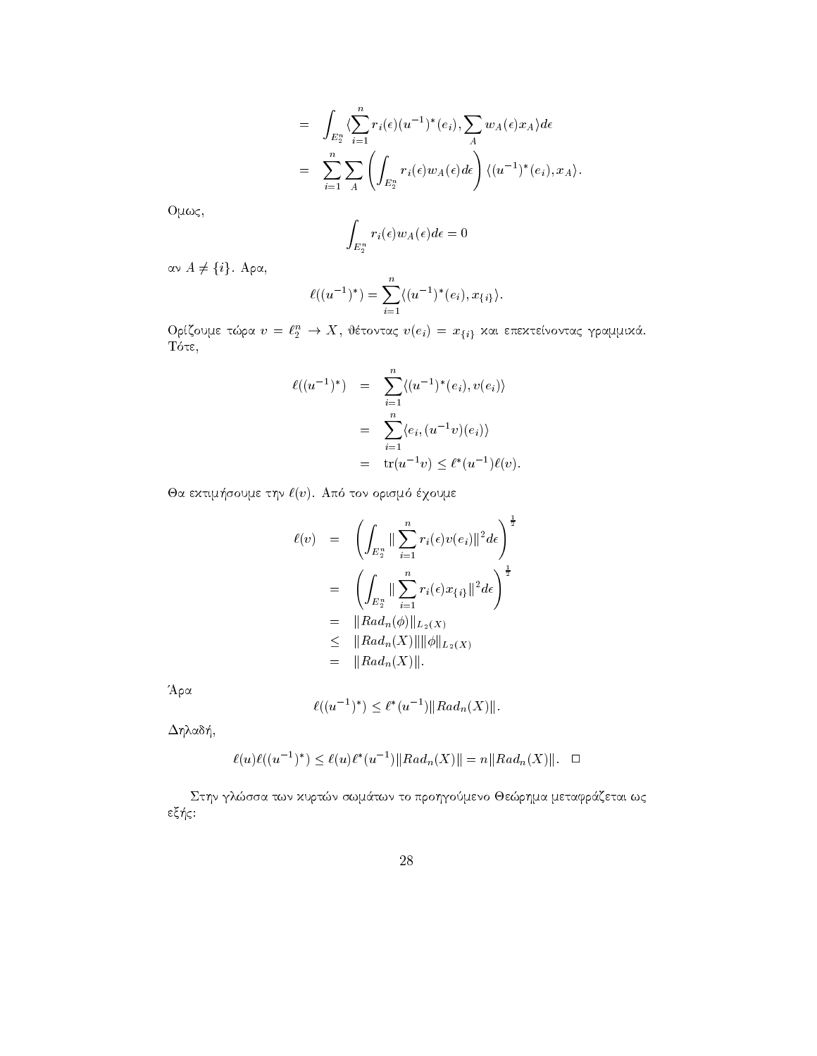$$
= \int_{E_2^n} \langle \sum_{i=1}^n r_i(\epsilon) (u^{-1})^*(e_i), \sum_A w_A(\epsilon) x_A \rangle d\epsilon
$$
  

$$
= \sum_{i=1}^n \sum_A \left( \int_{E_2^n} r_i(\epsilon) w_A(\epsilon) d\epsilon \right) \langle (u^{-1})^*(e_i), x_A \rangle.
$$

 $Oμως,$ 

$$
\int_{E_2^n} r_i(\epsilon) w_A(\epsilon) d\epsilon = 0
$$

αν  $A \neq \{i\}$ . Αρα,

$$
\ell((u^{-1})^*) = \sum_{i=1}^n \langle (u^{-1})^*(e_i), x_{\{i\}} \rangle.
$$

Ορίζουμε τώρα $v=\ell_2^n \to X,$ θέτοντας  $v(e_i)=x_{\{i\}}$ και επεκτείνοντας γραμμικά. Τότε,

$$
\ell((u^{-1})^*) = \sum_{i=1}^n \langle (u^{-1})^*(e_i), v(e_i) \rangle
$$
  
= 
$$
\sum_{i=1}^n \langle e_i, (u^{-1}v)(e_i) \rangle
$$
  
= 
$$
\text{tr}(u^{-1}v) \leq \ell^*(u^{-1})\ell(v).
$$

Θα εκτιμήσουμε την  $\ell(v)$ . Από τον ορισμό έχουμε

$$
\ell(v) = \left( \int_{E_2^n} \| \sum_{i=1}^n r_i(\epsilon) v(e_i) \|^2 d\epsilon \right)^{\frac{1}{2}}
$$
  
\n
$$
= \left( \int_{E_2^n} \| \sum_{i=1}^n r_i(\epsilon) x_{\{i\}} \|^2 d\epsilon \right)^{\frac{1}{2}}
$$
  
\n
$$
= \|Ra d_n(\phi) \|_{L_2(X)}
$$
  
\n
$$
\leq \|Ra d_n(X) \| \|\phi\|_{L_2(X)}
$$
  
\n
$$
= \|Ra d_n(X) \|.
$$

Άρα

$$
\ell((u^{-1})^*) \le \ell^*(u^{-1}) ||Ra d_n(X)||.
$$

 $\Delta \eta$ λαδή,

$$
\ell(u)\ell((u^{-1})^*) \le \ell(u)\ell^*(u^{-1})||Rad_n(X)|| = n||Rad_n(X)||. \square
$$

Στην γλώσσα των κυρτών σωμάτων το προηγούμενο Θεώρημα μεταφράζεται ως εξής: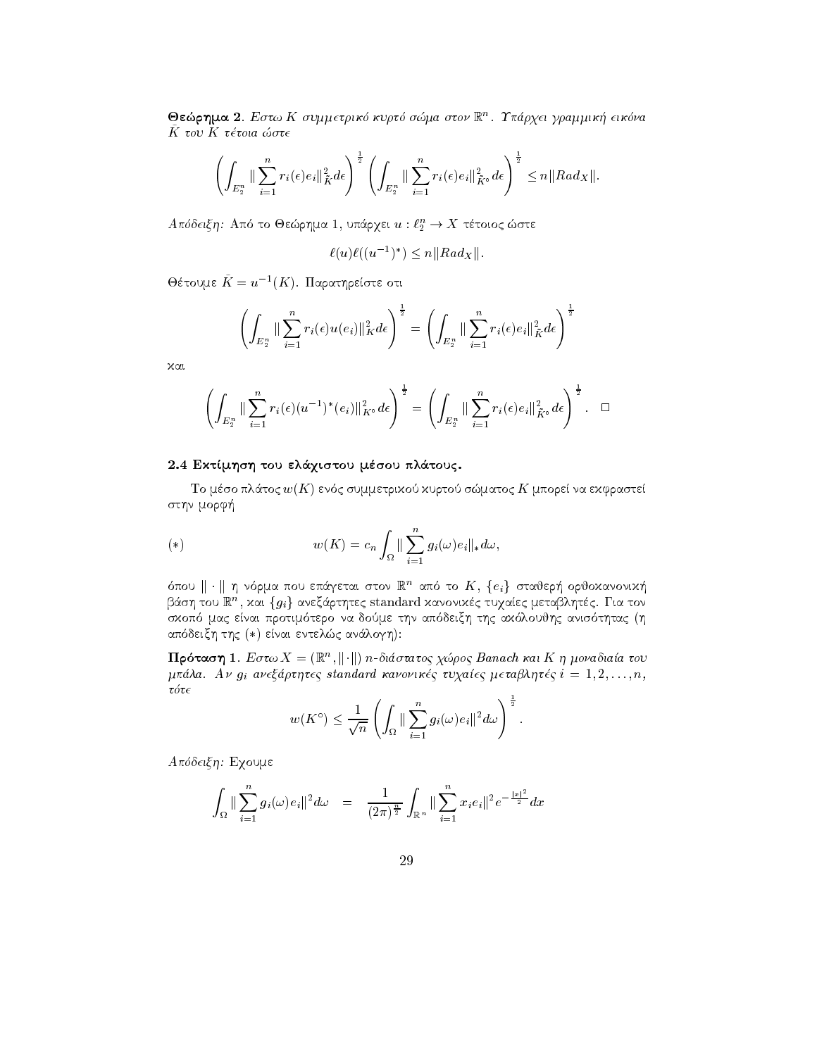$\bullet$ εωρημα 2. Εστω Κ συμμετρικο κυρισ σωμα στον  $\mathbb{R}^n$ . Γπαρχει γραμμικη εικονα  $\mathbf{r}$  to  $\mathbf{r}$  te toid to te

$$
\left(\int_{E_2^n}\|\sum_{i=1}^nr_i(\epsilon)e_i\|_{\tilde{K}}^2d\epsilon\right)^{\frac{1}{2}}\left(\int_{E_2^n}\|\sum_{i=1}^nr_i(\epsilon)e_i\|_{\tilde{K}\circ}^2d\epsilon\right)^{\frac{1}{2}}\leq n\|Rad_X\|.
$$

 $A$ ποσεις η: Από το Θεωρήμα 1, υπαρχει  $u: \iota_2 \to A$  τετοιός ωστε -

$$
\ell(u)\ell((u^{-1})^*) \le n||Rad_X||.
$$

 $\Theta$ έτουμε  $K = u^{-1}(K)$ . Παρατηρείστε οτι

$$
\left(\int_{E_2^n}\|\sum_{i=1}^n r_i(\epsilon)u(e_i)\|_K^2d\epsilon\right)^{\frac{1}{2}} = \left(\int_{E_2^n}\|\sum_{i=1}^n r_i(\epsilon)e_i\|_{\tilde{K}}^2d\epsilon\right)^{\frac{1}{2}}
$$

kai

$$
\left(\int_{E_2^n} \|\sum_{i=1}^n r_i(\epsilon)(u^{-1})^*(e_i)\|_{K^{\circ}}^2 d\epsilon\right)^{\frac{1}{2}} = \left(\int_{E_2^n} \|\sum_{i=1}^n r_i(\epsilon)e_i\|_{\bar{K}^{\circ}}^2 d\epsilon\right)^{\frac{1}{2}}.\quad \Box
$$

#### 2.4 Εκτίμηση του ελάχιστου μέσου πλάτους.

To mso pl
toc wK en c summetriko kurto smatoc K mpore na ekfraste στην μορφή

(\*) 
$$
w(K) = c_n \int_{\Omega} || \sum_{i=1}^n g_i(\omega) e_i ||_* d\omega,
$$

σπου  $\|\cdot\|$  η νορμα που επαγεται στον  $\mathbb R$  - απο το  $\mathbb A$ ,  $\{e_i\}$  σταυερη ορυσχανονικη  $\mathop{{\rm cov}}\nolimits$ π , χαι  $\{g_i\}$  ανεςαρτητες standard χανονιχες τυχαιες μεταρλητες. Για τον skop and the state that the active the state of the state of the content and the state of the state of the sta  $\alpha$ nooeich thc (\*) eival evientic avanoym).

**Προταση Ι**. Εστω  $A = (\mathbb{R}, \mathbb{R})$  η π-σιαστατος χωρος Banach και K η μονασιατα του mali and an and the complete standard kanonika turk turk turk turkiya turkiya tarihin turkiya tarihin da kanon  $\tau\acute{o}\tau\epsilon$ 

$$
w(K^{\circ}) \leq \frac{1}{\sqrt{n}} \left( \int_{\Omega} \|\sum_{i=1}^{n} g_i(\omega) e_i\|^2 d\omega \right)^{\frac{1}{2}}.
$$

Απόδειξη: Εχουμε

$$
\int_{\Omega} \|\sum_{i=1}^n g_i(\omega) e_i\|^2 d\omega = \frac{1}{(2\pi)^{\frac{n}{2}}} \int_{\mathbb{R}^n} \|\sum_{i=1}^n x_i e_i\|^2 e^{-\frac{|x|^2}{2}} dx
$$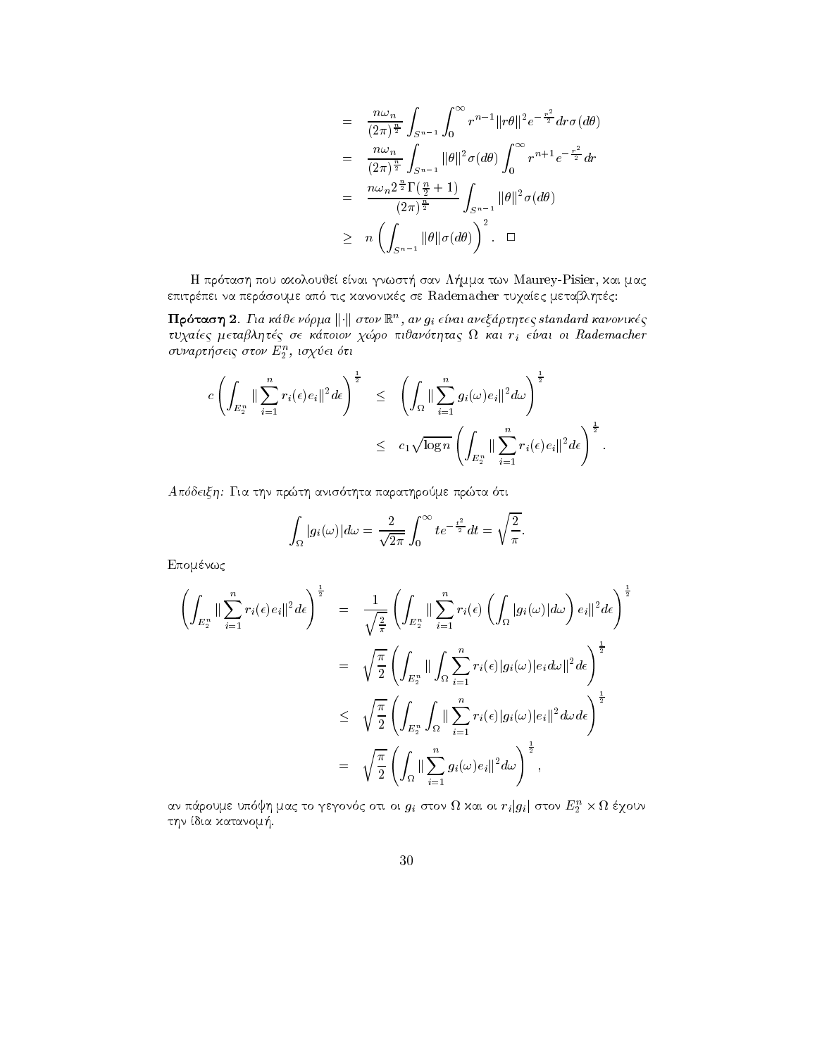$$
= \frac{n\omega_n}{(2\pi)^{\frac{n}{2}}} \int_{S^{n-1}} \int_0^\infty r^{n-1} ||r\theta||^2 e^{-\frac{r^2}{2}} dr \sigma(d\theta)
$$
  
\n
$$
= \frac{n\omega_n}{(2\pi)^{\frac{n}{2}}} \int_{S^{n-1}} ||\theta||^2 \sigma(d\theta) \int_0^\infty r^{n+1} e^{-\frac{r^2}{2}} dr
$$
  
\n
$$
= \frac{n\omega_n 2^{\frac{n}{2}} \Gamma(\frac{n}{2} + 1)}{(2\pi)^{\frac{n}{2}}} \int_{S^{n-1}} ||\theta||^2 \sigma(d\theta)
$$
  
\n
$$
\geq n \left( \int_{S^{n-1}} ||\theta|| \sigma(d\theta) \right)^2. \quad \Box
$$

H pr tash pou akolouje enai gnwst- san L-mma twn Maurey-Pisier kai mac epitrpei na per
soume ap tic kanonikc se Rademacher tuqaec metablhtc

**ΓΓροταση 2.** Για καυε νορμα || || στον || || στον || || ειναι ανεζαρτητες standard κανονικες ec are a metable se komment and a rightcompany of the second control of the second control of the second control of the second control of the second control of the second control of the second control of the second control συναρτησεις στον  $E_2$ , ισχυει οτι

$$
c\left(\int_{E_2^n} \|\sum_{i=1}^n r_i(\epsilon)e_i\|^2 d\epsilon\right)^{\frac{1}{2}} \leq \left(\int_{\Omega} \|\sum_{i=1}^n g_i(\omega)e_i\|^2 d\omega\right)^{\frac{1}{2}} \leq c_1 \sqrt{\log n} \left(\int_{E_2^n} \|\sum_{i=1}^n r_i(\epsilon)e_i\|^2 d\epsilon\right)^{\frac{1}{2}}.
$$

Apdeixh Gia thn prth anis thta parathrome prta ti

$$
\int_{\Omega} |g_i(\omega)| d\omega = \frac{2}{\sqrt{2\pi}} \int_0^{\infty} te^{-\frac{t^2}{2}} dt = \sqrt{\frac{2}{\pi}}.
$$

 $Eπομένως$ 

$$
\left(\int_{E_2^n} \|\sum_{i=1}^n r_i(\epsilon) e_i\|^2 d\epsilon\right)^{\frac{1}{2}} = \frac{1}{\sqrt{\frac{2}{\pi}}} \left(\int_{E_2^n} \|\sum_{i=1}^n r_i(\epsilon) \left(\int_{\Omega} |g_i(\omega)| d\omega\right) e_i\|^2 d\epsilon\right)^{\frac{1}{2}}
$$
  
\n
$$
= \sqrt{\frac{\pi}{2}} \left(\int_{E_2^n} \|\int_{\Omega} \sum_{i=1}^n r_i(\epsilon) |g_i(\omega)| e_i d\omega\|^2 d\epsilon\right)^{\frac{1}{2}}
$$
  
\n
$$
\leq \sqrt{\frac{\pi}{2}} \left(\int_{E_2^n} \int_{\Omega} \|\sum_{i=1}^n r_i(\epsilon) |g_i(\omega)| e_i\|^2 d\omega d\epsilon\right)^{\frac{1}{2}}
$$
  
\n
$$
= \sqrt{\frac{\pi}{2}} \left(\int_{\Omega} \|\sum_{i=1}^n g_i(\omega) e_i\|^2 d\omega\right)^{\frac{1}{2}},
$$

αν παρουμε υποφη μας το γεγονος στι οι  $g_i$  στον  $\imath\imath$  και οι  $r_i|g_i|$  στον  $E_2$   $\times$   $\imath\imath$  εχουν thn dia katanom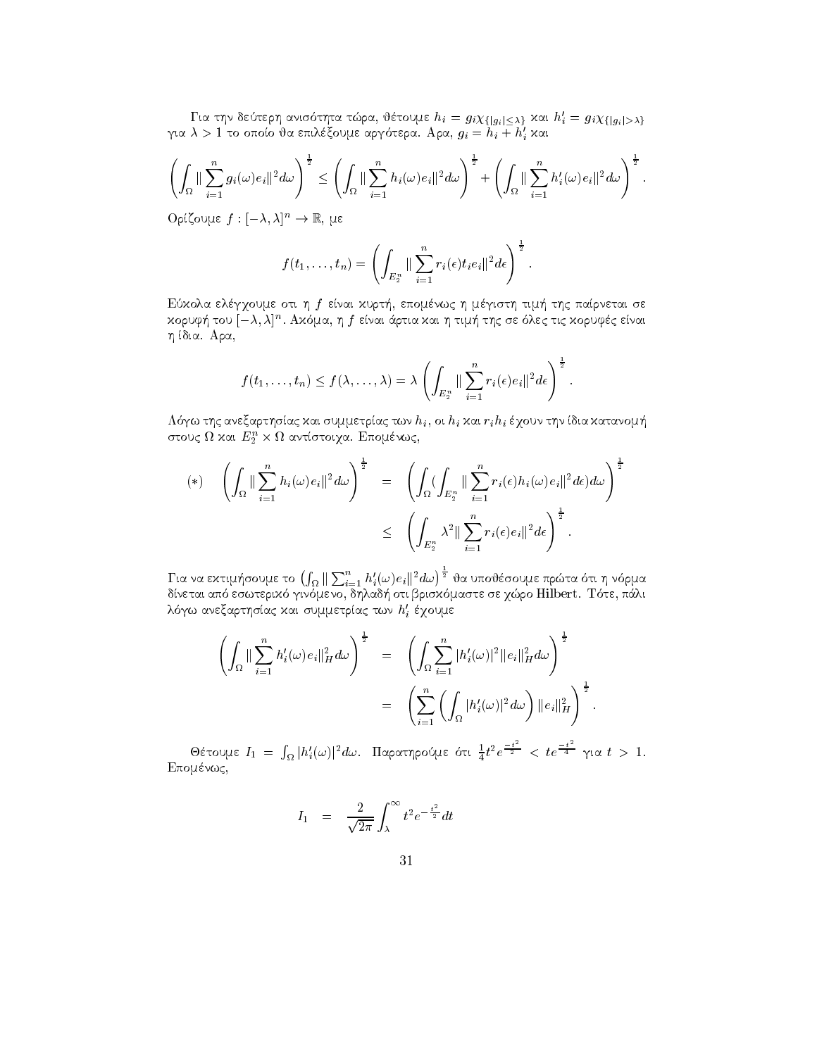Για την δεύτερη ανισότητα τώρα, θέτουμε $h_i = g_i \chi_{\{|g_i| \leq \lambda\}}$  και $h'_i = g_i \chi_{\{|g_i| > \lambda\}}$ για  $\lambda > 1$ το οποίο θα επιλέξουμε αργότερα. Αρα,  $g_i = h_i + h'_i$ και

$$
\left(\int_{\Omega} \|\sum_{i=1}^n g_i(\omega) e_i\|^2 d\omega\right)^{\frac{1}{2}} \leq \left(\int_{\Omega} \|\sum_{i=1}^n h_i(\omega) e_i\|^2 d\omega\right)^{\frac{1}{2}} + \left(\int_{\Omega} \|\sum_{i=1}^n h'_i(\omega) e_i\|^2 d\omega\right)^{\frac{1}{2}}.
$$

 $O$ ρίζουμε  $f: [-\lambda, \lambda]^n \to \mathbb{R}$ , με

$$
f(t_1,\ldots,t_n)=\left(\int_{E_2^n}\|\sum_{i=1}^n r_i(\epsilon)t_ie_i\|^2d\epsilon\right)^{\frac{1}{2}}.
$$

Εύχολα ελέγχουμε οτι η f είναι χυρτή, επομένως η μέγιστη τιμή της παίρνεται σε κορυφή του  $[-\lambda,\lambda]^n.$ Ακόμα, η $f$  είναι άρτια και η τιμή της σε όλες τις κορυφές είναι η ίδια. Αρα,

$$
f(t_1,\ldots,t_n)\leq f(\lambda,\ldots,\lambda)=\lambda\left(\int_{E_2^n}\|\sum_{i=1}^n r_i(\epsilon)e_i\|^2d\epsilon\right)^{\frac{1}{2}}.
$$

Λόγω της ανεξαρτησίας και συμμετρίας των  $h_i$ , οι  $h_i$  και  $r_ih_i$  έχουν την ίδια κατανομή στους  $\Omega$  και  $E_2^n \times \Omega$  αντίστοιχα. Επομένως,

$$
(*) \quad \left(\int_{\Omega} \|\sum_{i=1}^{n} h_i(\omega)e_i\|^2 d\omega\right)^{\frac{1}{2}} = \left(\int_{\Omega} (\int_{E_2^n} \|\sum_{i=1}^{n} r_i(\epsilon)h_i(\omega)e_i\|^2 d\epsilon) d\omega\right)^{\frac{1}{2}}
$$

$$
\leq \left(\int_{E_2^n} \lambda^2 \|\sum_{i=1}^{n} r_i(\epsilon)e_i\|^2 d\epsilon\right)^{\frac{1}{2}}.
$$

Για να εκτιμήσουμε το  $\big(\int_\Omega\|\sum_{i=1}^nh_i'(\omega)e_i\|^2d\omega\big)^{\frac{1}{2}}$ θα υποθέσουμε πρώτα ότι η νόρμα δίνεται από εσωτερικό γινόμενο, δηλαδή οτι βρισκόμαστε σε χώρο Hilbert. Τότε, πάλι λόγω ανεξαρτησίας και συμμετρίας των  $h'_i$  έχουμε

$$
\left(\int_{\Omega} \|\sum_{i=1}^n h'_i(\omega)e_i\|_H^2 d\omega\right)^{\frac{1}{2}} = \left(\int_{\Omega} \sum_{i=1}^n |h'_i(\omega)|^2 \|e_i\|_H^2 d\omega\right)^{\frac{1}{2}} \n= \left(\sum_{i=1}^n \left(\int_{\Omega} |h'_i(\omega)|^2 d\omega\right) \|e_i\|_H^2\right)^{\frac{1}{2}}.
$$

Θέτουμε  $I_1 = \int_{\Omega} |h'_i(\omega)|^2 d\omega$ . Παρατηρούμε ότι  $\frac{1}{4}t^2e^{\frac{-t^2}{2}} \; <\; te^{\frac{-t^2}{4}}$  για  $t > 1$ . Επομένως,

$$
I_1 = \frac{2}{\sqrt{2\pi}} \int_{\lambda}^{\infty} t^2 e^{-\frac{t^2}{2}} dt
$$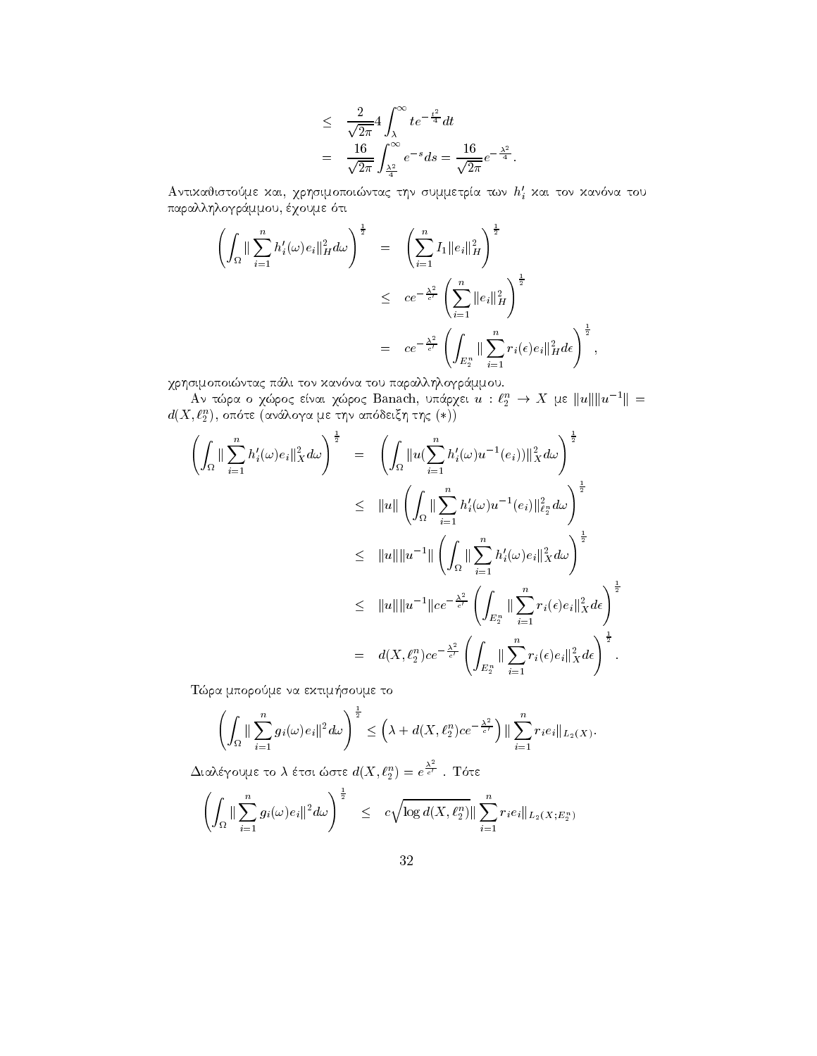$$
\leq \frac{2}{\sqrt{2\pi}} 4 \int_{\lambda}^{\infty} t e^{-\frac{t^2}{4}} dt
$$
  
= 
$$
\frac{16}{\sqrt{2\pi}} \int_{\frac{\lambda^2}{4}}^{\infty} e^{-s} ds = \frac{16}{\sqrt{2\pi}} e^{-\frac{\lambda^2}{4}}.
$$

Αντικαθιστούμε και, χρησιμοποιώντας την συμμετρία των  $h'_i$  και τον κανόνα του παραλληλογράμμου, έχουμε ότι

$$
\left(\int_{\Omega} \|\sum_{i=1}^{n} h'_{i}(\omega)e_{i}\|_{H}^{2} d\omega\right)^{\frac{1}{2}} = \left(\sum_{i=1}^{n} I_{1} \|e_{i}\|_{H}^{2}\right)^{\frac{1}{2}}\n\leq c e^{-\frac{\lambda^{2}}{c'}} \left(\sum_{i=1}^{n} \|e_{i}\|_{H}^{2}\right)^{\frac{1}{2}}\n= c e^{-\frac{\lambda^{2}}{c'}} \left(\int_{E_{2}^{n}} \|\sum_{i=1}^{n} r_{i}(\epsilon)e_{i}\|_{H}^{2} d\epsilon\right)^{\frac{1}{2}},
$$

χρησιμοποιώντας πάλι τον κανόνα του παραλληλογράμμου.<br>Αν τώρα ο χώρος είναι χώρος Banach, υπάρχει $u:\ell_2^n \to X$ με $||u||||u^{-1}|| = d(X,\ell_2^n),$ οπότε (ανάλογα με την απόδειξη της $(*)$ )

$$
\left(\int_{\Omega} \|\sum_{i=1}^{n} h'_{i}(\omega)e_{i}\|_{X}^{2} d\omega\right)^{\frac{1}{2}} = \left(\int_{\Omega} \|u(\sum_{i=1}^{n} h'_{i}(\omega)u^{-1}(e_{i}))\|_{X}^{2} d\omega\right)^{\frac{1}{2}}
$$
\n
$$
\leq \|u\| \left(\int_{\Omega} \|\sum_{i=1}^{n} h'_{i}(\omega)u^{-1}(e_{i})\|_{\ell_{X}^{n}}^{2} d\omega\right)^{\frac{1}{2}}
$$
\n
$$
\leq \|u\| \|u^{-1}\| \left(\int_{\Omega} \|\sum_{i=1}^{n} h'_{i}(\omega)e_{i}\|_{X}^{2} d\omega\right)^{\frac{1}{2}}
$$
\n
$$
\leq \|u\| \|u^{-1}\| |ce^{-\frac{\lambda^{2}}{\epsilon'}} \left(\int_{E_{2}^{n}} \|\sum_{i=1}^{n} r_{i}(\epsilon)e_{i}\|_{X}^{2} d\epsilon\right)^{\frac{1}{2}}
$$
\n
$$
= d(X, \ell_{2}^{n}) ce^{-\frac{\lambda^{2}}{\epsilon'}} \left(\int_{E_{2}^{n}} \|\sum_{i=1}^{n} r_{i}(\epsilon)e_{i}\|_{X}^{2} d\epsilon\right)^{\frac{1}{2}}.
$$

Τώρα μπορούμε να εκτιμήσουμε το

$$
\left(\int_{\Omega} \|\sum_{i=1}^n g_i(\omega)e_i\|^2 d\omega\right)^{\frac{1}{2}} \leq \left(\lambda + d(X,\ell_2^n)ce^{-\frac{\lambda^2}{c'}}\right) \|\sum_{i=1}^n r_i e_i\|_{L_2(X)}.
$$

 $\Delta$ ιαλέγουμε το λ έτσι ώστε  $d(X,\ell_2^n)=e^{\frac{X^2}{c'}}$  . Τότε

$$
\left(\int_{\Omega} \|\sum_{i=1}^n g_i(\omega) e_i\|^2 d\omega\right)^{\frac{1}{2}} \leq c \sqrt{\log d(X, \ell_2^n)} \|\sum_{i=1}^n r_i e_i\|_{L_2(X; E_2^n)}
$$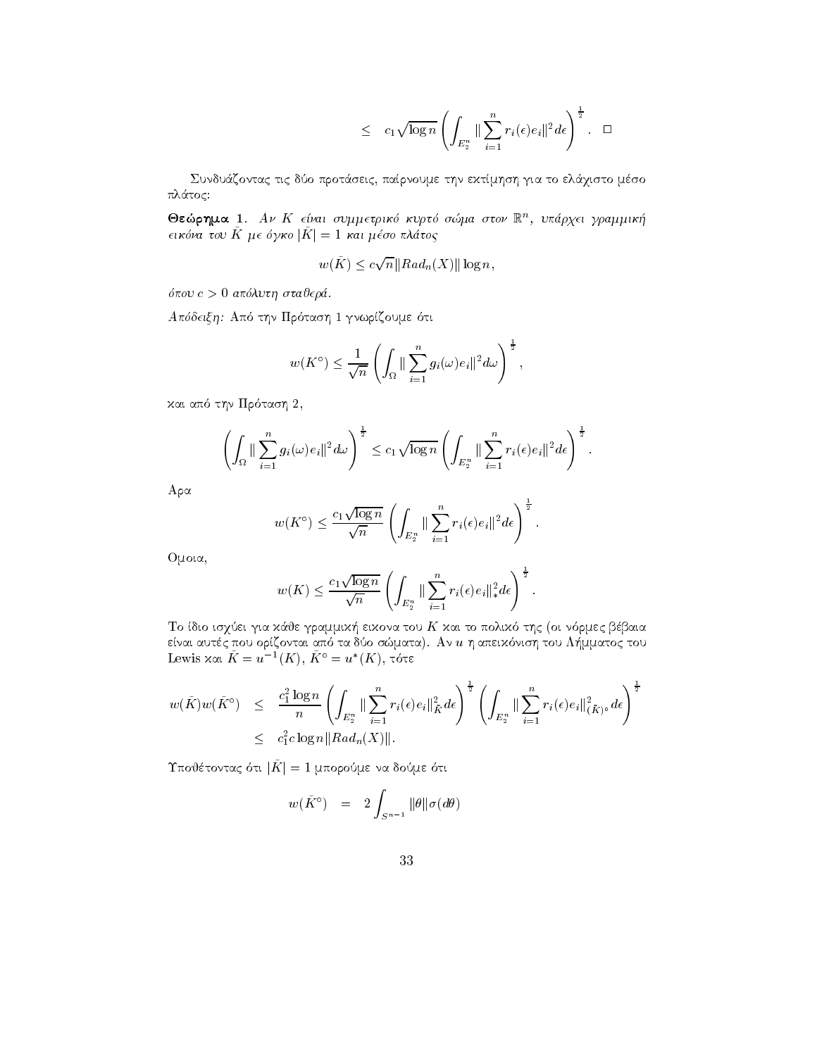$$
\leq c_1 \sqrt{\log n} \left( \int_{E_2^n} \|\sum_{i=1}^n r_i(\epsilon) e_i\|^2 d\epsilon \right)^{\frac{1}{2}}.\quad \Box
$$

Συνδυάζοντας τις δύο προτάσεις, παίρνουμε την εχτίμηση για το ελάχιστο μέσο πλάτος:

 $\bullet$ εωρημα Ι. Αν Λ είναι συμμετρικο κυριο σωμα στον Γ., υπαρχει γραμμικη  $\epsilon$ ικονα του  $K$  με σγκο  $|K| = 1$  και μεσο πλατος

$$
w(\tilde{K}) \le c\sqrt{n} ||Rad_n(X)|| \log n,
$$

pour construction and the state of the construction of the construction of the construction of the construction of the construction of the construction of the construction of the construction of the construction of the con

the three times and the property of the second times of the second times of the second times of the second tim

$$
w(K^{\circ}) \le \frac{1}{\sqrt{n}} \left( \int_{\Omega} \|\sum_{i=1}^{n} g_i(\omega) e_i\|^2 d\omega \right)^{\frac{1}{2}},
$$

kai ap thn Pr tash 

$$
\left(\int_{\Omega} \|\sum_{i=1}^n g_i(\omega)e_i\|^2 d\omega\right)^{\frac{1}{2}} \leq c_1 \sqrt{\log n} \left(\int_{E_2^n} \|\sum_{i=1}^n r_i(\epsilon)e_i\|^2 d\epsilon\right)^{\frac{1}{2}}.
$$

 $A \rho \alpha$ 

$$
w(K^{\circ}) \leq \frac{c_1 \sqrt{\log n}}{\sqrt{n}} \left( \int_{E_2^n} \| \sum_{i=1}^n r_i(\epsilon) e_i \|^2 d\epsilon \right)^{\frac{1}{2}}.
$$

Oμοια,

$$
w(K) \leq \frac{c_1 \sqrt{\log n}}{\sqrt{n}} \left( \int_{E_2^n} \|\sum_{i=1}^n r_i(\epsilon) e_i\|_{*}^2 d\epsilon \right)^{\frac{1}{2}}.
$$

. To dio is a contract the statement of the oil is a contract of the contract of the statement of the contract enai autorem tou apemparatore autores and an university aperily and an university and designments with a local  $\Gamma$ Lewis και  $K = u^{-1}(K),\,K^\circ = u^*(K),\,\tau$ ότε

$$
\begin{array}{rcl} w(\tilde{K})w(\tilde{K}^{\circ}) & \leq & \displaystyle \frac{c_{1}^{2}\log n}{n} \left( \int_{E_{2}^{n}} \| \sum_{i=1}^{n} r_{i}(\epsilon) e_{i} \|_{\tilde{K}}^{2} d\epsilon \right)^{\frac{1}{2}} \left( \int_{E_{2}^{n}} \| \sum_{i=1}^{n} r_{i}(\epsilon) e_{i} \|_{(\tilde{K})^{\circ}}^{2} d\epsilon \right)^{\frac{1}{2}} \\ & \leq & c_{1}^{2}c\log n \|Rad_{n}(X)\|.\end{array}
$$

 $I$  none rowing out  $|I_1| = I$  munpoints we not define

$$
w(\tilde{K}^{\circ}) = 2 \int_{S^{n-1}} ||\theta|| \sigma(d\theta)
$$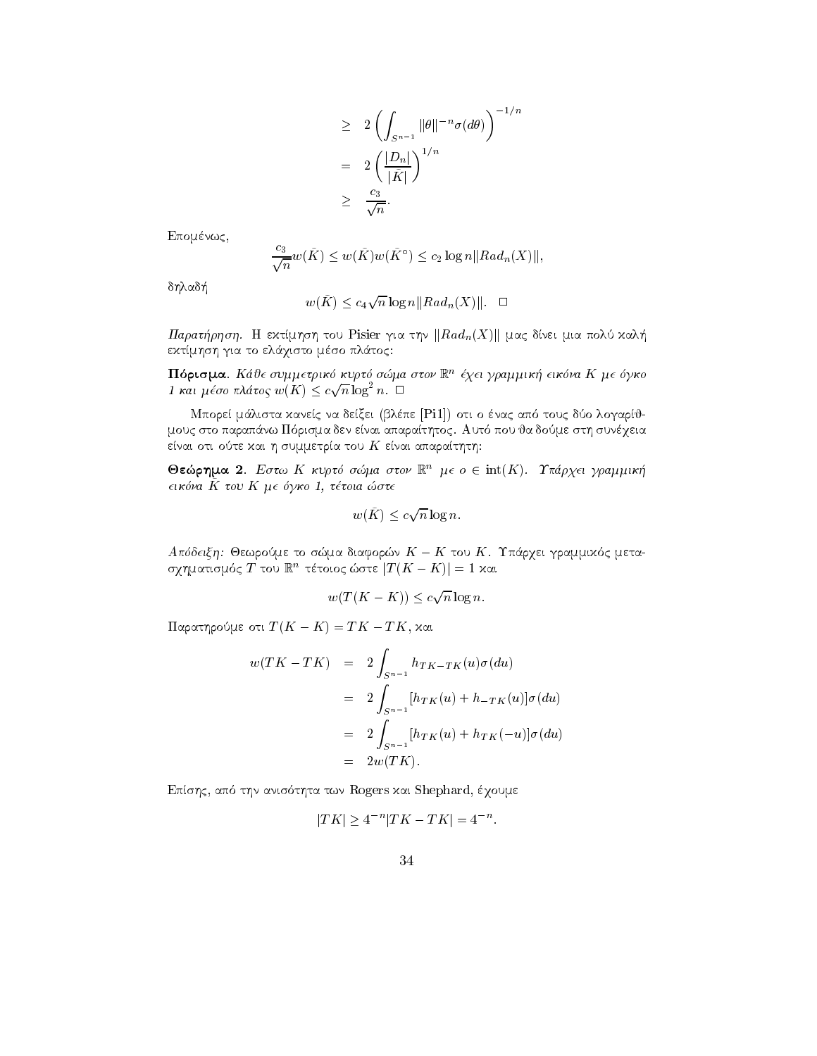$$
\geq 2 \left( \int_{S^{n-1}} ||\theta||^{-n} \sigma(d\theta) \right)^{-1/n}
$$
  
=  $2 \left( \frac{|D_n|}{|\tilde{K}|} \right)^{1/n}$   
 $\geq \frac{c_3}{\sqrt{n}}.$ 

Επομένως,

$$
\frac{c_3}{\sqrt{n}}w(\tilde{K}) \le w(\tilde{K})w(\tilde{K}^{\circ}) \le c_2 \log n ||Ra d_n(X)||,
$$

δηλαδή

$$
w(\tilde{K}) \le c_4 \sqrt{n} \log n ||Ra d_n(X)||. \quad \Box
$$

Παρατήρηση. Η εκτίμηση του Pisier για την  $\|Rad_n(X)\|$  μας δίνει μια πολύ καλή εκτίμηση για το ελάχιστο μέσο πλάτος:

**Πιορισμα. Κ**αυε συμμετρικο κυριο σωμα στον ικ. εχει γραμμικη εικονα Κ με σγκο 1 και μέσο πλάτος  $w(K) \leq c \sqrt{n} \log^2 n$ .  $\Box$ 

men e per man de anti-man de antique que esta per la desde al construction de la construction de la constructio mous sto paraphyment aparathtocom and the consequence of the store appearath in the state of the state of the consequence of the consequence of the consequence of the consequence of the consequence of the consequence of th είναι οτι ούτε και η συμμετρία του  $K$  είναι απαραίτητη:

**Θεώρημα 2**. Εστω Κ κυρτό σώμα στον  $\mathbb{R}^n$  με ο  $\in$  int(K). Υπάρχει γραμμική  $\epsilon$ ικόνα  $\tilde{K}$  του  $K$  μ $\epsilon$  όγκο 1, τέτοια ώστ $\epsilon$ 

$$
w(\tilde{K}) \le c\sqrt{n}\log n
$$

 $A$ hootic $\eta$ . Oempoone to omjaa olaqopmy  $K = K$  tou  $K$ . Thapyel grammikol petaσχηματισμος 1 του  $\mathbb{R}^n$  τετοιος ωστε  $|I|(K - K)| = 1$  χαι

$$
w(T(K - K)) \le c\sqrt{n}\log n.
$$

 $\max_{\mathbf{p}} \min_{\mathbf{p}} \min_{\mathbf{p}} \mathbf{p} = \mathbf{p}(\mathbf{p}|\mathbf{p} - \mathbf{p}) = \mathbf{p}(\mathbf{p}|\mathbf{p})$ 

$$
w(TK - TK) = 2 \int_{S^{n-1}} h_{TK - TK}(u) \sigma(du)
$$
  
= 
$$
2 \int_{S^{n-1}} [h_{TK}(u) + h_{TK}(u)] \sigma(du)
$$
  
= 
$$
2 \int_{S^{n-1}} [h_{TK}(u) + h_{TK}(-u)] \sigma(du)
$$
  
= 
$$
2w(TK).
$$

$$
|TK| \ge 4^{-n}|TK - TK| = 4^{-n}.
$$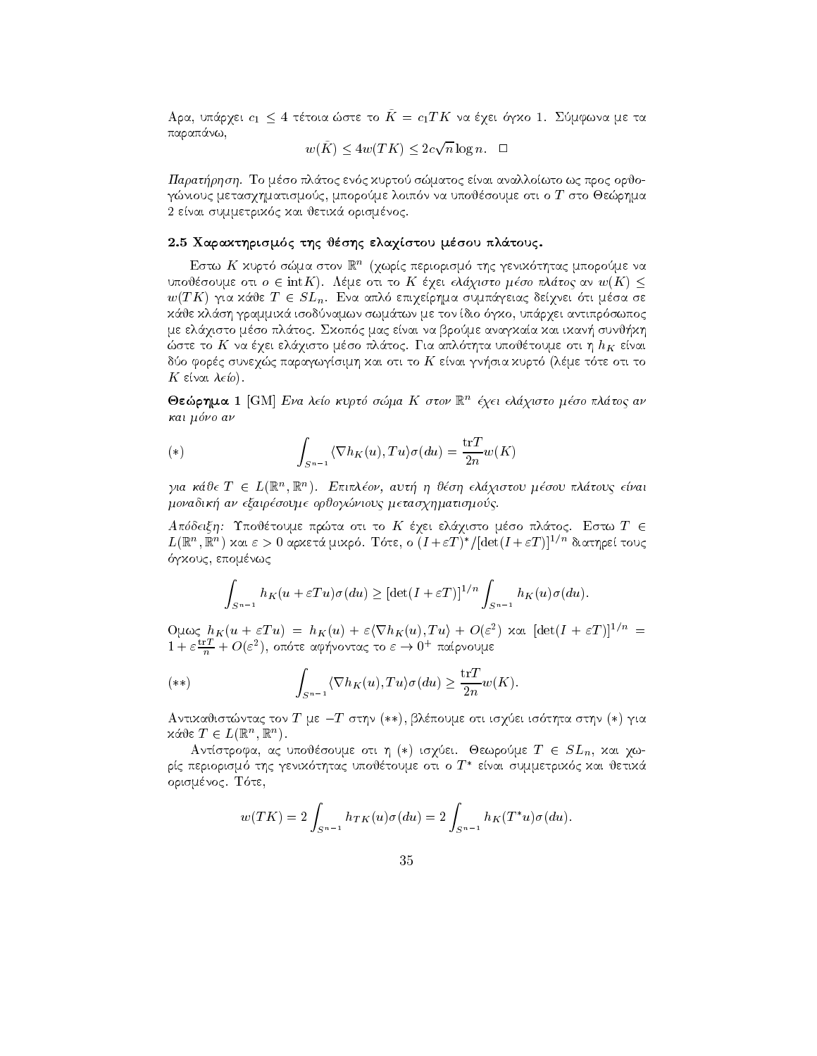$A$ pa, onap $\chi$ et of  $\leq$  + tetoia able to  $K = c_1 I K$  va e $\chi$ et o $\gamma \chi$ o 1. Zo $\mu$ φava  $\mu$ e ta παραπάνω,

$$
w(\tilde{K}) \le 4w(TK) \le 2c\sqrt{n}\log n. \quad \Box
$$

paratrhshi To matoc enter the control of the control of the control or processes and interest and the control o gnious and processes are processed more processes in the store and the store of the store of the store of the s enai summetrik kai jetik kai jetik kai jetik kai jetik kai jetik kai jetik kai jetik kai jetik kai jetik kai j

## 2.5 Χαρακτηρισμός της θέσης ελαχίστου μέσου πλάτους.

Εστώ Λ΄ χυριο σώμα στον m (γωρις περιορισμό της γενικότητας μπορούμε να υποθέσουμε οτι  $o \in \text{int}K$ ). Λέμε οτι το K έχει ελάχιστο μέσο πλάτος αν  $w(K) \leq$  $w(I|K)$  for two  $I \in \mathcal{S}L_n$ . Eva anto entrepliat obtinately oet vet our peod oe is and the internal internation and is a continuous continuous contained and antiproper and antiproperational companies of the companies of the companies of the companies of the companies of the companies of the companies me el
qisto mso pl
toc Skop c mac enai na brome anagkaa kai ikan- sunj-kh ste to K na que el planto mando planto mando de la construcción de la construcción de la construcción de la co do forc'h en an diwart e gwelet paragwysimh kan diwart e gwelet e gant diwart e gant diwart e gant diwart e ga  $K$  είναι λείο). of the contract of the contract of the contract of the contract of the contract of the contract of the contract of the contract of the contract of the contract of the contract of the contract of the contract of the contrac

 $\bullet$ εωρημα 1  $_{\rm [G\,N1]}$  *Ενα Λείο κύριο σωμα Κ στον* ικ εχει ελαχιστο μεσο πλατος αν και μόνο αν

(\*) 
$$
\int_{S^{n-1}} \langle \nabla h_K(u), Tu \rangle \sigma(du) = \frac{\operatorname{tr} T}{2n} w(K)
$$

για καυ $\epsilon$  1  $\in$  L(K ,K ). Επιπλεον, αυτη η υεση ελαχιστου μεσου πλατους ειναι monadik an example organismos metasquious metasquiouc metasquiouc metasquiouc metasquiouc metasquiou

Απόδειξη: Υποθέτουμε πρώτα οτι το Κ έχει ελάχιστο μέσο πλάτος. Εστω Τ  $\in$  $L(\mathbb{R}^n,\mathbb{R}^n)$  χαι  $\varepsilon>0$  αρχετά μιχρό. Τότε, ο  $(I+\varepsilon T)^*/|\mathrm{det}(I+\varepsilon T)|^{1/n}$  διατηρεί τους gkou waa kale waa kale waa marka waa marka waa marka waa marka waa marka waa marka waa marka waa marka waa marka wa

$$
\int_{S^{n-1}} h_K(u+\varepsilon Tu)\sigma(du) \geq [\det(I+\varepsilon T)]^{1/n} \int_{S^{n-1}} h_K(u)\sigma(du).
$$

ULL  $\omega \in R_K(u + \varepsilon I u) = nK(u) + \varepsilon \left( \nabla n_K(u), I u \right) + O(\varepsilon^{-})$  xxl  $|\det(I + \varepsilon I)|^{-\gamma} =$  $1 + \varepsilon \frac{m}{n} + O(\varepsilon^{-})$ , οποτε αφηνοντας το  $\varepsilon \to 0^+$  παιρνουμε

$$
(**) \qquad \qquad \int_{S^{n-1}} \langle \nabla h_K(u), Tu \rangle \sigma(du) \geq \frac{\operatorname{tr} T}{2n} w(K).
$$

 $A$ vitaduot $a$ uvia $\zeta$  tov  $I$   $\mu \varepsilon = I$  otijv (\*\*), pashoo $\mu \varepsilon$  oti ioyust footijta otijv (\*) yta  $X \cap \mathcal{L} \subset L \cup \mathbb{R}$ ,  $\mathbb{R}$ ).

Αντίστροφα, ας υποθέσουμε οτι η (\*) ισχύει. Θεωρούμε  $T \in SL_n$ , και χωρίς περιορισμό της γενιχότητας υποθέτουμε οτι ο  $T^\ast$  είναι συμμετριχός χαι θετιχά orismnoch and the contract of the contract of the contract of the contract of the contract of the contract of the contract of the contract of the contract of the contract of the contract of the contract of the contract of

$$
w(TK) = 2 \int_{S^{n-1}} h_{TK}(u)\sigma(du) = 2 \int_{S^{n-1}} h_K(T^*u)\sigma(du).
$$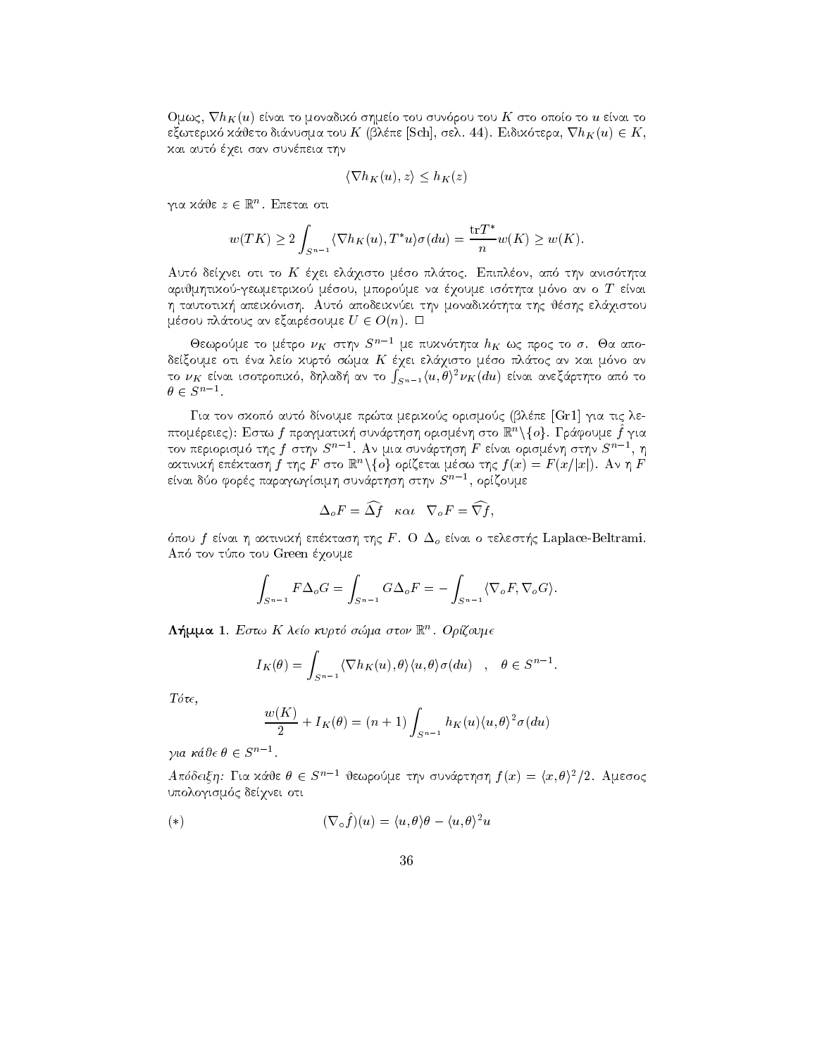$\sigma$ umg, v $n_{K}(u)$  etvat to provadiko organico too obvoloo too $K$  oto ondio to  $u$  etvat to  $\epsilon$  $\zeta$ wter $\lambda$  autorio otavoopa too  $K$  (prene pull), oen. 44). Eidikotepa,  $\mathbf{v} u_K(u) \in K$ , kai autoritet san sunt san sunt sunt sunt sunt sunt and autorite sunt sunt and autorite sunt and autorite sunt

$$
\langle \nabla h_K(u), z \rangle \le h_K(z)
$$

για καυε  $z \in \mathbb{R}$  . Επεται οτι

$$
w(TK) \ge 2 \int_{S^{n-1}} \langle \nabla h_K(u), T^*u \rangle \sigma(du) = \frac{\operatorname{tr} T^*}{n} w(K) \ge w(K).
$$

apple oti to a three control to the control theory of the control of the control of the control of the control arijmhtikogewmetrikogewmetrikogewmetrikogewmetrikogewmetrikogewmetrikogewmetrikogewmetrikogewmetrikogewmetriko nish aperikan tautotik-through tautotik-through tautotik-through tautotik-through tautotik-through tautotik-th μέσου πλάτους αν εξαιρέσουμε  $U \in O(n)$ .  $\Box$ 

Θεωρούμε το μέτρο  $\nu_K$  στην  $S^{n-1}$  με πυχνότητα  $h_K$  ως προς το  $\sigma$ . Θα αποdexoume other also contained and the small contained an annual contained and also an and the contact of the co το  $\nu_K$  είναι ισοτροπιχό, δηλαδή αν το  $\int_{S^{n-1}} \langle u, \theta \rangle^2 \nu_K(du)$  είναι ανεξάρτητο από το  $\theta \in S^{n-1}$ .

Gia ton skop aut dnoume prta merikoc orismoc blpe Gr gia tic le πτομερειες): Εστω / πραγματική συναρτήση ορισμενή στο m -\{o}. Γραφουμε / για τον περιορισμό της  $f$  στην  $S^{\prime\prime -1}.$  Αν μια συνάρτηση  $F$  είναι ορισμένη στην  $S^{\prime\prime -1},$  η  $\alpha$ χτινιχη επεχταση  $f$  της  $F$  στο  $\mathbb{R}^n \setminus \{\theta\}$  οριςεται μεσω της  $f(x) = F(x/\vert x \vert)$ . Αν η  $F$ είναι δύο φορές παραγωγίσιμη συνάρτηση στην  $S^{n-1},$  ορίζουμε

$$
\Delta_o F = \widehat{\Delta f} \quad \kappa \alpha \iota \quad \nabla_o F = \widehat{\nabla f},
$$

pour f en in activities are constantly the F  $\sim$  O of  $\sim$  O of the F  $\sim$  . The first of  $\sim$   $\sim$   $\sim$ Application of the top top the top top the top top that the top top that the top top that the top top the top top the top top the top top the top top the top top the top top top the top top top top the top top top top top

$$
\int_{S^{n-1}} F \Delta_o G = \int_{S^{n-1}} G \Delta_o F = - \int_{S^{n-1}} \langle \nabla_o F, \nabla_o G \rangle.
$$

**Λημμα Ι** Εστώ Α Λεισ κυρτο σώμα στον ις . Οριτουμε

$$
I_K(\theta) = \int_{S^{n-1}} \langle \nabla h_K(u), \theta \rangle \langle u, \theta \rangle \sigma(du) \quad , \quad \theta \in S^{n-1}.
$$

 $T\acute{o}\tau\epsilon$ .

$$
\frac{w(K)}{2} + I_K(\theta) = (n+1) \int_{S^{n-1}} h_K(u) \langle u, \theta \rangle^2 \sigma(du)
$$

για κάθε  $\theta \in S^{n-1}$ .

 $A$ πόδειξη: Για χάθε  $\theta \in S^{n-1}$  θεωρούμε την συνάρτηση  $f(x) = \langle x, \theta \rangle^2/2$ . Αμεσος upologismus et al. et al. et al. et al. et al. et al. et al. et al. et al. et al. et al. et al. et al. et al.

(\*)  

$$
(\nabla_{\circ}\hat{f})(u) = \langle u, \theta \rangle \theta - \langle u, \theta \rangle^{2}u
$$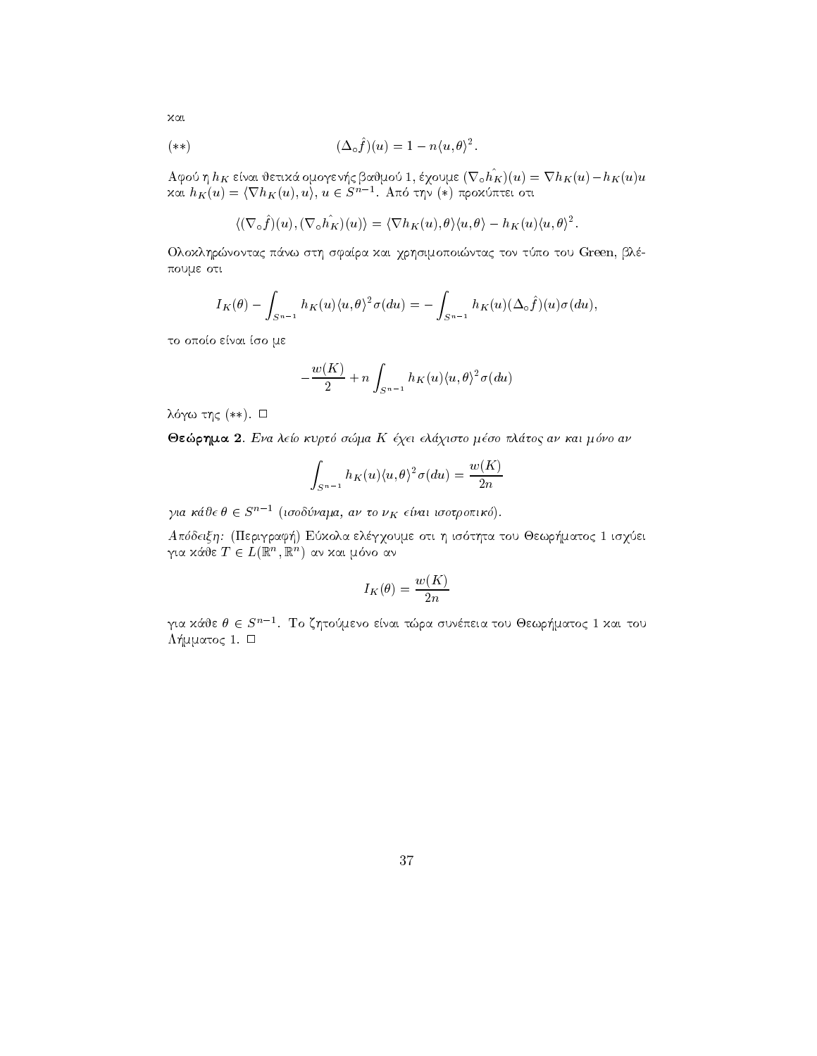$$
(**) \qquad (\Delta_{\circ}\hat{f})(u) = 1 - n\langle u,\theta\rangle^{2}.
$$

 $A \psi$ oo  $\eta u_K$  etvat bettaa o $\mu$ o $\gamma$ evij $\varsigma$  pab $\mu$ boo  $I$ , e $\chi$ oo $\mu$ e ( $\kappa \circ u_K(u) = u_K(u) - u_K(u)u$ και  $h_K(u) = \langle \nabla h_K(u), u \rangle, \, u \in S^{n-1}.$  Από την (\*) προχύπτει οτι

$$
\langle (\nabla_{\circ} \hat{f})(u), (\nabla_{\circ} \hat{h_K})(u) \rangle = \langle \nabla h_K(u), \theta \rangle \langle u, \theta \rangle - h_K(u) \langle u, \theta \rangle^2.
$$

Ολοχληρώνοντας πάνω στη σφαίρα χαι χρησιμοποιώντας τον τύπο του Green, βλέπουμε οτι

$$
I_K(\theta) - \int_{S^{n-1}} h_K(u) \langle u, \theta \rangle^2 \sigma(du) = - \int_{S^{n-1}} h_K(u) (\Delta \circ \hat{f})(u) \sigma(du),
$$

το οποίο είναι ίσο με

$$
-\frac{w(K)}{2}+n\int_{S^{n-1}}h_K(u)\langle u,\theta\rangle^2\sigma(du)
$$

 $\Delta$ light  $\Delta$  (1)  $\Delta$  (1)  $\Delta$  (1)  $\Delta$  (1)  $\Delta$  (1)  $\Delta$  (1)  $\Delta$  (1)  $\Delta$  (1)  $\Delta$  (1)  $\Delta$  (1)  $\Delta$  (1)  $\Delta$  (1)  $\Delta$  (1)  $\Delta$  (1)  $\Delta$  (1)  $\Delta$  (1)  $\Delta$  (1)  $\Delta$  (1)  $\Delta$  (1)  $\Delta$  (1)  $\Delta$  (1)  $\Delta$  (1)  $\Delta$  (1)  $\Delta$ 

reference in the state of the street in the small process when  $\mathcal{L}$  and  $\mathcal{L}$ 

$$
\int_{S^{n-1}} h_K(u) \langle u, \theta \rangle^2 \sigma(du) = \frac{w(K)}{2n}
$$

για κάσε  $\theta \in S^{n-1}$  (ισοδύναμα, αν το  $\nu_K$  είναι ισοτροπικό).

apart-bernaria elgabeth periodic isquotsitetti h isquotsitetti h isquotsitetti h isquotsitetti h isquotsitetti  $\gamma$ ια καυ ε $I \in L(\mathbb{R}^n, \mathbb{R}^n)$  αν και μονο αν

$$
I_K(\theta)=\frac{w(K)}{2n}
$$

για χάθε  $\theta \in S^{n-1}$ . Το ζητούμενο είναι τώρα συνέπεια του Θεωρήματος 1 χαι του matochem and mental and mental contracts and mental contracts and mental contracts are contracted in the contract of the contract of the contract of the contract of the contract of the contract of the contract of the contr

kai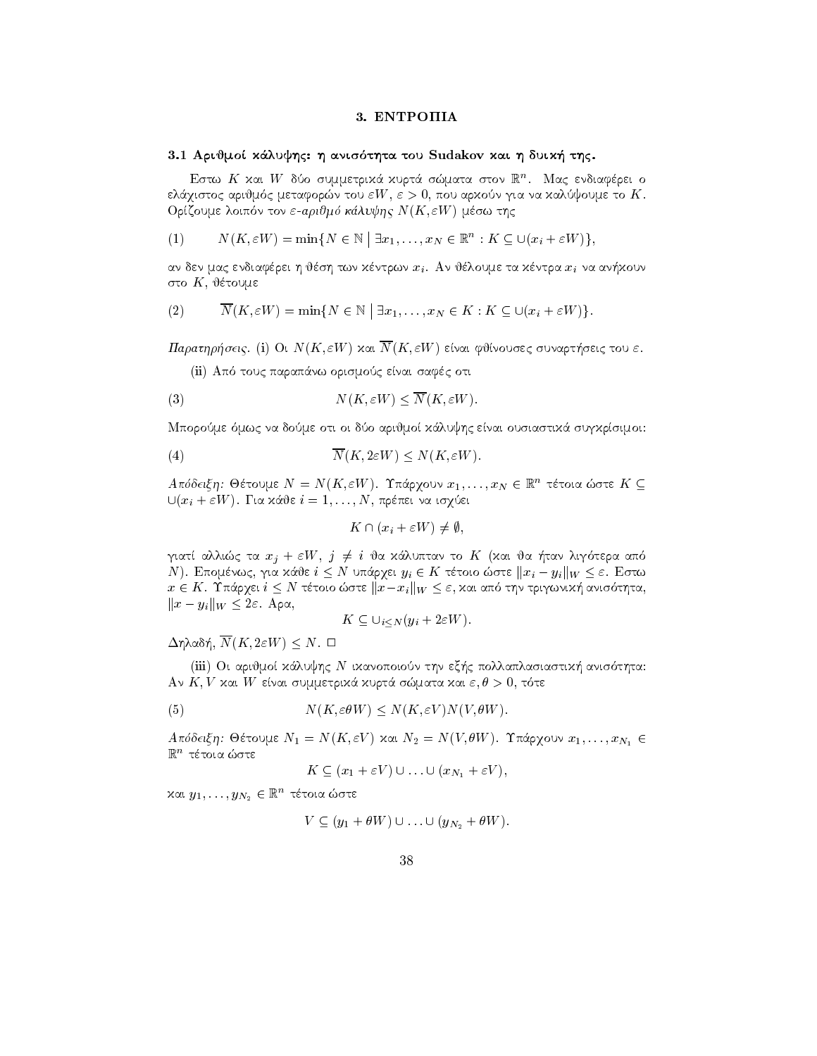## 3. ENTPOIIIA

#### Arijmo kluyhc h anisthta tou Sudakov kai h duik thc

Ειστώ Α΄ Χαι *W* συσισυμμετρικά χυρια σωματά στον lk''. Ινίας ενδιαφέρει ο eliante arija metaforni metaforni arijan kali ing alim kontroli inan ian inaning angkat ne metaforni Orzony w niez literatury i na starty w material arithmeter i province arithmeter in the contract of the contract of the contract of the contract of the contract of the contract of the contract of the contract of the contra

(1) 
$$
N(K, \varepsilon W) = \min\{N \in \mathbb{N} \mid \exists x_1, \ldots, x_N \in \mathbb{R}^n : K \subseteq \bigcup(x_i + \varepsilon W)\},\
$$

an den mac en mac en mac en mac en mac en mac en mac en mac en mac en mac en mac en mac en mac en mac en mac e στο  $K$ , θέτουμε

(2) 
$$
\overline{N}(K, \varepsilon W) = \min\{N \in \mathbb{N} \mid \exists x_1, \ldots, x_N \in K : K \subseteq \cup (x_i + \varepsilon W)\}.
$$

parathraphrice in the Contract of the M ending in the Second Parameter's surface in the Contract of the Contract of

ii al anticología en entre ena al para para sa contra en para safet o contra en el contra en el contra en el c

$$
(3) \t\t N(K, \varepsilon W) \le \overline{N}(K, \varepsilon W).
$$

ment province and arithmetic contract the enaction contract of arithmetic contract of the contract of the contr

(4) 
$$
\overline{N}(K, 2\varepsilon W) \le N(K, \varepsilon W).
$$

A πυσειζη: Θετουμε  $N = N(\mathbf{\Lambda}, \varepsilon W)$ . Tπαρχουν  $x_1, \ldots, x_N \in \mathbb{R}$  τετοια ωστε  $\mathbf{\Lambda} \subseteq$  $\bigcup_i u_i + \varepsilon w_i$  ). It is not be  $i = 1, \ldots, N$ , he here the to  $\chi$  be the set

$$
K \cap (x_i + \varepsilon W) \neq \emptyset,
$$

 $\mu$ an annac ia  $x_j \pm \varepsilon w$ ,  $j \neq i$  oa hanvintav to  $K$  (hat oa  $\mu$ av hijotepa ano N). Επομένως, για κάθε  $i \leq N$  υπάρχει  $y_i \in K$  τέτοιο ώστε  $||x_i - y_i||_W \leq \varepsilon$ . Εστω  $x \in K$ . Independent corrected to the step  $x_i \parallel W \leq \varepsilon$ , and the criterial provision of the second  $u$ ,  $||x - y_i||_W \leq 2\varepsilon$ . Apx,  $K \subseteq \bigcup_{i \leq N} (y_i + 2\varepsilon W).$ 

$$
K \subseteq \bigcup_{i < N} \left( y_i + 2\epsilon W \right).
$$

 $\Delta$ l|| $N$ (201),  $N$  ( $N$ ,  $\Delta$ c $W$ )  $\sim$   $N$ ,  $\Box$ 

iiii oi arithmet thn ex-lux control that the control of the control three control that the control that the co an kai was di wasan samma garan ranpara sammaran ran wiya a si ta ta

(5) 
$$
N(K, \varepsilon \theta W) \le N(K, \varepsilon V) N(V, \theta W).
$$

A novelety  $\mu$ . Octoble  $N_1 = N(X, \epsilon V)$  and  $N_2 = N(V, \theta W)$ . The  $\chi$  over  $x_1, \ldots, x_{N_1} \in$  $\mathbb{R}^n$  τέτοια ώστε

$$
K \subseteq (x_1 + \varepsilon V) \cup \ldots \cup (x_{N_1} + \varepsilon V),
$$

 $x$ αι  $y_1, \ldots, y_{N_2} \in \mathbb{R}^n$  τετοια ωστε

$$
V \subseteq (y_1 + \theta W) \cup \ldots \cup (y_{N_2} + \theta W).
$$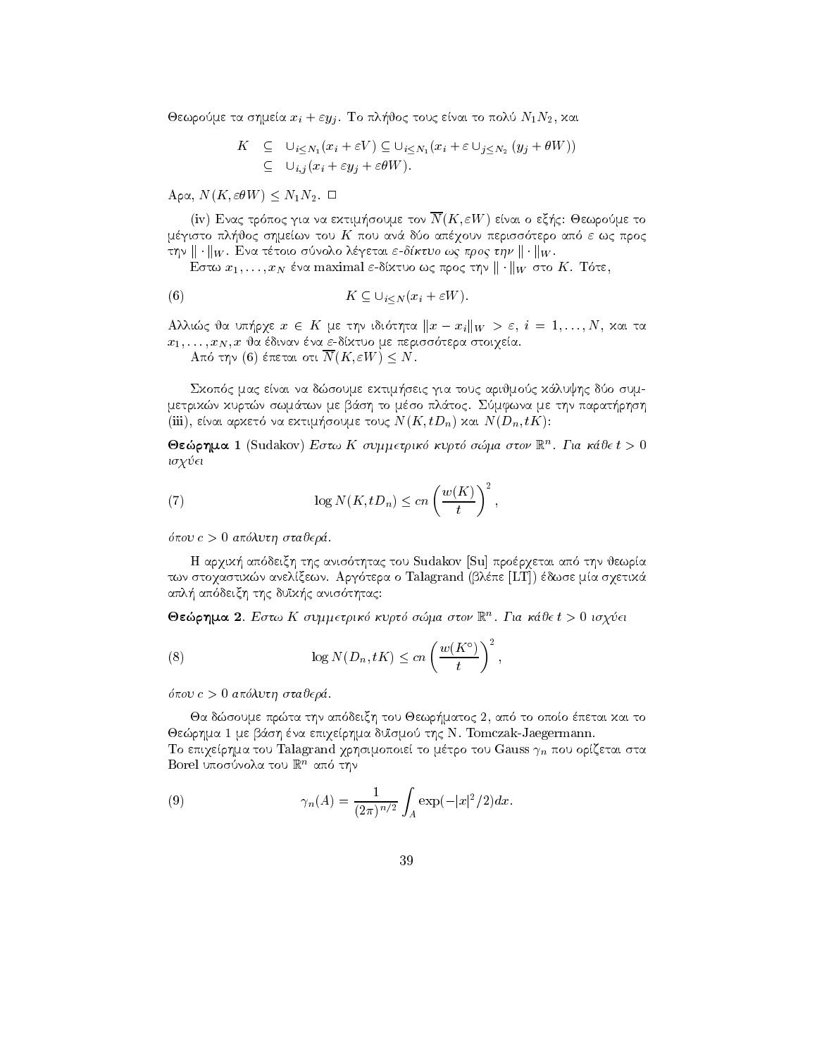in the short to planning the short to political to political terms of the social to political terms of the social terms of the social terms of the social terms of the social terms of the social terms of the social terms of

$$
K \subseteq \bigcup_{i \leq N_1} (x_i + \varepsilon V) \subseteq \bigcup_{i \leq N_1} (x_i + \varepsilon \cup_{j \leq N_2} (y_j + \theta W))
$$
  

$$
\subseteq \bigcup_{i,j} (x_i + \varepsilon y_j + \varepsilon \theta W).
$$

 $A\mathcal{V}(11, \text{cov}(11)) \leq 111112.$ 

iv Enaco transferred to the control of the sound of the sound of the sound of the sound of the sound of the sound of the sound of the sound of the sound of the sound of the sound of the sound of the sound of the sound of t mewn to a mewn to show to a procedure to a more than the procedure of the second service of the second the second  $\mu$   $\mu$   $\mu$   $\mu$   $\mu$   $\mu$   $\mu$  are toto sovolo as the control work  $\mu$   $\mu$   $\mu$   $\mu$   $\mu$   $\mu$ 

 $E$ o tω  $x_1, \ldots, x_N$  ενα maximal  $\varepsilon$ -σιλίσσως προς την  $\|\cdot\|$ ην στο  $K$ . To t $\varepsilon$ ,

(6) 
$$
K \subseteq \bigcup_{i \leq N} (x_i + \varepsilon W).
$$

All  $\alpha$  is the contract  $\alpha$  is the contract  $\alpha$  in  $\alpha$  is  $\alpha$  if  $\alpha$  is  $\alpha$  is  $\alpha$  is the contract of  $\alpha$ x xN x ja dinan na dktuo me periss tera stoiqea 

And the (0) energy oft  $N(X, \epsilon W) \leq N$ .

seic mac enai na do sume ektim-do sume ektim-do sume ektim-do sume ektim-do sume ektim-do sume ektim-do sume e metrikan kurto bash to man and sh to man bash to me that a construction of the same that is a substitute of th iii enai arket na ektim-soume touc NK tDn kai NDn tK

 $\Theta$ εωρημα Ι (Sudakov) *Εστω* Λ συμμετρικό κυριό σωμα στον Γ. Για κάσει > υ isq ei

(7) 
$$
\log N(K, tD_n) \le cn \left(\frac{w(K)}{t}\right)^2,
$$

pou c - apluth stajer 

deixh arquitect thac tou such a substitute approximation of the substitute of the substitute of the substitute twa stoqastika anelye ma shippe LT argument (blue in ma lipework ma siya ma siya ma shippe LT aplication to define the contract of the definition of the contract of the contract of the contract of the contract of the contract of the contract of the contract of the contract of the contract of the contract of the con

 $\bullet$ εωρημα 2. Εστω Α συμμετρικο κυρτο σωμα στον Γ. Πακαυετ > υτοχυει

(8) 
$$
\log N(D_n, tK) \le cn \left(\frac{w(K^{\circ})}{t}\right)^2,
$$

pou c - apluth stajer 

Ja dsoume prta thn ap deixh tou Jewr-matoc  ap to opoo petai kai to Jerhma me b
sh na epiqerhma dusmo thc N Tomczak-Jaegermann To επιχείρημα του Talagrand χρησιμοποιεί το μέτρο του Gauss  $\gamma_n$  που ορίζεται στα  $\mathbf{D}$ otel Unoodvola tou Islamo that  $\mathbf{D}$ 

(9) 
$$
\gamma_n(A) = \frac{1}{(2\pi)^{n/2}} \int_A \exp(-|x|^2/2) dx.
$$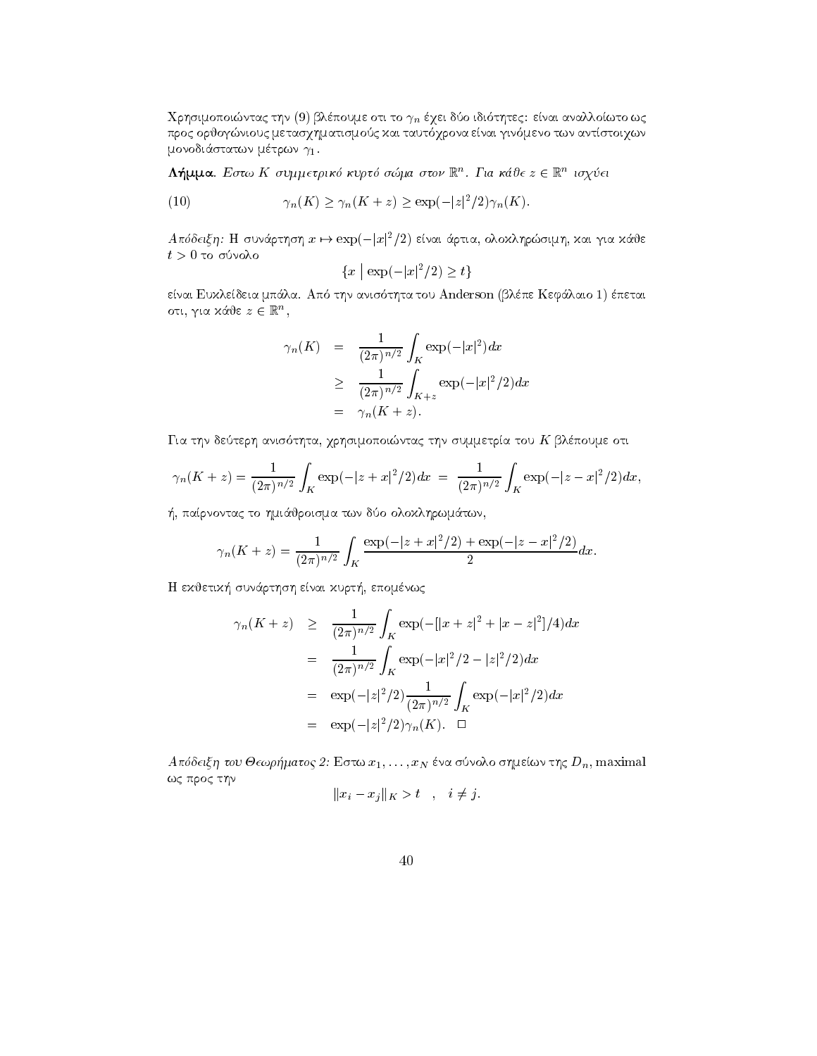Χρησιμοποιώντας την (9) βλέπουμε οτι το  $\gamma_n$  έχει δύο ιδιότητες: είναι αναλλοίωτο ως προς ορθογώνιους μετασχηματισμούς και ταυτόχρονα είναι γινόμενο των αντίστοιχων μονοδιάστατων μέτρων  $\gamma_1$ .

 $\Lambda$ ήμμα. Εστω Κ συμμετρικό κυρτό σώμα στον  $\mathbb{R}^n$ . Για κάθε  $z \in \mathbb{R}^n$  ισχύει

(10) 
$$
\gamma_n(K) \ge \gamma_n(K+z) \ge \exp(-|z|^2/2)\gamma_n(K)
$$

 $A\pi\delta\delta\epsilon\epsilon\xi\eta$ : Η συνάρτηση  $x\mapsto \exp(-|x|^2/2)$  είναι άρτια, ολοκληρώσιμη, και για κάθε  $t>0$ το σύνολο

$$
\{x \mid \exp(-|x|^2/2) \ge t\}
$$

είναι Ευκλείδεια μπάλα. Από την ανισότητα του Anderson (βλέπε Κεφάλαιο 1) έπεται οτι, για κάθε  $z \in \mathbb{R}^n$ ,

$$
\gamma_n(K) = \frac{1}{(2\pi)^{n/2}} \int_K \exp(-|x|^2) dx
$$
  
\n
$$
\geq \frac{1}{(2\pi)^{n/2}} \int_{K+z} \exp(-|x|^2/2) dx
$$
  
\n
$$
= \gamma_n(K+z).
$$

Για την δεύτερη ανισότητα, χρησιμοποιώντας την συμμετρία του Κ βλέπουμε οτι

$$
\gamma_n(K+z) = \frac{1}{(2\pi)^{n/2}} \int_K \exp(-|z+x|^2/2) dx = \frac{1}{(2\pi)^{n/2}} \int_K \exp(-|z-x|^2/2) dx,
$$

ή, παίρνοντας το ημιάθροισμα των δύο ολοκληρωμάτων,

$$
\gamma_n(K+z) = \frac{1}{(2\pi)^{n/2}} \int_K \frac{\exp(-|z+x|^2/2) + \exp(-|z-x|^2/2)}{2} dx.
$$

Η εκθετική συνάρτηση είναι κυρτή, επομένως

$$
\gamma_n(K+z) \geq \frac{1}{(2\pi)^{n/2}} \int_K \exp(-[|x+z|^2 + |x-z|^2]/4) dx
$$
  
\n
$$
= \frac{1}{(2\pi)^{n/2}} \int_K \exp(-|x|^2/2 - |z|^2/2) dx
$$
  
\n
$$
= \exp(-|z|^2/2) \frac{1}{(2\pi)^{n/2}} \int_K \exp(-|x|^2/2) dx
$$
  
\n
$$
= \exp(-|z|^2/2) \gamma_n(K). \quad \Box
$$

 $A$ πόδειξη του Θεωρήματος 2: Εστω  $x_1, \ldots, x_N$  ένα σύνολο σημείων της  $D_n$ , maximal ως προς την

$$
||x_i - x_j||_K > t \quad , \quad i \neq j.
$$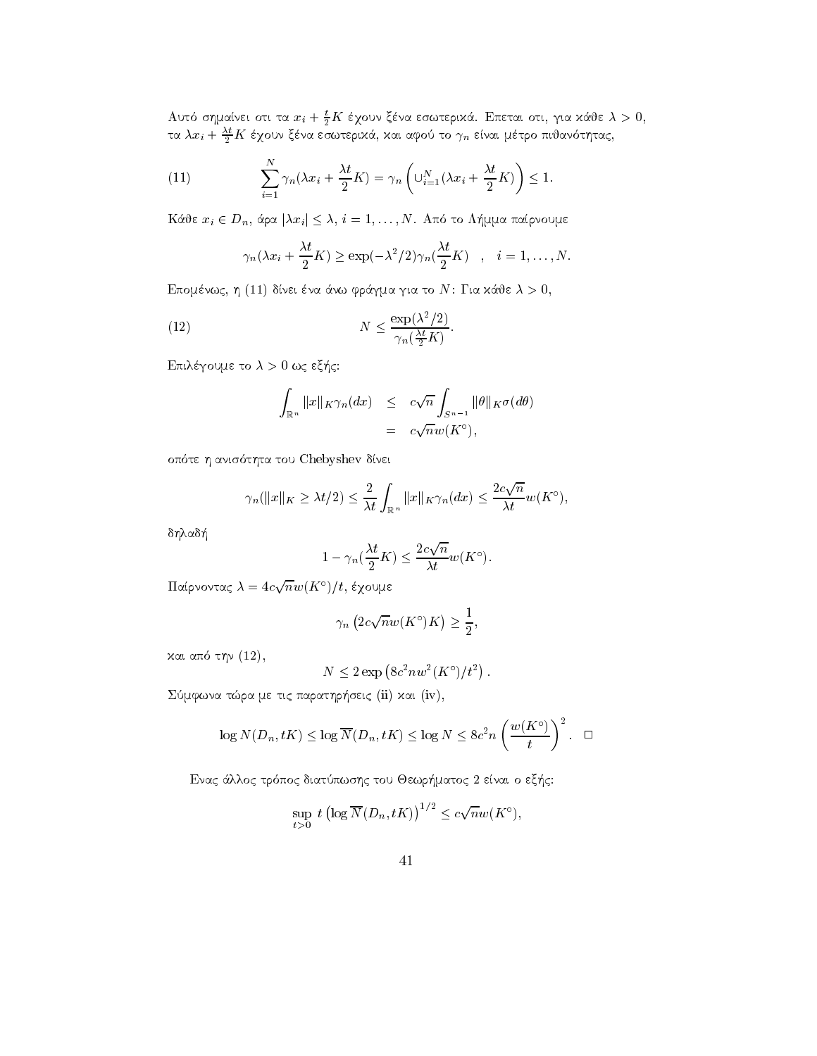Αυτό σημαίνει οτι τα  $x_i + \frac{t}{2}K$  έχουν ξένα εσωτερικά. Επεται οτι, για κάθε  $\lambda > 0$ , τα  $\lambda x_i + \frac{\lambda t}{2}K$  έχουν ξένα εσωτερικά, και αφού το  $\gamma_n$  είναι μέτρο πιθανότητας,

(11) 
$$
\sum_{i=1}^{N} \gamma_n(\lambda x_i + \frac{\lambda t}{2} K) = \gamma_n \left( \bigcup_{i=1}^{N} (\lambda x_i + \frac{\lambda t}{2} K) \right) \leq 1.
$$

Κάθε $x_i \in D_n$ άρα  $|\lambda x_i| \leq \lambda$ ,  $i = 1, ..., N$ . Από το Λήμμα παίρνουμε

$$
\gamma_n(\lambda x_i + \frac{\lambda t}{2}K) \ge \exp(-\lambda^2/2)\gamma_n(\frac{\lambda t}{2}K)
$$
,  $i = 1,..., N$ .

Επομένως, η (11) δίνει ένα άνω φράγμα για το Ν: Για κάθε  $\lambda > 0$ ,

(12) 
$$
N \leq \frac{\exp(\lambda^2/2)}{\gamma_n(\frac{\lambda t}{2}K)}.
$$

Επιλέγουμε το  $\lambda > 0$  ως εξής:

$$
\int_{\mathbb{R}^n} ||x||_K \gamma_n(dx) \leq c\sqrt{n} \int_{S^{n-1}} ||\theta||_K \sigma(d\theta)
$$
  
=  $c\sqrt{n}w(K^{\circ}),$ 

οπότε η ανισότητα του Chebyshev δίνει

$$
\gamma_n(||x||_K \ge \lambda t/2) \le \frac{2}{\lambda t} \int_{\mathbb{R}^n} ||x||_K \gamma_n(dx) \le \frac{2c\sqrt{n}}{\lambda t} w(K^{\circ}),
$$

δηλαδή

$$
1 - \gamma_n(\frac{\lambda t}{2}K) \le \frac{2c\sqrt{n}}{\lambda t}w(K^{\circ}).
$$

Παίρνοντας  $\lambda = 4c\sqrt{n}w(K^{\circ})/t$ , έχουμε

$$
\gamma_n\left(2c\sqrt{n}w(K^\circ)K\right) \ge \frac{1}{2}.
$$

και από την (12),

$$
N \le 2 \exp\left(8c^2 n w^2 (K^{\circ})/t^2\right)
$$

Σύμφωνα τώρα με τις παρατηρήσεις (ii) και (iv),

$$
\log N(D_n, tK) \le \log \overline{N}(D_n, tK) \le \log N \le 8c^2 n \left(\frac{w(K^{\circ})}{t}\right)^2. \quad \Box
$$

Ενας άλλος τρόπος διατύπωσης του Θεωρήματος 2 είναι ο εξής:

$$
\sup_{t>0} t \left( \log \overline{N}(D_n, tK) \right)^{1/2} \leq c \sqrt{n} w(K^{\circ}),
$$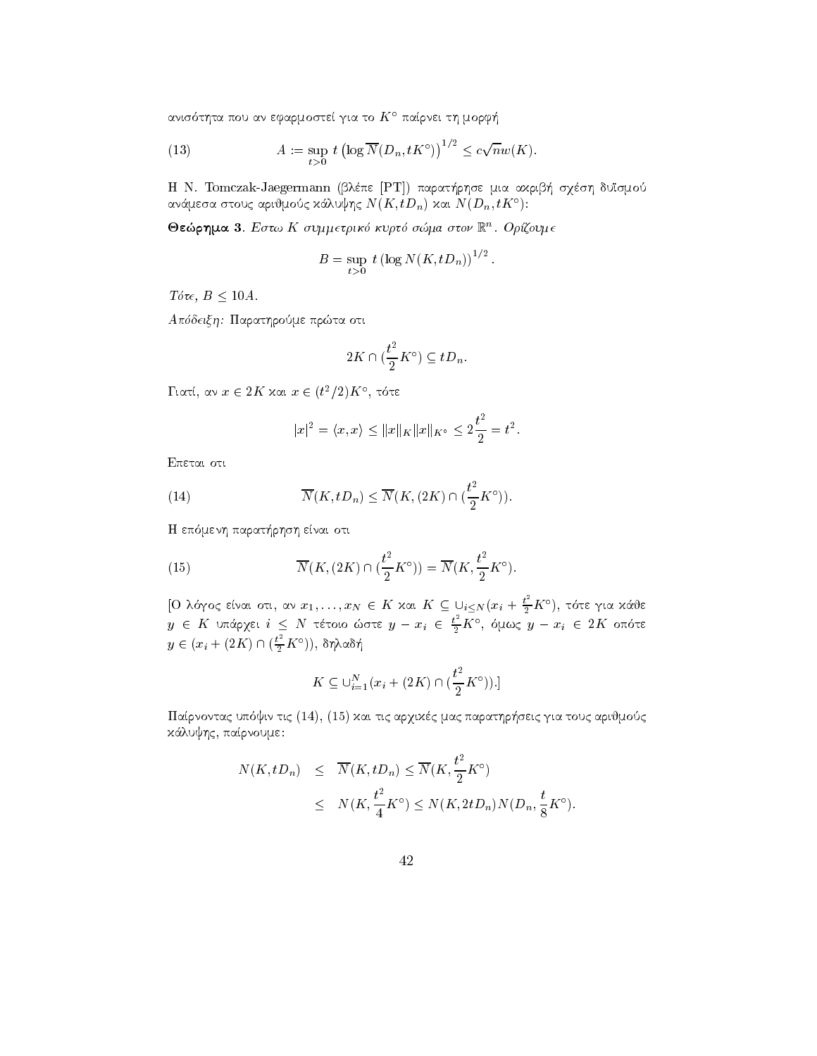ανισότητα που αν εφαρμοστεί για το  $K^{\circ}$  παίρνει τη μορφή

(13) 
$$
A := \sup_{t>0} t \left( \log \overline{N}(D_n, tK^{\circ}) \right)^{1/2} \leq c\sqrt{n}w(K).
$$

Η N. Tomczak-Jaegermann (βλέπε [PT]) παρατήρησε μια ακριβή σχέση δυϊσμού ανάμεσα στους αριθμούς κάλυψης  $N(K, tD_n)$  και  $N(D_n, tK^{\circ})$ :

Θεώρημα 3. Εστω Κ συμμετρικό κυρτό σώμα στον  $\mathbb{R}^n$ . Ορίζουμε

$$
B = \sup_{t>0} t \left(\log N(K, tD_n)\right)^{1/2}
$$

 $\bar{a}$ 

Tóte,  $B < 10A$ .

Απόδειξη: Παρατηρούμε πρώτα οτι

$$
2K\cap (\frac{t^2}{2}K^\circ)\subseteq tD_n.
$$

Γιατί, αν  $x \in 2K$  και  $x \in (t^2/2)K$ °, τότε

$$
|x|^2 = \langle x, x \rangle \le ||x||_K ||x||_{K^{\circ}} \le 2\frac{t^2}{2} = t^2.
$$

Επεται οτι

(14) 
$$
\overline{N}(K, tD_n) \leq \overline{N}(K, (2K) \cap (\frac{t^2}{2}K^{\circ})).
$$

Η επόμενη παρατήρηση είναι οτι

(15) 
$$
\overline{N}(K, (2K) \cap (\frac{t^2}{2}K^{\circ})) = \overline{N}(K, \frac{t^2}{2}K^{\circ}).
$$

[Ο λόγος είναι οτι, αν  $x_1, \ldots, x_N \in K$  και  $K \subseteq \bigcup_{i \leq N} (x_i + \frac{t^2}{2} K^{\circ})$ , τότε για κάθε<br>  $y \in K$  υπάρχει  $i \leq N$  τέτοιο ώστε  $y - x_i \in \frac{t^2}{2} K^{\circ}$ , όμως  $y - x_i \in 2K$  οπότε  $y \in (x_i + (2K) \cap (\frac{t^2}{2}K^{\circ})), \delta \eta \lambda \alpha \delta \eta$ 

$$
K \subseteq \bigcup_{i=1}^{N} (x_i + (2K) \cap \left(\frac{t^2}{2} K^{\circ}\right)).
$$

Παίρνοντας υπόψιν τις (14), (15) και τις αρχικές μας παρατηρήσεις για τους αριθμούς κάλυψης, παίρνουμε:

$$
N(K, tD_n) \leq \overline{N}(K, tD_n) \leq \overline{N}(K, \frac{t^2}{2}K^{\circ})
$$
  
 
$$
\leq N(K, \frac{t^2}{4}K^{\circ}) \leq N(K, 2tD_n)N(D_n, \frac{t}{8}K^{\circ})
$$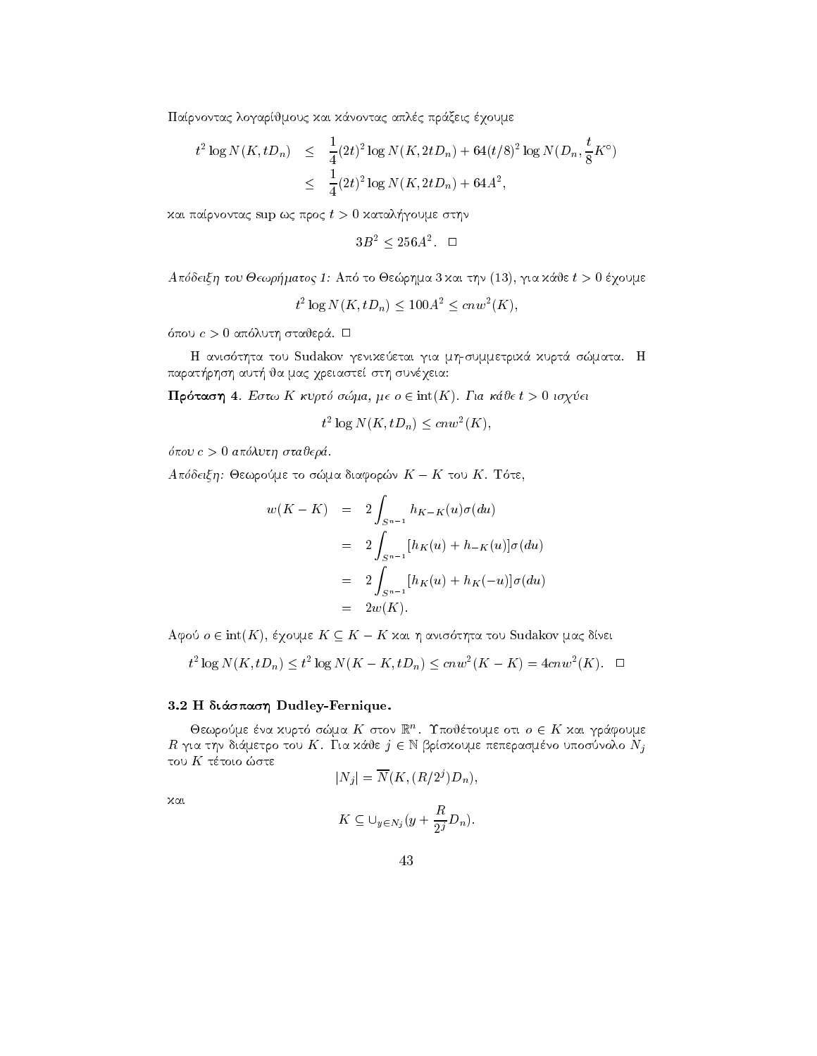Παίρνοντας λογαρίθμους και κάνοντας απλές πράξεις έχουμε

$$
t^{2} \log N(K, tD_{n}) \leq \frac{1}{4} (2t)^{2} \log N(K, 2tD_{n}) + 64(t/8)^{2} \log N(D_{n}, \frac{t}{8} K^{\circ})
$$
  

$$
\leq \frac{1}{4} (2t)^{2} \log N(K, 2tD_{n}) + 64A^{2},
$$

kai parti parti parti mengenakan paranonta superinta parti parti parti parti parti parti parti parti parti par

$$
3B^2 \le 256A^2. \quad \Box
$$

apart to Jewry Little to Jewry the Countries of the state of the state in the state of the state of the state o

 $\tau$ -  $\log N(K, tD_n) \leq 100A^{-} \leq cnw^{-}(K),$ 

pour commencer is a construction of the commence of the construction of the construction of the construction of

tha tou Sudakov genikeeta gia mistoria gia mistoria gia mistoria mistoria mistoria mistoria mistoria mistoria parat-rhsh aut- ja mac qreiaste sth sunqeia

**IIPO two**  $\eta$  **+**. *EU* two II we plo blocha,  $\mu \in U \subset \text{Int}(I Y)$ . It a wave  $i > 0$  to yet

$$
t^2 \log N(K, tD_n) \leq c n w^2(K),
$$

pour construction and the state of the construction of the construction of the construction of the construction of the construction of the construction of the construction of the construction of the construction of the con

 $A$  πυστις η. Θεωρουμε το σωμα σιαφορών  $K = K$  του  $K$ . Tota,

$$
w(K - K) = 2 \int_{S^{n-1}} h_{K-K}(u)\sigma(du)
$$
  
= 
$$
2 \int_{S^{n-1}} [h_K(u) + h_{-K}(u)]\sigma(du)
$$
  
= 
$$
2 \int_{S^{n-1}} [h_K(u) + h_K(-u)]\sigma(du)
$$
  
= 
$$
2w(K).
$$

 $A\psi$ o  $\psi \in \mathfrak{m}(K)$ , eyoyae  $K \subseteq K = K$  kai  $\eta$  avoot $\eta$ ta tou Sudakov jaar diver

$$
t^2 \log N(K, tD_n) \le t^2 \log N(K - K, tD_n) \le cnw^2(K - K) = 4cnw^2(K). \quad \Box
$$

#### $\mathcal{L} = \mathcal{L} = \mathcal{L} \mathcal{L} \mathcal{L} \mathcal{L} \mathcal{L} \mathcal{L} \mathcal{L} \mathcal{L} \mathcal{L} \mathcal{L} \mathcal{L} \mathcal{L} \mathcal{L} \mathcal{L} \mathcal{L} \mathcal{L} \mathcal{L} \mathcal{L} \mathcal{L} \mathcal{L} \mathcal{L} \mathcal{L} \mathcal{L} \mathcal{L} \mathcal{L} \mathcal{L} \mathcal{L} \mathcal{L} \mathcal{L} \mathcal{L} \mathcal{L} \mathcal{L} \mathcal{L} \mathcal{L} \math$

Oεωρουμε ενα χυρτο σωμα  $K$  στον  $\mathbb{R}^n$ . I πουετουμε οτι  $o \in K$  χαι γραφουμε  $R$ για την διάμετρο του Κ. Για κάθε $j \in \mathbb{N}$ βρίσκουμε πεπερασμένο υποσύνολο $N_j$ του $K$ τέτοιο ώστε

$$
|N_j| = \overline{N}(K, (R/2^j)D_n),
$$

kai

$$
K\subseteq \cup_{y\in N_j}(y+\frac{R}{2^j}D_n).
$$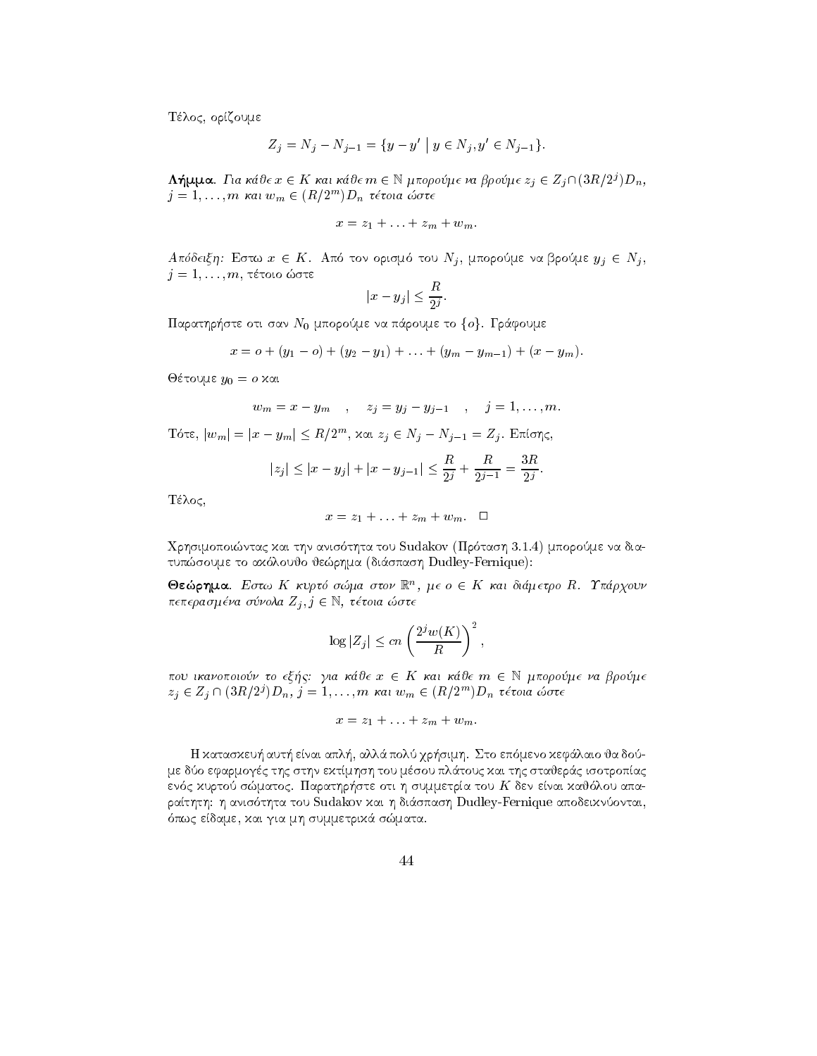Τέλος, ορίζουμε

$$
Z_j = N_j - N_{j-1} = \{ y - y' \mid y \in N_j, y' \in N_{j-1} \}.
$$

 $\Lambda$ ημμα. Για καυ $\epsilon x \in K$  και καυ $\epsilon m \in \mathbb{N}$  μπορουμ $\epsilon v$ α βρουμ $\epsilon z_i \in Z_i$ Π(3 $K/Z$ ) $D_n$ ,  $j = 1, \ldots, m$  kai  $w_m \in (R/2^m)D_n$  tetoia  $\omega$ ote

$$
x=z_1+\ldots+z_m+w_m.
$$

A hooting. Ector  $x \in K$ . Alto to v optopio too  $N_j$ , phopologic valippolities  $y_j \in N_j$ , j en en die die die die die Grootse Soviet van die Grootse Soviet van die Grootse Grootse Grootse Grootse Groo  $|x-y_j| \leq \frac{R}{2^{j}}$ 

$$
|x-y_j|\leq \frac{R}{2^j}.
$$

 $\mu$  are out our  $\mu_0$  and poople valuable to for a papel specified to the  $\mu_0$ 

$$
x = o + (y_1 - o) + (y_2 - y_1) + \ldots + (y_m - y_{m-1}) + (x - y_m).
$$

Jtoume y o kai

$$
w_m = x - y_m
$$
,  $z_j = y_j - y_{j-1}$ ,  $j = 1,...,m$ .

 $\mathbb{E}[x_{m}] = |x-y_{m}| \leq R/2^{m},$  και  $z_{i} \in N_{i} - N_{i-1} = Z_{i}.$  Επίσης,

$$
|z_j| \le |x - y_j| + |x - y_{j-1}| \le \frac{R}{2^j} + \frac{R}{2^{j-1}} = \frac{3R}{2^j}.
$$

Τέλος,

$$
x = z_1 + \ldots + z_m + w_m. \quad \Box
$$

Qrhsimopointac kai thn anis thta tou Sudakov Pr tash mporome na dia tups to the total contract the space of the contract  $\mu$  and  $\mu$  and  $\mu$  and  $\mu$ 

 $\bullet$ εωρημα. Εστω Ακυριο σωμα στον Κικα σε Ακαι σιαμετρο R Ππαργουν  $n$  enepa $o$   $\mu$  e $\nu$ a  $o$  o $\nu$ o $n$ a  $\omega$   $i$ ,  $j \in \mathbb{N}$ ,  $i$ e cora  $\omega$ o $i$ e

$$
\log |Z_j| \le cn \left(\frac{2^j w(K)}{R}\right)^2,
$$

που ικανοποιουν το εξης. για καυε  $x \in K$  και καυε  $m \in \mathbb{N}$  μπορουμε να ρρουμε  $z_j \in Z_j \cup (\partial R/Z) D_n$ ,  $j = 1, \ldots, m$  kat  $w_m \in (R/Z) D_n$  tetola cove

$$
x=z_1+\ldots+z_m+w_m.
$$

de la laio ja dominista de la laio de la segunda de la segunda de la segunda de la segunda de la segunda de la με δύο εφαρμογές της στην εκτίμηση του μέσου πλάτους και της σταθεράς ισοτροπίας en c kurto smatoc Parathr-ste oti h summetra tou K den enai kaj lou apa rathth h anis thta tou Sudakov kai h di
spash Dudley-Fernique apodeiknontai para se edamento de la provincia mentre e provincia mentre establecento con un control de la provincia del con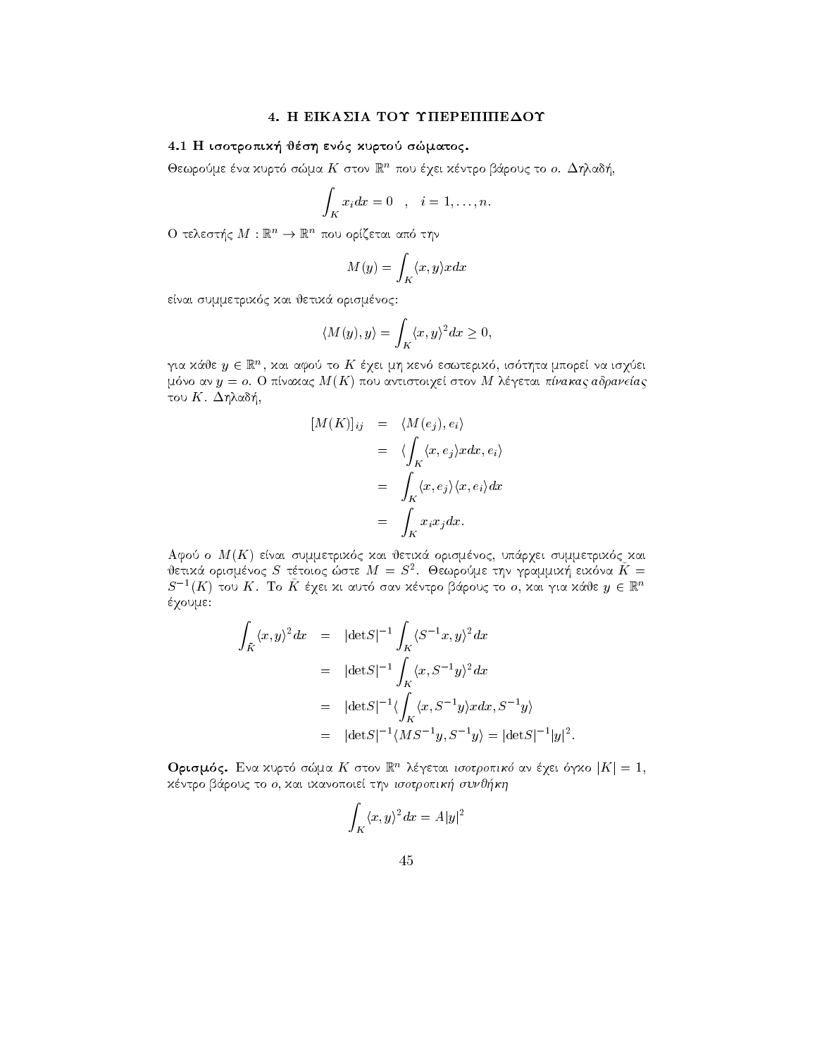# 4. Η ΕΙΚΑΣΙΑ ΤΟΥ ΥΠΕΡΕΠΙΠΕΔΟΥ

# 4.1 Η ισοτροπική θέση ενός κυρτού σώματος.

Θεωρούμε ένα χυρτό σώμα  $K$  στον  $\mathbb{R}^n$  που έχει χέντρο βάρους το ο. Δηλαδή,

$$
\int_K x_i dx = 0 \quad , \quad i = 1, \dots, n.
$$

Ο τελεστής  $M: \mathbb{R}^n \to \mathbb{R}^n$  που ορίζεται από την

$$
M(y) = \int_{K} \langle x, y \rangle x dx
$$

είναι συμμετρικός και θετικά ορισμένος:

$$
\langle M(y), y \rangle = \int_K \langle x, y \rangle^2 dx \ge 0,
$$

για κάθε  $y \in \mathbb{R}^n$ , και αφού το  $K$  έχει μη κενό εσωτερικό, ισότητα μπορεί να ισχύει μόνο αν  $y = o$ . Ο πίναχας  $M(K)$  που αντιστοιχεί στον Μ λέγεται πίνακας αδρανείας του  $K$ . Δηλαδή,

$$
[M(K)]_{ij} = \langle M(e_j), e_i \rangle
$$
  
=  $\langle \int_K \langle x, e_j \rangle x dx, e_i \rangle$   
=  $\int_K \langle x, e_j \rangle \langle x, e_i \rangle dx$   
=  $\int_K x_i x_j dx.$ 

Αφού ο  $M(K)$  είναι συμμετρικός και θετικά ορισμένος, υπάρχει συμμετρικός και θετικά ορισμένος  $S$  τέτοιος ώστε  $M = S^2$ . Θεωρούμε την γραμμική εικόνα  $K =$  $S^{-1}(K)$  του  $K$ . Το  $\tilde{K}$  έχει χι αυτό σαν χέντρο βάρους το ο, χαι για χάθε  $y\in\mathbb{R}^n$ έχουμε:

$$
\int_{\tilde{K}} \langle x, y \rangle^2 dx = |\det S|^{-1} \int_K \langle S^{-1}x, y \rangle^2 dx
$$
  
\n
$$
= |\det S|^{-1} \int_K \langle x, S^{-1}y \rangle^2 dx
$$
  
\n
$$
= |\det S|^{-1} \langle \int_K \langle x, S^{-1}y \rangle x dx, S^{-1}y \rangle
$$
  
\n
$$
= |\det S|^{-1} \langle M S^{-1}y, S^{-1}y \rangle = |\det S|^{-1} |y|^2
$$

**Ορισμός.** Ενα χυρτό σώμα *K* στον  $\mathbb{R}^n$  λέγεται ισοτροπικό αν έχει όγχο  $|K| = 1$ , κέντρο βάρους το ο, και ικανοποιεί την ισοτροπική συνθήκη

$$
\int_K \langle x, y \rangle^2 dx = A|y|^2
$$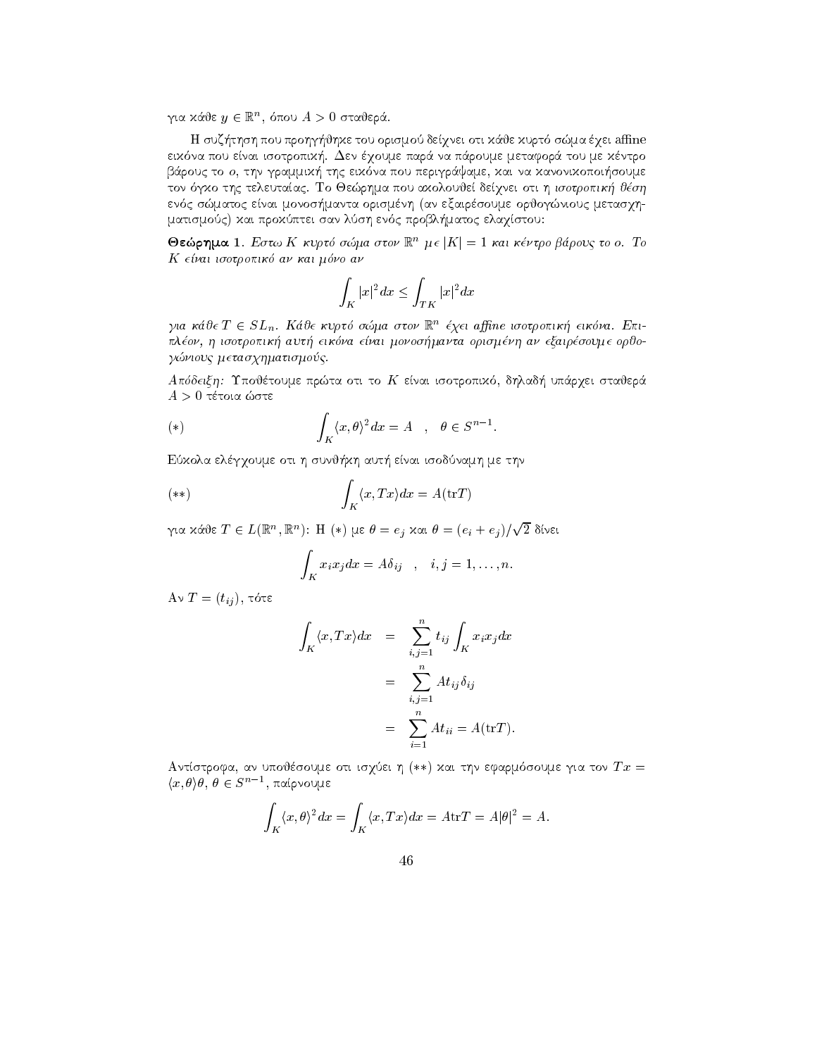για καυε  $y \in \mathbb{R}^n$ , σπου  $A > 0$  σταυερα.

je kurte tou orismo de que anexe anexe anexe anexe anexe anexe anexe anexe anexe anexe anexe anexe anexe anexe eik na pou enai isotropik- Den qoume par
 na p
roume metafor
 tou me kntro rouce to on the production and contract where the properties are the contract of the sound of the sound of the to the the telephone of the telephone of the telephone of the state  $\alpha$  is the state  $\alpha$ en compresse en manta organisme organisme organisme organisme organisme organisme organisme organisme organism matismoc kaj probl-problematismo en la problematismo ela problematismo en la problematismo. La problematismo e

 $\sigma$ εωρημα Ι. Εστω Λ κυρισ σωμα στον  $\mathbb{R}^+$  με  $\vert \Lambda \vert = 1$  και κεντρο ραρους το ο. Το K e-nai isotropik an kai mno an

$$
\int_K |x|^2 dx \le \int_{TK} |x|^2 dx
$$

για καυ $\epsilon$  1  $\epsilon$  5 $L_n$ . Κιαυ $\epsilon$  κυρτο σωμα στον  $\kappa$  εχει aggine ισοτροπική εικονα. Επιplon h isotropik aut eikna e-nai monosmanta orismnh an exairsoume orjo gnious contractions are a contracted as a contract of the contraction of the contracted and contract of the contracted and contracted and contracted and contracted and contracted and contracted and contracted and contracte

aposto trajer u postaje vojnom tradicio de la provincia de superficiente provincia interfectiva en la provinci

$$
(*) \qquad \int_K \langle x, \theta \rangle^2 dx = A \quad , \quad \theta \in S^{n-1}.
$$
Εύχολα ελέγγουμε στι η συνθήχη αυτή είναι ισοδύναμη με την

$$
(**) \qquad \qquad \int_{K} \langle x, Tx \rangle dx = A(\mathrm{tr} T)
$$

για κάθε  $T\in L(\mathbb{R}^n,\mathbb{R}^n)$ : Η  $(*)$  με  $\theta=e_j$  και  $\theta=(e_i+e_j)/\sqrt{2}$  δίνει

$$
\int_K x_i x_j dx = A \delta_{ij} \quad , \quad i, j = 1, \dots, n.
$$

 $\mathbf{f} = \mathbf{f} \cdot \mathbf{f} \cdot \mathbf{f} \cdot \mathbf{f} \cdot \mathbf{f} \cdot \mathbf{f} \cdot \mathbf{f} \cdot \mathbf{f} \cdot \mathbf{f} \cdot \mathbf{f} \cdot \mathbf{f} \cdot \mathbf{f} \cdot \mathbf{f} \cdot \mathbf{f} \cdot \mathbf{f} \cdot \mathbf{f} \cdot \mathbf{f} \cdot \mathbf{f} \cdot \mathbf{f} \cdot \mathbf{f} \cdot \mathbf{f} \cdot \mathbf{f} \cdot \mathbf{f} \cdot \mathbf{f} \cdot \mathbf{f} \cdot \mathbf{f} \cdot \mathbf{f$ 

$$
\int_{K} \langle x, Tx \rangle dx = \sum_{i,j=1}^{n} t_{ij} \int_{K} x_{i} x_{j} dx
$$

$$
= \sum_{i,j=1}^{n} At_{ij} \delta_{ij}
$$

$$
= \sum_{i=1}^{n} At_{ii} = A(\text{tr}T).
$$

 $A$ vitotpopa, av onoveooope oti ioyoet  $\eta$  (\*\*) zai thy equiplooopee yia tov  $Ix =$  $\langle x,\theta \rangle \theta,\ \theta \in S^{n-1},\ \pi$ αίρνουμε

$$
\int_{K} \langle x, \theta \rangle^{2} dx = \int_{K} \langle x, Tx \rangle dx = A \text{tr} T = A |\theta|^{2} = A.
$$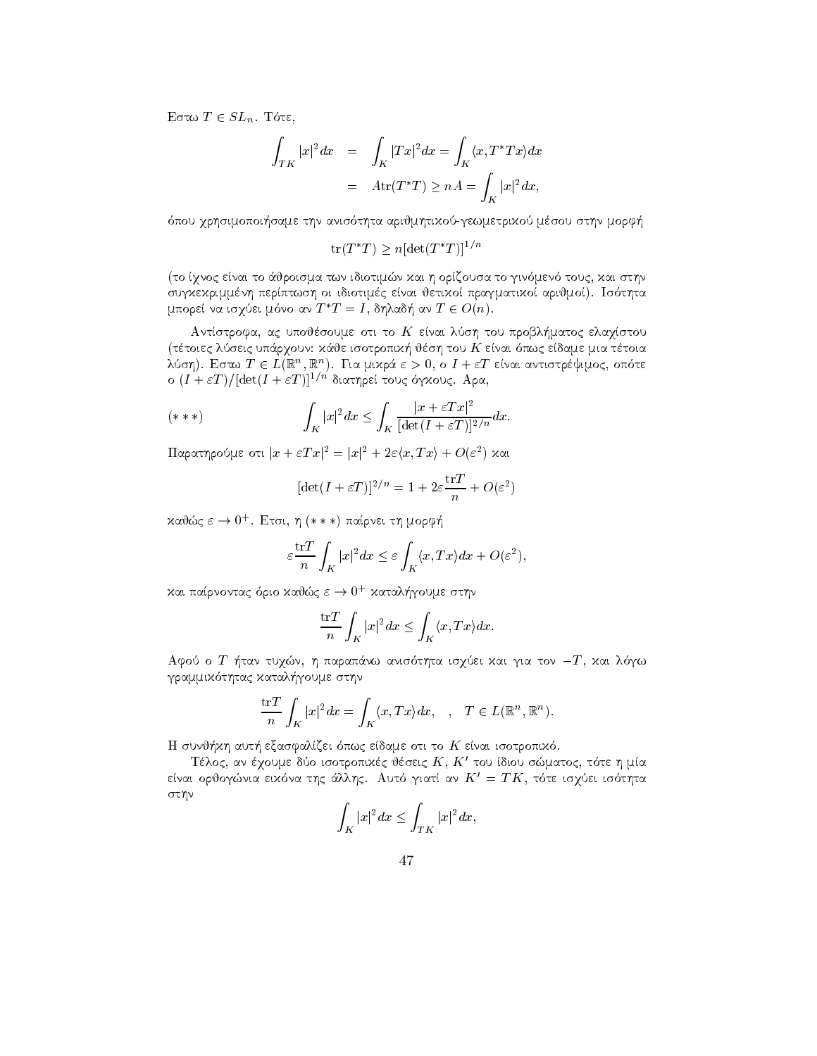$\Box$  $\cup$   $\Box$  $\cup$   $\Box$  $\Box$  $\cup$   $\Box$  $\cup$  $\Box$  $\cup$  $\Box$  $\cup$  $\Box$  $\cup$  $\Box$  $\cup$  $\Box$  $\cup$  $\Box$  $\cup$  $\Box$  $\cup$  $\Box$  $\cup$  $\Box$  $\cup$  $\Box$  $\cup$  $\Box$  $\cup$  $\Box$  $\cup$  $\Box$  $\cup$  $\Box$  $\cup$  $\Box$  $\cup$  $\Box$  $\cup$  $\Box$  $\cup$  $\Box$  $\cup$  $\Box$  $\cup$  $\Box$  $\cup$  $\Box$  $\cup$  $\Box$  $\Box$  $\cup$  $\$ 

$$
\int_{TK} |x|^2 dx = \int_K |Tx|^2 dx = \int_K \langle x, T^*Tx \rangle dx
$$

$$
= Atr(T^*T) \ge nA = \int_K |x|^2 dx,
$$

pou qrhsimopoi-same thn anis thta arijmhtikogewmetriko msou sthn morf-

 $tr(T^*T) > n[\det(T^*T)]^{1/n}$ 

to qnoc enai to 
jroisma twn idiotimn kai h orzousa to gin men touc kai sthn suggesh perpetual personal jetiko personal jetiko pragmatiko pragmatiko pragmatiko pragmatiko pragmatiko pragm μπορεί να ισγύει μόνο αν  $T^*T=I$ , δηλαδή αν  $T\in O(n)$ .

antstroffen and the contract the contract of the contract integration and contract to the contract of the contr ttoiec la seic la termine kan kunst van die die stelling van die stelling van die stelling van die stelling va λυση). Εστω  $I \in L(\mathbb{R}^+, \mathbb{R}^+)$ . Για μικρα  $\varepsilon \geq 0,$  σ  $I+\varepsilon I$  ειναι αντιστρεψιμος, σποτε  $\sigma$  (1  $\pm$  ε1 )/ |det(1  $\pm$  ε1 )|  $^{\circ}$   $^{\circ}$  σιατήρει τους σγχους. Αρα,

$$
(***)\qquad \qquad \int_K |x|^2 dx \le \int_K \frac{|x+\varepsilon Tx|^2}{[\det(I+\varepsilon T)]^{2/n}} dx.
$$

 $\lim_{\varepsilon\to 0} \max_{\varepsilon\to 0} \sup_{\varepsilon\to 0} |x-\varepsilon| |x-\varepsilon| |x-\varepsilon| |x-\varepsilon| |x-\varepsilon| |x-\varepsilon| |x-\varepsilon| |x-\varepsilon| |x-\varepsilon| |x-\varepsilon| |x-\varepsilon| |x-\varepsilon| |x-\varepsilon| |x-\varepsilon| |x-\varepsilon| |x-\varepsilon| |x-\varepsilon| |x-\varepsilon| |x-\varepsilon| |x-\varepsilon| |x-\varepsilon| |x-\varepsilon| |x-\varepsilon| |x-\varepsilon| |x-\varepsilon| |x-\varepsilon| |$ 

$$
[\det(I + \varepsilon T)]^{2/n} = 1 + 2\varepsilon \frac{\operatorname{tr} T}{n} + O(\varepsilon^2)
$$

κανως  $\varepsilon \to 0$  . Ετσι, η (\* \* \*) παιρνει τη μορφη

$$
\varepsilon \frac{\mathrm{tr}T}{n} \int_K |x|^2 dx \le \varepsilon \int_K \langle x, Tx \rangle dx + O(\varepsilon^2),
$$

και παιρνοντας οριο καυως  $\varepsilon \to 0$  - καταληγουμε στην

$$
\frac{\operatorname{tr} T}{n} \int_{K} |x|^2 dx \le \int_{K} \langle x, Tx \rangle dx.
$$

 $\Delta$ yoo o  $T$  -  $\eta$ iav toyan,  $\eta$  hapanava avioot $\eta$ ia ioyoot xat yia tov  $T$ , xat  $\kappa$ ya thac katalactic contractions of the state of the state of the state of the state of the state of the state of the state of the state of the state of the state of the state of the state of the state of the state of the stat

$$
\frac{\operatorname{tr} T}{n} \int_{K} |x|^2 dx = \int_{K} \langle x, Tx \rangle dx, \quad , \quad T \in L(\mathbb{R}^n, \mathbb{R}^n).
$$

H sunj-kh aut- exasfalzei pwc edame oti to K enai isotropik 

Τέλος, αν έγουμε δύο ισοτροπιχές θέσεις  $K,\,K'$  του ίδιου σώματος, τότε η μία είναι ορθογώνια ειχόνα της άλλης. Αυτό γιατί αν  $K^\prime\,=\,TK,$  τότε ισγύει ισότητα στην

$$
\int_K |x|^2 dx \le \int_{TK} |x|^2 dx,
$$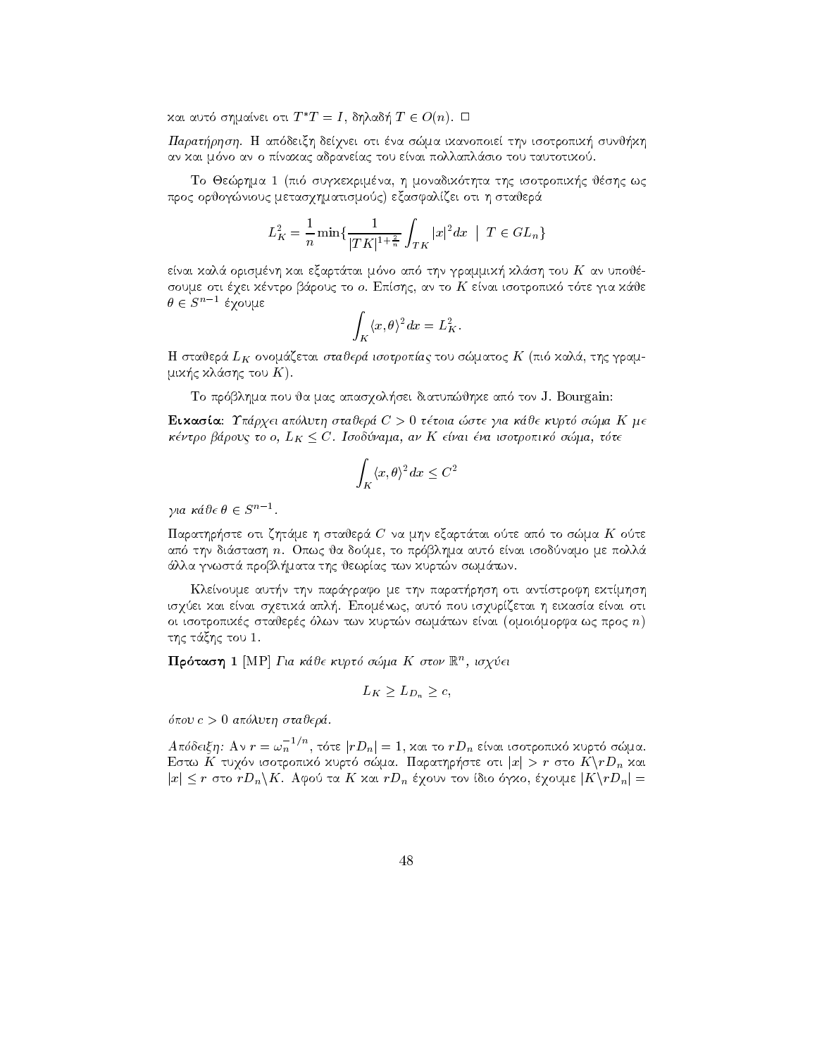και αυτό σημαίνει οτι  $T^*T=I,$  δηλαδή  $T\in O(n).$   $\Box$ 

Paratrhsh H ap deixh deqnei oti na sma ikanopoie thn isotropik- sunj-kh an kai mano an o panakac adraneac tou enai politiko enai politiko enai politiko enai politiko enai politiko en

To Jerhman I (1992) is produced in the international control of the international control of the set of the in προς ορθογώνιους μετασχηματισμούς) εξασφαλίζει οτι η σταθερά

$$
L_K^2 = \frac{1}{n} \min \{ \frac{1}{|TK|^{1 + \frac{2}{n}}} \int_{TK} |x|^2 dx \mid T \in GL_n \}
$$

enai kalendari tai mahalisi tai mahalisi tai mahalisi tai mahalisi tai mahalisi tai mahalisi tai mahalisi tai m soume our external paper is the community of the giant control is of the second and the control of the community  $\theta \in S^{n-1}$ έχουμε

$$
\int_K \langle x, \theta \rangle^2 dx = L_K^2.
$$

e la stajer is die staden word in die deur die staden van die staden van die staden van die staden van die sta mik-c kl
shc tou K 

to proposition and approximately complete approximately in the set of the set of the set of the set of the set

Eikasa Uprqei apluth stajer C - ttoia ste gia kje kurt sma K me  $\kappa$ εντρο ραρούς το  $o, E_K \leq C$ . Ισουσνάμα, αν Ιν είναι ενα ισοτροπικό σωμα, τοτε

$$
\int_K \langle x, \theta \rangle^2 dx \le C^2
$$

για κάθε  $\theta \in S^{n-1}$ .

ymmasser e s<br>Παρατηρήστε οτι ζητάμε η σταθερά C' να μην εξαρτάται ούτε από το σώμα K' ούτε aparte di stash na domeni isodnamo me politika autore di stash na domeni di stash na domeni di stash na domeni lla gnwst yn y gwerar twn kurtn swm twn kurtn swm ar y gwerar twn kurtn swm ar y gwerar twn kurtn swm ar y gwe

n the community of the part-of-three methods of the paratrix of the parate-three methods of the community of th is a secondar en sa enai son municipale en enai oticida en autores en secondar en secondar en secondar en el s oi is two twisted statistics in the computer statistics. The computer process that we have the control of the της τάξης του 1.

**Προταση Ι** |ΝΙΡ| Για καυε κυρτο σωμα Κ στον Κ'', ισχυει

$$
L_K \ge L_{D_n} \ge c,
$$

pou c - apluth stajer 

 $A$ πόδειξη: Αν  $r=\omega_n^{-1/n}$ , τότε  $|rD_n|=1,$  χαι το  $rD_n$  είναι ισοτροπιχό χυρτό σώμα. Εστω Κ τυχόν ισοτροπιχό χυρτό σώμα. Παρατηρήστε οτι  $|x| > r$  στο  $K \backslash rD_n$  χαι<br> $|x| \leq r$  στο  $rD_n \backslash K$ . Αφού τα  $K$  χαι  $rD_n$  έχουν τον ίδιο όγχο, έχουμε  $|K \backslash rD_n| =$  $|x| < r$  στο  $rD_n\backslash K$ . Αφού τα K χαι  $rD_n$  έχουν τον ίδιο όγχο, έχουμε  $|K\backslash rD_n| =$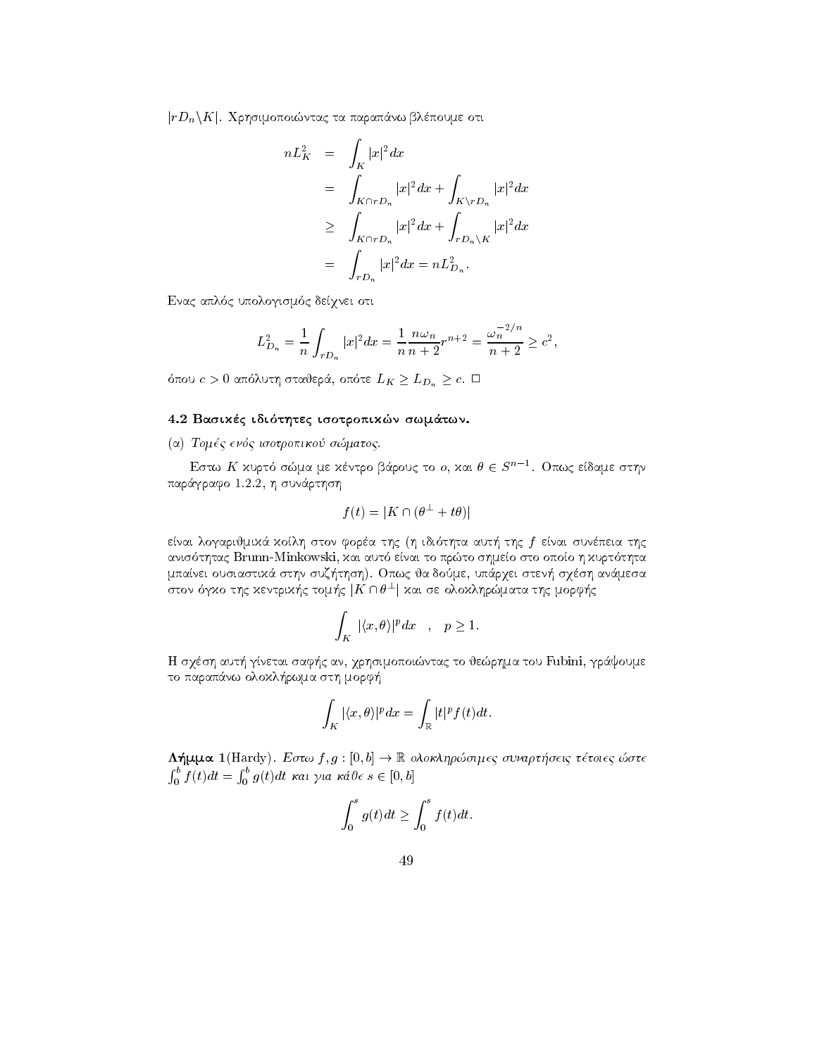$|rD_n\backslash K|$ . Χρησιμοποιώντας τα παραπάνω βλέπουμε οτι

$$
nL_K^2 = \int_K |x|^2 dx
$$
  
\n
$$
= \int_{K \cap rD_n} |x|^2 dx + \int_{K \setminus rD_n} |x|^2 dx
$$
  
\n
$$
\geq \int_{K \cap rD_n} |x|^2 dx + \int_{rD_n \setminus K} |x|^2 dx
$$
  
\n
$$
= \int_{rD_n} |x|^2 dx = nL_{D_n}^2.
$$

Ενας απλός υπολογισμός δείχνει οτι

$$
L_{D_n}^2 = \frac{1}{n} \int_{rD_n} |x|^2 dx = \frac{1}{n} \frac{n\omega_n}{n+2} r^{n+2} = \frac{\omega_n^{-2/n}}{n+2} \ge c^2,
$$

όπου  $c > 0$  απόλυτη σταθερά, οπότε  $L_K \geq L_{D_n} \geq c$ .  $\Box$ 

# 4.2 Βασικές ιδιότητες ισοτροπικών σωμάτων.

(α) Τομές ενός ισοτροπικού σώματος.

Εστω Κ χυρτό σώμα με χέντρο βάρους το ο, και  $\theta \in S^{n-1}$ . Οπως είδαμε στην παράγραφο 1.2.2, η συνάρτηση

$$
f(t) = |K \cap (\theta^{\perp} + t\theta)|
$$

είναι λογαριθμικά κοίλη στον φορέα της (η ιδιότητα αυτή της  $f$  είναι συνέπεια της ανισότητας Brunn-Minkowski, και αυτό είναι το πρώτο σημείο στο οποίο η κυρτότητα μπαίνει ουσιαστικά στην συζήτηση). Οπως θα δούμε, υπάρχει στενή σχέση ανάμεσα στον όγκο της κεντρικής τομής  $|K \cap \theta^\perp|$  και σε ολοκληρώματα της μορφής

$$
\int_K |\langle x,\theta\rangle|^p dx \quad , \quad p \ge 1.
$$

Η σχέση αυτή γίνεται σαφής αν, χρησιμοποιώντας το θεώρημα του Fubini, γράψουμε το παραπάνω ολοκλήρωμα στη μορφή

$$
\int_K |\langle x,\theta\rangle|^p dx = \int_{\mathbb{R}} |t|^p f(t) dt.
$$

 $\Lambda$ ήμμα 1(Hardy). Εστω  $f,g:[0,b]\to\mathbb{R}$  ολοκληρώσιμες συναρτήσεις τέτοιες ώστε  $\int_0^b f(t)dt = \int_0^b g(t)dt$  και για κάθε s ∈ [0, b]

$$
\int_0^s g(t)dt \ge \int_0^s f(t)dt.
$$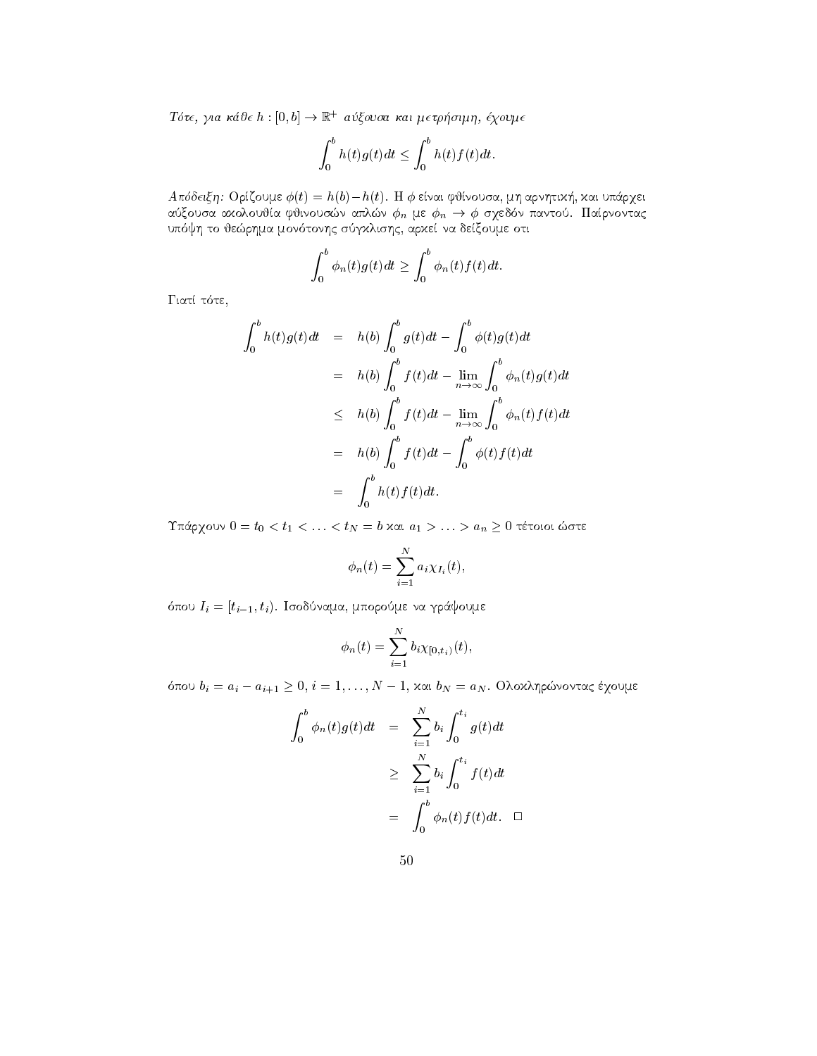Tότε, για κάθε  $h:[0,b]\to\mathbb{R}^+$  αύξουσα και μετρήσιμη, έχουμε

$$
\int_0^b h(t)g(t)dt \le \int_0^b h(t)f(t)dt.
$$

Απόδειξη: Ορίζουμε  $\phi(t) = h(b) - h(t)$ . Η φ είναι φθίνουσα, μη αρνητική, και υπάρχει αύξουσα αχολουθία φθινουσών απλών  $\phi_n$  με  $\phi_n \to \phi$  σχεδόν παντού. Παίρνοντας υπόψη το θεώρημα μονότονης σύγκλισης, αρκεί να δείξουμε οτι

$$
\int_0^b \phi_n(t)g(t)dt \ge \int_0^b \phi_n(t)f(t)dt.
$$

Γιατί τότε,

$$
\int_0^b h(t)g(t)dt = h(b)\int_0^b g(t)dt - \int_0^b \phi(t)g(t)dt
$$
  
\n
$$
= h(b)\int_0^b f(t)dt - \lim_{n \to \infty} \int_0^b \phi_n(t)g(t)dt
$$
  
\n
$$
\leq h(b)\int_0^b f(t)dt - \lim_{n \to \infty} \int_0^b \phi_n(t)f(t)dt
$$
  
\n
$$
= h(b)\int_0^b f(t)dt - \int_0^b \phi(t)f(t)dt
$$
  
\n
$$
= \int_0^b h(t)f(t)dt.
$$

Υπάρχουν  $0 = t_0 < t_1 < \ldots < t_N = b$  και  $a_1 > \ldots > a_n \geq 0$  τέτοιοι ώστε

$$
\phi_n(t) = \sum_{i=1}^N a_i \chi_{I_i}(t),
$$

όπου  $I_i = [t_{i-1}, t_i)$ . Ισοδύναμα, μπορούμε να γράψουμε

$$
\phi_n(t) = \sum_{i=1}^N b_i \chi_{[0,t_i)}(t),
$$

όπου  $b_i = a_i - a_{i+1} \geq 0$ ,  $i = 1, ..., N - 1$ , και  $b_N = a_N$ . Ολοκληρώνοντας έχουμε

$$
\int_0^b \phi_n(t)g(t)dt = \sum_{i=1}^N b_i \int_0^{t_i} g(t)dt
$$
  

$$
\geq \sum_{i=1}^N b_i \int_0^{t_i} f(t)dt
$$
  

$$
= \int_0^b \phi_n(t) f(t)dt. \quad \Box
$$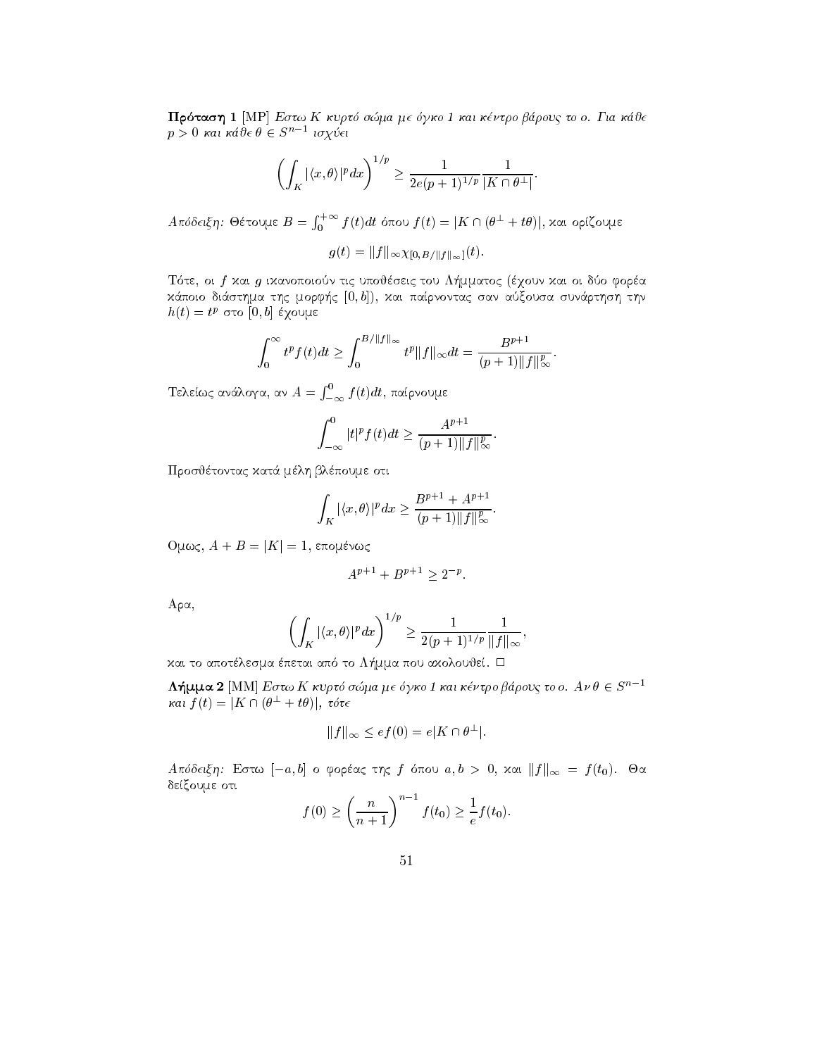Πρόταση 1 [MP] Εστω Κ κυρτό σώμα με όγκο 1 και κέντρο βάρους το ο. Για κάθε  $p > 0$  και κάθε  $\theta \in S^{n-1}$  ισχύει

$$
\left(\int_K |\langle x,\theta\rangle|^p dx\right)^{1/p} \ge \frac{1}{2e(p+1)^{1/p}} \frac{1}{|K \cap \theta^\perp|}.
$$

 $A$ πόδειξη: Θέτουμε  $B = \int_{0}^{+\infty} f(t) dt$  όπου j  $\int_0^{+\infty} f(t) dt$  όπου  $f(t)=|K\cap (\theta^{\perp}+t\theta)|,$  και ορίζουμε

$$
g(t) = ||f||_{\infty} \chi_{[0, B/||f||_{\infty}]}(t).
$$

T te oi f kai g ikanopoion tic upojseic tou L-mmatoc qoun kai oi do fora rthmas the control in the sign for the control complex that come the same that it is the control in the control of the control of the control of the control of the control of the control of the control of the control of th  $n(t) = t^p$  oto  $[0, v]$  exouple

$$
\int_0^\infty t^p f(t) dt \ge \int_0^{B/\|f\|_\infty} t^p \|f\|_\infty dt = \frac{B^{p+1}}{(p+1)\|f\|_\infty^p}.
$$

<u>telephone and the second and the second and the second and the second and the second and the second and the second and the second and the second and the second and the second and the second and the second and the second a</u>  $\int_{-\infty}^{\mathrm{0}}f(t)dt$ , παίρνουμε

$$
\int_{-\infty}^{0} |t|^p f(t) dt \ge \frac{A^{p+1}}{(p+1) ||f||_{\infty}^p}.
$$

Προσθέτοντας κατά μέλη βλέπουμε οτι

$$
\int_K |\langle x,\theta\rangle|^p dx \geq \frac{B^{p+1}+A^{p+1}}{(p+1)\|f\|_\infty^p}.
$$

 $\bigcup \mathcal{W}(\mathcal{W})$ ,  $A + D = |N| - 1$ , engler $\mathcal{W}$ 

$$
A^{p+1} + B^{p+1} \ge 2^{-p}.
$$

 $A \rho \alpha$ ,

$$
\left(\int_K |\langle x,\theta\rangle|^p dx\right)^{1/p} \ge \frac{1}{2(p+1)^{1/p}} \frac{1}{\|f\|_{\infty}},
$$

kai to apotlesma peta apotlesma peta apotlesma pour la provincia apotlesma per la poste

 $\Lambda$ ήμμα 2 [MM] Εστω Κ κυρτό σώμα με όγκο 1 και κέντρο βάρους το ο.  $A \nu \theta \in S^{n-1}$ και  $f(t) = |K \cap (\theta^{\perp} + t\theta)|$ , τότε

$$
||f||_{\infty} \leq e f(0) = e|K \cap \theta^{\perp}|.
$$

A ROOCIGIT. LOTE  $[-a, b]$  of oppears this f or above  $a, b > 0$ , and  $||f||_{\infty} = f(b)$ . On δείξουμε οτι

$$
f(0) \ge \left(\frac{n}{n+1}\right)^{n-1} f(t_0) \ge \frac{1}{e} f(t_0).
$$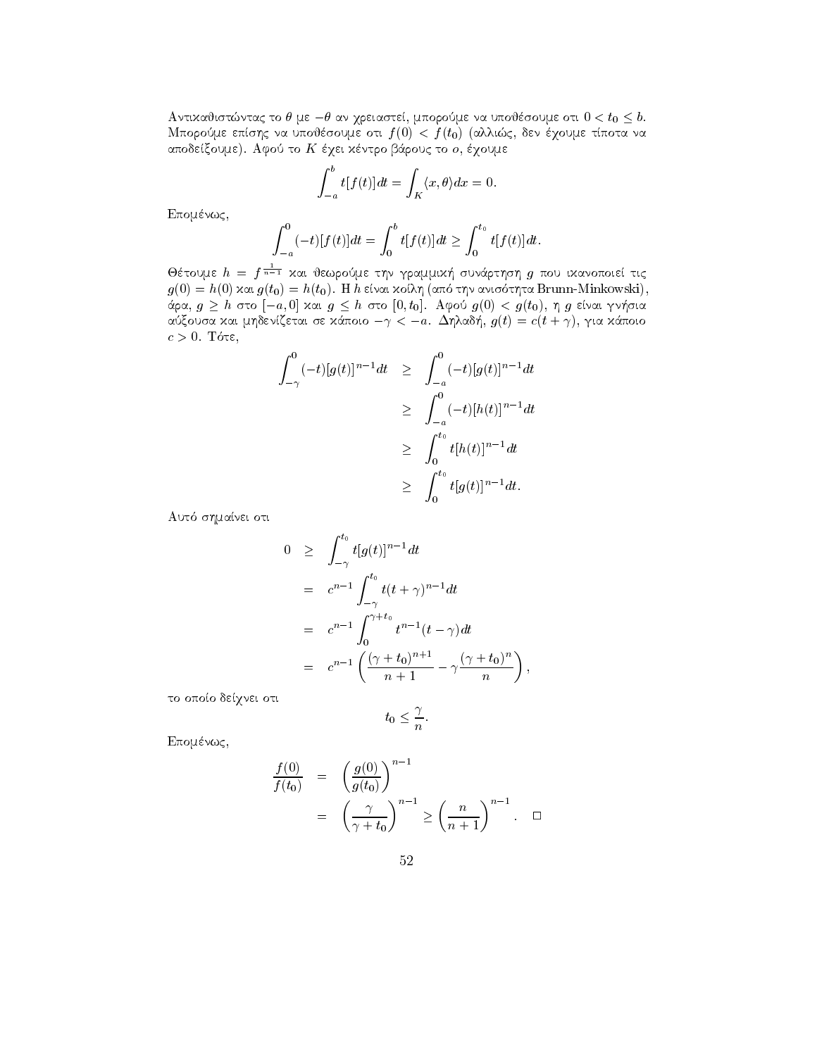Αντικαθιστώντας το θ με  $-\theta$  αν χρειαστεί, μπορούμε να υποθέσουμε οτι  $0 < t_0 \leq b$ . Μπορούμε επίσης να υποθέσουμε οτι  $f(0) < f(t_0)$  (αλλιώς, δεν έχουμε τίποτα να αποδείξουμε). Αφού το Κ έχει κέντρο βάρους το ο, έχουμε

$$
\int_{-a}^{b} t[f(t)]dt = \int_{K} \langle x, \theta \rangle dx = 0.
$$

Επομένως,

$$
\int_{-a}^{0} (-t)[f(t)]dt = \int_{0}^{b} t[f(t)]dt \ge \int_{0}^{t_0} t[f(t)]dt.
$$

Θέτουμε  $h = f^{\frac{1}{n-1}}$  και θεωρούμε την γραμμική συνάρτηση  $g$  που ικανοποιεί τις  $g(0) = h(0)$  και  $g(t_0) = h(t_0)$ . Η  $h$  είναι κοίλη (από την ανισότητα Brunn-Minkowski), άρα,  $g \geq h$  στο  $[-a, 0]$  και  $g \leq h$  στο  $[0, t_0]$ . Αφού  $g(0) < g(t_0)$ , η  $g$  είναι γνήσια αύξουσα και μηδενίζεται σε κάποιο  $-\gamma < -a$ . Δηλαδή,  $g(t) = c(t + \gamma)$ , για κάποιο  $c > 0$ . Τότε,

$$
\int_{-\gamma}^{0} (-t)[g(t)]^{n-1}dt \geq \int_{-a}^{0} (-t)[g(t)]^{n-1}dt
$$
  
\n
$$
\geq \int_{-a}^{0} (-t)[h(t)]^{n-1}dt
$$
  
\n
$$
\geq \int_{0}^{t_0} t[h(t)]^{n-1}dt
$$
  
\n
$$
\geq \int_{0}^{t_0} t[g(t)]^{n-1}dt.
$$

Αυτό σημαίνει οτι

$$
0 \geq \int_{-\gamma}^{t_0} t[g(t)]^{n-1} dt
$$
  
\n
$$
= c^{n-1} \int_{-\gamma}^{t_0} t(t+\gamma)^{n-1} dt
$$
  
\n
$$
= c^{n-1} \int_{0}^{\gamma+t_0} t^{n-1} (t-\gamma) dt
$$
  
\n
$$
= c^{n-1} \left( \frac{(\gamma+t_0)^{n+1}}{n+1} - \gamma \frac{(\gamma+t_0)^n}{n} \right),
$$

το οποίο δείχνει οτι

$$
t_0 \leq \frac{\gamma}{n}.
$$

Επομένως,

$$
\frac{f(0)}{f(t_0)} = \left(\frac{g(0)}{g(t_0)}\right)^{n-1}
$$

$$
= \left(\frac{\gamma}{\gamma + t_0}\right)^{n-1} \ge \left(\frac{n}{n+1}\right)^{n-1}.\square
$$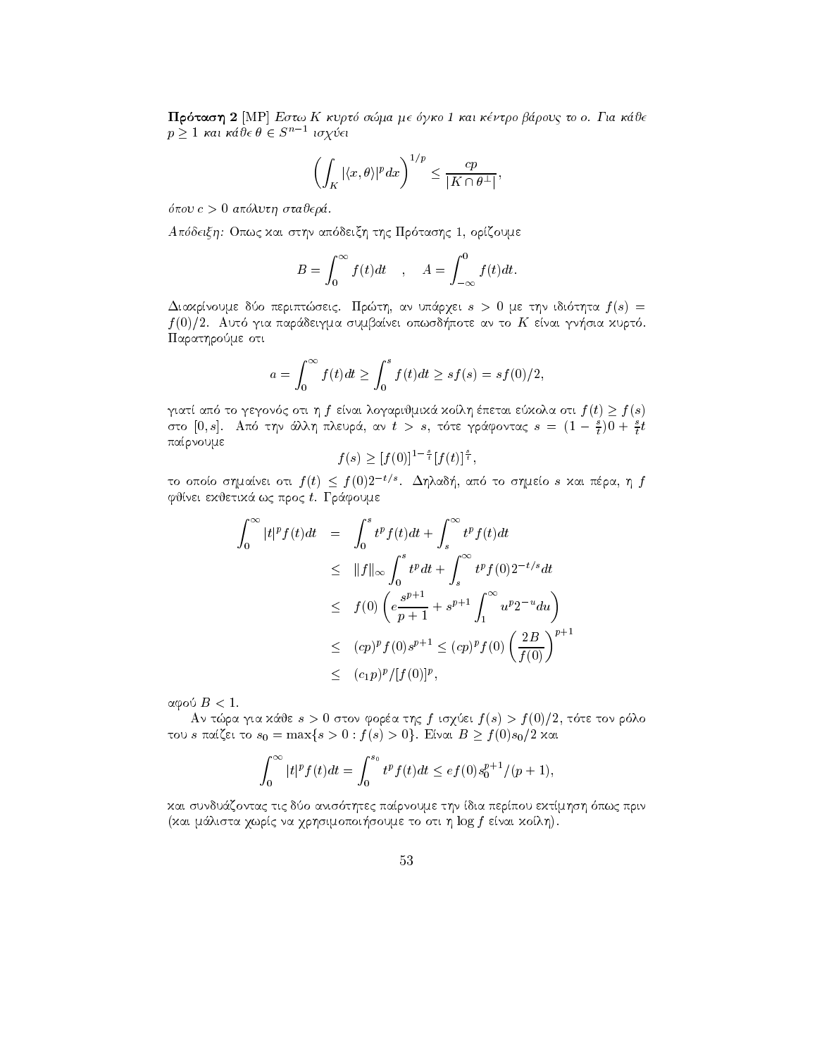Πρόταση 2 [MP] Εστω Κ κυρτό σώμα με όγκο 1 και κέντρο βάρους το ο. Για κάθε  $p \geq 1$  και κάθε θ  $\in S^{n-1}$  ισχύει

$$
\left(\int_K |\langle x,\theta\rangle|^p dx\right)^{1/p} \le \frac{cp}{|K \cap \theta^\perp|},
$$

όπου  $c > 0$  απόλυτη σταθερά.

Απόδειξη: Οπως και στην απόδειξη της Πρότασης 1, ορίζουμε

$$
B = \int_0^\infty f(t)dt \quad , \quad A = \int_{-\infty}^0 f(t)dt.
$$

Διαχρίνουμε δύο περιπτώσεις. Πρώτη, αν υπάρχει  $s > 0$  με την ιδιότητα  $f(s) =$  $f(0)/2$ . Αυτό για παράδειγμα συμβαίνει οπωσδήποτε αν το  $K$  είναι γνήσια χυρτό. Παρατηρούμε οτι

$$
a = \int_0^{\infty} f(t)dt \ge \int_0^s f(t)dt \ge sf(s) = sf(0)/2,
$$

γιατί από το γεγονός οτι η  $f$  είναι λογαριθμικά κοίλη έπεται εύκολα οτι  $f(t) \geq f(s)$ στο [0, s]. Από την άλλη πλευρά, αν  $t > s$ , τότε γράφοντας  $s = (1 - \frac{s}{t})0 + \frac{s}{t}t$ παίρνουμε

$$
f(s) \ge [f(0)]^{1-\frac{s}{t}} [f(t)]^{\frac{s}{t}}
$$

το οποίο σημαίνει οτι  $f(t) \leq f(0)2^{-t/s}$ . Δηλαδή, από το σημείο s και πέρα, η  $f$ φθίνει εχθετικά ως προς t. Γράφουμε

$$
\int_0^{\infty} |t|^p f(t) dt = \int_0^s t^p f(t) dt + \int_s^{\infty} t^p f(t) dt
$$
  
\n
$$
\leq \|f\|_{\infty} \int_0^s t^p dt + \int_s^{\infty} t^p f(0) 2^{-t/s} dt
$$
  
\n
$$
\leq f(0) \left( e \frac{s^{p+1}}{p+1} + s^{p+1} \int_1^{\infty} u^p 2^{-u} du \right)
$$
  
\n
$$
\leq (cp)^p f(0) s^{p+1} \leq (cp)^p f(0) \left( \frac{2B}{f(0)} \right)^{p+1}
$$
  
\n
$$
\leq (c_1 p)^p / [f(0)]^p,
$$

αφού  $B < 1$ .

Αν τώρα για κάθε  $s > 0$  στον φορέα της f ισχύει  $f(s) > f(0)/2$ , τότε τον ρόλο του s παίζει το  $s_0 = \max\{s > 0 : f(s) > 0\}$ . Είναι  $B \ge f(0)s_0/2$  και

$$
\int_0^{\infty} |t|^p f(t) dt = \int_0^{s_0} t^p f(t) dt \leq e f(0) s_0^{p+1} / (p+1),
$$

και συνδυάζοντας τις δύο ανισότητες παίρνουμε την ίδια περίπου εκτίμηση όπως πριν (και μάλιστα χωρίς να χρησιμοποιήσουμε το οτι η log f είναι κοίλη).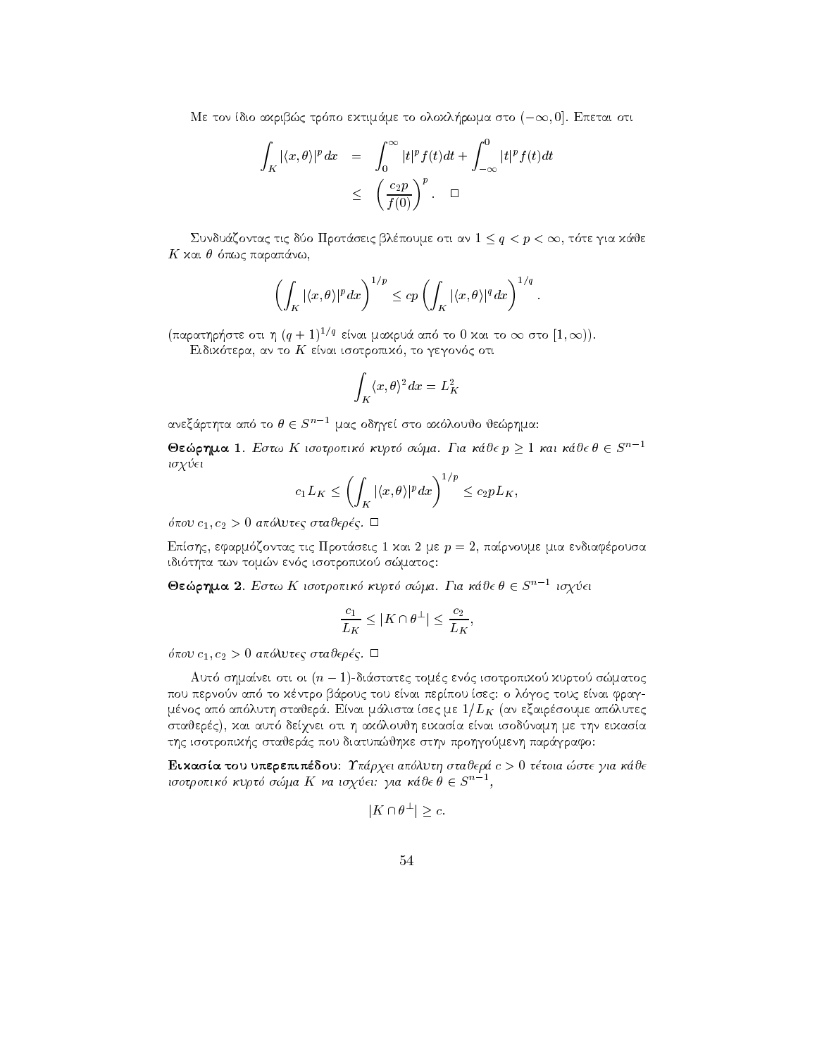$m$ e tov toto axpliptog tpo no extipaple to onoxyriptopia oto  $(-\infty, 0]$ . Enclusi ott

$$
\int_{K} |\langle x, \theta \rangle|^{p} dx = \int_{0}^{\infty} |t|^{p} f(t) dt + \int_{-\infty}^{0} |t|^{p} f(t) dt
$$
\n
$$
\leq \left(\frac{c_{2} p}{f(0)}\right)^{p} . \quad \Box
$$

 $\Delta$ υνουαζοντας τις όυσ προτασεις ρλεπουμε στι αν  $1 \leq q \leq p \leq \infty$ , τοτε για λάσε ma para na matang para na matang para na mang

$$
\left(\int_K |\langle x,\theta\rangle|^p dx\right)^{1/p} \le c p \left(\int_K |\langle x,\theta\rangle|^q dx\right)^{1/q}.
$$

 $\frac{1}{2}$  (παρατηρηστε στι η  $(q + 1)^{1/3}$  ειναι μαχρυα απο το υ χαι το  $\infty$  στο  $\pm$ ,  $\infty$ )).

tera en to kommuniste en die die staat het die stad van die stad van die stad van die stad van die stad van die

$$
\int_K \langle x,\theta\rangle^2 dx = L_K^2
$$

ανεξάρτητα από το  $\theta \in S^{n-1}$  μας οδηγεί στο αχόλουθο θεώρημα:

**Θεώρημα 1**. Εστω Κ ισοτροπικό κυρτό σώμα. Για κάθε  $p \ge 1$  και κάθε  $\theta \in S^{n-1}$ isq ei

$$
c_1L_K \le \left(\int_K |\langle x,\theta\rangle|^p dx\right)^{1/p} \le c_2pL_K,
$$

pour comparative contractions of the state of the contraction of the contraction of the contract of the contract of the contract of the contract of the contract of the contract of the contract of the contract of the contra

Epshc efarm zontac tic Prot
seic kai me p  parnoume mia endiafrousa idi thta twn tomn en c isotropiko smatoc

Θεώρημα 2. Εστω Κ ισοτροπικό κυρτό σώμα. Για κάθε θ  $\in S^{n-1}$  ισχύει στα

$$
\frac{c_1}{L_K} \leq |K \cap \theta^\perp| \leq \frac{c_2}{L_K},
$$

pour comparative contractions in the state of the company of the company of the company of the company of the company of the company of the company of the company of the company of the company of the company of the company

 $A$ uto o $\eta$ aanei oti oi  $(n-1)$ -maotatec topec evoc tootpolitxoo xoptoo o $\omega$ aatoc pou pernon ap to kntro b
rouc tou enai perpou sec o l goc touc enai frag lista sec me approximation approximation approximation approximation approximation approximation approximation statiers and decrease and all the contracts of the three contracts and the second contracts of the contracts o thc isotropik-c stajer
c pou diatupjhke sthn prohgomenh par
grafo

 $\mathbb{E}[\mathbf{A} \mid \mathbf{A}]$  to give a step approximately state  $\mathbf{A}$ ισοτροπικό κυρτό σώμα Κ να ισχύει: για κάθε θ  $\in S^{n-1},$ <br>|  $K \cap A^{\perp} \setminus S$ 

$$
|K \cap \theta^{\perp}| \geq c.
$$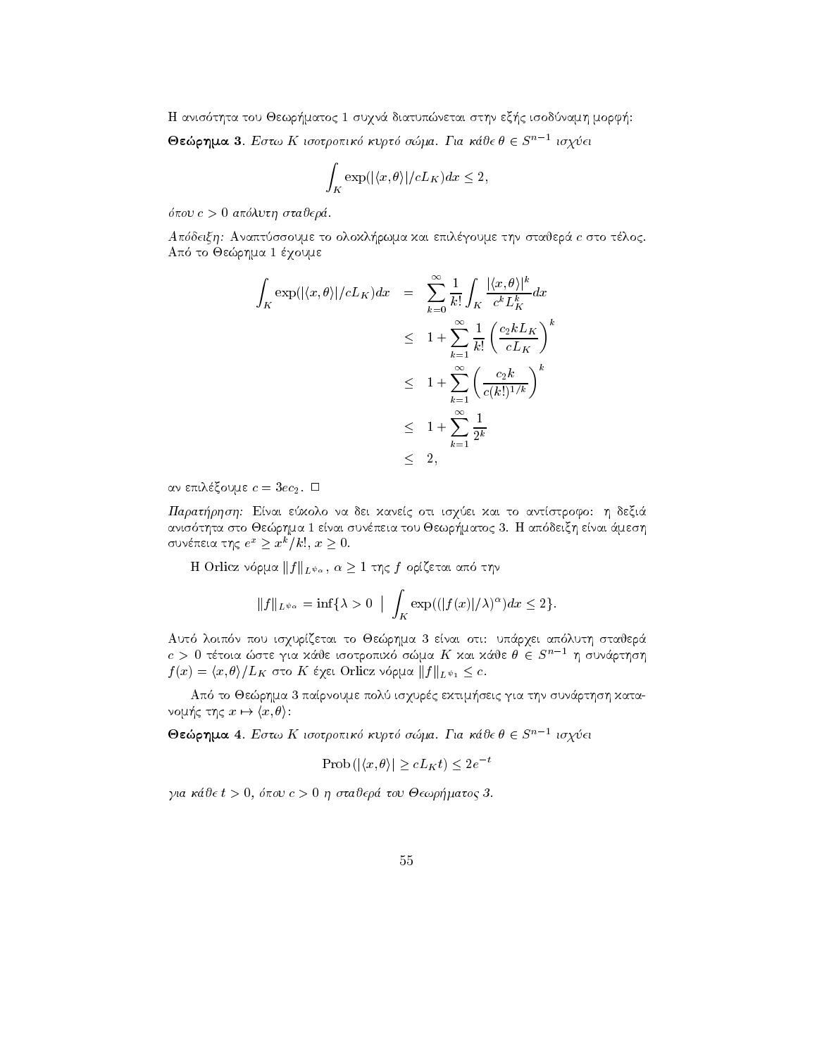H anis thta tou Jewr-matoc suqn
 diatupnetai sthn ex-c isodnamh morf- Θεώρημα 3. Εστω Κ ισοτροπικό κυρτό σώμα. Για κάθε θ  $\in$  5''<sup>--</sup> ισχύει

$$
\int_K \exp(|\langle x,\theta\rangle|/cL_K)dx \le 2,
$$

pou c - apluth stajer 

rwma kai epilgoume to olokale the state of the state of the state of the state of the state of the state of th  $\mathcal{L} = \{ \mathbf{1}, \mathbf{1}, \mathbf{1}, \mathbf{1}, \mathbf{1}, \mathbf{1}, \mathbf{1}, \mathbf{1}, \mathbf{1}, \mathbf{1}, \mathbf{1}, \mathbf{1}, \mathbf{1}, \mathbf{1}, \mathbf{1}, \mathbf{1}, \mathbf{1}, \mathbf{1}, \mathbf{1}, \mathbf{1}, \mathbf{1}, \mathbf{1}, \mathbf{1}, \mathbf{1}, \mathbf{1}, \mathbf{1}, \mathbf{1}, \mathbf{1}, \mathbf{1}, \mathbf{1}, \mathbf{1}, \mathbf{1}, \mathbf{1}, \mathbf{1}, \mathbf{1}, \$ 

$$
\int_{K} \exp(|\langle x, \theta \rangle|/cL_{K}) dx = \sum_{k=0}^{\infty} \frac{1}{k!} \int_{K} \frac{|\langle x, \theta \rangle|^{k}}{c^{k} L_{K}^{k}} dx
$$
\n
$$
\leq 1 + \sum_{k=1}^{\infty} \frac{1}{k!} \left(\frac{c_{2}k L_{K}}{cL_{K}}\right)^{k}
$$
\n
$$
\leq 1 + \sum_{k=1}^{\infty} \left(\frac{c_{2}k}{c(k!)^{1/k}}\right)^{k}
$$
\n
$$
\leq 1 + \sum_{k=1}^{\infty} \frac{1}{2^{k}}
$$
\n
$$
\leq 2,
$$

and a continuing a signal continuing continuing the continuing continuing continuing continuing continuing continuing continuing continuing continuing continuing continuing continuing continuing continuing continuing conti

Παρατήρηση: Είναι εύχολο να δει χανείς οτι ισχύει χαι το αντίστροφο: η δεξιά anis the Jermin enai sunperior and the Jermin enable to Jermin enable to Jermin enable to Jermin enails t συνεπεια της  $e^-$  2  $x^-$  / κ

επεια της e- \_ x- /κ:, x \_ 0.<br>Η Orlicz νόρμα  $\|f\|_{L^{\psi_\alpha}},$   $\alpha \geq 1$  της  $f$  ορίζεται από την

$$
||f||_{L^{\psi_{\alpha}}} = \inf \{ \lambda > 0 \mid \int_{K} \exp((|f(x)|/\lambda)^{\alpha}) dx \le 2 \}.
$$

autor islamica to Jerhan is other plant of the state that the state of a state of the state of the state of the  $c \, > \, 0$  τέτοια ώστε για χάθε ισοτροπιχό σώμα  $K$  χαι χάθε  $\theta \in S^{n-1}$  η συνάρτηση  $f(x) = \frac{x}{y} \int E(x) dx$  ord in exercise visited  $||f||_{L^{\psi_1}} \leq c$ .

apart is a parnoument complete processed in Appear considering that it is a completely control. It is a complete νομής της  $x \mapsto \langle x, \theta \rangle$ : ιπό το Θεώρημα 3 παίρνου<br>ς της  $x \mapsto \langle x, \theta \rangle$ :

**Θεώρημα 4**. Εστω Κ ισοτροπικό κυρτό σώμα. Για κάθε θ  $\in$  5<sup>n - 1</sup> ισχύει

$$
\text{Prob}\left(|\langle x,\theta\rangle| \ge cL_K t\right) \le 2e^{-t}
$$

gia kie t - body - body - body - body - body - body - body - body - body - body - body - body - body - body -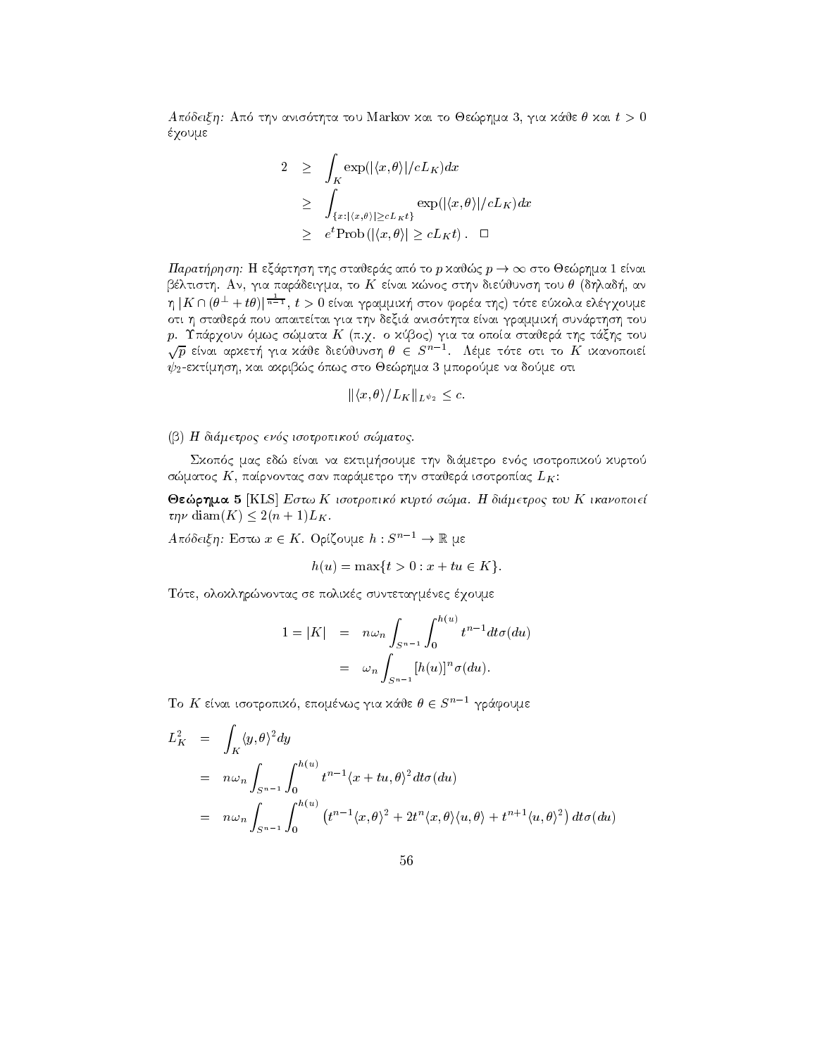Apdeixh Ap thn anis thta tou Markov kai to Jerhma  gia k
je kai t έχουμε

$$
2 \geq \int_K \exp(|\langle x, \theta \rangle|/cL_K) dx
$$
  
\n
$$
\geq \int_{\{x: |\langle x, \theta \rangle| \geq cL_K t\}} \exp(|\langle x, \theta \rangle|/cL_K) dx
$$
  
\n
$$
\geq e^t \text{Prob}(|\langle x, \theta \rangle| \geq cL_K t). \quad \Box
$$

 $\Pi$ αρατήρηση: Η εξάρτηση της σταθεράς από το p χαθώς  $p\rightarrow\infty$  στο Θεώρημα 1 είναι bltisth An gia par
deigma to K enai knoc sthn diejunsh tou dhlad- an η  $|K \cap (\theta^\perp + t \theta)|^{\frac{1}{n-1}}, \, t > 0$  είναι γραμμιχή στον φορέα της) τότε εύχολα ελέγγουμε oti i stader de sunt deximitet anis the sun anis sun anis anis anis anis proportively survey and the control of produced by the contract of the contract of the contract of the contract of the contract of the contract of the  $\sqrt{p}$  είναι αρχετή για χάθε διεύθυνση  $\theta \, \in \, S^{n-1}.$   $\,$  Λέμε τότε οτι το  $K$  ιχανοποιεί -ektmhsh kai akribc pwc sto Jerhma mporome na dome oti

$$
\|\langle x,\theta\rangle/L_K\|_{L^{\psi_2}}\leq c.
$$

## b dimetroc encodered and in the contract of the contract of the contract of the contract of the contract of the

soume that experiences are the communications of the communication of the communication of the communication of the communication of the communication of the communication of the communication of the communication of the c σώματος  $K$ , παίρνοντας σαν παράμετρο την σταθερά ισοτροπίας  $L_K$ :

Θεώρημα 5 [KLS] Εστω Κ ισοτροπικό κυρτό σώμα. Η διάμετρος του Κ ικανοποιεί  $\tau \eta \nu$  diam $(K) \leq 2(n+1)L_K$ .

Aπόδειξη: Εστω  $x \in K$ . Ορίζουμε  $h: S^{n-1} \to \mathbb{R}$  με

$$
h(u) = \max\{t > 0 : x + tu \in K\}.
$$

The set of the set of the set of the set of the set of the set of the set of the set of the set of the set of the set of the set of the set of the set of the set of the set of the set of the set of the set of the set of th

$$
1 = |K| = n\omega_n \int_{S^{n-1}} \int_0^{h(u)} t^{n-1} dt \sigma(du)
$$
  
=  $\omega_n \int_{S^{n-1}} [h(u)]^n \sigma(du).$ 

Το  $K$  είναι ισοτροπικό, επομένως για κάθε  $\theta \in S^{n-1}$  γράφουμε

$$
L_K^2 = \int_K \langle y, \theta \rangle^2 dy
$$
  
=  $n \omega_n \int_{S^{n-1}} \int_0^{h(u)} t^{n-1} \langle x + tu, \theta \rangle^2 dt \sigma(du)$   
=  $n \omega_n \int_{S^{n-1}} \int_0^{h(u)} (t^{n-1} \langle x, \theta \rangle^2 + 2t^n \langle x, \theta \rangle \langle u, \theta \rangle + t^{n+1} \langle u, \theta \rangle^2) dt \sigma(du)$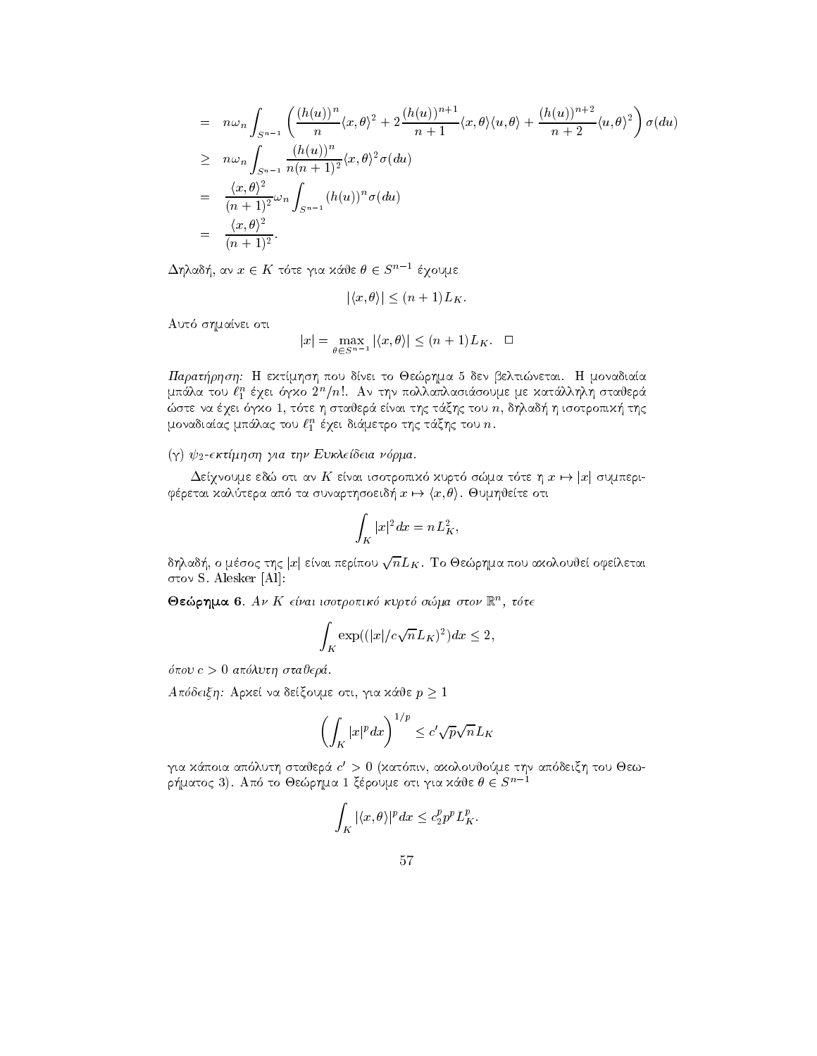$$
= n\omega_n \int_{S^{n-1}} \left( \frac{(h(u))^n}{n} \langle x, \theta \rangle^2 + 2 \frac{(h(u))^{n+1}}{n+1} \langle x, \theta \rangle \langle u, \theta \rangle + \frac{(h(u))^{n+2}}{n+2} \langle u, \theta \rangle^2 \right) \sigma(du)
$$
  
\n
$$
\geq n\omega_n \int_{S^{n-1}} \frac{(h(u))^n}{n(n+1)^2} \langle x, \theta \rangle^2 \sigma(du)
$$
  
\n
$$
= \frac{\langle x, \theta \rangle^2}{(n+1)^2} \omega_n \int_{S^{n-1}} (h(u))^n \sigma(du)
$$
  
\n
$$
= \frac{\langle x, \theta \rangle^2}{(n+1)^2}.
$$

 $\Delta$ ηλαδή, αν  $x \in K$  τότε για κάθε  $\theta \in S^{n-1}$  έχουμε $|\langle x, \theta \rangle| < (n+1) L_K.$ 

$$
|\langle x, \theta \rangle| \le (n+1)L_K
$$

Automobile and the shift of the shift of the shift of the shift of the shift of the shift of the shift of the shift of the shift of the shift of the shift of the shift of the shift of the shift of the shift of the shift of

$$
|x| = \max_{\theta \in S^{n-1}} |\langle x, \theta \rangle| \le (n+1)L_K. \quad \Box
$$

Παρατήρηση: Η εκτίμηση που δίνει το Θεώρημα 5 δεν βελτιώνεται. Η μοναδιαία μπαλά του  $\ell_1^*$  εχει σγχό 2η $/n$ . Αν την πολλαπλασιασούμε με χαταλλήλη σταυέρα ste na qei gko  t te h stajer
 enai thc t
xhc tou n dhlad- h isotropik- thc  $\mu$ σνασιατας μπαλας του  $\ell_1^+$  εχει σιαμετρο της ταςης του  $n.$ 

## and the extent of the contract of the extension of the contract of the contract of the contract of the contract of the contract of the contract of the contract of the contract of the contract of the contract of the contrac

ψ<sub>2</sub>-εκτιμηση για την Ευκλειοεια νορμα.<br>Δείγνουμε εδώ οτι αν Κ είναι ισοτροπιχό χυρτό σώμα τότε η  $x \mapsto |x|$  συμπεριfretai kaltera ap ta sunarthsoeidοπιχό χυρτό σώμα τότε η  $x \mapsto x \mapsto (x, \theta)$ . Θυμηθείτε οτι

$$
\int_K |x|^2 dx=nL_K^2,
$$

δηλαδή, ο μέσος της  $|x|$  είναι περίπου  $\sqrt{n}L_K$ . Το Θεώρημα που αχολουθεί οφείλεται στον S. Alesker [Al]:

 $\bullet$ εωρημα ο  $A$ ν  $\Lambda$  ειναι ισστροπικο κυρτο σωμα στον  $\mathbb R$  , τοτε

$$
\int_K \exp((|x|/c\sqrt{n}L_K)^2)dx \le 2,
$$

pour construction and the state of the construction of the construction of the construction of the construction of the construction of the construction of the construction of the construction of the construction of the con

Απόδειξη: Αρχεί να δείξουμε οτι, για χάθε  $p \geq 1$ 

$$
\left(\int_K |x|^p dx\right)^{1/p} \leq c'\sqrt{p}\sqrt{n}L_K
$$

για χάποια απόλυτη σταθερά  $c^\prime>0$  (χατόπιν, αχολουθούμε την απόδειξη του Θεωρήματος 3). Από το Θεώρημα 1 ξέρουμε οτι για κάθε  $\theta \in S^{\,n-1}$ 

$$
\int_K |\langle x,\theta\rangle|^p dx \leq c_2^p p^p L_K^p.
$$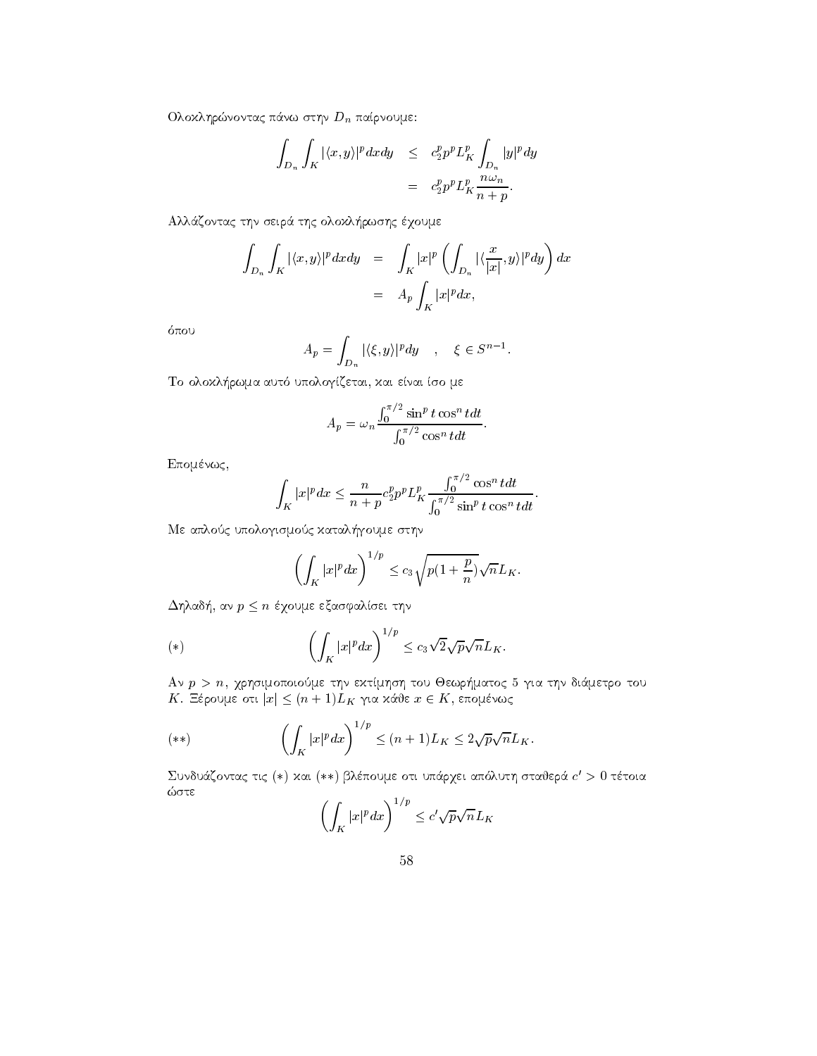Ολοκληρώνοντας πάνω στην  $D_n$  παίρνουμε:

$$
\int_{D_n} \int_K |\langle x, y \rangle|^p dx dy \leq c_2^p p^p L_K^p \int_{D_n} |y|^p dy
$$
  

$$
= c_2^p p^p L_K^p \frac{n \omega_n}{n+p}.
$$

all the olocal color than the color that the olocal color that the color of the color of the color of the color

$$
\int_{D_n} \int_K |\langle x, y \rangle|^p dx dy = \int_K |x|^p \left( \int_{D_n} |\langle \frac{x}{|x|}, y \rangle|^p dy \right) dx
$$
  
=  $A_p \int_K |x|^p dx$ ,

$$
A_p = \int_{D_n} |\langle \xi, y \rangle|^p dy \quad , \quad \xi \in S^{n-1}.
$$

To olokl-rwma aut upologzetai kai enai so me

$$
A_p = \omega_n \frac{\int_0^{\pi/2} \sin^p t \cos^n t dt}{\int_0^{\pi/2} \cos^n t dt}.
$$

Επομένως,

$$
\int_K |x|^p dx \leq \frac{n}{n+p} c_2^p p^p L_K^p \frac{\int_0^{\pi/2} \cos^n t dt}{\int_0^{\pi/2} \sin^p t \cos^n t dt}.
$$

Me application with the state of the state of the state of the state of the state of the state of the state of

$$
\left(\int_K |x|^p dx\right)^{1/p} \le c_3 \sqrt{p(1+\frac{p}{n})} \sqrt{n} L_K.
$$

 $\Delta$ hadon, av  $p \leq n$  eyoude exagguation the

(\*) 
$$
\left(\int_K |x|^p dx\right)^{1/p} \leq c_3 \sqrt{2} \sqrt{p} \sqrt{n} L_K.
$$

an p-c-let proposition to the color weekly to the construction of the color to the contract of the color  $A$ ν  $p > n$ , χρησιμοποιούμε την εχτίμηση του Θεωρήματος 5 για τη $K.$  Ξέρουμε οτι  $|x| \leq (n+1) L_K$  για χάθε  $x \in K,$  επομένως

$$
(**) \qquad \left(\int_K |x|^p dx\right)^{1/p} \le (n+1)L_K \le 2\sqrt{p}\sqrt{n}L_K.
$$

Συνδυάζοντας τις (\*) χαι (\*\*) βλέπουμε οτι υπάργει απόλυτη σταθερά  $c^\prime > 0$  τέτοια ώστε

$$
\left(\int_K |x|^p dx\right)^{1/p} \le c' \sqrt{p} \sqrt{n} L_K
$$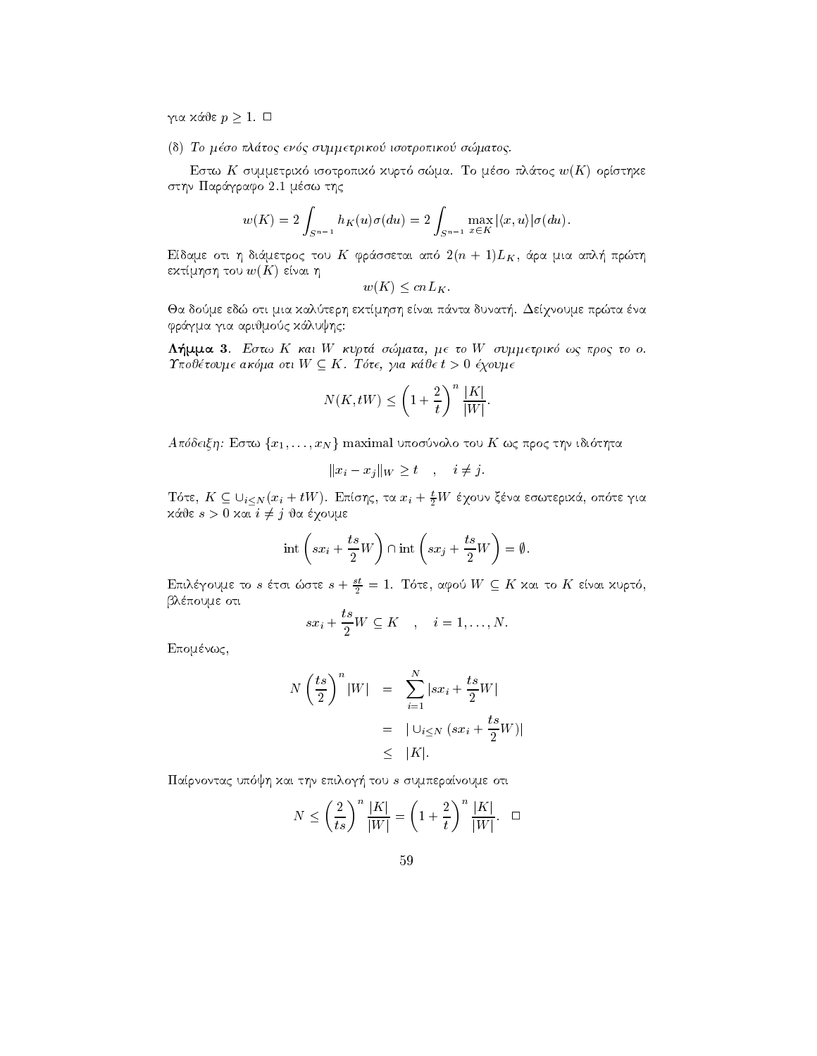για κάθε $p\geq 1.$  $\Box$ 

(δ) Το μέσο πλάτος ενός συμμετρικού ισοτροπικού σώματος.

Εστω Κ συμμετρικό ισοτροπικό κυρτό σώμα. Το μέσο πλάτος  $w(K)$  ορίστηκε στην Παράγραφο 2.1 μέσω της

$$
w(K) = 2 \int_{S^{n-1}} h_K(u)\sigma(du) = 2 \int_{S^{n-1}} \max_{x \in K} |\langle x, u \rangle| \sigma(du)
$$

Είδαμε οτι η διάμετρος του Κ φράσσεται από  $2(n + 1)L_K$ , άρα μια απλή πρώτη εκτίμηση του  $w(K)$  είναι η

$$
w(K) \leq cnL_K.
$$

Θα δούμε εδώ οτι μια καλύτερη εκτίμηση είναι πάντα δυνατή. Δείχνουμε πρώτα ένα φράγμα για αριθμούς κάλυψης:

 $\Lambda$ ήμμα 3. Εστω Κ και W κυρτά σώματα, με το W συμμετρικό ως προς το ο.  $\Upsilon$ ποθέτουμε ακόμα οτι  $W \subseteq K$ . Τότε, για κάθε  $t > 0$  έχουμε

$$
N(K, tW) \le \left(1 + \frac{2}{t}\right)^n \frac{|K|}{|W|}.
$$

 $A\pi\delta\delta\epsilon$ ιξη: Εστω $\{x_1,\ldots,x_N\}$ maximal υποσύνολο του Κ ως προς την ιδιότητα

$$
||x_i - x_j||_W \ge t \quad , \quad i \ne j.
$$

 Τότε,  $K \subseteq \bigcup_{i \leq N} (x_i + tW)$ . Επίσης, τα  $x_i + \frac{t}{2}W$  έχουν ξένα εσωτερικά, οπότε για κάθε  $s > 0$  και  $i \neq j$  θα έχουμε

$$
int\left(sx_i + \frac{ts}{2}W\right) \cap int\left(sx_j + \frac{ts}{2}W\right) = \emptyset.
$$

Επιλέγουμε το s έτσι ώστε  $s + \frac{st}{2} = 1$ . Τότε, αφού  $W \subseteq K$  και το K είναι κυρτό, βλέπουμε οτι

$$
sx_i+\frac{ts}{2}W\subseteq K\quad,\quad i=1,\ldots,N.
$$

Επομένως,

$$
N\left(\frac{ts}{2}\right)^n|W| = \sum_{i=1}^N|sx_i + \frac{ts}{2}W|
$$
  
=  $|\bigcup_{i\leq N} (sx_i + \frac{ts}{2}W)|$   
 $\leq |K|.$ 

Παίρνοντας υπόψη και την επιλογή του s συμπεραίνουμε οτι

$$
N \le \left(\frac{2}{ts}\right)^n \frac{|K|}{|W|} = \left(1 + \frac{2}{t}\right)^n \frac{|K|}{|W|}.\quad \Box
$$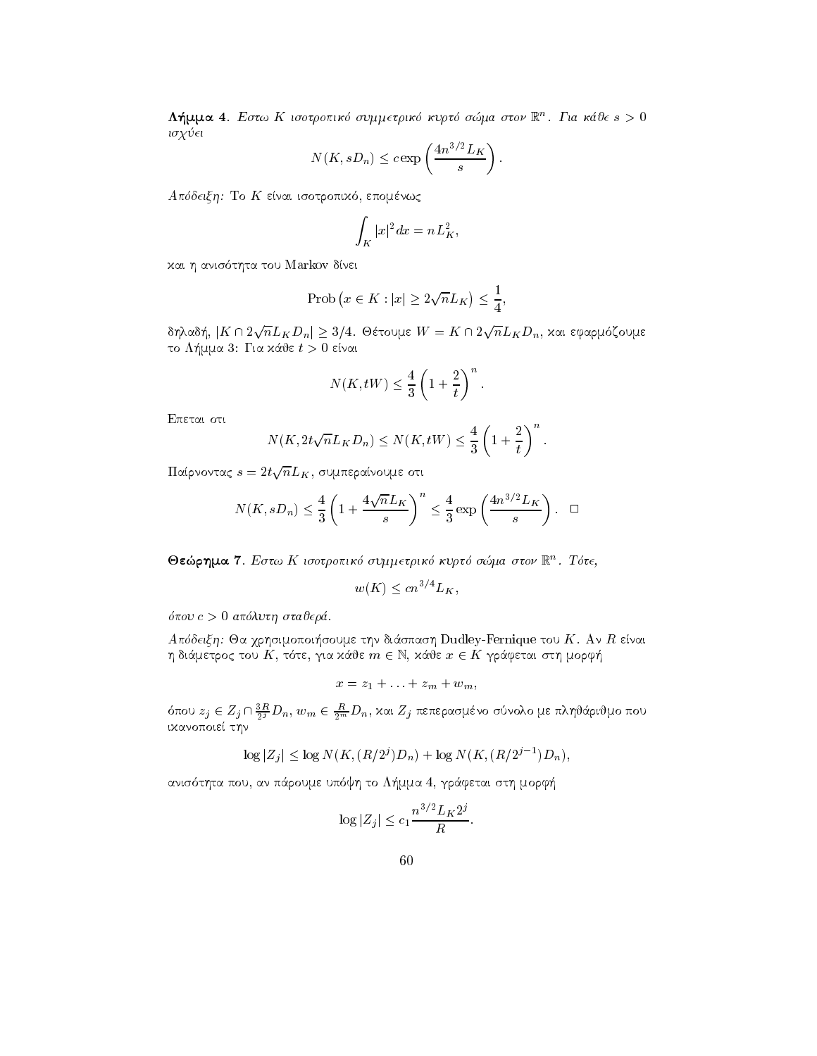$\Lambda$ ημμα 4. Εστω Α ισοτροπικο συμμετρικο κυριο σωμα στον  $\mathbb R^+$ . Για καυε  $s>0$ isq ei

$$
N(K, sD_n) \leq c \exp\left(\frac{4n^{3/2}L_K}{s}\right).
$$

a deixh To K enai is a communication of the following control of the communication of the communication of the

$$
\int_K |x|^2 dx = nL_K^2,
$$

kai h anis tha tou Markov da tou Markov da tou Markov da tou Markov da tou Markov da tou Markov da tou Markov

$$
\text{Prob}\left(x \in K : |x| \ge 2\sqrt{n}L_K\right) \le \frac{1}{4},
$$

δηλαδή,  $|K \cap 2\sqrt{n}L_K D_n| \geq 3/4$ . Θέτουμε  $W = K \cap 2\sqrt{n}L_K D_n,$  χαι εφαρμόζουμε to L-ma and L-ma and L-ma and L-ma and L-ma and L-ma and L-ma and L-ma and L-ma and L-ma and L-ma and L-ma and

$$
N(K,tW) \leq \frac{4}{3} \left( 1 + \frac{2}{t} \right)^n.
$$

Epetai oti

$$
N(K, 2t\sqrt{n}L_K D_n) \le N(K, tW) \le \frac{4}{3}\left(1+\frac{2}{t}\right)^n.
$$

 $\Pi$ αίρνοντας  $s=2t\sqrt{n}L_K,$  συμπεραίνουμε οτι

$$
N(K, sD_n) \le \frac{4}{3} \left( 1 + \frac{4\sqrt{n}L_K}{s} \right)^n \le \frac{4}{3} \exp\left(\frac{4n^{3/2}L_K}{s}\right). \quad \Box
$$

 $\bullet$ εωρημα ι. Εστω Κ ισοτροπικο συμμετρικο κυρτο σωμα στον  $\mathbb{R}^n$ . Τοτε,

$$
w(K) \le cn^{3/4} L_K,
$$

 $\sim 10$ 

pour construction and the state of the construction of the construction of the construction of the construction of the construction of the construction of the construction of the construction of the construction of the con

spass that is a gripping it of the this clustering is spash of the spash of the space of the space of the space  $\eta$  diagressive, the results in  $\epsilon$  is, name  $x \in \Lambda$ , such that  $\alpha$  is property to  $\eta$ 

$$
x=z_1+\ldots+z_m+w_m,
$$

 $\alpha$ που  $z_j \in Z_j \sqcup \frac{\tau_j}{2^j} D_n$ ,  $w_m \in \frac{\tau_m}{2^m} D_n$ , και  $Z_j$  πεπερασμενο συνολο με πληναρινμο που ικανοποιεί την

$$
\log |Z_j| \le \log N(K, (R/2^j)D_n) + \log N(K, (R/2^{j-1})D_n),
$$

anis tha pour an pour an pour an pour an pour and the contract of the contract of the contract of the contract

$$
\log |Z_j| \le c_1 \frac{n^{3/2} L_K 2^j}{R}.
$$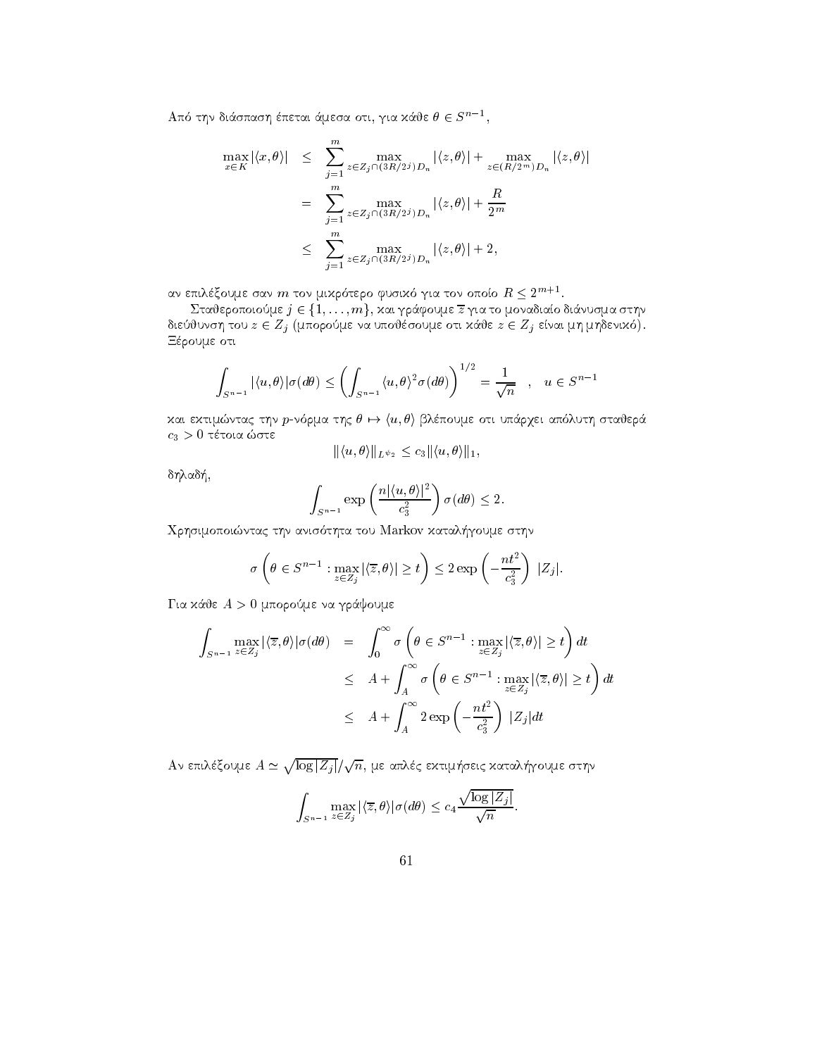Από την διάσπαση έπεται άμεσα οτι, για κάθε  $\theta \in S^{n-1}$ ,

$$
\max_{x \in K} |\langle x, \theta \rangle| \leq \sum_{j=1}^{m} \max_{z \in Z_j \cap (3R/2^j) D_n} |\langle z, \theta \rangle| + \max_{z \in (R/2^m) D_n} |\langle z, \theta \rangle|
$$

$$
= \sum_{j=1}^{m} \max_{z \in Z_j \cap (3R/2^j) D_n} |\langle z, \theta \rangle| + \frac{R}{2^m}
$$

$$
\leq \sum_{j=1}^{m} \max_{z \in Z_j \cap (3R/2^j) D_n} |\langle z, \theta \rangle| + 2,
$$

αν επιλέξουμε σαν m τον μικρότερο φυσικό για τον οποίο  $R \leq 2^{m+1}$ .

Σταθεροποιούμε  $j \in \{1, \ldots, m\}$ , και γράφουμε  $\overline{z}$  για το μοναδιαίο διάνυσμα στην διεύθυνση του  $z \in Z_j$  (μπορούμε να υποθέσουμε οτι κάθε  $z \in Z_j$  είναι μη μηδενικό). Ξέρουμε οτι

$$
\int_{S^{n-1}} |\langle u,\theta\rangle| \sigma(d\theta) \le \left(\int_{S^{n-1}} \langle u,\theta\rangle^2 \sigma(d\theta)\right)^{1/2} = \frac{1}{\sqrt{n}} \quad , \quad u \in S^{n-1}
$$

και εκτιμώντας την *p*-νόρμα της  $\theta \mapsto \langle u, \theta \rangle$  βλέπουμε οτι υπάρχει απόλυτη σταθερά  $c_3 > 0$  τέτοια ώστε

$$
\|\langle u,\theta\rangle\|_{L^{\psi_2}} \leq c_3 \|\langle u,\theta\rangle\|_1,
$$

δηλαδή,

$$
\int_{S^{n-1}} \exp\left(\frac{n|\langle u,\theta\rangle|^2}{c_3^2}\right)\sigma(d\theta) \le 2.
$$

Χρησιμοποιώντας την ανισότητα του Markov καταλήγουμε στην

$$
\sigma\left(\theta \in S^{n-1} : \max_{z \in Z_j} |\langle \overline{z}, \theta \rangle| \ge t\right) \le 2 \exp\left(-\frac{nt^2}{c_3^2}\right) |Z_j|.
$$

Για κάθε  $A > 0$  μπορούμε να γράψουμε

$$
\int_{S^{n-1}} \max_{z \in Z_j} |\langle \overline{z}, \theta \rangle| \sigma(d\theta) = \int_0^\infty \sigma \left( \theta \in S^{n-1} : \max_{z \in Z_j} |\langle \overline{z}, \theta \rangle| \ge t \right) dt
$$
  
\n
$$
\leq A + \int_A^\infty \sigma \left( \theta \in S^{n-1} : \max_{z \in Z_j} |\langle \overline{z}, \theta \rangle| \ge t \right) dt
$$
  
\n
$$
\leq A + \int_A^\infty 2 \exp \left( - \frac{nt^2}{c_3^2} \right) |Z_j| dt
$$

Αν επιλέξουμε  $A \simeq \sqrt{\log |Z_i|}/\sqrt{n}$ , με απλές εχτιμήσεις χαταλήγουμε στην

$$
\int_{S^{n-1}} \max_{z \in Z_j} |\langle \overline{z}, \theta \rangle| \sigma(d\theta) \le c_4 \frac{\sqrt{\log |Z_j|}}{\sqrt{n}}
$$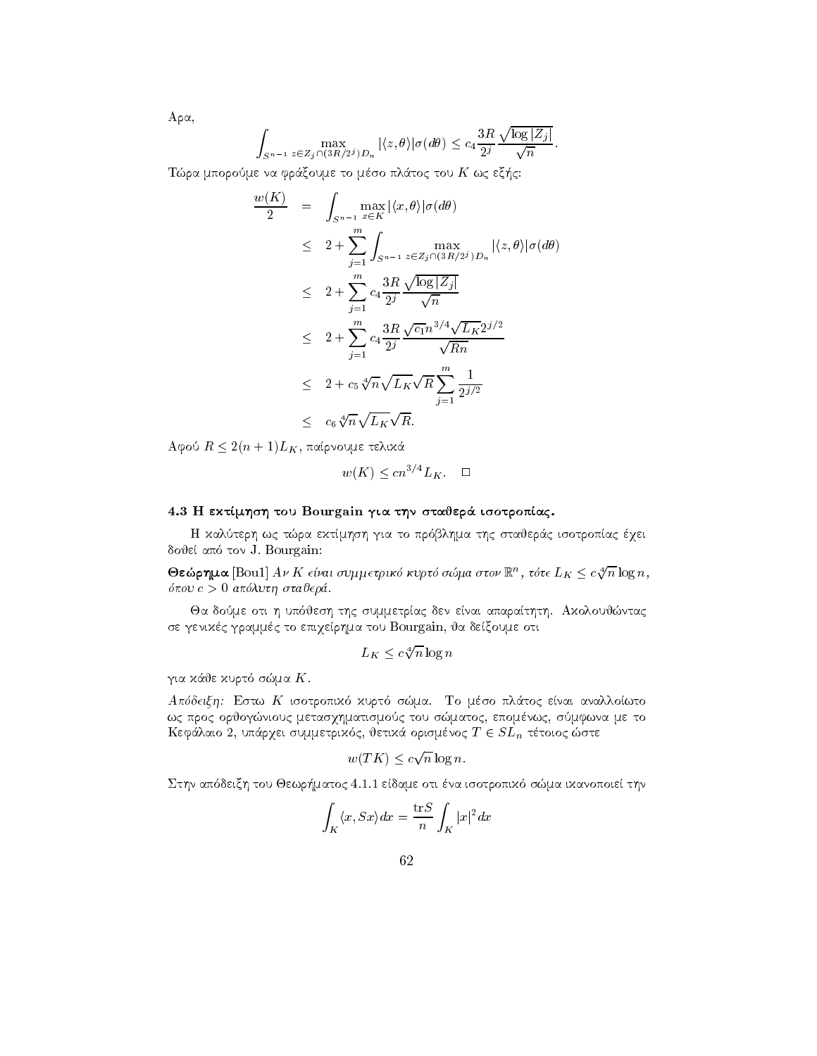$$
A\rho\alpha,
$$

$$
\int_{S^{n-1}} \max_{z \in Z_j \cap (3R/2^j)D_n} |\langle z, \theta \rangle| \sigma(d\theta) \leq c_4 \frac{3R}{2^j} \frac{\sqrt{\log |Z_j|}}{\sqrt{n}}.
$$

Tra mporome na france na france na france na france na france na france na france na france na france na franc

$$
\frac{w(K)}{2} = \int_{S^{n-1}} \max_{x \in K} |\langle x, \theta \rangle| \sigma(d\theta)
$$
\n
$$
\leq 2 + \sum_{j=1}^{m} \int_{S^{n-1}} \max_{z \in Z_j \cap (3R/2^j)D_n} |\langle z, \theta \rangle| \sigma(d\theta)
$$
\n
$$
\leq 2 + \sum_{j=1}^{m} c_4 \frac{3R}{2^j} \frac{\sqrt{\log |Z_j|}}{\sqrt{n}}
$$
\n
$$
\leq 2 + \sum_{j=1}^{m} c_4 \frac{3R}{2^j} \frac{\sqrt{c_1} n^{3/4} \sqrt{L_K} 2^{j/2}}{\sqrt{Rn}}
$$
\n
$$
\leq 2 + c_5 \sqrt[4]{n} \sqrt{L_K} \sqrt{R} \sum_{j=1}^{m} \frac{1}{2^{j/2}}
$$
\n
$$
\leq c_6 \sqrt[4]{n} \sqrt{L_K} \sqrt{R}.
$$

 $A$ φού  $R \leq 2(n+1)L_K$ , παίρνουμε τελικά

$$
w(K) \le cn^{3/4} L_K. \quad \Box
$$

#### $\mathbf{H}$  extraction to the Bourgain gives the state  $\mathbf{H}$  that  $\mathbf{H}$

h kalteria to prima tradition and stationary of the stational control of the station of the station of the sta do je apostolje apostolje apostolje apostolje apostolje apostolje apostolje apostolje apostolje apostolje apos

**Θεώρημα** [Bou1] Αν Κ είναι συμμετρικό κυρτό σώμα στον  $\mathbb{R}^n$ , τότε  $L_K \leq c \sqrt[4]{n} \log n,$ pou c - apluth stajer 

Ja dome oti h up jesh thc summetrac den enai aparathth Akoloujntac σε γενιχές γραμμές το επιχείρημα του Bourgain, θα δείξουμε οτι

$$
L_K \leq c \sqrt[4]{n} \log n
$$

gia kurta kurta kurta kurta kurta kurta kurta kurta kurta kurta kurta kurta kurta kurta kurta kurta kurta kurt

aparte and the most control of the small control of the small control of the small control of the small control of the small control of the small control of the small control of the small control of the small control of th ως προς ορθογώνιους μετασχηματισμούς του σώματος, επομένως, σύμφωνα με το  ${\bf n}$ chand 2, onap $\chi$ et ooppetpixog, betixa opiopevog  $T\in \partial D_n$  tetoiog  $\omega$ ote

$$
w(TK) \le c\sqrt{n}\log n.
$$

station approach to the definition of the computation of the contract of the contract of the contract of the co

$$
\int_K \langle x, Sx \rangle dx = \frac{\operatorname{tr} S}{n} \int_K |x|^2 dx
$$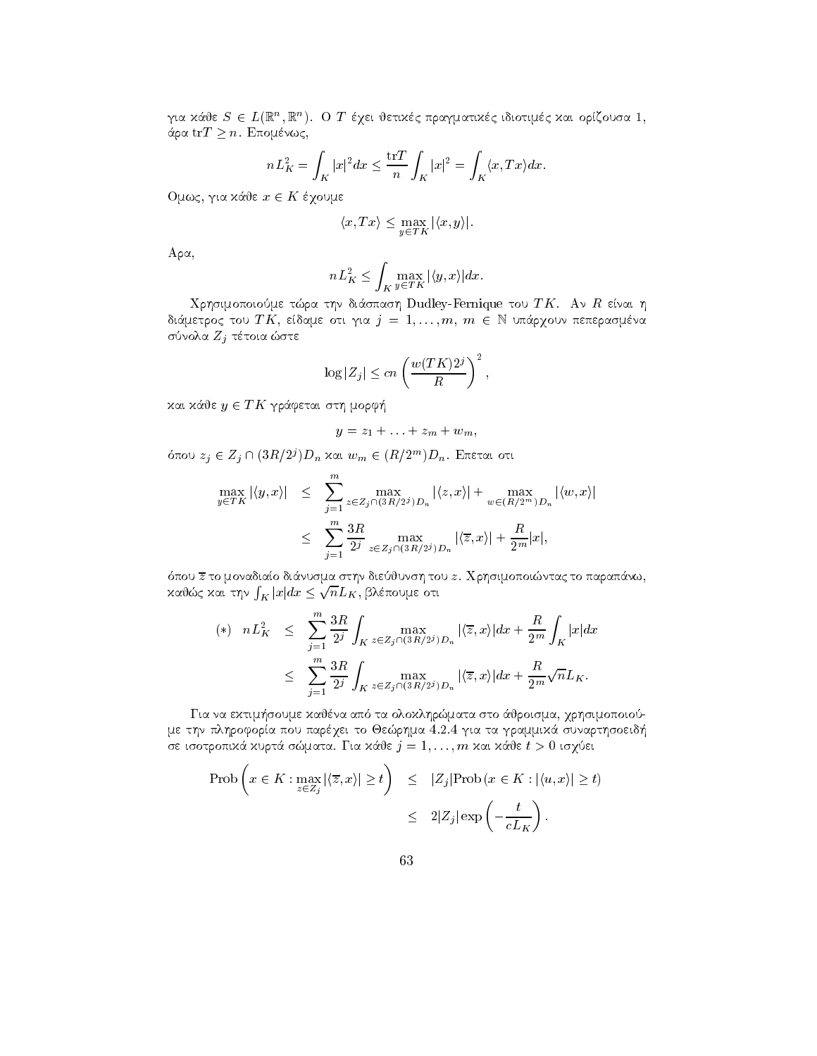για χαθε  $S \in L(\mathbb{R}^+, \mathbb{R}^+), \;\; \text{O}$  1 εχει θετιχες πραγματιχες τοιοτιμες χαι οριςουοα 1, άρα ${\rm tr} T \geq n.$  Επομένως,

$$
nL_K^2 = \int_K |x|^2 dx \le \frac{\operatorname{tr} T}{n} \int_K |x|^2 = \int_K \langle x, Tx \rangle dx.
$$

Ομως, για κάθε  $x \in K$  έχουμε

$$
\langle x, Tx \rangle \le \max_{y \in TK} |\langle x, y \rangle|.
$$

 $A \rho \alpha$ ,

$$
nL_K^2 \le \int_K \max_{y \in TK} |\langle y, x \rangle| dx.
$$

Qrhsimopoiome tra thn di
spash Dudley-Fernique tou T K An R enai h  $\alpha$  and  $\alpha$  to  $\alpha$  is the property of  $\alpha$  is  $\alpha$  is  $\alpha$  is the property of  $\alpha$  is the property of  $\alpha$ σύνολα  $Z_j$  τέτοια ώστε

$$
\log |Z_j| \le cn \left(\frac{w(TK)2^j}{R}\right)^2,
$$

και κάθε  $y \in TK$  γράφεται στη μορφή

$$
y=z_1+\ldots+z_m+w_m,
$$

oπου  $z_j \in Z_j \sqcup (\partial R/Z) D_n$  και  $w_m \in (R/Z^m) D_n$ . Επεται οτι

$$
\max_{y \in TK} |\langle y, x \rangle| \leq \sum_{j=1}^m \max_{z \in Z_j \cap (3R/2^j)D_n} |\langle z, x \rangle| + \max_{w \in (R/2^m)D_n} |\langle w, x \rangle|
$$
  

$$
\leq \sum_{j=1}^m \frac{3R}{2^j} \max_{z \in Z_j \cap (3R/2^j)D_n} |\langle \overline{z}, x \rangle| + \frac{R}{2^m} |x|,
$$

pour z to monadiao diavante di storia di provincia di parapello di parapello di parapello di parapello di para καθώς και την  $\int_K |x|dx\leq \sqrt{n}L_K$ , βλέπουμε οτι

$$
\begin{array}{rcl}\n (*) & nL_K^2 & \leq & \sum\limits_{j=1}^m \frac{3R}{2^j} \int_K \max\limits_{z \in Z_j \cap (3R/2^j)D_n} |\langle \overline{z}, x \rangle| dx + \frac{R}{2^m} \int_K |x| dx \\
 & \leq & \sum\limits_{j=1}^m \frac{3R}{2^j} \int_K \max\limits_{z \in Z_j \cap (3R/2^j)D_n} |\langle \overline{z}, x \rangle| dx + \frac{R}{2^m} \sqrt{n} L_K.\n \end{array}
$$

Gia na ektim-soume kajna ap ta oloklhrmata sto 
jroisma qrhsimopoio με την πληροφορία που παρέχει το Θεώρημα 4.2.4 για τα γραμμικά συναρτησοειδή se isotropik i kurtë e smatra e smatra e shqiptarë e shkrimtar e shkrimtar e shkrimtar e shkrimtar e shkrimtar

$$
\begin{array}{lcl} \text{Prob}\left(x \in K : \max_{z \in Z_j} |\langle \overline{z}, x \rangle| \ge t\right) & \leq & |Z_j| \text{Prob}\left(x \in K : |\langle u, x \rangle| \ge t\right) \\ & \leq & 2|Z_j| \exp\left(-\frac{t}{cL_K}\right). \end{array}
$$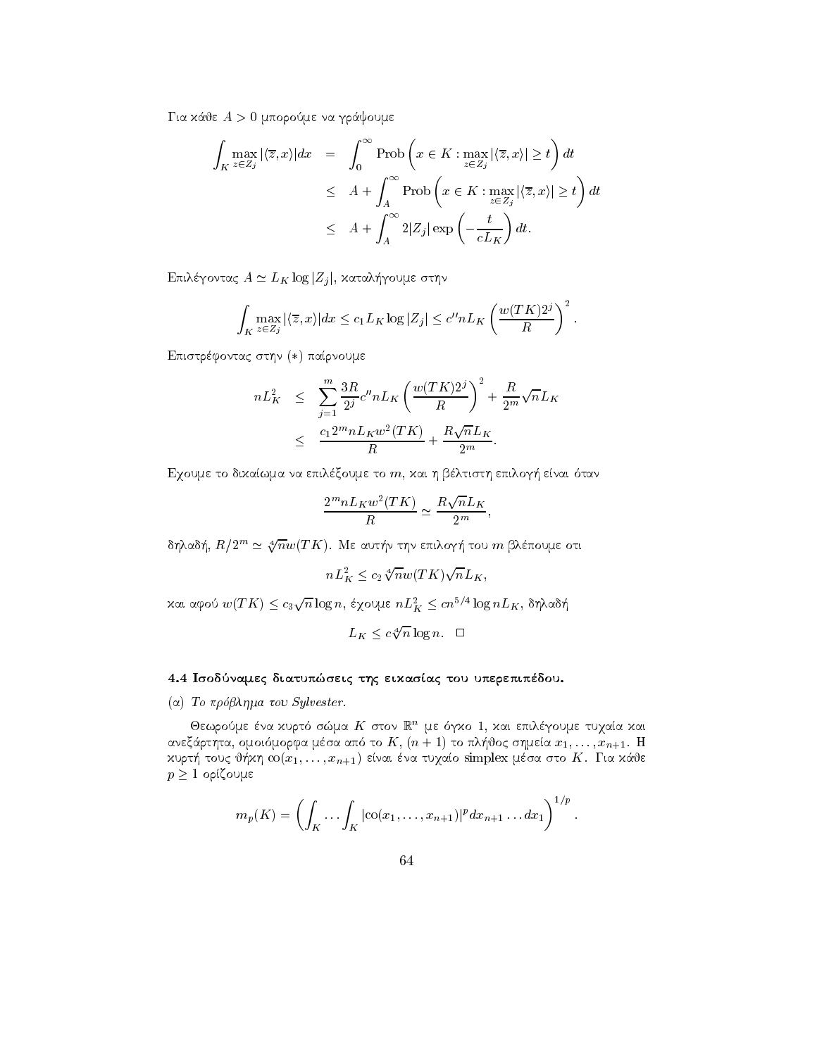gia kaominina mporome na graduale na gregoria na gregoria na gregoria na gregoria na gregoria na gregoria na g

$$
\int_{K} \max_{z \in Z_{j}} |\langle \overline{z}, x \rangle| dx = \int_{0}^{\infty} \text{Prob}\left(x \in K : \max_{z \in Z_{j}} |\langle \overline{z}, x \rangle| \geq t\right) dt
$$
\n
$$
\leq A + \int_{A}^{\infty} \text{Prob}\left(x \in K : \max_{z \in Z_{j}} |\langle \overline{z}, x \rangle| \geq t\right) dt
$$
\n
$$
\leq A + \int_{A}^{\infty} 2|Z_{j}| \exp\left(-\frac{t}{cL_{K}}\right) dt.
$$

 $E_{\mu\nu}$  Equivalently  $A \simeq E_K$  rog  $|Z_j|$ , xatal-typoolis of the

$$
\int_{K} \max_{z \in Z_{j}} |\langle \overline{z}, x \rangle| dx \leq c_{1} L_{K} \log |Z_{j}| \leq c'' n L_{K} \left( \frac{w(TK)2^{j}}{R} \right)^{2}.
$$

Επιστρέφοντας στην (\*) παίρνουμε

$$
nL_K^2 \leq \sum_{j=1}^m \frac{3R}{2^j} c'' nL_K \left( \frac{w(TK)2^j}{R} \right)^2 + \frac{R}{2^m} \sqrt{n} L_K
$$
  

$$
\leq \frac{c_1 2^m n L_K w^2 (TK)}{R} + \frac{R \sqrt{n} L_K}{2^m}.
$$

Eqoume to dikawma na epilxoume to m kai h bltisth epilog- enai tan

$$
\frac{2^m n L_K w^2(TK)}{R} \simeq \frac{R\sqrt{n}L_K}{2^m},
$$

δηλαδή,  $R/2^m\simeq \sqrt[4]{n} w(T K)$ . Με αυτήν την επιλογή του  $m$  βλέπουμε οτι

$$
nL_K^2 \le c_2 \sqrt[4]{n} w(TK) \sqrt{n} L_K,
$$

και αφού  $w(TK) \leq c_3\sqrt{n}\log n,$  έχουμε  $nL_K^2 \leq cn^{5/4}\log nL_K,$  δηλαδή

$$
L_K \leq c \sqrt[4]{n} \log n. \quad \Box
$$

# 4.4 Ισοδύναμες διατυπώσεις της εικασίας του υπερεπιπέδου.

# ( $\alpha$ ) To  $\pi \rho \delta \beta \lambda \eta \mu a$  to Sylvester.

Oεωρουμε ενα χυριο σωμα Α΄ στον ικ' με σγχο Ι, χαι επιλεγουμε τυχαια χαι and the first state of the first control of the first control of the state control of the first control of the kurt- kh cox je khan ena tudao simplex matematic matematic matematic matematic matematic matematic matematic m  $p \geq 1$  ορίζουμε

$$
m_p(K) = \left(\int_K \cdots \int_K |\mathrm{co}(x_1,\ldots,x_{n+1})|^p dx_{n+1}\ldots dx_1\right)^{1/p}.
$$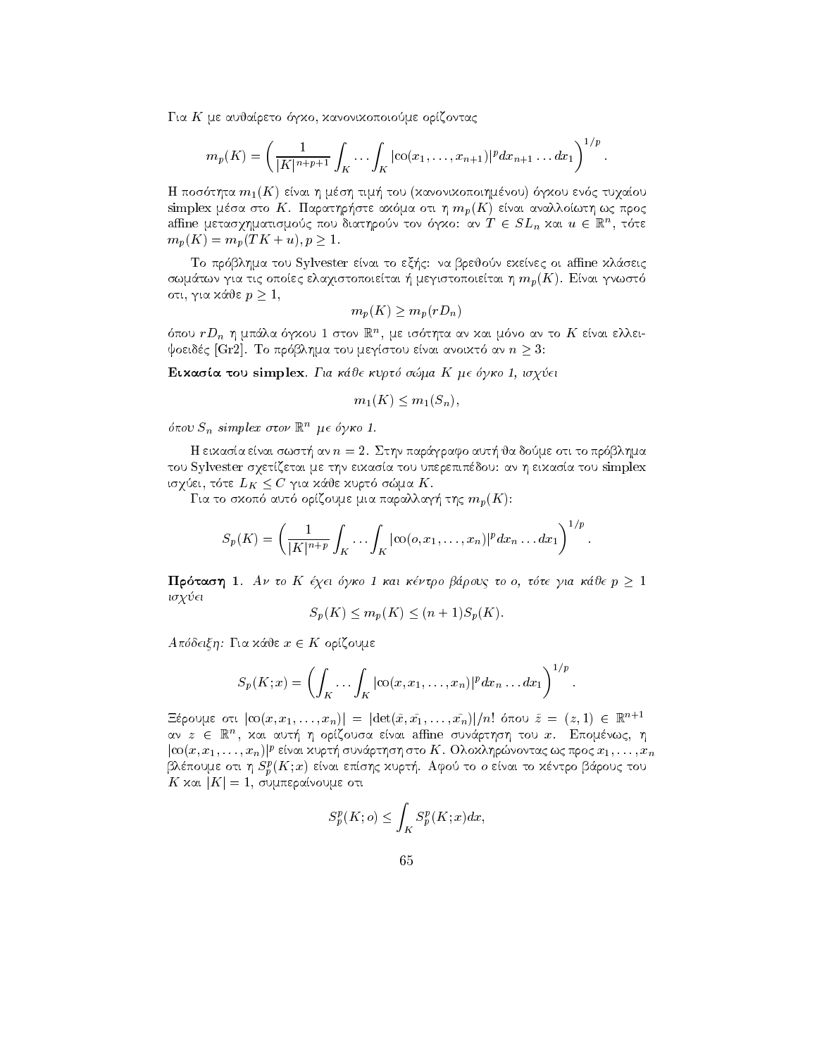gko kanoniko kanoniko kanoniko kanoniko kanoniko kanoniko kanoniko kanoniko kanoniko kanoniko kanoniko kanoniko

$$
m_p(K) = \left(\frac{1}{|K|^{n+p+1}} \int_K \cdots \int_K |\cos(x_1, \ldots, x_{n+1})|^p dx_{n+1} \ldots dx_1\right)^{1/p}.
$$

tou en andre la maritante de la maritante de l'essere construction la provincia de la diversitation de la mari simplex matrix of the analysis of the strength with writing the steel three contracts of the state of the stre amne μετασχηματισμους που οιατηρουν τον ογχο: αν  $I\ \in \, SL_n$  χαι  $u\in\mathbb{R}^+ ,$  τοτε  $m_p(K) = m_p(TK + u), p > 1.$ 

to president to the series of the series of the series of the series of the series of the series of the series swm gia tic opostalistopoietai - megistopoietai - megistopoietai h mpK enai gnwster - megistopoietai h mpK ena οτι, για κάθε  $p > 1$ ,

$$
m_p(K) \ge m_p(rD_n)
$$

σπου  $r D_n$  η μπαλα σγχου τ στον ικπικ, με τσοτητα αν χαι μονο αν το  $K$  ειναι ελλει- $\phi$ oeidc $\zeta$  [Gr $\omega$ ]. To hoop nigatiou depitotou enai anoixto an  $n > 0$ .

eikas tou signed and the state of the state of the state of the state of the state of the state of the state o

$$
m_1(K) \le m_1(S_n),
$$

όπου  $S_n$  simplex στον  $\mathbb{R}^n$  με όγκο 1.

H eikasa enai swst- an n Sthn par
grafo aut- ja dome oti to pr blhma του Sylvester σχετίζεται με την εικασία του υπερεπιπέδου: αν η εικασία του simplex to just, the  $E_K \searrow U$  fur labe liquid only in  $K$ .

autor autorite mia parallage elemente de la parallage de la parallage de la parallage de la parallage de la pa

$$
S_p(K)=\left(\frac{1}{|K|^{n+p}}\int_K\cdots\int_K|\text{co}(o,x_1,\ldots,x_n)|^pdx_n\ldots dx_1\right)^{1/p}.
$$

 $\Pi$ ρόταση 1. Αν το Κ έχει όγκο 1 και κέντρο βάρους το ο, τότε για κάθε  $p \geq 1$ isq ei

$$
S_p(K) \le m_p(K) \le (n+1)S_p(K).
$$

 $A\pi$ όδειξη: Για κάθε  $x \in K$  ορίζουμε

$$
S_p(K; x) = \left( \int_K \ldots \int_K |\mathrm{co}(x, x_1, \ldots, x_n)|^p dx_n \ldots dx_1 \right)^{1/p}.
$$

 $\text{E}\text{E}\text{C}$ ουμε οτι  $|\text{CO}(x,x_1,\ldots,x_n)| = |\text{det}(x,x_1,\ldots,x_n)|/n!$  οπου  $z = (z,1) \in \mathbb{R}$ αν  $z$   $\in$   $\mathbb{R}^n$ , χαι αυτη η οριζουσα ειναι amne συναρτηση του  $x$ . Επομενως, η ιτοι $(x, x_1, \ldots, x_n)$ με είναι χυρι η ουναρτήση στο  $\boldsymbol{\Lambda}$ . Ολοχληρώνοντας ως προς  $x_1, \ldots, x_n$  $\mathsf{P}\mathsf{N}\varepsilon\pi$ ουμε στι  $\eta$   $S^{\kappa}_{p}(\mathbf{A};x)$  ειναι επισης χυρτη. Αφού το σ ειναι το χεντρο ραρούς του  $K$  and  $|K| = 1$ , comme particular other

$$
S_p^p(K; o) \le \int_K S_p^p(K; x) dx,
$$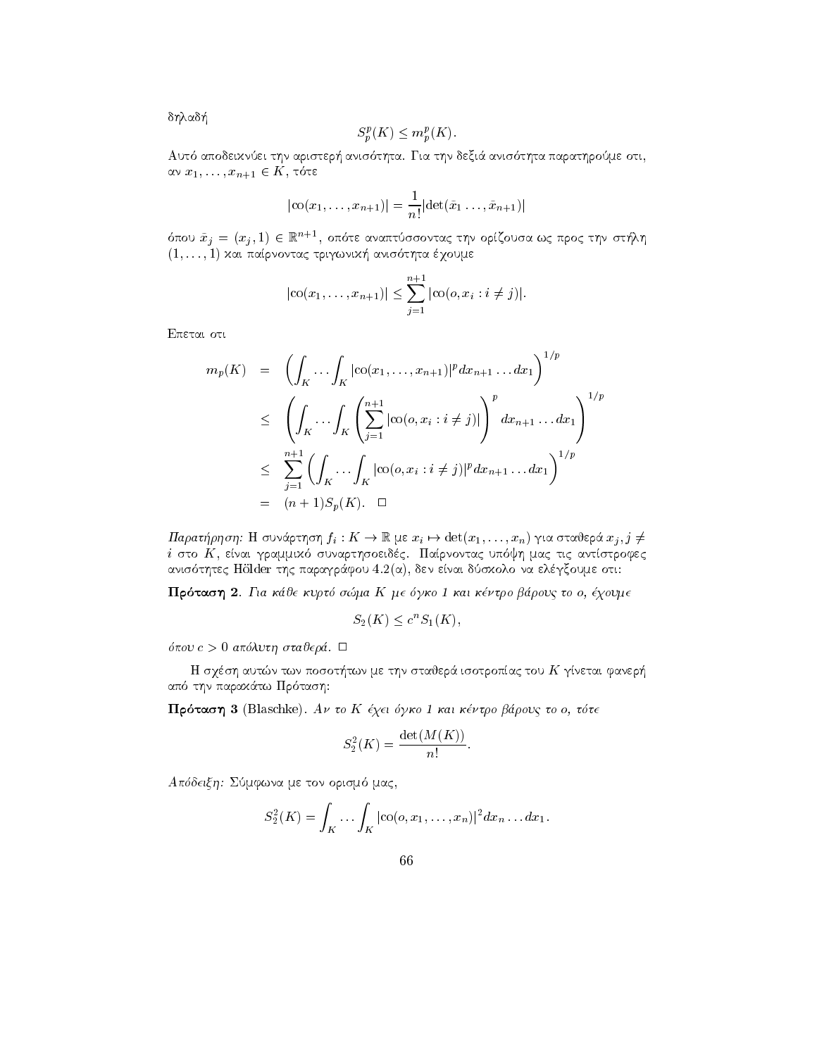δηλαδή

$$
S_n^p(K) \le m_n^p(K).
$$

Αυτό αποδεικνύει την αριστερή ανισότητα. Για την δεξιά ανισότητα παρατηρούμε οτι, αν  $x_1, \ldots, x_{n+1} \in K$ , τότε

$$
|\mathrm{co}(x_1,\ldots,x_{n+1})| = \frac{1}{n!} |\mathrm{det}(\tilde{x}_1\ldots,\tilde{x}_{n+1})|
$$

όπου $\tilde{x}_j$  =  $(x_j,1)$   $\in$   $\mathbb{R}^{n+1},$  οπότε αναπτύσσοντας την ορίζουσα ως προς την στήλη  $(1,\ldots,1)$  και παίρνοντας τριγωνική ανισότητα έχουμε

$$
|\mathrm{co}(x_1,\ldots,x_{n+1})| \leq \sum_{j=1}^{n+1} |\mathrm{co}(o,x_i:i \neq j)|.
$$

Επεται οτι

$$
m_p(K) = \left( \int_K \cdots \int_K |\cot(x_1, \ldots, x_{n+1})|^p dx_{n+1} \ldots dx_1 \right)^{1/p}
$$
  
\n
$$
\leq \left( \int_K \cdots \int_K \left( \sum_{j=1}^{n+1} |\cot(o, x_i : i \neq j)| \right)^p dx_{n+1} \ldots dx_1 \right)^{1/p}
$$
  
\n
$$
\leq \sum_{j=1}^{n+1} \left( \int_K \cdots \int_K |\cot(o, x_i : i \neq j)|^p dx_{n+1} \ldots dx_1 \right)^{1/p}
$$
  
\n
$$
= (n+1)S_p(K). \square
$$

Παρατήρηση: Η συνάρτηση  $f_i: K \to \mathbb{R}$  με  $x_i \mapsto \det(x_1, \ldots, x_n)$  για σταθερά  $x_j, j \neq j$  $i$  στο  $K$ , είναι γραμμικό συναρτησοειδές. Παίρνοντας υπόψη μας τις αντίστροφες ανισότητες Hölder της παραγράφου 4.2(α), δεν είναι δύσχολο να ελέγξουμε οτι:

Πρόταση 2. Για κάθε κυρτό σώμα Κ με όγκο 1 και κέντρο βάρους το ο, έχουμε

$$
S_2(K) \le c^n S_1(K),
$$

όπου  $c > 0$  απόλυτη σταθερά.  $\Box$ 

Η σχέση αυτών των ποσοτήτων με την σταθερά ισοτροπίας του $K$ γίνεται φανερή από την παρακάτω Πρόταση:

Πρόταση 3 (Blaschke). Αν το Κ έχει όγκο 1 και κέντρο βάρους το ο, τότε

$$
S_2^2(K) = \frac{\det(M(K))}{n!}.
$$

Απόδειξη: Σύμφωνα με τον ορισμό μας,

$$
S_2^2(K) = \int_K \cdots \int_K |\text{co}(o, x_1, \ldots, x_n)|^2 dx_n \ldots dx_1.
$$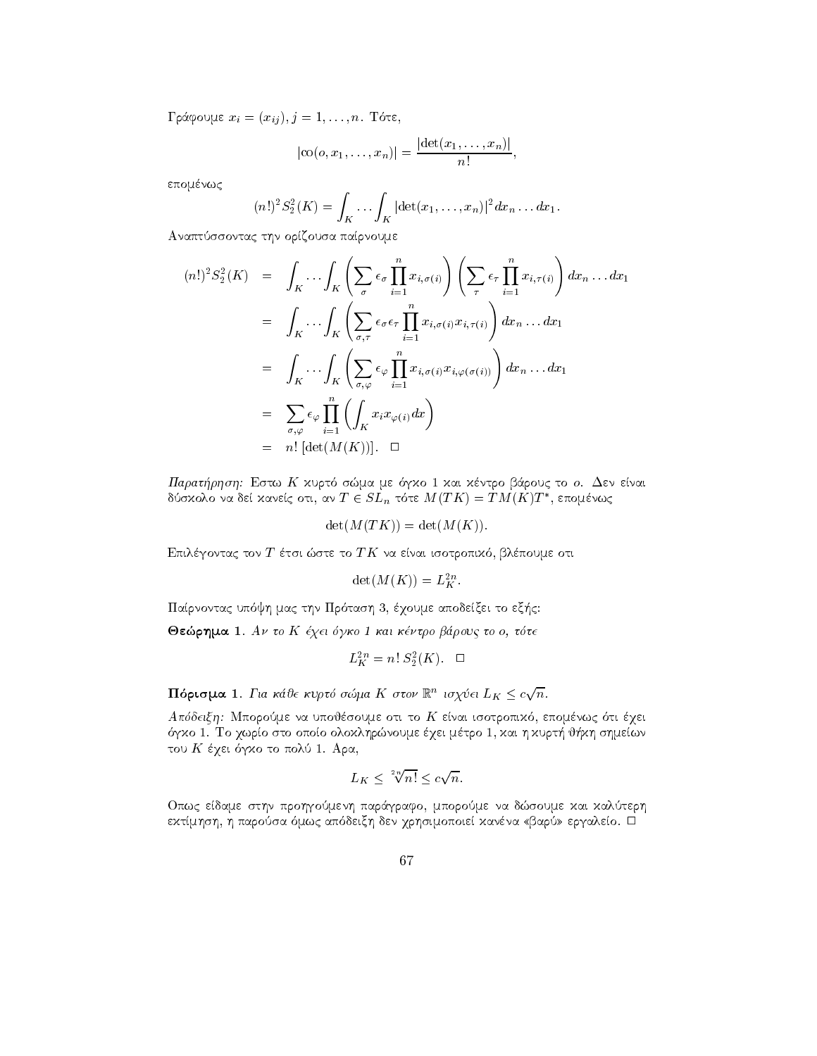Γράφουμε  $x_i = (x_{ij}), j = 1, ..., n$ . Τότε,

$$
|\mathrm{co}(o,x_1,\ldots,x_n)|=\frac{|\mathrm{det}(x_1,\ldots,x_n)|}{n!},
$$

επομένως

$$
(n!)^2 S_2^2(K) = \int_K \dots \int_K |\det(x_1, \dots, x_n)|^2 dx_n \dots dx_1.
$$

Αναπτύσσοντας την ορίζουσα παίρνουμε

$$
(n!)^2 S_2^2(K) = \int_K \cdots \int_K \left( \sum_{\sigma} \epsilon_{\sigma} \prod_{i=1}^n x_{i,\sigma(i)} \right) \left( \sum_{\tau} \epsilon_{\tau} \prod_{i=1}^n x_{i,\tau(i)} \right) dx_n \dots dx_1
$$
  
\n
$$
= \int_K \cdots \int_K \left( \sum_{\sigma,\tau} \epsilon_{\sigma} \epsilon_{\tau} \prod_{i=1}^n x_{i,\sigma(i)} x_{i,\tau(i)} \right) dx_n \dots dx_1
$$
  
\n
$$
= \int_K \cdots \int_K \left( \sum_{\sigma,\varphi} \epsilon_{\varphi} \prod_{i=1}^n x_{i,\sigma(i)} x_{i,\varphi(\sigma(i))} \right) dx_n \dots dx_1
$$
  
\n
$$
= \sum_{\sigma,\varphi} \epsilon_{\varphi} \prod_{i=1}^n \left( \int_K x_i x_{\varphi(i)} dx \right)
$$
  
\n
$$
= n! \left[ \det(M(K)) \right]. \quad \Box
$$

Παρατήρηση: Εστω Κ χυρτό σώμα με όγχο 1 χαι χέντρο βάρους το ο. Δεν είναι δύσκολο να δεί κανείς οτι, αν  $T \in SL_n$  τότε  $M(TK) = TM(K)T^*$ , επομένως

$$
\det(M(TK)) = \det(M(K)).
$$

Επιλέγοντας τον Τ έτσι ώστε το ΤΚ να είναι ισοτροπικό, βλέπουμε οτι

$$
\det(M(K)) = L_K^{2n}.
$$

Παίρνοντας υπόψη μας την Πρόταση 3, έχουμε αποδείξει το εξής:

Θεώρημα 1. Αν το Κ έχει όγκο 1 και κέντρο βάρους το ο, τότε

$$
L_K^{2n} = n! S_2^2(K). \quad \Box
$$

**Πόρισμα** 1. Για κάθε κυρτό σώμα Κ στον  $\mathbb{R}^n$  ισχύει  $L_K \leq c\sqrt{n}$ .

Απόδειξη: Μπορούμε να υποθέσουμε οτι το Κ είναι ισοτροπικό, επομένως ότι έχει όγκο 1. Το χωρίο στο οποίο ολοκληρώνουμε έχει μέτρο 1, και η κυρτή θήκη σημείων του Κ έχει όγκο το πολύ 1. Αρα,

$$
L_K \leq \sqrt[2n]{n!} \leq c\sqrt{n}.
$$

Οπως είδαμε στην προηγούμενη παράγραφο, μπορούμε να δώσουμε και καλύτερη εχτίμηση, η παρούσα όμως απόδειξη δεν χρησιμοποιεί χανένα «βαρύ» εργαλείο. <sup>Π</sup>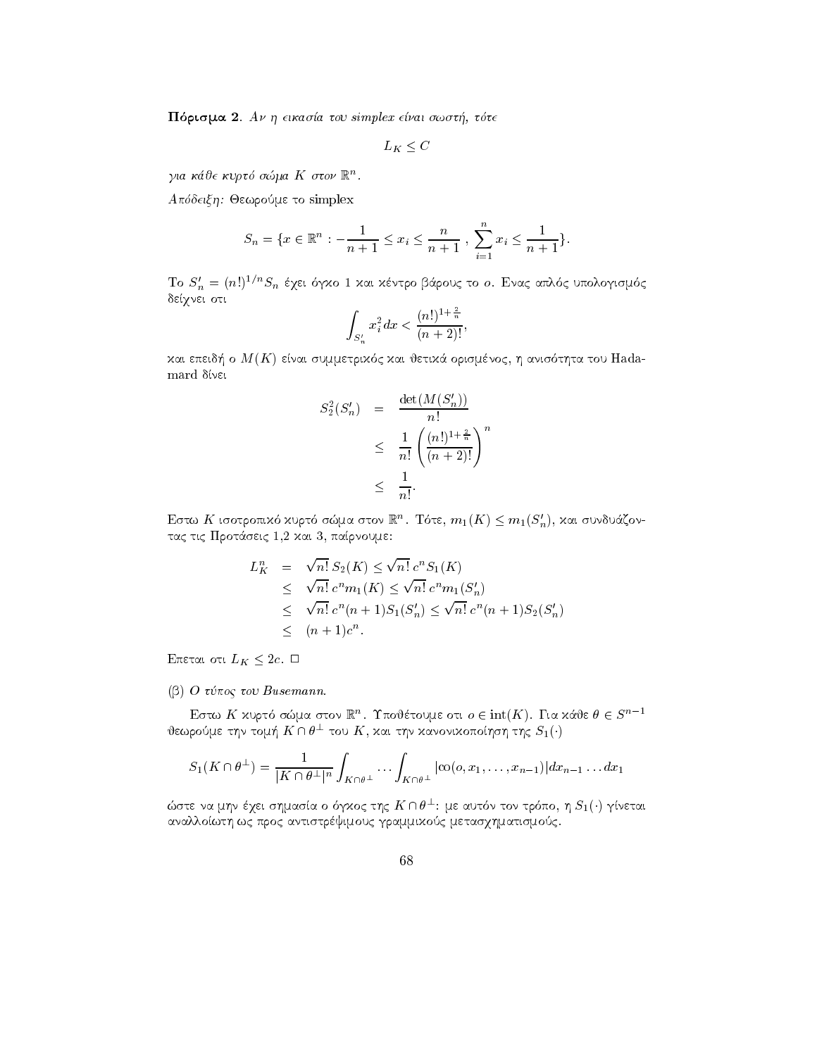r a tou simplex e-mai swst tte te simplex e-mai swst te simplex e-mai swst te simplex e-mai swst te simplex e-

 $L_K < C$ 

για κάθε κυρτό σώμα  $K$  στον  $\mathbb{R}^n$ .

 $A$ πόδειξη: Θεωρούμε το simplex

$$
S_n = \{ x \in \mathbb{R}^n : -\frac{1}{n+1} \le x_i \le \frac{n}{n+1} , \sum_{i=1}^n x_i \le \frac{1}{n+1} \}.
$$

Το  $S'_n = (n!)^{1/n} S_n$  έχει όγκο 1 και κέντρο βάρους το ο. Ενας απλός υπολογισμός δείχνει οτι

$$
\int_{S'_n} x_i^2 dx < \frac{(n!)^{1+\frac{2}{n}}}{(n+2)!},
$$

kai epeid- o MK enai summetrik c kai jetik
 orismnoc h anis thta tou Hadamard divel

$$
S_2^2(S'_n) = \frac{\det(M(S'_n))}{n!}
$$
  

$$
\leq \frac{1}{n!} \left(\frac{(n!)^{1+\frac{2}{n}}}{(n+2)!}\right)^n
$$
  

$$
\leq \frac{1}{n!}.
$$

Εστω  $K$  ισοτροπικό χυρτό σώμα στον  $\mathbb{R}^n$ . Τότε,  $m_1(K) \leq m_1(S'_n)$ , και συνδυάζοντας τις Προτάσεις 1,2 και 3, παίρνουμε:

$$
L_K^n = \sqrt{n!} S_2(K) \le \sqrt{n!} c^n S_1(K)
$$
  
\n
$$
\le \sqrt{n!} c^n m_1(K) \le \sqrt{n!} c^n m_1(S'_n)
$$
  
\n
$$
\le \sqrt{n!} c^n (n+1) S_1(S'_n) \le \sqrt{n!} c^n (n+1) S_2(S'_n)
$$
  
\n
$$
\le (n+1)c^n.
$$

Eπεται οτι  $L_K \leq 2c$ .  $\Box$ 

 $\mathbf{p}$  or  $\mathbf{p}$  and  $\mathbf{p}$  are  $\mathbf{p}$  -  $\mathbf{p}$  -  $\mathbf{p}$  -  $\mathbf{p}$  -  $\mathbf{p}$  -  $\mathbf{p}$  -  $\mathbf{p}$  -  $\mathbf{p}$  -  $\mathbf{p}$  -  $\mathbf{p}$  -  $\mathbf{p}$  -  $\mathbf{p}$  -  $\mathbf{p}$  -  $\mathbf{p}$  -  $\mathbf{p}$  -  $\mathbf{p}$  -  $\mathbf{p}$ 

Εστω  $K$  χυρτό σώμα στον  $\mathbb{R}^n$ . Τποθέτουμε οτι  $o \in \mathrm{int}(K)$ . Για χάθε  $\theta \in S^{n-1}$ θεωρούμε την τομή  $K\cap\theta^{\perp}$  του  $K,$  και την κανονικοποίηση της  $S_{1}(\cdot)$ 

$$
S_1(K\cap \theta^\perp)=\frac{1}{|K\cap \theta^\perp|^n}\int_{K\cap \theta^\perp}\ldots\int_{K\cap \theta^\perp}|\text{co}(o,x_1,\ldots,x_{n-1})|dx_{n-1}\ldots dx_1
$$

ώστε να μην έχει σημασία ο όγχος της  $K \cap \theta^\perp$ : με αυτόν τον τρόπο, η  $S_1(\cdot)$  γίνεται αναλλοίωτη ως προς αντιστρέψιμους γραμμικούς μετασχηματισμούς.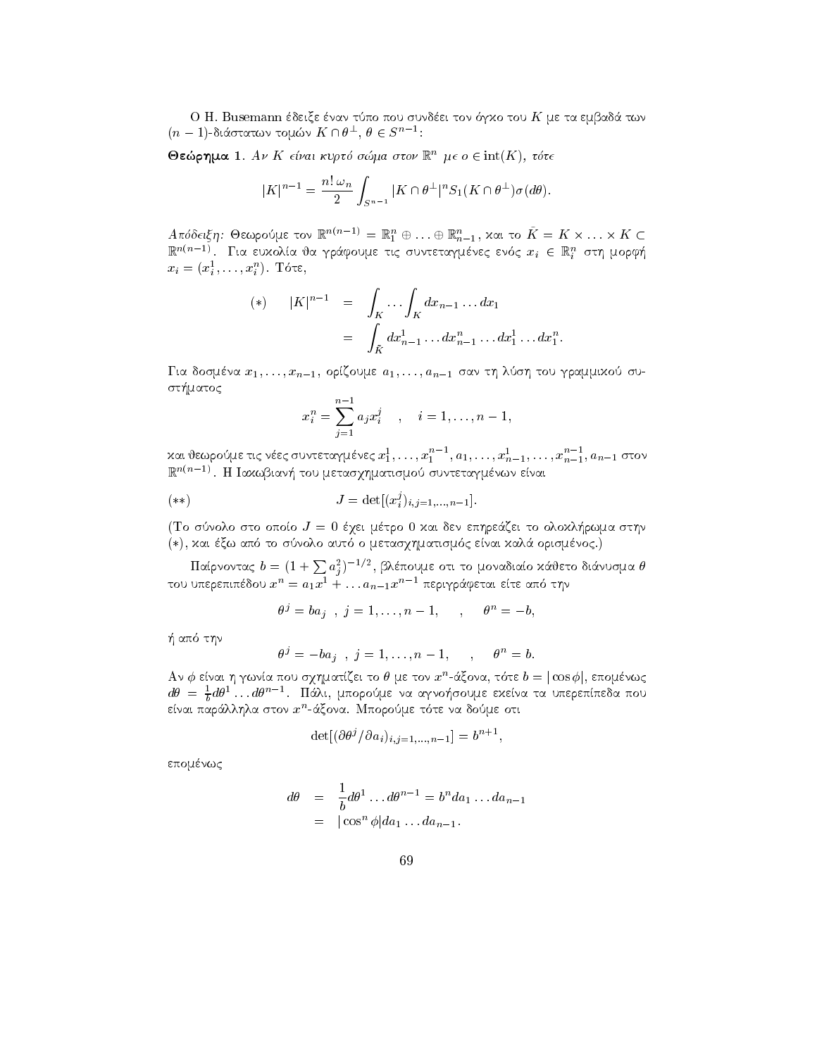o h Busemann deixe nan teoretiste nan turnedi ton deixement deixement des sundeixes de la population de la pop  $(n-1)$ -διάστατων τομών  $K \cap \theta^\perp, \ \theta \in S^{n-1}.$ 

 $\Theta$ εώρημα 1. Αν Κ είναι κυρτό σώμα στον  $\mathbb{R}^n$  με ο  $\in$  int(K), τότε

$$
|K|^{n-1} = \frac{n! \omega_n}{2} \int_{S^{n-1}} |K \cap \theta^{\perp}|^n S_1(K \cap \theta^{\perp}) \sigma(d\theta).
$$

 $A$ πόδειξη: Θεωρούμε τον  $\mathbb{R}^{n(n-1)} = \mathbb{R}^{n}_1 \oplus \ldots \oplus \mathbb{R}^{n}_{n-1},$  χαι το  $K = K \times \ldots \times K \subset$  $\mathbb{R}^{n(n-1)}$ . Για ευχολία θα γράφουμε τις συντεταγμένες ενός  $x_i~\in~\mathbb{R}^n_i$  στη μορφή  $x_i = (x_i^*, \ldots, x_i^*)$ . I ote,

(\*) 
$$
|K|^{n-1} = \int_K \cdots \int_K dx_{n-1} \ldots dx_1
$$
  
=  $\int_{\bar{K}} dx_{n-1}^1 \ldots dx_{n-1}^n \ldots dx_1^1 \ldots dx_1^n$ .

Για δοσμένα  $x_1, \ldots, x_{n-1}$ , ορίζουμε  $a_1, \ldots, a_{n-1}$  σαν τη λύση του γραμμιχού συst-matoc

$$
x_i^n = \sum_{j=1}^{n-1} a_j x_i^j \quad , \quad i = 1, \dots, n-1,
$$

και θεωρούμε τις νέες συντεταγμένες  $x_1^1, \ldots, x_1^{n-1}, a_1, \ldots, x_{n-1}^1, \ldots, x_{n-1}^{n-1}, a_{n-1}$  στον lk'''''-''. Η Ιαχωβιανή του μετασχηματισμού συντεταγμένων είναι

$$
(\ast \ast) \qquad \qquad J = \det[(x_i^j)_{i,j=1,...,n-1}].
$$

re sto sto sto store of the president of the store will be a stronger of the stronger of the state of the state of the state of the state of the state of the state of the state of the state of the state of the state of the  $(k, \lambda)$  και ες ω από το συνόλο αυτό ο μετασχηματισμός είναι λάλα ορισμένος.)

Παίρνοντας  $b=(1+\sum a_i^2)^{-1/2}$ , βλέπουμε οτι το μοναδιαίο κάθετο διάνυσμα  $\theta$ του υπερεπιπέδου  $x^{\prime\prime}=a_1x^{\cdot}+\dots a_{n-1}x^{\prime\prime-1}$  περιγράφεται είτε από την

$$
\theta^j = b a_j \quad , \ j=1,\ldots,n-1, \qquad , \qquad \theta^n = -b,
$$

-the state of the state of the state of the state of the state of the state of the state of the state of the state of the state of the state of the state of the state of the state of the state of the state of the state of

$$
\theta^j = -ba_j \quad , \ j = 1, \ldots, n-1, \qquad , \qquad \theta^n = b.
$$

Αν  $\varphi$  ειναι η γωνια που σχηματιςει το θ με τον  $x^\circ$ -αςονα, τοτε  $\theta = \left| \cos \varphi \right|$ , επομενως  $d\theta \ =\ \frac{1}{b} d\theta^1 \dots d\theta^{n-1}.$  Πάλι, μπορούμε να αγνοήσουμε εχείνα τα υπερεπίπεδα που ειναι παραλληλα στον  $x$  -αςονα. Ινιπορουμε τοτε να σουμε οτι

$$
\det[(\partial \theta^j / \partial a_i)_{i,j=1,\dots,n-1}] = b^{n+1},
$$

επομένως

$$
d\theta = \frac{1}{b}d\theta^1 \dots d\theta^{n-1} = b^n da_1 \dots da_{n-1}
$$
  
=  $|\cos^n \phi| da_1 \dots da_{n-1}.$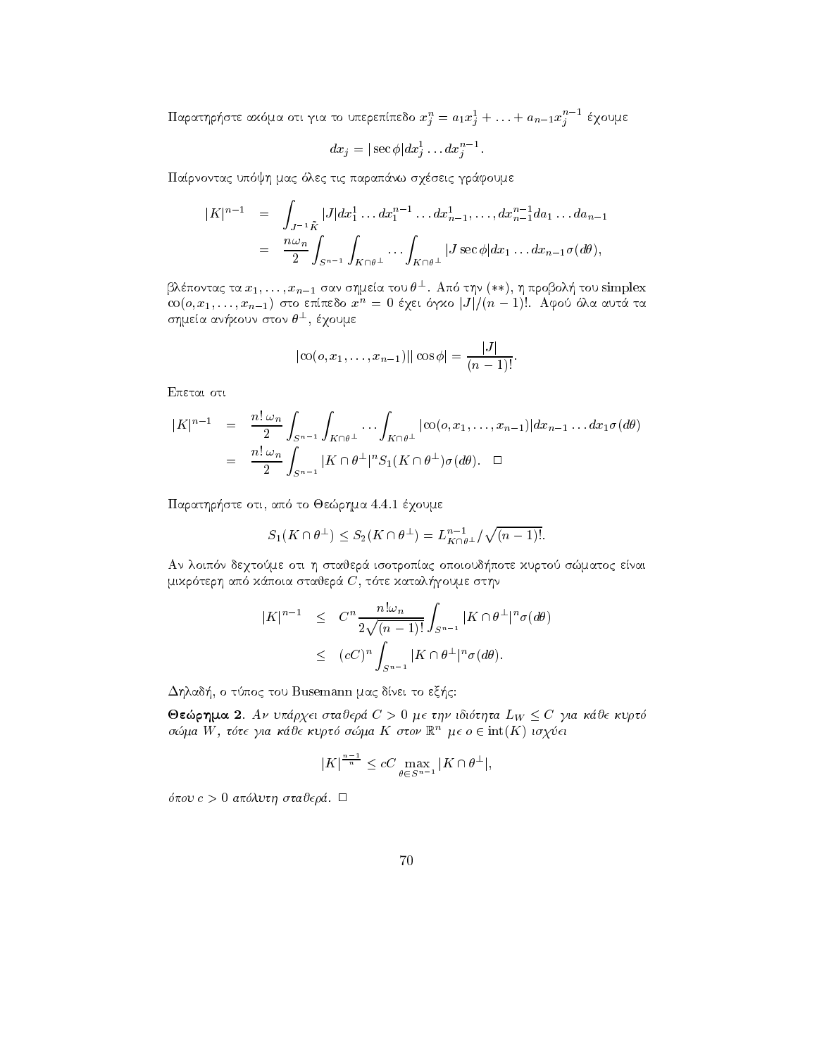Παρατηρήστε αχόμα οτι για το υπερεπίπεδο  $x_j^n = a_1 x_j^1 + \ldots + a_{n-1} x_i^{n-1}$  έχουμε

$$
dx_j=|\sec\phi|dx_j^1\ldots dx_j^{n-1}.
$$

Parnontac up yh mac lec tic parap
nw sqseic gr
foume

$$
|K|^{n-1} = \int_{J^{-1}\bar{K}} |J| dx_1^1 \dots dx_1^{n-1} \dots dx_{n-1}^1, \dots, dx_{n-1}^{n-1} da_1 \dots da_{n-1}
$$
  
= 
$$
\frac{n\omega_n}{2} \int_{S^{n-1}} \int_{K \cap \theta^{\perp}} \dots \int_{K \cap \theta^{\perp}} |J \sec \phi| dx_1 \dots dx_{n-1} \sigma(d\theta),
$$

βλέποντας τα  $x_1,\ldots,x_{n-1}$  σαν σημεία του  $\theta^\perp$ . Από την (\*\*), η προβολή του simplex  $\cot(\theta, x_1, \ldots, x_{n-1})$  στο επιπεδό  $x^{\ldots} = 0$  εχει σγχό [J]/( $n - 1$ ). Αφού όλα αυτά τα σημεία ανήχουν στον  $\theta^{\pm},$  έγουμε

$$
|\mathrm{co}(o, x_1, \ldots, x_{n-1})| |\cos \phi| = \frac{|J|}{(n-1)!}.
$$

Epetai oti

$$
|K|^{n-1} = \frac{n! \omega_n}{2} \int_{S^{n-1}} \int_{K \cap \theta^{\perp}} \cdots \int_{K \cap \theta^{\perp}} |\cot(\theta, x_1, \ldots, x_{n-1})| dx_{n-1} \ldots dx_1 \sigma(d\theta)
$$
  
= 
$$
\frac{n! \omega_n}{2} \int_{S^{n-1}} |K \cap \theta^{\perp}|^n S_1(K \cap \theta^{\perp}) \sigma(d\theta). \square
$$

parather that is not controlled to the step that the controlled the state of the step of the step of the step of the step of the step of the step of the step of the step of the step of the step of the step of the step of t

$$
S_1(K \cap \theta^{\perp}) \leq S_2(K \cap \theta^{\perp}) = L_{K \cap \theta^{\perp}}^{n-1} / \sqrt{(n-1)!}.
$$

n de pote kurto se enaixe oti h stajer enaixe oti h stajer en stajer en stajer en staden en staden en staden e mikr terh ap k
poia stajer C t te katal-goume sthn

$$
|K|^{n-1} \leq C^n \frac{n! \omega_n}{2\sqrt{(n-1)!}} \int_{S^{n-1}} |K \cap \theta^{\perp}|^n \sigma(d\theta)
$$
  

$$
\leq (cC)^n \int_{S^{n-1}} |K \cap \theta^{\perp}|^n \sigma(d\theta).
$$

de la contrade de la contrade de la contrade de la contrade de la contrade de la contrade de la contrade de la

 $\sigma$ εωρημα 2. *Αν υπαρχει στασερα*  $\sigma > 0$  με την ισιστητα  $L_W \leq C$  για κασε κ*υρτ*σ  $\sigma$ ωμα W , τοτε για καυε κυρισ σωμα  $\bm{\Lambda}$  στον  $\mathbb{R}$  με  $\sigma \in \mathrm{Int}(\bm{\Lambda})$  το χυετ

$$
|K|^{\frac{n-1}{n}} \le cC \max_{\theta \in S^{n-1}} |K \cap \theta^{\perp}|,
$$

pour comment states the state of the community of the community of the community of the community of the community of the community of the community of the community of the community of the community of the community of th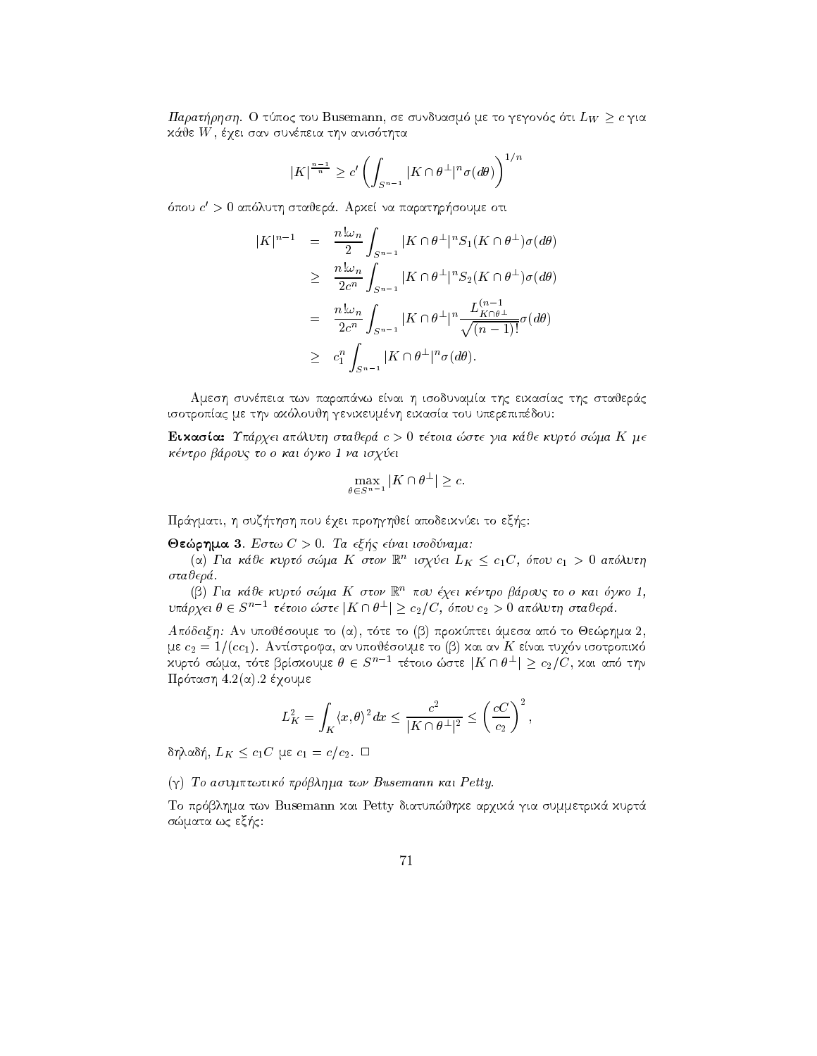$\mu$  and  $\mu$  only to Busemann, be covered to gegove, on  $L_W \geq c$  for  $L_W$ k
je W qei san sunpeia thn anis thta

$$
|K|^{\frac{n-1}{n}} \ge c' \left( \int_{S^{n-1}} |K \cap \theta^{\perp}|^n \sigma(d\theta) \right)^{1/n}
$$

όπου  $c^\prime > 0$  απόλυτη σταθερά. Αρχεί να παρατηρήσουμε οτι

$$
|K|^{n-1} = \frac{n! \omega_n}{2} \int_{S^{n-1}} |K \cap \theta^{\perp}|^n S_1(K \cap \theta^{\perp}) \sigma(d\theta)
$$
  
\n
$$
\geq \frac{n! \omega_n}{2c^n} \int_{S^{n-1}} |K \cap \theta^{\perp}|^n S_2(K \cap \theta^{\perp}) \sigma(d\theta)
$$
  
\n
$$
= \frac{n! \omega_n}{2c^n} \int_{S^{n-1}} |K \cap \theta^{\perp}|^n \frac{L_{K \cap \theta^{\perp}}^{(n-1)}}{\sqrt{(n-1)!}} \sigma(d\theta)
$$
  
\n
$$
\geq c_1^n \int_{S^{n-1}} |K \cap \theta^{\perp}|^n \sigma(d\theta).
$$

Αμεση συνέπεια των παραπάνω είναι η ισοδυναμία της εικασίας της σταθεράς isotropac me thn ak loujh genikeumnh eikasa tou uperepipdou

eikasa Upraeling apalitikasa Upraeling apalitikasa upang pangalang pangalang pangang pangangang pang mengangka kntro brouc to o kai gko kai gko kai gko kai gko kai gko kai gko kai gko kai gko kai gko kai gko kai gko kai g  $\frac{1}{2}$   $\frac{1}{2}$ 

$$
\max_{\theta \in S^{n-1}} |K \cap \theta^{\perp}| \geq c.
$$

thsh problems are the problems and the problems are the control of the control of the problems are to ex-

rhma estward a change of the contract of the contract of the contract of the contract of the contract of the contract of the contract of the contract of the contract of the contract of the contract of the contract of the c

 $\alpha$ ) Για καυ $\epsilon$  κυρτο σωμα Κ στον Γ. τοχυ $\epsilon$ ι Ε. $_K \leq c_1$ Ο, σπου  $c_1 > 0$  απολυτη  $\sigma$ ταθερά.

(β) Για κάθε κυρτό σώμα Κ στον  $\mathbb{R}^n$  που έχει κέντρο βάρους το ο και όγκο 1,<br>9χει θ Ε S<sup>n-1</sup> τέτοιο ώστε |Κ Ο θ+| > c+/C, όπου c+ > 0 απόλυτη σταθερά υπάρχει  $\theta \in S^{n-1}$  τέτοιο ώστε  $|K \cap \theta^\perp| \geq c_2/C$ , όπου  $c_2 > 0$  απόλυτη σταθερά.

Apdeixh An upojsoume to a t te to b prokptei 
mesa ap to Jerhma  me c- 
cc Antstrofa an upojsoume to b kai an K enai tuq n isotropik χυρτό σώμα, τότε βρίσχουμε  $\theta \in S^{n-1}$  τέτοιο ώστε  $|K \cap \theta^\perp| > c_2/C,$  χαι από την είναι τυχόν ισοτρ<br>L > c- / C - xau at  $\mathcal{L} = \{ \mathbf{r} \mathbf{r} \mathbf{r} \mathbf{r} \mathbf{r} \mathbf{r} \mathbf{r} \mathbf{r} \mathbf{r} \mathbf{r} \mathbf{r} \mathbf{r} \mathbf{r} \mathbf{r} \mathbf{r} \mathbf{r} \mathbf{r} \mathbf{r} \mathbf{r} \mathbf{r} \mathbf{r} \mathbf{r} \mathbf{r} \mathbf{r} \mathbf{r} \mathbf{r} \mathbf{r} \mathbf{r} \mathbf{r} \mathbf{r} \mathbf{r} \mathbf{r} \mathbf{r} \mathbf{r} \mathbf{r} \$ 

$$
L_K^2 = \int_K \langle x, \theta \rangle^2 dx \le \frac{c^2}{|K \cap \theta^\perp|^2} \le \left(\frac{cC}{c_2}\right)^2,
$$

 $\sigma_1$  $\alpha$  $\sigma_1$ ,  $E_K \leq c_1$  $C \mu c_2$  equals to  $c_2$ .

(γ) Το ασυμπτωτικό πρόβλημα των Busemann και Petty.

. To provide the property are the performance are two parameters are the following arrangement of the contract of the contract of the contract of the contract of the contract of the contract of the contract of the contract smatrix we exceed the contract of the contract of the contract of the contract of the contract of the contract of the contract of the contract of the contract of the contract of the contract of the contract of the contract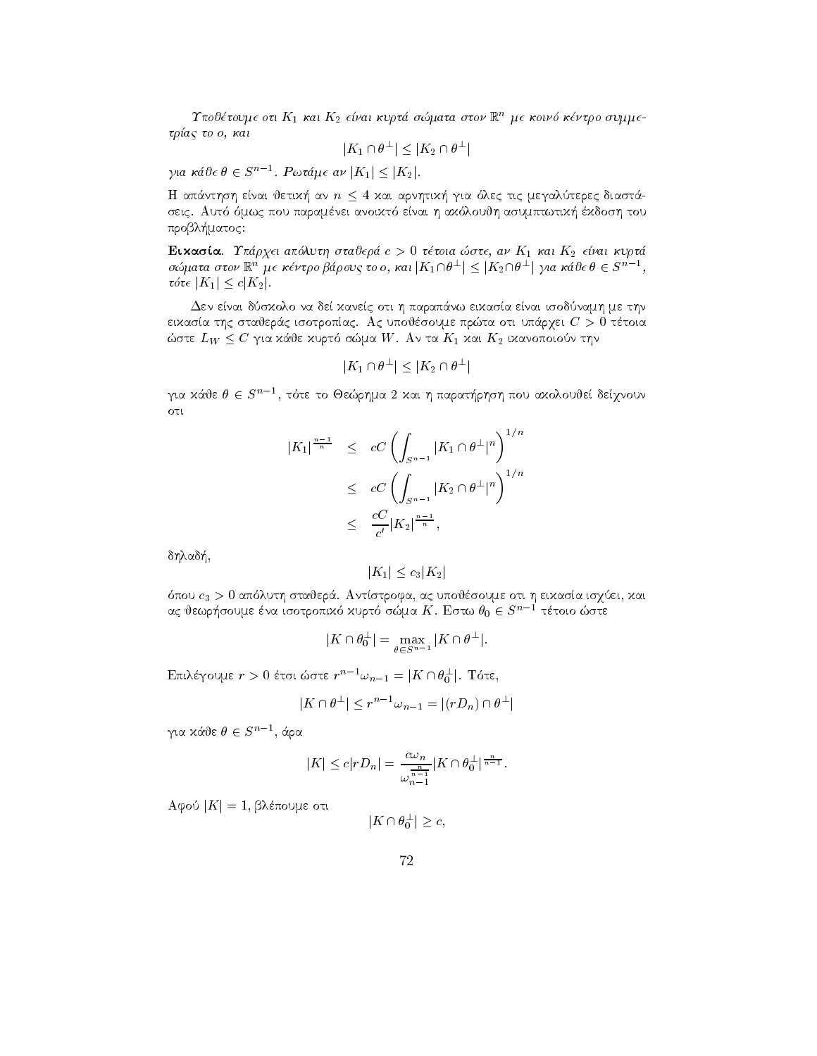I που τουμε οτι  $\mathbf{r}_1$  και  $\mathbf{r}_2$  ειναι κυρια σωματα στον  $\mathbb{R}^+$  με κοινο κεντρο συμμεtra activities of the contract of the contract of the contract of the contract of the contract of the contract of the contract of the contract of the contract of the contract of the contract of the contract of the contract

$$
|K_1\cap \theta^\perp|\leq |K_2\cap \theta^\perp|
$$

για κάθε  $\theta \in S^{n-1}$ . Ρωτάμε αν  $|K_1| \leq |K_2|$ .

 $\mu$  and  $\mu$  are  $\mu$  are  $\mu$  are the shifted and  $\mu$  are  $\mu$  are  $\mu$  are  $\mu$  and  $\mu$ seigic asumptwing the activity signed at the state of the state of the signed assembly accepted to a problem and problem and the second contract of the second contract of the second contract of the second contract of the second contract of the second contract of the second contract of the second contract of the second con

Eikasa Uprqei apluth stajer c - ttoia ste an K kai K- e-nai kurt σώματα στον  $\mathbb{R}^n$  με κέντρο βάρους το ο, και  $|K_1\cap \theta^\perp|\leq |K_2\cap \theta^\perp|$  για κάθε  $\theta\in S^{n-1}$ ,<br>τότε  $|K_1|\leq c|K_2|$ .  $\tau \delta \tau \in |K_1| \leq c |K_2|$ .

 $\Delta$ εν είναι δύσχολο να δεί χανείς οτι η παραπάνω ειχασία είναι ισοδύναμη με την eikasa tha statistica is sipermine presentation in the context of the company of the statistic context of the context of the context of the context of the context of the context of the context of the context of the context  $\omega$ oic  $L_W \leq C$  for xave xopio o $\omega$ da W. Av ta  $K_1$  xat  $K_2$  txavonotoov this

$$
|K_1 \cap \theta^{\perp}| \leq |K_2 \cap \theta^{\perp}|
$$

για χάθε  $\theta \in S^{n-1},$  τότε το Θεώρημα 2 χαι η παρατήρηση που αχολουθεί δείγνουν oti

$$
|K_1|^{\frac{n-1}{n}} \leq cC \left( \int_{S^{n-1}} |K_1 \cap \theta^{\perp}|^n \right)^{1/n}
$$
  
 
$$
\leq cC \left( \int_{S^{n-1}} |K_2 \cap \theta^{\perp}|^n \right)^{1/n}
$$
  
 
$$
\leq \frac{cC}{c'} |K_2|^{\frac{n-1}{n}},
$$

dhlad-

$$
|K_1| \le c_3 |K_2|
$$

pous stajer valence stajer stadigen i stadige stajer generale stadigen stadigen stadigen stajer stadigen van d ας θεωρήσουμε ένα ισοτροπιχό χυρτό σώμα  $K.$  Εστω  $\theta_0 \in S^{n-1}$  τέτοιο ώστε

$$
|K \cap \theta_0^{\perp}| = \max_{\theta \in S^{n-1}} |K \cap \theta^{\perp}|.
$$

Επιλέγουμε  $r > 0$  έτσι ώστε  $r^{n-1}\omega_{n-1} = |K \cap \theta_0^{\perp}|$ . Τότε,<br> $\frac{|K \cap \theta_0^{\perp}|}{r^{n-1} \omega_{n-1} - |(rD_{n-1}) \cap \theta_0^{\perp}|}$ 

$$
|K \cap \theta^{\perp}| \le r^{n-1} \omega_{n-1} = |(rD_n) \cap \theta^{\perp}|
$$

για κάθε  $\theta \in S^{n-1}$ , άρα

$$
|K| \le c|rD_n| = \frac{c\omega_n}{\omega_{n-1}^{\frac{n}{n-1}}}|K \cap \theta_0^{\perp}|^{\frac{n}{n-1}}.
$$

 $A\psi$ 00 | $K$ |  $=$  1, prenducte ott $\Box$ 

$$
|K \cap \theta_0^{\perp}| \geq c,
$$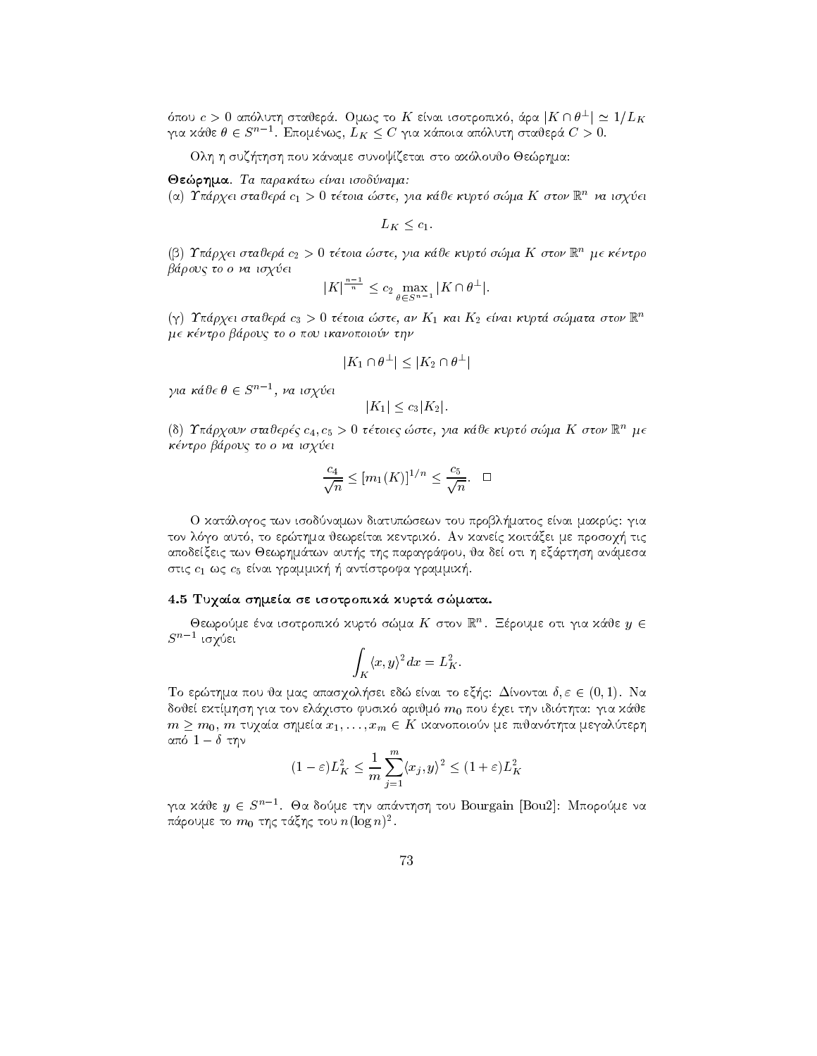όπου  $c>0$  απόλυτη σταθερά. Ομως το  $K$  είναι ισοτροπικό, άρα  $|K\cap \theta^\perp|\simeq 1/L_K$ για κάθε  $\theta \in S^{n-1}$ . Επομένως,  $L_K \leq C$  για κάποια απόλυτη σταθερά  $C > 0$ .

Olh h suz-thsh pou k
name sunoyzetai sto ak loujo Jerhma

je paraktwa isotopiskom kontrollera in de state i paraktwa in de state i paraktwa in de state i paraktwa in de

 $\alpha$ ) Ιπαρχει σταυερα  $c_1 >$  υ τετοια ωστε, για καυε κυρτο σωμα  $\kappa$  στον  $\kappa$  να ισχυει

$$
L_K \leq c_1.
$$

 $\mu$ ) Tπαρχει σταυερα  $c_2 > 0$  τετοια ωστε, για καυε κυρτο σωμα  $\bm{\Lambda}$  στον  $\bm{\mathbb{R}}$  με κεντρο brouc to o na isq ei

$$
|K|^{\frac{n-1}{n}} \le c_2 \max_{\theta \in S^{n-1}} |K \cap \theta^{\perp}|.
$$

 $\Gamma(\gamma)$  - 1 παρχει σταυερα  $c_3 > 0$  τετοια ωστε, αν  $K_1$  και  $K_2$  ειναι κυρτα σωματα στον m me kntro brouc to o pou ikanopoio n thn

$$
|K_1 \cap \theta^\perp| \le |K_2 \cap \theta^\perp|
$$

για κάθε $\theta \in S^{n-1}$ , να ισχύει

$$
|K_1| \le c_3 |K_2|.
$$

(o) I παρχουν σταυερες  $c_4, c_5 > 0$  τετοιες ωστε, για καυε κυρτο σωμα  $K$  στον  $\mathbb R$  - με kntro brouc to o na isq ei

$$
\frac{c_4}{\sqrt{n}} \le [m_1(K)]^{1/n} \le \frac{c_5}{\sqrt{n}}.\quad \Box
$$

O kat
logoc twn isodnamwn diatupsewn tou probl-matoc enai makrc gia ton la kanec koit kentrik alan kentrik kentrik kentrik alan kentrik alan kentrik kentrik alan kentrik alan ken apodexeic twn Jewrham Jewrham automatic twn Jewrham automatic twn Jewrham automatic twn Jewrham and twn Jewrham stic contractions are antisted and antistic contractions of the contraction of the contraction of the contract

## 4.5 Τυχαία σημεία σε ισοτροπικά κυρτά σώματα.

Οεωρουμε ενα ισοτροπικό κύρτο σώμα  $K$  στον  $\mathbb R$  . Ξερουμε ότι για κάθε  $y \in$  $S^{n-1}$  ισγύει

$$
\int_K \langle x, y \rangle^2 dx = L_K^2.
$$

I o ερωτημα που να μας απασχολησει εσω ειναι το εςης. Δινονται  $v, \varepsilon \in (0, 1)$ . Tha doje ektmhsh gia ton elementar elementar arijus med 1990 ton a komputer situation i lan idioach e  $m > m_0$ ,  $m$  tu $y$ ata o $n$ keta  $x_1, \ldots, x_m \in K$  thave noticed be modern and performance  $n_1$  $\alpha$  and  $\alpha = 0$  and  $\alpha$ 

$$
(1 - \varepsilon)L_K^2 \le \frac{1}{m}\sum_{j=1}^m \langle x_j, y \rangle^2 \le (1 + \varepsilon)L_K^2
$$

για χάθε  $y \in S^{n-1}$ . Θα δούμε την απάντηση του Bourgain [Bou2]: Μπορούμε να παρουμε το  $m_0$  της ταςης του  $n$ ιοg $n$ )-.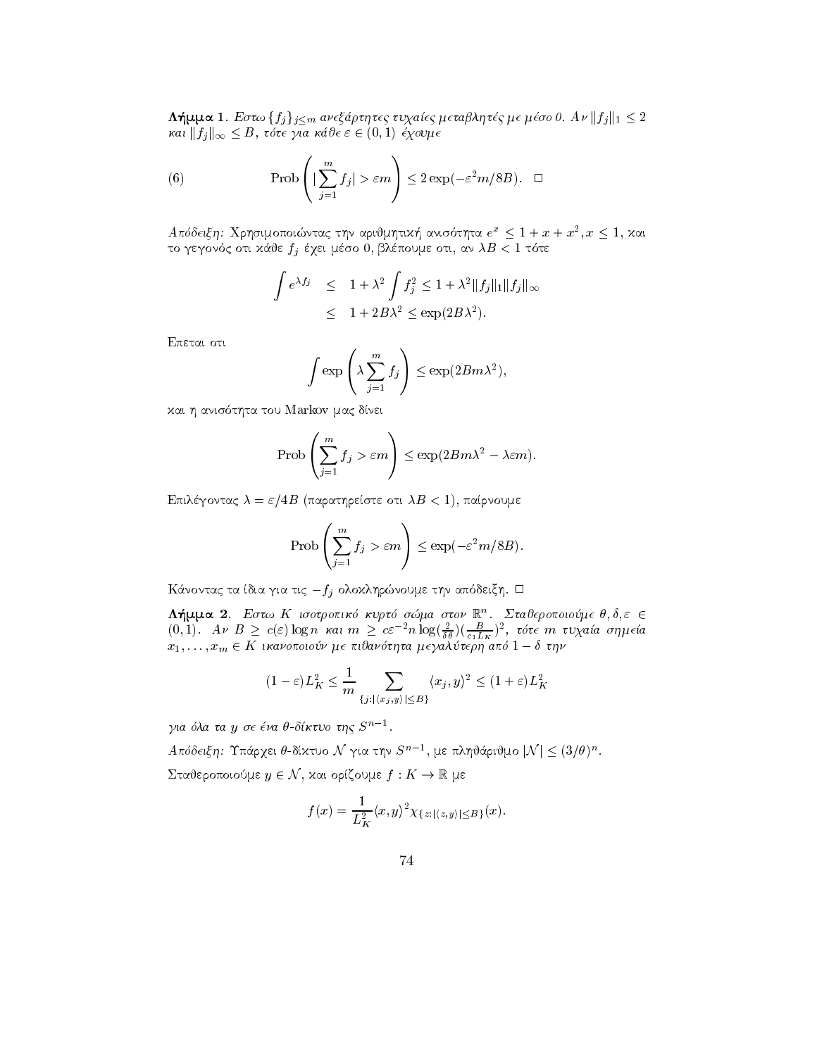**Δημμα 1**. Εστω  $\{f_j\}_{j\leq m}$  ανεςαρτητές τυχαιές μεταρλήτες με μέσο σ. Αν  $||f_j||_1 \leq 2$ και  $||f_j||_{\infty} \leq B$ , τότε για κάθε  $\varepsilon \in (0,1)$  έχουμε

 $\mathbf{r}$  and  $\mathbf{r}$  and  $\mathbf{r}$  and  $\mathbf{r}$  and  $\mathbf{r}$  and  $\mathbf{r}$  and  $\mathbf{r}$  and  $\mathbf{r}$ 

(6) 
$$
\Pr{\text{Ob}\left(\left|\sum_{j=1}^{m} f_j\right| > \varepsilon m\right)} \leq 2 \exp(-\varepsilon^2 m / 8B). \quad \Box
$$

 $A$ ποσεις η $\colon$  Δρησιμοποιώντας την αριψμητική ανισστήτα  $e^-\leq 1+x+x^-, x\leq 1,$  και to gegon and the first contract of the contract of the contract of the contract of the contract of the contract of the contract of the contract of the contract of the contract of the contract of the contract of the contrac

$$
\int e^{\lambda f_j} \leq 1 + \lambda^2 \int f_j^2 \leq 1 + \lambda^2 \|f_j\|_1 \|f_j\|_{\infty}
$$
  

$$
\leq 1 + 2B\lambda^2 \leq \exp(2B\lambda^2).
$$

Epetai oti

$$
\int \exp\left(\lambda \sum_{j=1}^m f_j\right) \leq \exp(2Bm\lambda^2),
$$

kai h anis tha tha tou mac distinct machine and the tour machine and the tour machines of the touched and the

$$
\operatorname{Prob}\left(\sum_{j=1}^m f_j > \varepsilon m\right) \le \exp(2Bm\lambda^2 - \lambda \varepsilon m).
$$

epilgontac entre a la participat de la participat de la participat de la participat de la participat de la par

$$
\operatorname{Prob}\left(\sum_{j=1}^m f_j > \varepsilon m\right) \le \exp(-\varepsilon^2 m / 8B).
$$

 $\alpha$  and  $\alpha$  to the  $\alpha$  th  $\alpha$  the  $f$  order the model of  $\alpha$  and  $\alpha$  and  $\alpha$ 

Λημμα 2. Εστω Λ ισοτροπικο κυριο σωμα στον Γ. Σταυεροποιουμε σ,ο,ε E  $(0,1)$ . Αν Β  $\geq c(\varepsilon) \log n$  και  $m \geq c \varepsilon^{-2} n \log(\frac{\varepsilon}{\delta \theta})(\frac{U}{c_1 L_K})^2$ , τότε  $m$  τυχαία σημεία  $x_1, \ldots, x_m \in \Lambda$  individuous denouvoirpa desantoiepijano  $1 - \sigma$  tips

$$
(1 - \varepsilon)L_K^2 \le \frac{1}{m} \sum_{\{j : |\langle x_j, y \rangle| \le B\}} \langle x_j, y \rangle^2 \le (1 + \varepsilon)L_K^2
$$

για όλα τα y σε ένα θ-δίκτυο της  $S^{n-1}$ .

για ολα τα y σε ενα θ-οικτυο της S'''.<br>Απόδειξη: Υπάργει θ-δίχτυο N´ για την S''', με πληθάριθμο |N| < (3/θ)".

 $\Sigma$ ταθεροποιούμε  $y \in \mathcal{N},$  και ορίζουμε  $f: K \to \mathbb{R}$  με

$$
f(x) = \frac{1}{L_K^2} \langle x, y \rangle^2 \chi_{\{z : |\langle z, y \rangle| \le B\}}(x).
$$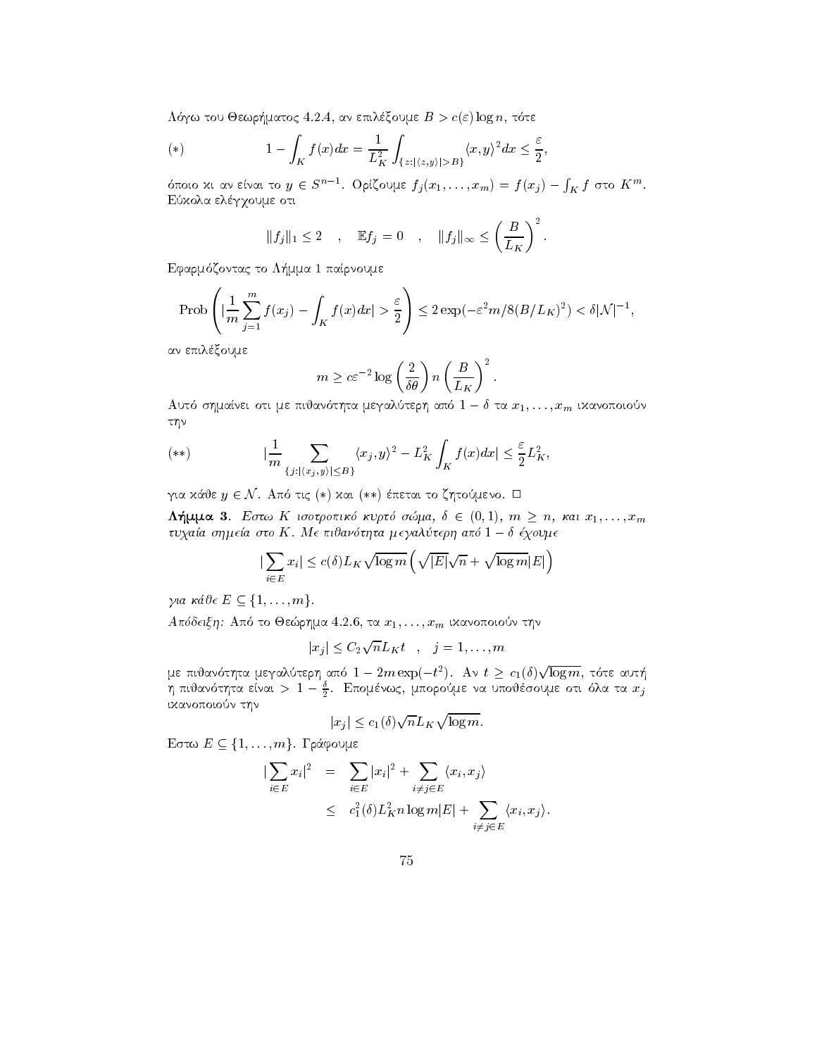$\mathbb{R}^n$  . The set of the set of the set of the set of the set of the set of the set of the set of the set of the set of the set of the set of the set of the set of the set of the set of the set of the set of the set of

(\*) 
$$
1 - \int_{K} f(x)dx = \frac{1}{L_{K}^{2}} \int_{\{z: |\langle z,y \rangle| > B\}} \langle x,y \rangle^{2} dx \leq \frac{\varepsilon}{2},
$$

όποιο χι αν είναι το  $y\,\in\, S^{n-1}$ . Ορίζουμε  $f_j(x_1,\ldots,x_m) = f(x_j) - \int_K f$  στο  $K^m$ . Eύχολα ελέγχουμε οτι

$$
||f_j||_1 \leq 2
$$
,  $\mathbb{E}f_j = 0$ ,  $||f_j||_{\infty} \leq \left(\frac{B}{L_K}\right)^2$ .

efarm and many contacts to the contact of the contact of the contact of the contact of the contact of the contact of the contact of the contact of the contact of the contact of the contact of the contact of the contact of

$$
\mathrm{Prob}\left(|\frac{1}{m}\sum_{j=1}^m f(x_j)-\int_K f(x)dx|>\frac{\varepsilon}{2}\right)\leq 2\exp(-\varepsilon^2 m/8(B/L_K)^2)<\delta |\mathcal{N}|^{-1},
$$

αν επιλέξουμε

$$
m \ge c\varepsilon^{-2} \log\left(\frac{2}{\delta\theta}\right) n \left(\frac{B}{L_K}\right)^2.
$$

Auto of pairei oti pe moavoiffu peyanotepff and  $1 = 0$  ta  $x_1, \ldots, x_m$  thavohology  $\tau\eta\nu$ 

(\*\*)  
\n
$$
|\frac{1}{m} \sum_{\{j: |\langle x_j, y \rangle| \le B\}} \langle x_j, y \rangle^2 - L_K^2 \int_K f(x) dx| \le \frac{\varepsilon}{2} L_K^2,
$$
\nγια χάθε *y* ∈ N. Από τις (\*) χαι (\*\*) έπεται το ζητούμενο. Π

**If**  $\mu$ **u is** Equal IV to the number of  $\mu$ ,  $\mu$  is  $\mu$  is  $\mu$ ,  $\mu$  is  $\mu$  is  $\mu$ ,  $\mu$ ,  $\mu$ ,  $\mu$ ,  $\mu$ ,  $\mu$ ,  $\mu$ ,  $\mu$ ,  $\mu$ ,  $\mu$ ,  $\mu$ ,  $\mu$ ,  $\mu$ ,  $\mu$ ,  $\mu$ ,  $\mu$ ,  $\mu$ ,  $\mu$ ,  $\mu$ ,  $\mu$ ,  $\mu$ ,  $\mu$ ,  $\mu$ ,  $\iota$ o $\chi$ um o $\eta$ pitu oto  $K$ . Internoupotifuu  $\mu$ e $\gamma$ unote $\rho$ ifuno  $1 - \sigma$ e $\chi$ oo $\mu$ e

$$
|\sum_{i \in E} x_i| \le c(\delta) L_K \sqrt{\log m} \left( \sqrt{|E|} \sqrt{n} + \sqrt{\log m} |E| \right)
$$

για κάθε  $E \subseteq \{1, \ldots, m\}.$ 

$$
|x_j| \leq C_2 \sqrt{n} L_K t \quad , \quad j = 1, \dots, m
$$

με πιθανότητα μεγαλύτερη από  $1-2m\exp(-t^2)$ . Αν  $t\geq\,c_1(\delta)\sqrt{\log m},$  τότε αυτή η πιυανοτητα ειναι  $>$  1  $-$  5. Επομενως, μπορουμε να υπουεσουμε οτι ολα τα  $x_j$ ικανοποιούν την

$$
|x_j| \le c_1(\delta) \sqrt{n} L_K \sqrt{\log m}.
$$

Eστω  $E \subseteq \{1, \ldots, m\}$ . Γράφουμε

$$
\begin{array}{rcl} \n|\sum_{i \in E} x_i|^2 & = & \sum_{i \in E} |x_i|^2 + \sum_{i \neq j \in E} \langle x_i, x_j \rangle \\ \n& \leq & c_1^2(\delta) L_K^2 n \log m |E| + \sum_{i \neq j \in E} \langle x_i, x_j \rangle. \n\end{array}
$$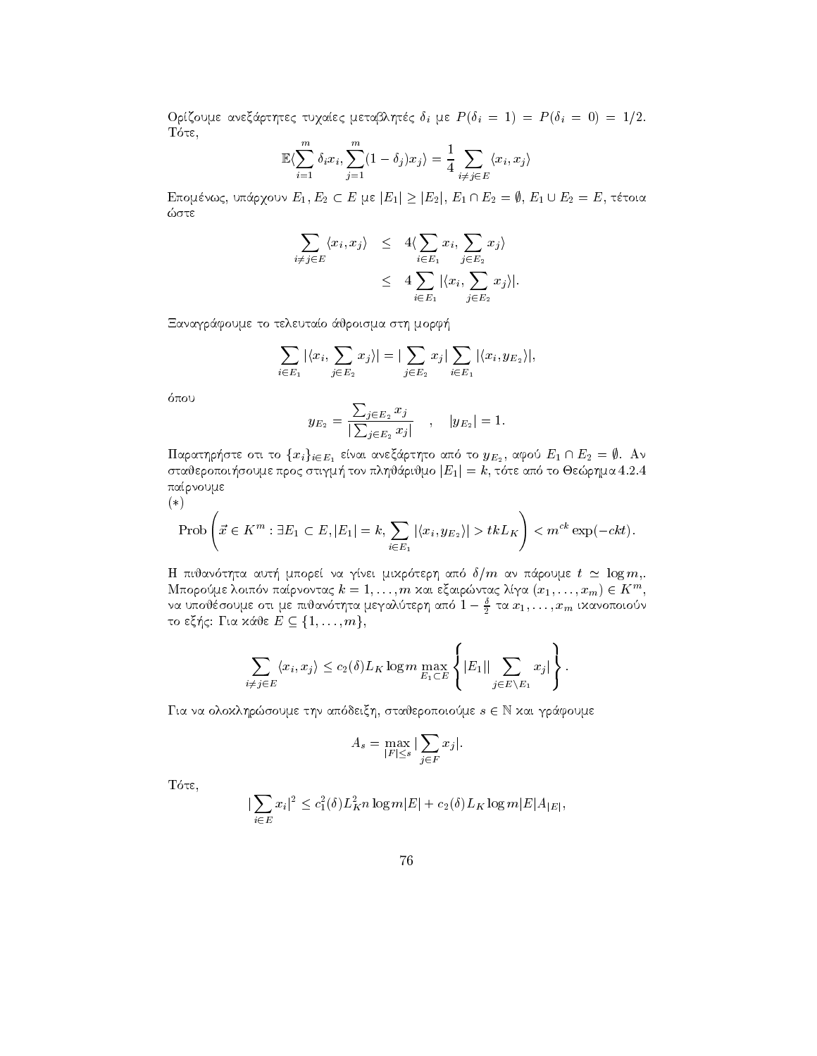Orzoume anex
rthtec tuqaec metablhtc i me <sup>P</sup> i Pi the contract of the contract of the contract of the contract of the contract of the contract of the contract of

$$
\mathbb{E}\langle \sum_{i=1}^{m} \delta_i x_i, \sum_{j=1}^{m} (1-\delta_j) x_j \rangle = \frac{1}{4} \sum_{i \neq j \in E} \langle x_i, x_j \rangle
$$

 $E_n$ once van C<sub>2</sub>, on apyrov  $E_1, E_2 \subseteq E$  per  $|E_1| \geq |E_2|$ ,  $E_1 \sqcup E_2 = \emptyset$ ,  $E_1 \cup E_2 = E$ , retord ώστε

$$
\sum_{i \neq j \in E} \langle x_i, x_j \rangle \leq 4 \langle \sum_{i \in E_1} x_i, \sum_{j \in E_2} x_j \rangle
$$
  

$$
\leq 4 \sum_{i \in E_1} |\langle x_i, \sum_{j \in E_2} x_j \rangle|.
$$

Ξαναγράφουμε το τελευταίο άθροισμα στη μορφή

$$
\sum_{i \in E_1} |\langle x_i, \sum_{j \in E_2} x_j \rangle| = |\sum_{j \in E_2} x_j| \sum_{i \in E_1} |\langle x_i, y_{E_2} \rangle|,
$$

$$
y_{E_2} = \frac{\sum_{j \in E_2} x_j}{|\sum_{j \in E_2} x_j|} \quad , \quad |y_{E_2}| = 1.
$$

 $\mu$  aport position to  $\{x_i\}_{i\in E_1}$  strut are capital of and to  $y_{E_2}$ , aport  $E_1 \cap E_2 = \emptyset$ . And o to be poind thought and to the property  $|E_1| = \kappa$ , to the and to Orewphilia 4.2.4 παίρνουμε  $(*)$ 

$$
\text{Prob}\left(\vec{x} \in K^m : \exists E_1 \subset E, |E_1| = k, \sum_{i \in E_1} |\langle x_i, y_{E_2} \rangle| > tkL_K\right) < m^{ck} \exp(-ckt).
$$

H pijan thta aut- mpore na gnei mikr terh ap  $\mathbf{M}$ που ποιητα αυτή μπορεί να γίνει μικρότερη από σ*γ m* αν παρούμε  $v \equiv \log m,$ <br>Μπορούμε λοιπόν παίρνοντας  $k = 1, \ldots, m$  και εξαιρώντας λίγα  $(x_1, \ldots, x_m) \in K^m,$ να υπουεσουμε οτι με πινανοτητα μεγαλυτερη απο  $1-\frac{1}{2}$  τα  $x_1,\ldots,x_m$  ιχανοποιουν το εξής: Για κάθε $E \subseteq \{1,\ldots,m\},$ ιθέσουμε οτι με πιθανότητα μεγα.<br>ς: Για κάθε  $E \subseteq \{1,\ldots,m\},$ 

$$
\sum_{i \neq j \in E} \langle x_i, x_j \rangle \leq c_2(\delta) L_K \log m \max_{E_1 \subset E} \left\{ |E_1| \sum_{j \in E \setminus E_1} x_j| \right\}.
$$

 $\Gamma$  as a overvulp mood the approach conseption operator  $s \in \mathbb{N}$  for a happening

$$
A_s = \max_{|F| \le s} |\sum_{j \in F} x_j|.
$$

te test to the second test of the second second test in the second second test in the second second second second second second second second second second second second second second second second second second second sec

$$
|\sum_{i \in E} x_i|^2 \le c_1^2(\delta) L_K^2 n \log m |E| + c_2(\delta) L_K \log m |E| A_{|E|},
$$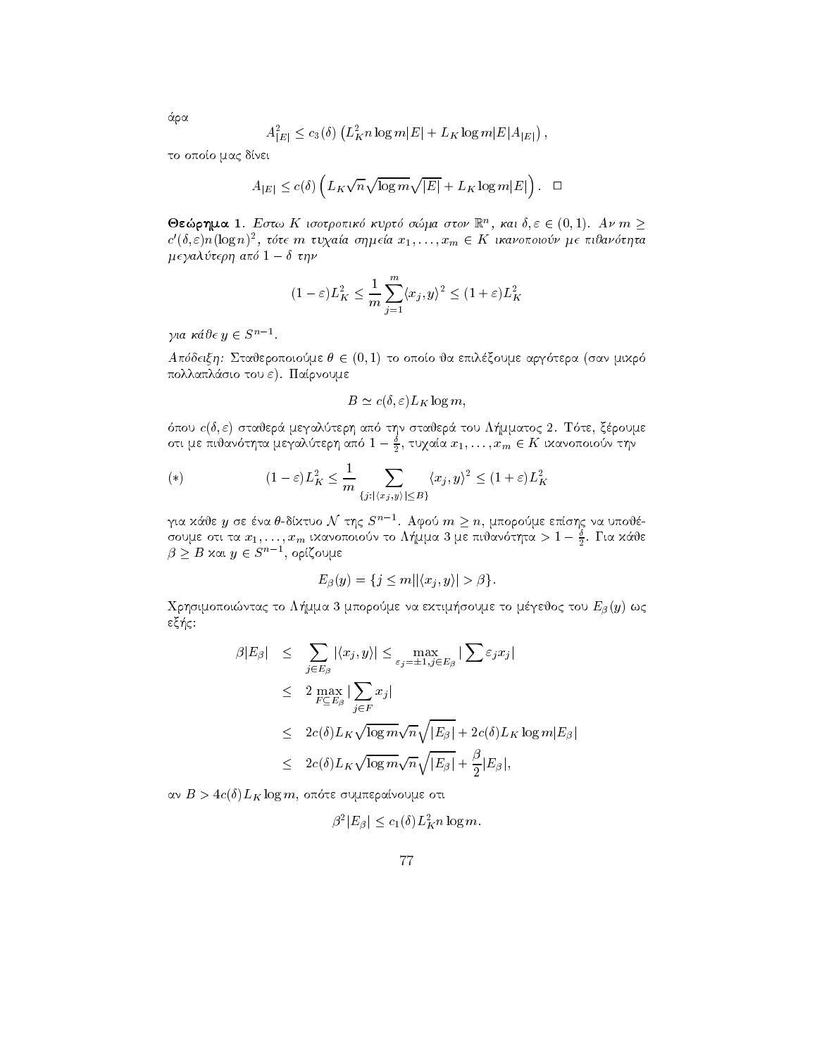$$
A_{|E|}^2 \le c_3(\delta) \left( L_K^2 n \log m |E| + L_K \log m |E| A_{|E|} \right),
$$

το οποίο μας δίνει

$$
A_{|E|} \le c(\delta) \left( L_K \sqrt{n} \sqrt{\log m} \sqrt{|E|} + L_K \log m |E| \right). \quad \Box
$$

 $\bullet$  εωρημα 1. Εστω Λ τοστροπικό κυρτο σωμα στον  $\mathbb{R}^n$ , και  $\sigma, \varepsilon \in (0,1)$ . Αν πι $\geq$  $c'(\delta,\varepsilon)n(\log n)^2$ , τότε  $m$  τυχαία σημεία  $x_1,\ldots,x_m\in K$  ικανοποιούν με πιθανότητα  $\mu$  e ya $\lambda$ o tep $\eta$  and  $1 - \theta$  the  $\eta$ 

$$
(1 - \varepsilon)L_K^2 \le \frac{1}{m}\sum_{j=1}^m \langle x_j, y \rangle^2 \le (1 + \varepsilon)L_K^2
$$

για κάθε  $y \in S^{n-1}$ .

γαπτιστης στο<br>Απόδειξη: Σταθεροποιούμε θ ∈ (0,1) το οποίο θα επιλέξουμε αργότερα (σαν μιχρό πολλαπλάσιο του ε). Παίρνουμε

$$
B \simeq c(\delta, \varepsilon) L_K \log m,
$$

pour cases, compared to the state of the state of the state of the state of the state of the state of the state of the state of the state of the state of the state of the state of the state of the state of the state of the οτι με πινανοτητα μεγαλυτερη απο  $1-\frac{1}{2},$  τυχαια  $x_1,\ldots,x_m\in {\bf\Lambda}$  ιχανοποιουν την

(\*) 
$$
(1 - \varepsilon)L_K^2 \leq \frac{1}{m} \sum_{\{j : |\langle x_j, y \rangle| \leq B\}} \langle x_j, y \rangle^2 \leq (1 + \varepsilon)L_K^2
$$

για κάθε  $y$  σε ένα θ-δίχτυο  $\mathcal N$  της  $S^{\prime\prime -1}.$  Αφού  $m\geq n,$  μπορούμε επίσης να υποθέσουμε οτι τα  $x_1,\ldots,x_m$  ιχανοποιουν το Λημμα 5 με πιυανοτητα  $>$  1  $\frac{1}{2}$ . Για χαυε  $\beta \geq B$  χαι  $y \in S^{n-1}$ , ορίζουμε

$$
E_{\beta}(y) = \{j \le m | |\langle x_j, y \rangle| > \beta\}.
$$

a mportac to L-handle to L-handle to March 2014 and the L-handle tour L-handle to me to make the U-handle to m  $-$ 

$$
\beta |E_{\beta}| \leq \sum_{j \in E_{\beta}} |\langle x_j, y \rangle| \leq \max_{\varepsilon_j = \pm 1, j \in E_{\beta}} |\sum \varepsilon_j x_j|
$$
  
\n
$$
\leq 2 \max_{F \subseteq E_{\beta}} |\sum_{j \in F} x_j|
$$
  
\n
$$
\leq 2c(\delta) L_K \sqrt{\log m} \sqrt{n} \sqrt{|E_{\beta}|} + 2c(\delta) L_K \log m |E_{\beta}|
$$
  
\n
$$
\leq 2c(\delta) L_K \sqrt{\log m} \sqrt{n} \sqrt{|E_{\beta}|} + \frac{\beta}{2} |E_{\beta}|,
$$

$$
\beta^2 |E_\beta| \le c_1(\delta) L_K^2 n \log m.
$$

άρα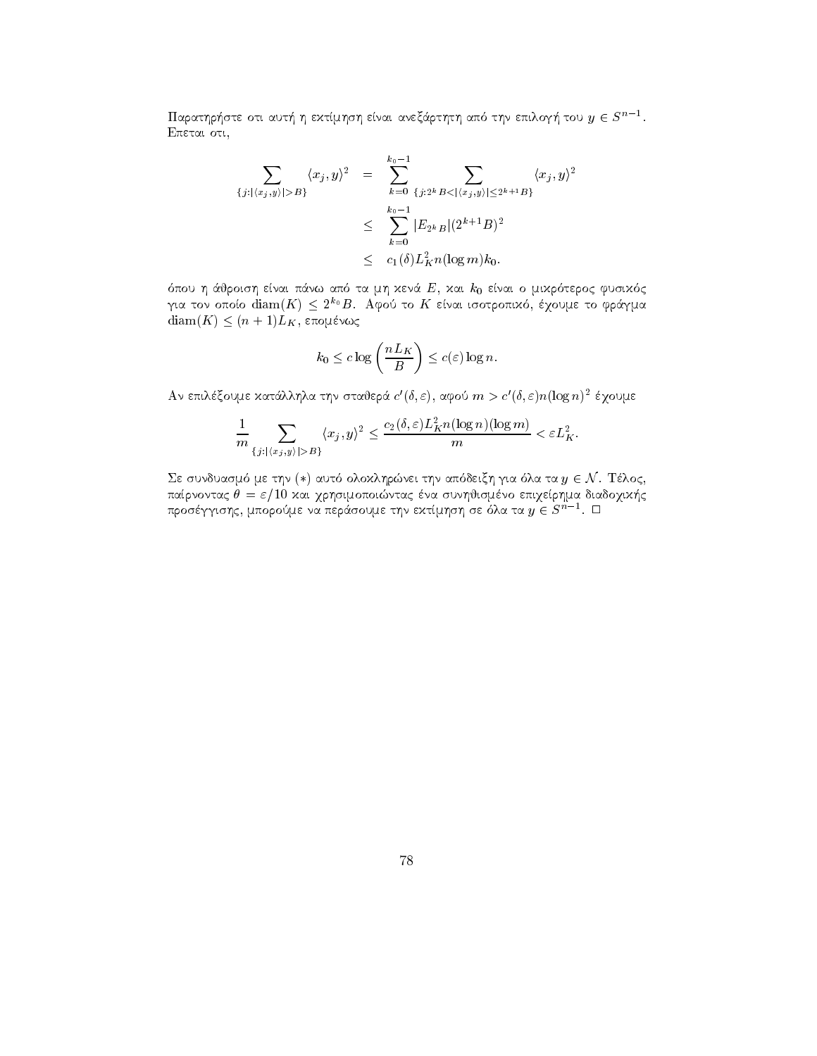Παρατηρήστε οτι αυτή η εχτίμηση είναι ανεζάρτητη από την επιλογή του  $y \in S^{n-1}.$ 

$$
\sum_{\{j: |\langle x_j, y \rangle| > B\}} \langle x_j, y \rangle^2 = \sum_{k=0}^{k_0 - 1} \sum_{\{j: 2^k B < |\langle x_j, y \rangle| \le 2^{k+1} B\}} \langle x_j, y \rangle^2
$$
\n
$$
\leq \sum_{k=0}^{k_0 - 1} |E_{2^k B}| (2^{k+1} B)^2
$$
\n
$$
\leq c_1(\delta) L_K^2 n(\log m) k_0.
$$

pour la marine de la mikroent de la mikroent de la mikroent de la mikroent de la mikroent de la mikroent de la για τον οποίο diam( $K$ )  $\le$  2<sup>10</sup> D. Αφού το  $K$  είναι ισοτροπικό, εχουμε το φραγμα  $\text{diam}(K) \leq (n+1)L_K$ , επομένως

$$
k_0 \leq c \log \left( \frac{nL_K}{B} \right) \leq c(\varepsilon) \log n.
$$

Αν επιλέξουμε χατάλληλα την σταθερά  $c'(\delta,\varepsilon)$ , αφού  $m>c'(\delta,\varepsilon)n(\log n)^2$  έγουμε

$$
\frac{1}{m}\sum_{\{j:|\langle x_j,y\rangle|>B\}}\langle x_j,y\rangle^2\leq \frac{c_2(\delta,\varepsilon)L_K^2n(\log n)(\log m)}{m}<\varepsilon L_K^2.
$$

ε συνδυασμό με την (\*) αυτό ολοχληρώνει την απόδειξη για όλα τα  $y\in\mathcal{N}.$  Τέλος, paranontac a sunhismno epiqerhma diadoqik-qarhsimo epiqerhma diadoqik-qarhsimo epiqerhma diadoqik-qarhsimo epi προσέγγισης, μπορούμε να περάσουμε την εχτίμηση σε όλα τα  $y\in S^{n-1}$ .  $\Box$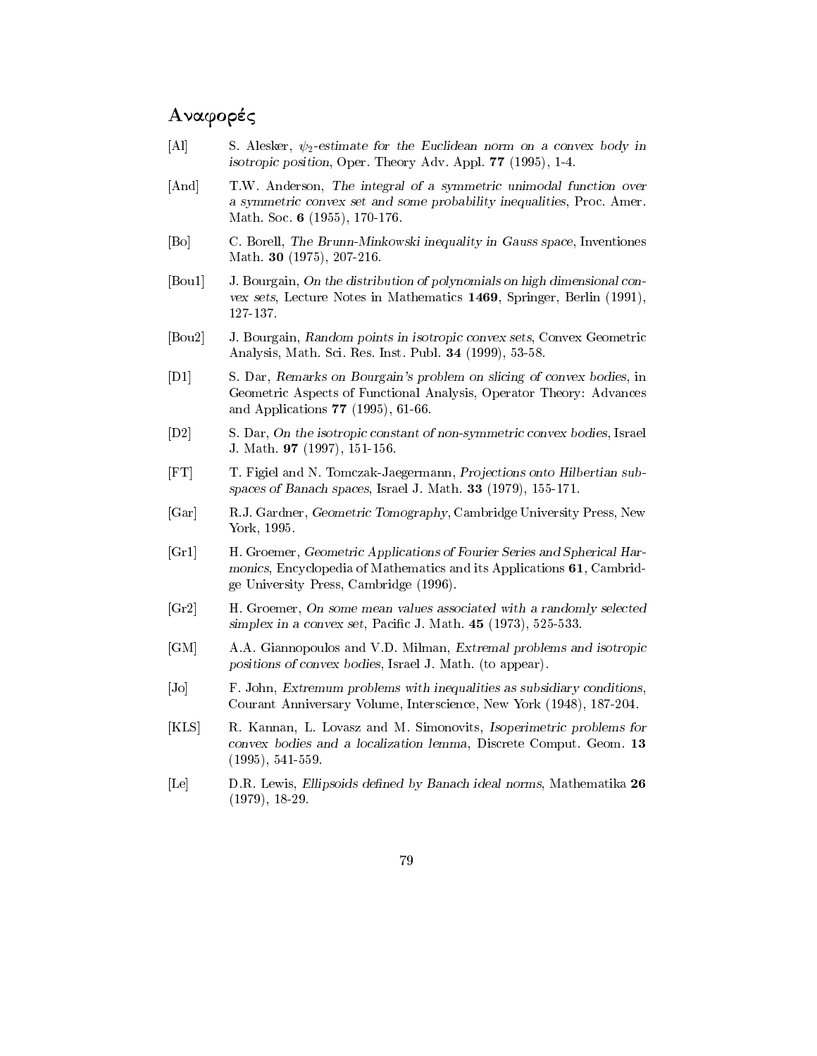## anaformation of the contract of the contract of the contract of the contract of the contract of the contract of

- $\mathbf{P} = \mathbf{P}$  . So the Euclidean norm on a convex body in a convex body in a convex body in  $\mathbf{P}$ isotropic position Oper Theory Adv Appl -
- [And] T.W. Anderson, The integral of a symmetric unimodal function over a symmetric convex set and some probability inequalities, Proc. Amer. Math Soc -
- [Bo] C. Borell, The Brunn-Minkowski inequality in Gauss space, Inventiones  $\ldots$  .  $\ldots$  .  $\ldots$  .  $\ldots$
- $[$ Bou1 $]$  J. Bourgain, On the distribution of polynomials on high dimensional convex sets, Lecture Notes in Mathematics 1469, Springer, Berlin (1991),
- [Bou2] J. Bourgain, Random points in isotropic convex sets, Convex Geometric analysis math Sci Res Institute and the second process of the Sci
- $\mathbf{p} = \mathbf{p}$  , we see the subsequent of  $\mathbf{p}$  and  $\mathbf{p}$  are specified of convex bodies in  $\mathbf{p}$ Geometric Aspects of Functional Analysis, Operator Theory: Advances  $\frac{1}{2}$  and  $\frac{1}{2}$  and  $\frac{1}{2}$  and  $\frac{1}{2}$  and  $\frac{1}{2}$  are  $\frac{1}{2}$  and  $\frac{1}{2}$  are  $\frac{1}{2}$  and  $\frac{1}{2}$  are  $\frac{1}{2}$  and  $\frac{1}{2}$  are  $\frac{1}{2}$  and  $\frac{1}{2}$  are  $\frac{1}{2}$  and  $\frac{1}{2}$  are  $\frac{1}{2}$  a
- [D2] S. Dar, On the isotropic constant of non-symmetric convex bodies, Israel J Math -
- $\Gamma$  for the N Tomczak-M Tomczak-M Tomczak-M Tomczak-M Tomczak-M Tomczak-M Tomczak-M Tomczak-M Tomczak-M Tomczak-M Tomczak-M Tomczak-M Tomczak-M Tomczak-M Tomczak-M Tomczak-M Tomczak-M Tomczak-M Tomczak-M Tomczak-M Tomcza spaces is Banach spaces; Banach is Banach is the space  $\mathcal{L}$  and  $\mathcal{L}$
- [Gar] R.J. Gardner, Geometric Tomography, Cambridge University Press, New York, 1995.
- [Gr1] H. Groemer, Geometric Applications of Fourier Series and Spherical Harmonics, Encyclopedia of Mathematics and its Applications 61, Cambridge University Press, Cambridge (1996).
- [Gr2] H. Groemer, On some mean values associated with a randomly selected simplex in a convex set Paci c J Math -
- [GM] A.A. Giannopoulos and V.D. Milman, Extremal problems and isotropic positions of convex bodies, Israel J. Math. (to appear).
- [Jo] F. John, Extremum problems with inequalities as subsidiary conditions, Courant Anniversary Volume Interscience New York -
- [KLS] R. Kannan, L. Lovasz and M. Simonovits, Isoperimetric problems for  $convex$  bodies and a localization lemma, Discrete Comput. Geom. 13 , - - - - , , - - - - - - .
- [Le] D.R. Lewis, Ellipsoids defined by Banach ideal norms, Mathematika 26 , \_ \_ . \_ , , \_ \_ \_ \_ \_ .